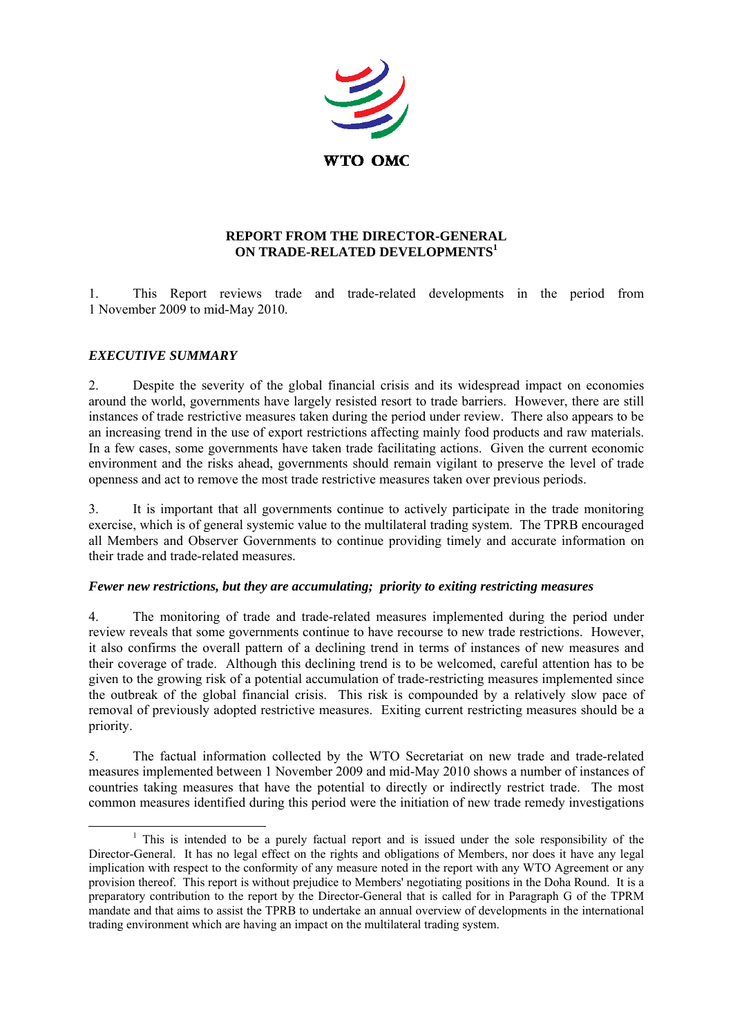

## **REPORT FROM THE DIRECTOR-GENERAL ON TRADE-RELATED DEVELOPMENTS<sup>1</sup>**

1. This Report reviews trade and trade-related developments in the period from 1 November 2009 to mid-May 2010.

## *EXECUTIVE SUMMARY*

2. Despite the severity of the global financial crisis and its widespread impact on economies around the world, governments have largely resisted resort to trade barriers. However, there are still instances of trade restrictive measures taken during the period under review. There also appears to be an increasing trend in the use of export restrictions affecting mainly food products and raw materials. In a few cases, some governments have taken trade facilitating actions. Given the current economic environment and the risks ahead, governments should remain vigilant to preserve the level of trade openness and act to remove the most trade restrictive measures taken over previous periods.

3. It is important that all governments continue to actively participate in the trade monitoring exercise, which is of general systemic value to the multilateral trading system. The TPRB encouraged all Members and Observer Governments to continue providing timely and accurate information on their trade and trade-related measures.

#### *Fewer new restrictions, but they are accumulating; priority to exiting restricting measures*

4. The monitoring of trade and trade-related measures implemented during the period under review reveals that some governments continue to have recourse to new trade restrictions. However, it also confirms the overall pattern of a declining trend in terms of instances of new measures and their coverage of trade. Although this declining trend is to be welcomed, careful attention has to be given to the growing risk of a potential accumulation of trade-restricting measures implemented since the outbreak of the global financial crisis. This risk is compounded by a relatively slow pace of removal of previously adopted restrictive measures. Exiting current restricting measures should be a priority.

5. The factual information collected by the WTO Secretariat on new trade and trade-related measures implemented between 1 November 2009 and mid-May 2010 shows a number of instances of countries taking measures that have the potential to directly or indirectly restrict trade. The most common measures identified during this period were the initiation of new trade remedy investigations

 $\begin{array}{c|c}\n\hline\n\end{array}$  $1$ . This is intended to be a purely factual report and is issued under the sole responsibility of the Director-General. It has no legal effect on the rights and obligations of Members, nor does it have any legal implication with respect to the conformity of any measure noted in the report with any WTO Agreement or any provision thereof. This report is without prejudice to Members' negotiating positions in the Doha Round. It is a preparatory contribution to the report by the Director-General that is called for in Paragraph G of the TPRM mandate and that aims to assist the TPRB to undertake an annual overview of developments in the international trading environment which are having an impact on the multilateral trading system.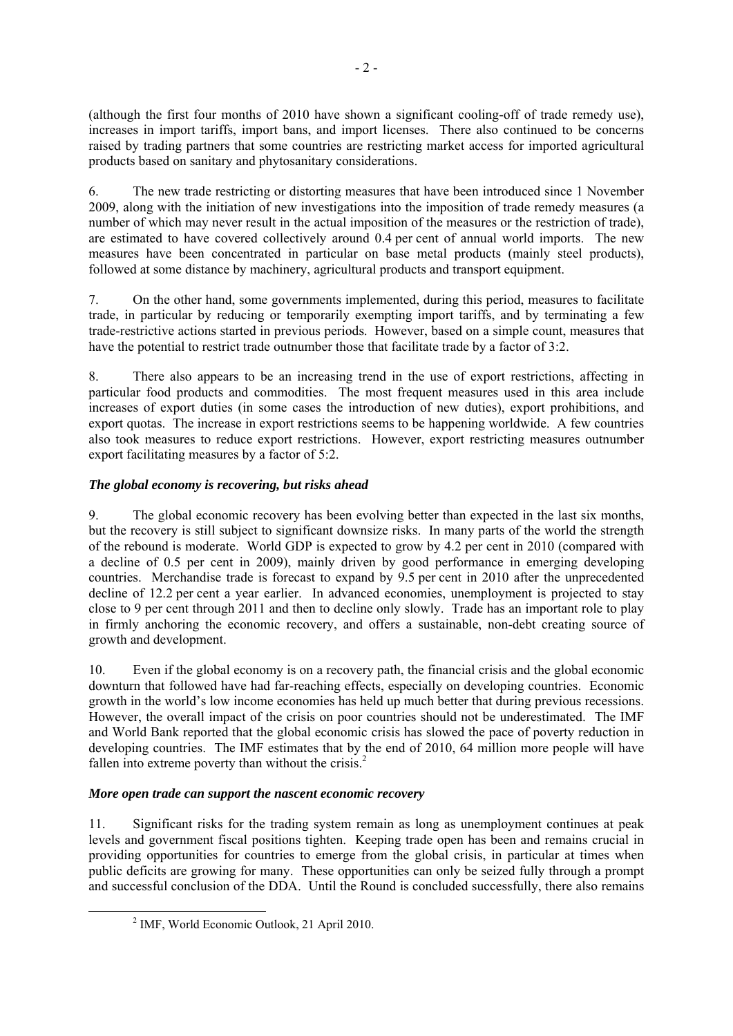(although the first four months of 2010 have shown a significant cooling-off of trade remedy use), increases in import tariffs, import bans, and import licenses. There also continued to be concerns raised by trading partners that some countries are restricting market access for imported agricultural products based on sanitary and phytosanitary considerations.

6. The new trade restricting or distorting measures that have been introduced since 1 November 2009, along with the initiation of new investigations into the imposition of trade remedy measures (a number of which may never result in the actual imposition of the measures or the restriction of trade), are estimated to have covered collectively around 0.4 per cent of annual world imports. The new measures have been concentrated in particular on base metal products (mainly steel products), followed at some distance by machinery, agricultural products and transport equipment.

7. On the other hand, some governments implemented, during this period, measures to facilitate trade, in particular by reducing or temporarily exempting import tariffs, and by terminating a few trade-restrictive actions started in previous periods. However, based on a simple count, measures that have the potential to restrict trade outnumber those that facilitate trade by a factor of 3:2.

8. There also appears to be an increasing trend in the use of export restrictions, affecting in particular food products and commodities. The most frequent measures used in this area include increases of export duties (in some cases the introduction of new duties), export prohibitions, and export quotas. The increase in export restrictions seems to be happening worldwide. A few countries also took measures to reduce export restrictions. However, export restricting measures outnumber export facilitating measures by a factor of 5:2.

## *The global economy is recovering, but risks ahead*

9. The global economic recovery has been evolving better than expected in the last six months, but the recovery is still subject to significant downsize risks. In many parts of the world the strength of the rebound is moderate. World GDP is expected to grow by 4.2 per cent in 2010 (compared with a decline of 0.5 per cent in 2009), mainly driven by good performance in emerging developing countries. Merchandise trade is forecast to expand by 9.5 per cent in 2010 after the unprecedented decline of 12.2 per cent a year earlier. In advanced economies, unemployment is projected to stay close to 9 per cent through 2011 and then to decline only slowly. Trade has an important role to play in firmly anchoring the economic recovery, and offers a sustainable, non-debt creating source of growth and development.

10. Even if the global economy is on a recovery path, the financial crisis and the global economic downturn that followed have had far-reaching effects, especially on developing countries. Economic growth in the world's low income economies has held up much better that during previous recessions. However, the overall impact of the crisis on poor countries should not be underestimated. The IMF and World Bank reported that the global economic crisis has slowed the pace of poverty reduction in developing countries. The IMF estimates that by the end of 2010, 64 million more people will have fallen into extreme poverty than without the crisis.<sup>2</sup>

## *More open trade can support the nascent economic recovery*

11. Significant risks for the trading system remain as long as unemployment continues at peak levels and government fiscal positions tighten. Keeping trade open has been and remains crucial in providing opportunities for countries to emerge from the global crisis, in particular at times when public deficits are growing for many. These opportunities can only be seized fully through a prompt and successful conclusion of the DDA. Until the Round is concluded successfully, there also remains

 $\frac{1}{2}$  $<sup>2</sup>$  IMF, World Economic Outlook, 21 April 2010.</sup>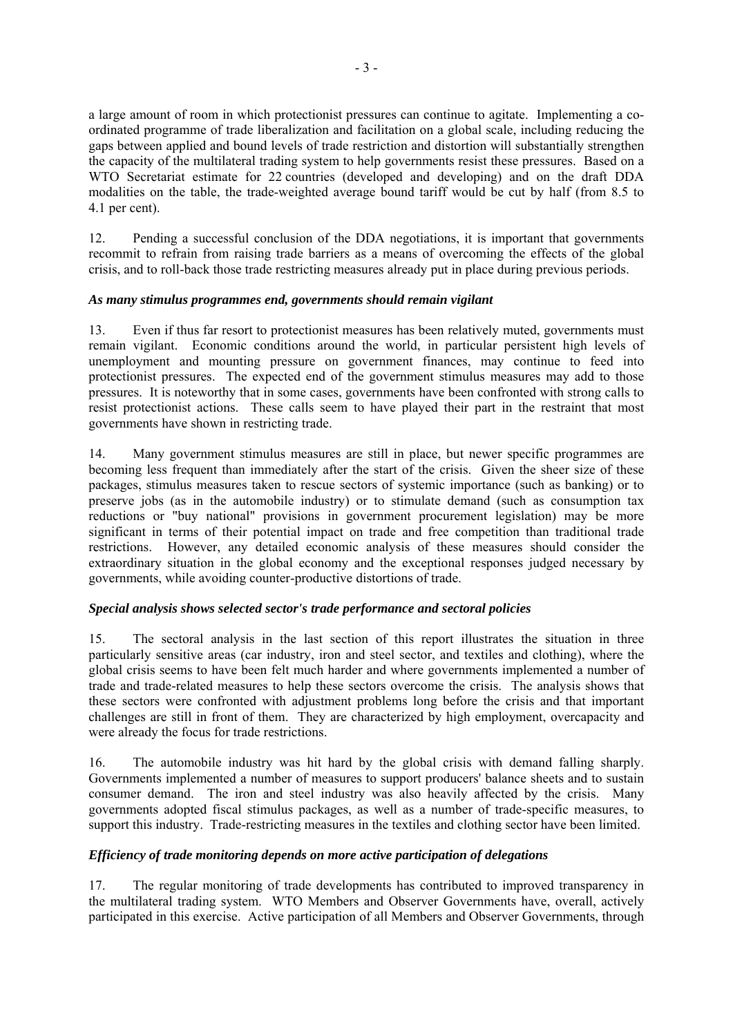a large amount of room in which protectionist pressures can continue to agitate. Implementing a coordinated programme of trade liberalization and facilitation on a global scale, including reducing the gaps between applied and bound levels of trade restriction and distortion will substantially strengthen the capacity of the multilateral trading system to help governments resist these pressures. Based on a WTO Secretariat estimate for 22 countries (developed and developing) and on the draft DDA modalities on the table, the trade-weighted average bound tariff would be cut by half (from 8.5 to 4.1 per cent).

12. Pending a successful conclusion of the DDA negotiations, it is important that governments recommit to refrain from raising trade barriers as a means of overcoming the effects of the global crisis, and to roll-back those trade restricting measures already put in place during previous periods.

## *As many stimulus programmes end, governments should remain vigilant*

13. Even if thus far resort to protectionist measures has been relatively muted, governments must remain vigilant. Economic conditions around the world, in particular persistent high levels of unemployment and mounting pressure on government finances, may continue to feed into protectionist pressures. The expected end of the government stimulus measures may add to those pressures. It is noteworthy that in some cases, governments have been confronted with strong calls to resist protectionist actions. These calls seem to have played their part in the restraint that most governments have shown in restricting trade.

14. Many government stimulus measures are still in place, but newer specific programmes are becoming less frequent than immediately after the start of the crisis. Given the sheer size of these packages, stimulus measures taken to rescue sectors of systemic importance (such as banking) or to preserve jobs (as in the automobile industry) or to stimulate demand (such as consumption tax reductions or "buy national" provisions in government procurement legislation) may be more significant in terms of their potential impact on trade and free competition than traditional trade restrictions. However, any detailed economic analysis of these measures should consider the extraordinary situation in the global economy and the exceptional responses judged necessary by governments, while avoiding counter-productive distortions of trade.

#### *Special analysis shows selected sector's trade performance and sectoral policies*

15. The sectoral analysis in the last section of this report illustrates the situation in three particularly sensitive areas (car industry, iron and steel sector, and textiles and clothing), where the global crisis seems to have been felt much harder and where governments implemented a number of trade and trade-related measures to help these sectors overcome the crisis. The analysis shows that these sectors were confronted with adjustment problems long before the crisis and that important challenges are still in front of them. They are characterized by high employment, overcapacity and were already the focus for trade restrictions.

16. The automobile industry was hit hard by the global crisis with demand falling sharply. Governments implemented a number of measures to support producers' balance sheets and to sustain consumer demand. The iron and steel industry was also heavily affected by the crisis. Many governments adopted fiscal stimulus packages, as well as a number of trade-specific measures, to support this industry. Trade-restricting measures in the textiles and clothing sector have been limited.

## *Efficiency of trade monitoring depends on more active participation of delegations*

17. The regular monitoring of trade developments has contributed to improved transparency in the multilateral trading system. WTO Members and Observer Governments have, overall, actively participated in this exercise. Active participation of all Members and Observer Governments, through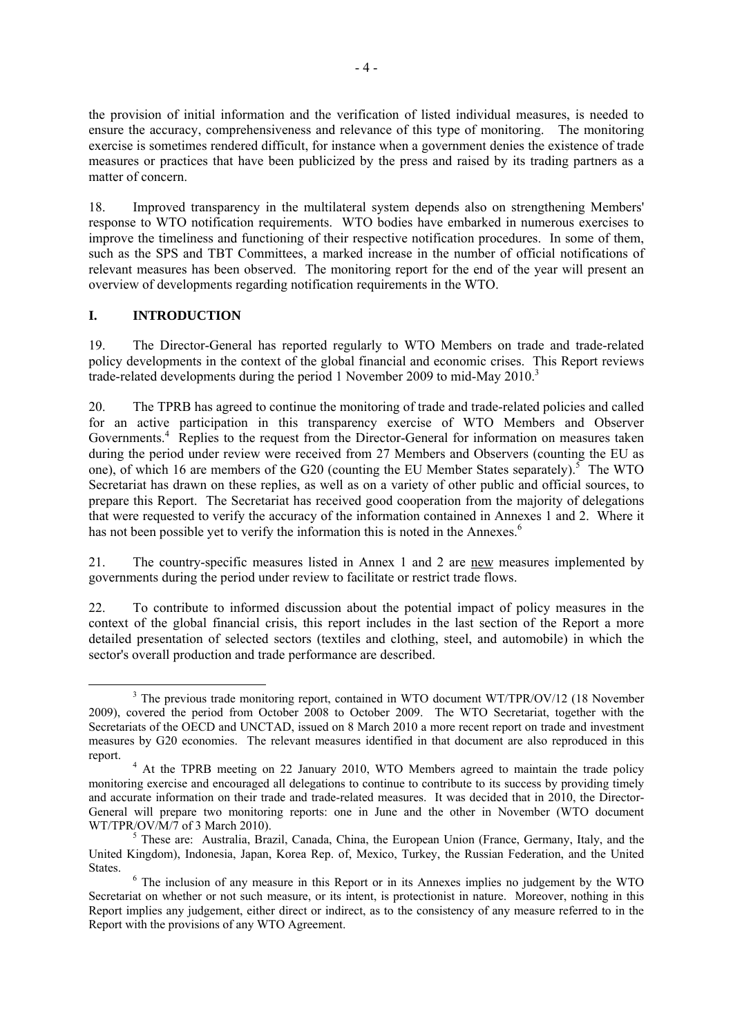the provision of initial information and the verification of listed individual measures, is needed to ensure the accuracy, comprehensiveness and relevance of this type of monitoring. The monitoring exercise is sometimes rendered difficult, for instance when a government denies the existence of trade measures or practices that have been publicized by the press and raised by its trading partners as a matter of concern.

18. Improved transparency in the multilateral system depends also on strengthening Members' response to WTO notification requirements. WTO bodies have embarked in numerous exercises to improve the timeliness and functioning of their respective notification procedures. In some of them, such as the SPS and TBT Committees, a marked increase in the number of official notifications of relevant measures has been observed. The monitoring report for the end of the year will present an overview of developments regarding notification requirements in the WTO.

## **I. INTRODUCTION**

19. The Director-General has reported regularly to WTO Members on trade and trade-related policy developments in the context of the global financial and economic crises. This Report reviews trade-related developments during the period 1 November 2009 to mid-May 2010.<sup>3</sup>

20. The TPRB has agreed to continue the monitoring of trade and trade-related policies and called for an active participation in this transparency exercise of WTO Members and Observer Governments.<sup>4</sup> Replies to the request from the Director-General for information on measures taken during the period under review were received from 27 Members and Observers (counting the EU as one), of which 16 are members of the G20 (counting the EU Member States separately).<sup>5</sup> The WTO Secretariat has drawn on these replies, as well as on a variety of other public and official sources, to prepare this Report. The Secretariat has received good cooperation from the majority of delegations that were requested to verify the accuracy of the information contained in Annexes 1 and 2. Where it has not been possible yet to verify the information this is noted in the Annexes.<sup>6</sup>

21. The country-specific measures listed in Annex 1 and 2 are new measures implemented by governments during the period under review to facilitate or restrict trade flows.

22. To contribute to informed discussion about the potential impact of policy measures in the context of the global financial crisis, this report includes in the last section of the Report a more detailed presentation of selected sectors (textiles and clothing, steel, and automobile) in which the sector's overall production and trade performance are described.

 $\frac{1}{3}$ <sup>3</sup> The previous trade monitoring report, contained in WTO document WT/TPR/OV/12 (18 November 2009), covered the period from October 2008 to October 2009. The WTO Secretariat, together with the Secretariats of the OECD and UNCTAD, issued on 8 March 2010 a more recent report on trade and investment measures by G20 economies. The relevant measures identified in that document are also reproduced in this report.

<sup>&</sup>lt;sup>4</sup> At the TPRB meeting on 22 January 2010, WTO Members agreed to maintain the trade policy monitoring exercise and encouraged all delegations to continue to contribute to its success by providing timely and accurate information on their trade and trade-related measures. It was decided that in 2010, the Director-General will prepare two monitoring reports: one in June and the other in November (WTO document WT/TPR/OV/M/7 of 3 March 2010).

 $<sup>5</sup>$  These are: Australia, Brazil, Canada, China, the European Union (France, Germany, Italy, and the</sup> United Kingdom), Indonesia, Japan, Korea Rep. of, Mexico, Turkey, the Russian Federation, and the United States.

 $6$  The inclusion of any measure in this Report or in its Annexes implies no judgement by the WTO Secretariat on whether or not such measure, or its intent, is protectionist in nature. Moreover, nothing in this Report implies any judgement, either direct or indirect, as to the consistency of any measure referred to in the Report with the provisions of any WTO Agreement.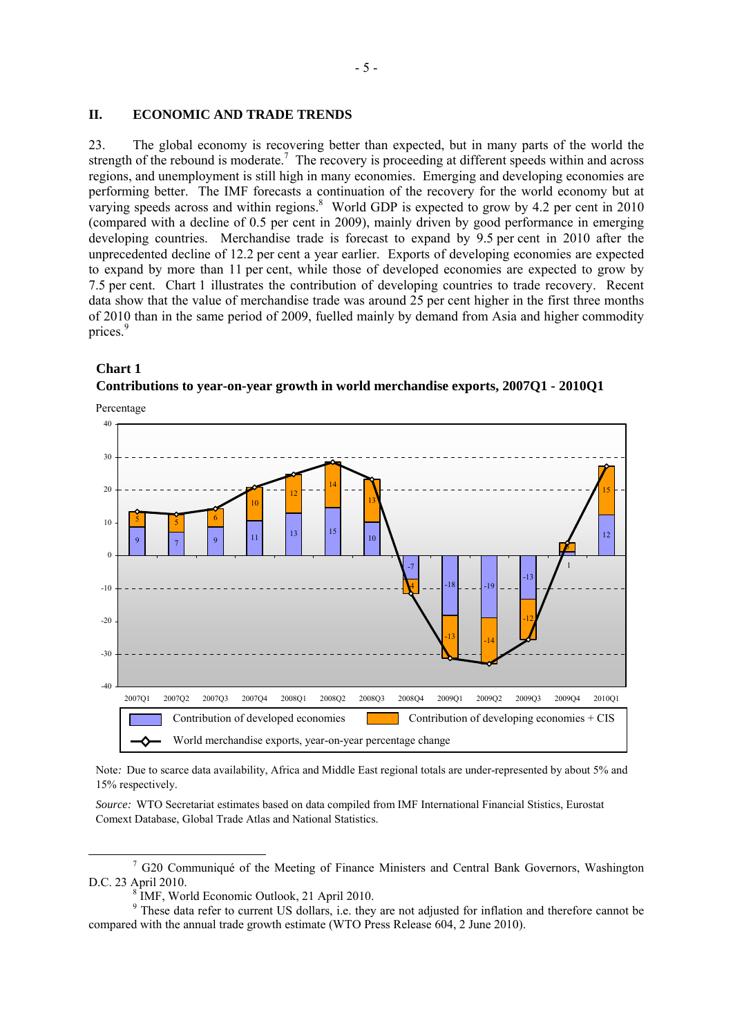#### **II. ECONOMIC AND TRADE TRENDS**

23. The global economy is recovering better than expected, but in many parts of the world the strength of the rebound is moderate.<sup>7</sup> The recovery is proceeding at different speeds within and across regions, and unemployment is still high in many economies. Emerging and developing economies are performing better. The IMF forecasts a continuation of the recovery for the world economy but at varying speeds across and within regions. $8$  World GDP is expected to grow by 4.2 per cent in 2010 (compared with a decline of 0.5 per cent in 2009), mainly driven by good performance in emerging developing countries. Merchandise trade is forecast to expand by 9.5 per cent in 2010 after the unprecedented decline of 12.2 per cent a year earlier. Exports of developing economies are expected to expand by more than 11 per cent, while those of developed economies are expected to grow by 7.5 per cent. Chart 1 illustrates the contribution of developing countries to trade recovery. Recent data show that the value of merchandise trade was around 25 per cent higher in the first three months of 2010 than in the same period of 2009, fuelled mainly by demand from Asia and higher commodity prices<sup>9</sup>

#### **Chart 1**

# **Contributions to year-on-year growth in world merchandise exports, 2007Q1 - 2010Q1**

Percentage



Note*:* Due to scarce data availability, Africa and Middle East regional totals are under-represented by about 5% and 15% respectively.

*Source:* WTO Secretariat estimates based on data compiled from IMF International Financial Stistics, Eurostat Comext Database, Global Trade Atlas and National Statistics.

 <sup>7</sup>  $7$  G20 Communiqué of the Meeting of Finance Ministers and Central Bank Governors, Washington D.C. 23 April 2010.

IMF, World Economic Outlook, 21 April 2010.

<sup>&</sup>lt;sup>9</sup> These data refer to current US dollars, i.e. they are not adjusted for inflation and therefore cannot be compared with the annual trade growth estimate (WTO Press Release 604, 2 June 2010).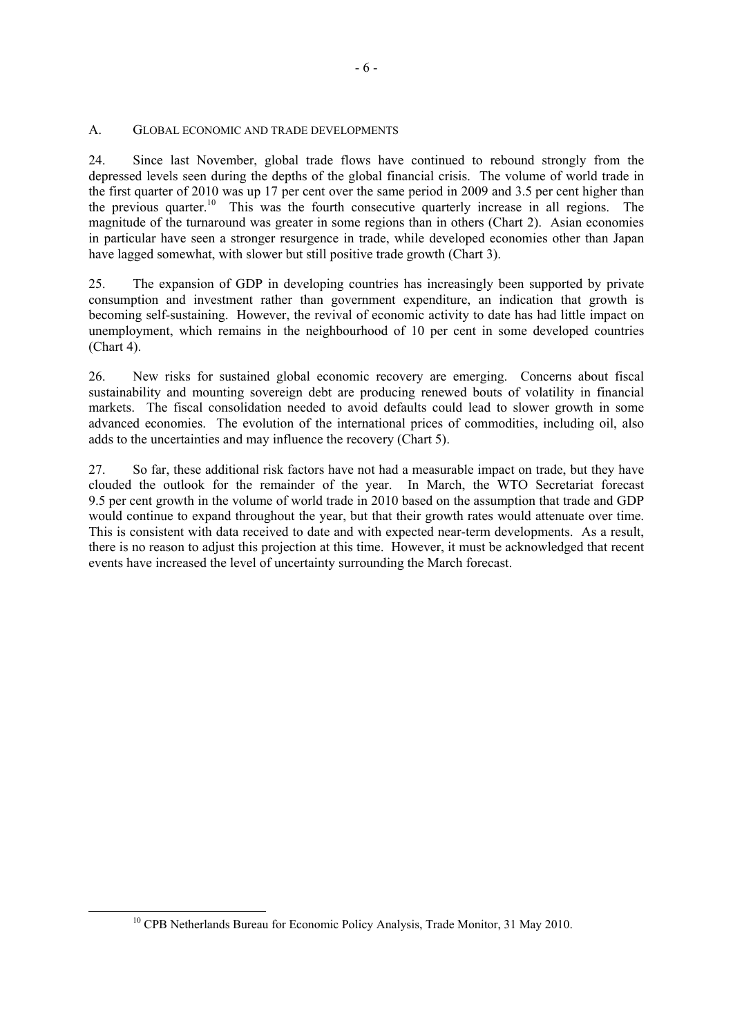#### A. GLOBAL ECONOMIC AND TRADE DEVELOPMENTS

24. Since last November, global trade flows have continued to rebound strongly from the depressed levels seen during the depths of the global financial crisis. The volume of world trade in the first quarter of 2010 was up 17 per cent over the same period in 2009 and 3.5 per cent higher than the previous quarter.10 This was the fourth consecutive quarterly increase in all regions. The magnitude of the turnaround was greater in some regions than in others (Chart 2). Asian economies in particular have seen a stronger resurgence in trade, while developed economies other than Japan have lagged somewhat, with slower but still positive trade growth (Chart 3).

25. The expansion of GDP in developing countries has increasingly been supported by private consumption and investment rather than government expenditure, an indication that growth is becoming self-sustaining. However, the revival of economic activity to date has had little impact on unemployment, which remains in the neighbourhood of 10 per cent in some developed countries (Chart 4).

26. New risks for sustained global economic recovery are emerging. Concerns about fiscal sustainability and mounting sovereign debt are producing renewed bouts of volatility in financial markets. The fiscal consolidation needed to avoid defaults could lead to slower growth in some advanced economies. The evolution of the international prices of commodities, including oil, also adds to the uncertainties and may influence the recovery (Chart 5).

27. So far, these additional risk factors have not had a measurable impact on trade, but they have clouded the outlook for the remainder of the year. In March, the WTO Secretariat forecast 9.5 per cent growth in the volume of world trade in 2010 based on the assumption that trade and GDP would continue to expand throughout the year, but that their growth rates would attenuate over time. This is consistent with data received to date and with expected near-term developments. As a result, there is no reason to adjust this projection at this time. However, it must be acknowledged that recent events have increased the level of uncertainty surrounding the March forecast.

<sup>&</sup>lt;sup>10</sup> CPB Netherlands Bureau for Economic Policy Analysis, Trade Monitor, 31 May 2010.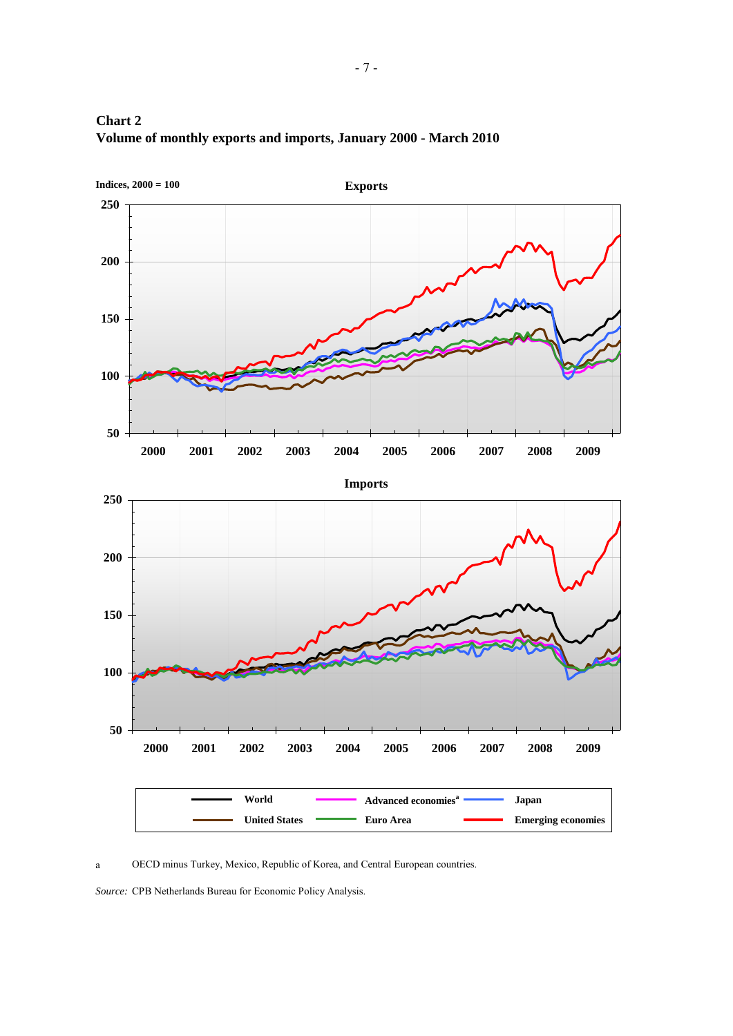

## **Chart 2 Volume of monthly exports and imports, January 2000 - March 2010**

OECD minus Turkey, Mexico, Republic of Korea, and Central European countries. a

Source: CPB Netherlands Bureau for Economic Policy Analysis.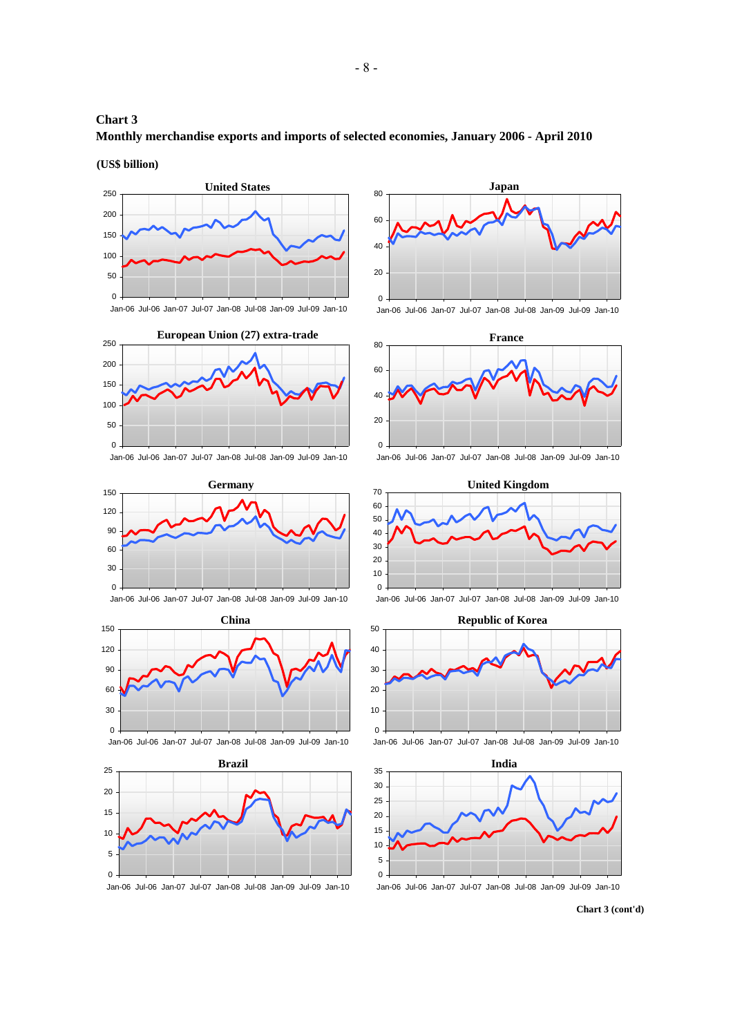## **Chart 3 Monthly merchandise exports and imports of selected economies, January 2006 - April 2010**

**(US\$ billion)**





Jan-06 Jul-06 Jan-07 Jul-07 Jan-08 Jul-08 Jan-09 Jul-09 Jan-10



Jan-06 Jul-06 Jan-07 Jul-07 Jan-08 Jul-08 Jan-09 Jul-09 Jan-10



Jan-06 Jul-06 Jan-07 Jul-07 Jan-08 Jul-08 Jan-09 Jul-09 Jan-10







Jan-06 Jul-06 Jan-07 Jul-07 Jan-08 Jul-08 Jan-09 Jul-09 Jan-10



Jan-06 Jul-06 Jan-07 Jul-07 Jan-08 Jul-08 Jan-09 Jul-09 Jan-10



Jan-06 Jul-06 Jan-07 Jul-07 Jan-08 Jul-08 Jan-09 Jul-09 Jan-10









**Chart 3 (cont'd)**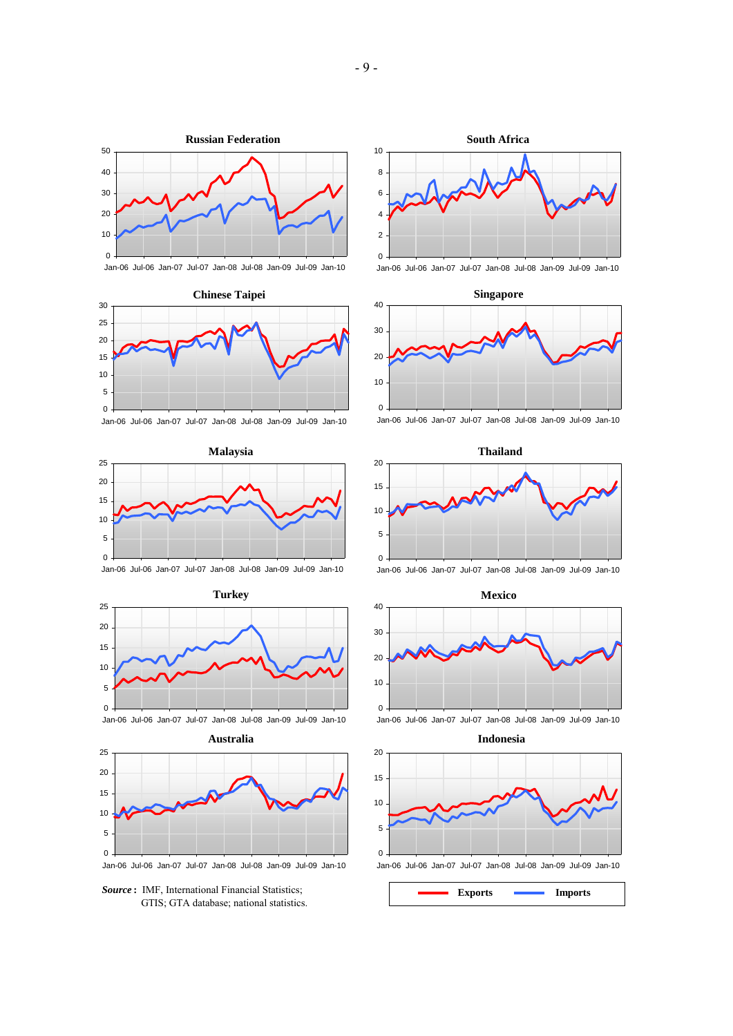



Jan-06 Jul-06 Jan-07 Jul-07 Jan-08 Jul-08 Jan-09 Jul-09 Jan-10







*Source* **:** IMF, International Financial Statistics; GTIS; GTA database; national statistics.



Jan-06 Jul-06 Jan-07 Jul-07 Jan-08 Jul-08 Jan-09 Jul-09 Jan-10









Jan-06 Jul-06 Jan-07 Jul-07 Jan-08 Jul-08 Jan-09 Jul-09 Jan-10

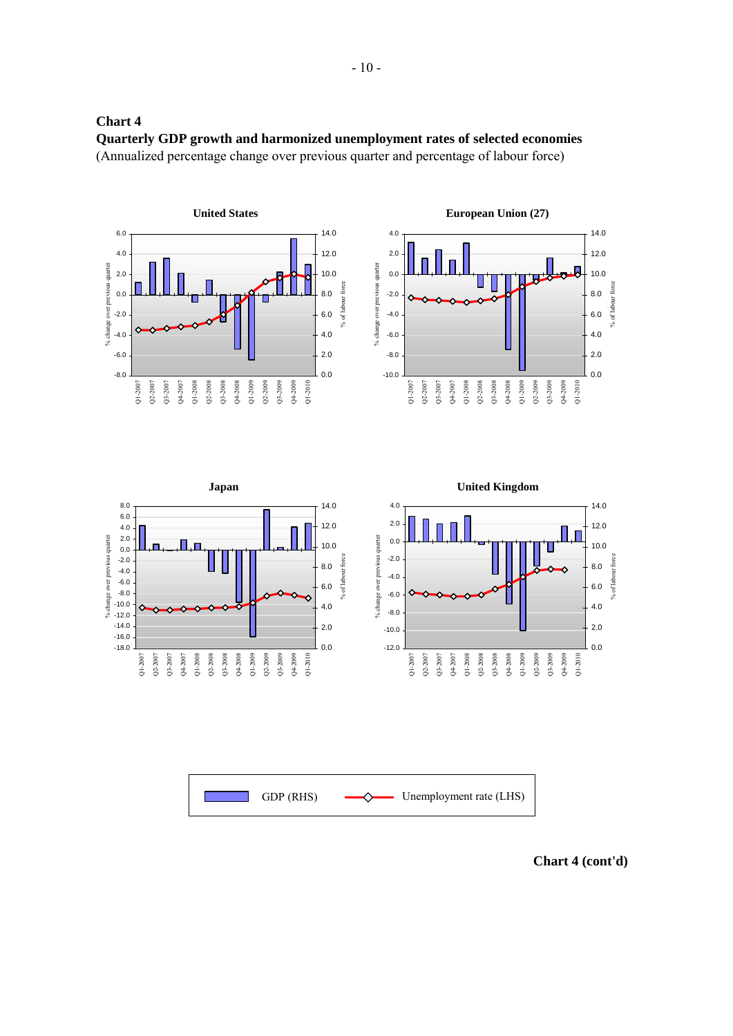

**Chart 4 Quarterly GDP growth and harmonized unemployment rates of selected economies** (Annualized percentage change over previous quarter and percentage of labour force)

**Chart 4 (cont'd)**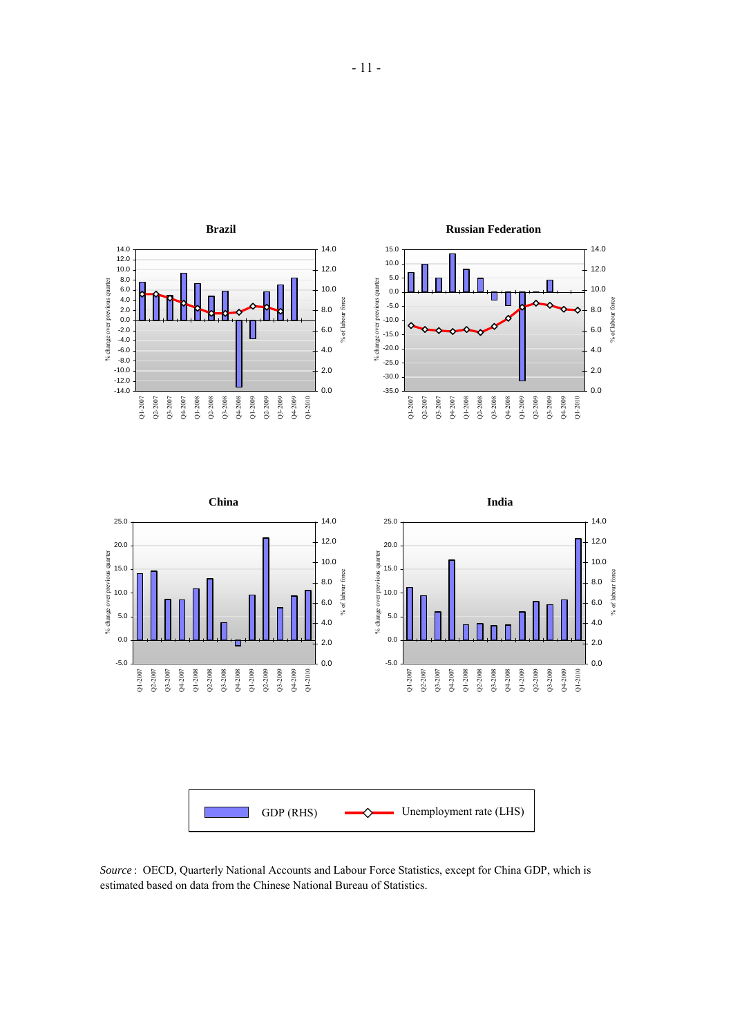

*Source* :OECD, Quarterly National Accounts and Labour Force Statistics, except for China GDP, which is estimated based on data from the Chinese National Bureau of Statistics.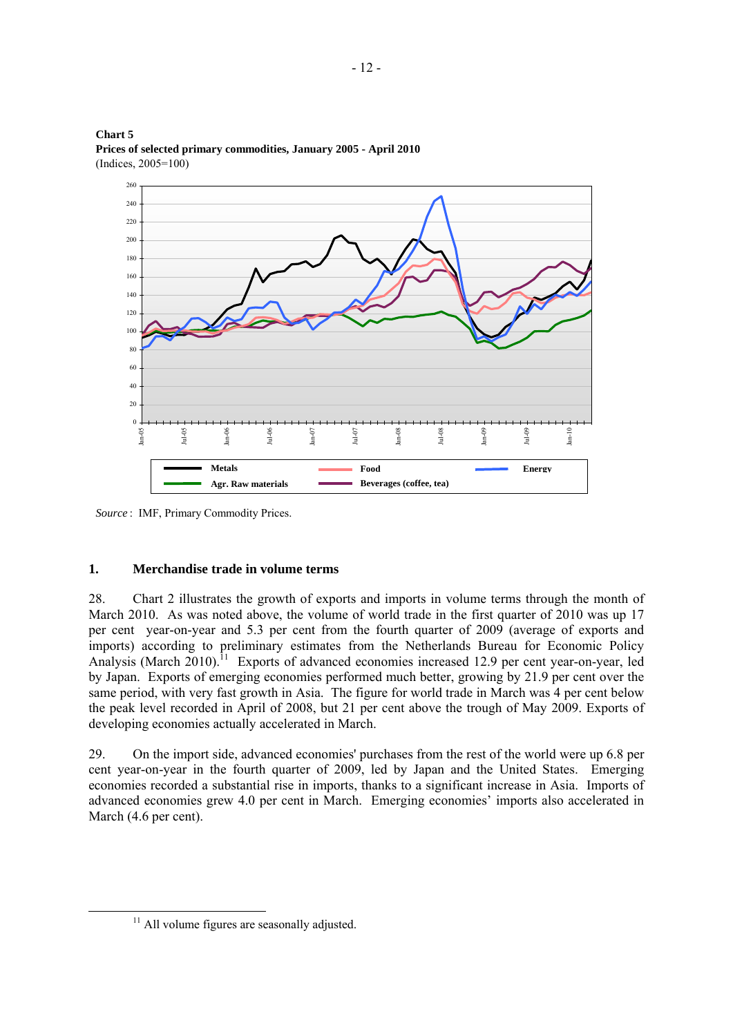

**Chart 5 Prices of selected primary commodities, January 2005 - April 2010** (Indices, 2005=100)

*Source* :IMF, Primary Commodity Prices.

## **1. Merchandise trade in volume terms**

28. Chart 2 illustrates the growth of exports and imports in volume terms through the month of March 2010. As was noted above, the volume of world trade in the first quarter of 2010 was up 17 per cent year-on-year and 5.3 per cent from the fourth quarter of 2009 (average of exports and imports) according to preliminary estimates from the Netherlands Bureau for Economic Policy Analysis (March 2010).<sup>11</sup> Exports of advanced economies increased 12.9 per cent year-on-year, led by Japan. Exports of emerging economies performed much better, growing by 21.9 per cent over the same period, with very fast growth in Asia. The figure for world trade in March was 4 per cent below the peak level recorded in April of 2008, but 21 per cent above the trough of May 2009. Exports of developing economies actually accelerated in March.

29. On the import side, advanced economies' purchases from the rest of the world were up 6.8 per cent year-on-year in the fourth quarter of 2009, led by Japan and the United States. Emerging economies recorded a substantial rise in imports, thanks to a significant increase in Asia. Imports of advanced economies grew 4.0 per cent in March. Emerging economies' imports also accelerated in March (4.6 per cent).

<sup>&</sup>lt;sup>11</sup> All volume figures are seasonally adjusted.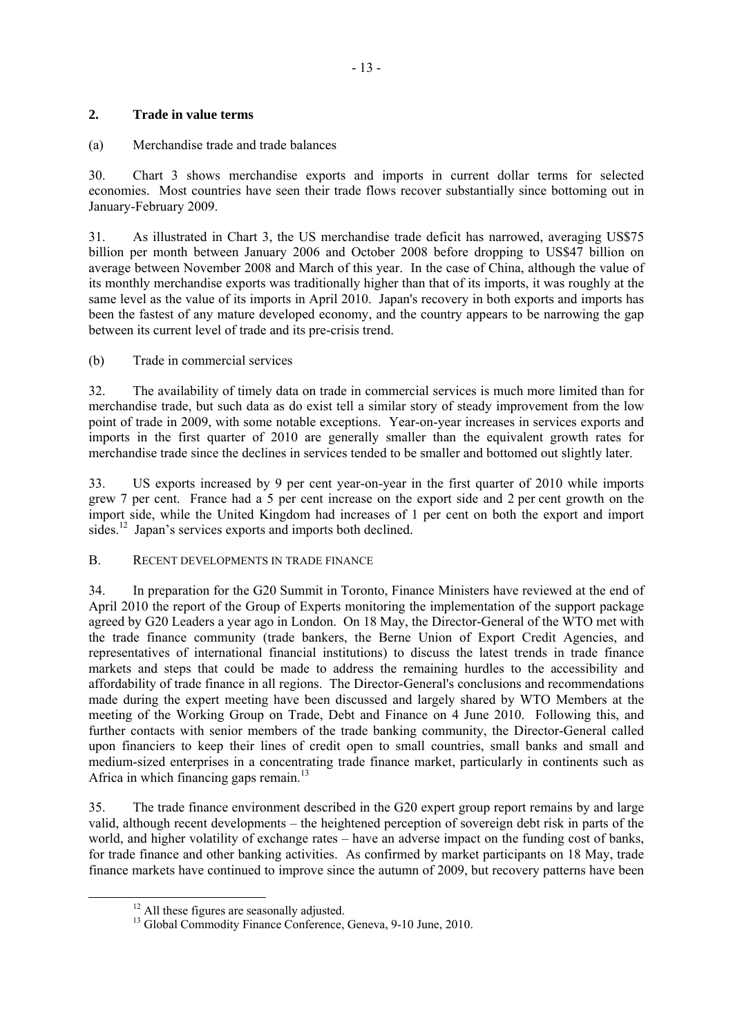## **2. Trade in value terms**

## (a) Merchandise trade and trade balances

30. Chart 3 shows merchandise exports and imports in current dollar terms for selected economies. Most countries have seen their trade flows recover substantially since bottoming out in January-February 2009.

31. As illustrated in Chart 3, the US merchandise trade deficit has narrowed, averaging US\$75 billion per month between January 2006 and October 2008 before dropping to US\$47 billion on average between November 2008 and March of this year. In the case of China, although the value of its monthly merchandise exports was traditionally higher than that of its imports, it was roughly at the same level as the value of its imports in April 2010. Japan's recovery in both exports and imports has been the fastest of any mature developed economy, and the country appears to be narrowing the gap between its current level of trade and its pre-crisis trend.

(b) Trade in commercial services

32. The availability of timely data on trade in commercial services is much more limited than for merchandise trade, but such data as do exist tell a similar story of steady improvement from the low point of trade in 2009, with some notable exceptions. Year-on-year increases in services exports and imports in the first quarter of 2010 are generally smaller than the equivalent growth rates for merchandise trade since the declines in services tended to be smaller and bottomed out slightly later.

33. US exports increased by 9 per cent year-on-year in the first quarter of 2010 while imports grew 7 per cent. France had a 5 per cent increase on the export side and 2 per cent growth on the import side, while the United Kingdom had increases of 1 per cent on both the export and import sides.<sup>12</sup> Japan's services exports and imports both declined.

#### B. RECENT DEVELOPMENTS IN TRADE FINANCE

34. In preparation for the G20 Summit in Toronto, Finance Ministers have reviewed at the end of April 2010 the report of the Group of Experts monitoring the implementation of the support package agreed by G20 Leaders a year ago in London. On 18 May, the Director-General of the WTO met with the trade finance community (trade bankers, the Berne Union of Export Credit Agencies, and representatives of international financial institutions) to discuss the latest trends in trade finance markets and steps that could be made to address the remaining hurdles to the accessibility and affordability of trade finance in all regions. The Director-General's conclusions and recommendations made during the expert meeting have been discussed and largely shared by WTO Members at the meeting of the Working Group on Trade, Debt and Finance on 4 June 2010. Following this, and further contacts with senior members of the trade banking community, the Director-General called upon financiers to keep their lines of credit open to small countries, small banks and small and medium-sized enterprises in a concentrating trade finance market, particularly in continents such as Africa in which financing gaps remain.<sup>13</sup>

35. The trade finance environment described in the G20 expert group report remains by and large valid, although recent developments – the heightened perception of sovereign debt risk in parts of the world, and higher volatility of exchange rates – have an adverse impact on the funding cost of banks, for trade finance and other banking activities. As confirmed by market participants on 18 May, trade finance markets have continued to improve since the autumn of 2009, but recovery patterns have been

 $12$  All these figures are seasonally adjusted.  $13$  Global Commodity Finance Conference, Geneva, 9-10 June, 2010.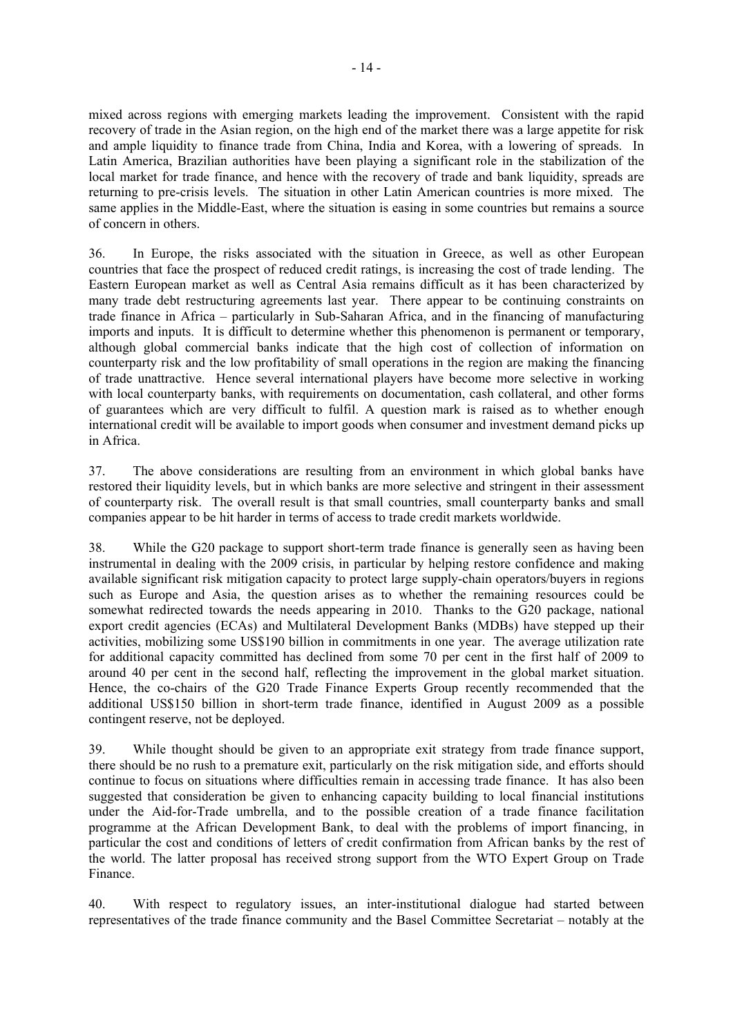mixed across regions with emerging markets leading the improvement. Consistent with the rapid recovery of trade in the Asian region, on the high end of the market there was a large appetite for risk and ample liquidity to finance trade from China, India and Korea, with a lowering of spreads. In Latin America, Brazilian authorities have been playing a significant role in the stabilization of the local market for trade finance, and hence with the recovery of trade and bank liquidity, spreads are returning to pre-crisis levels. The situation in other Latin American countries is more mixed. The same applies in the Middle-East, where the situation is easing in some countries but remains a source of concern in others.

36. In Europe, the risks associated with the situation in Greece, as well as other European countries that face the prospect of reduced credit ratings, is increasing the cost of trade lending. The Eastern European market as well as Central Asia remains difficult as it has been characterized by many trade debt restructuring agreements last year. There appear to be continuing constraints on trade finance in Africa – particularly in Sub-Saharan Africa, and in the financing of manufacturing imports and inputs. It is difficult to determine whether this phenomenon is permanent or temporary, although global commercial banks indicate that the high cost of collection of information on counterparty risk and the low profitability of small operations in the region are making the financing of trade unattractive. Hence several international players have become more selective in working with local counterparty banks, with requirements on documentation, cash collateral, and other forms of guarantees which are very difficult to fulfil. A question mark is raised as to whether enough international credit will be available to import goods when consumer and investment demand picks up in Africa.

37. The above considerations are resulting from an environment in which global banks have restored their liquidity levels, but in which banks are more selective and stringent in their assessment of counterparty risk. The overall result is that small countries, small counterparty banks and small companies appear to be hit harder in terms of access to trade credit markets worldwide.

38. While the G20 package to support short-term trade finance is generally seen as having been instrumental in dealing with the 2009 crisis, in particular by helping restore confidence and making available significant risk mitigation capacity to protect large supply-chain operators/buyers in regions such as Europe and Asia, the question arises as to whether the remaining resources could be somewhat redirected towards the needs appearing in 2010. Thanks to the G20 package, national export credit agencies (ECAs) and Multilateral Development Banks (MDBs) have stepped up their activities, mobilizing some US\$190 billion in commitments in one year. The average utilization rate for additional capacity committed has declined from some 70 per cent in the first half of 2009 to around 40 per cent in the second half, reflecting the improvement in the global market situation. Hence, the co-chairs of the G20 Trade Finance Experts Group recently recommended that the additional US\$150 billion in short-term trade finance, identified in August 2009 as a possible contingent reserve, not be deployed.

39. While thought should be given to an appropriate exit strategy from trade finance support, there should be no rush to a premature exit, particularly on the risk mitigation side, and efforts should continue to focus on situations where difficulties remain in accessing trade finance. It has also been suggested that consideration be given to enhancing capacity building to local financial institutions under the Aid-for-Trade umbrella, and to the possible creation of a trade finance facilitation programme at the African Development Bank, to deal with the problems of import financing, in particular the cost and conditions of letters of credit confirmation from African banks by the rest of the world. The latter proposal has received strong support from the WTO Expert Group on Trade Finance.

40. With respect to regulatory issues, an inter-institutional dialogue had started between representatives of the trade finance community and the Basel Committee Secretariat – notably at the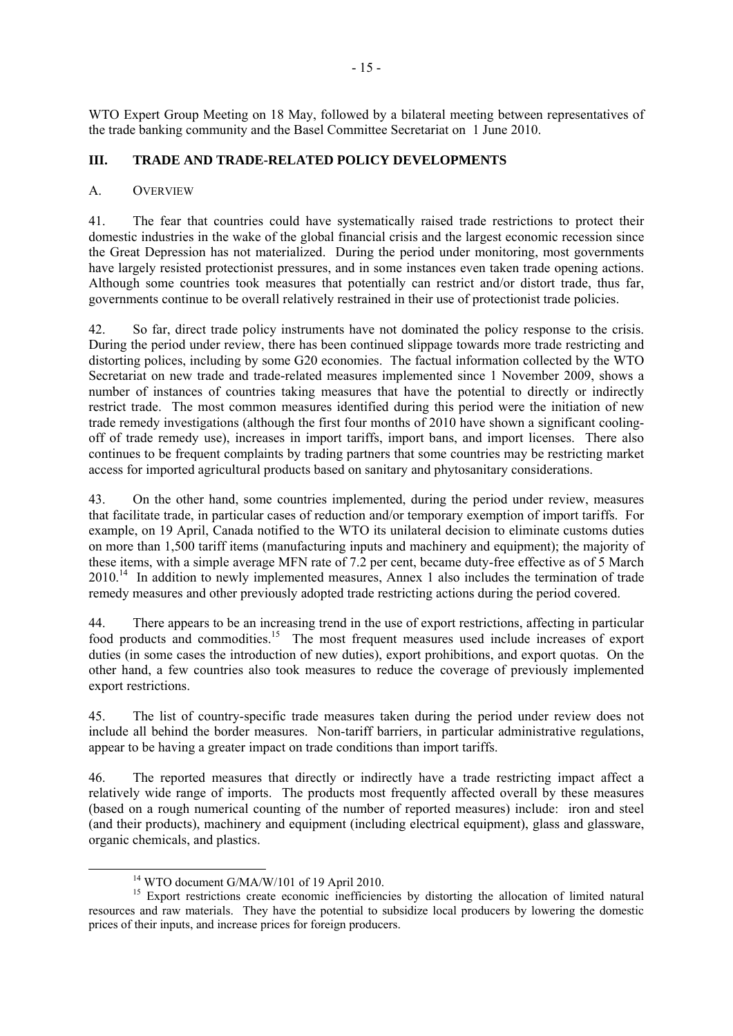WTO Expert Group Meeting on 18 May, followed by a bilateral meeting between representatives of the trade banking community and the Basel Committee Secretariat on 1 June 2010.

## **III. TRADE AND TRADE-RELATED POLICY DEVELOPMENTS**

#### A. OVERVIEW

41. The fear that countries could have systematically raised trade restrictions to protect their domestic industries in the wake of the global financial crisis and the largest economic recession since the Great Depression has not materialized. During the period under monitoring, most governments have largely resisted protectionist pressures, and in some instances even taken trade opening actions. Although some countries took measures that potentially can restrict and/or distort trade, thus far, governments continue to be overall relatively restrained in their use of protectionist trade policies.

42. So far, direct trade policy instruments have not dominated the policy response to the crisis. During the period under review, there has been continued slippage towards more trade restricting and distorting polices, including by some G20 economies. The factual information collected by the WTO Secretariat on new trade and trade-related measures implemented since 1 November 2009, shows a number of instances of countries taking measures that have the potential to directly or indirectly restrict trade. The most common measures identified during this period were the initiation of new trade remedy investigations (although the first four months of 2010 have shown a significant coolingoff of trade remedy use), increases in import tariffs, import bans, and import licenses. There also continues to be frequent complaints by trading partners that some countries may be restricting market access for imported agricultural products based on sanitary and phytosanitary considerations.

43. On the other hand, some countries implemented, during the period under review, measures that facilitate trade, in particular cases of reduction and/or temporary exemption of import tariffs. For example, on 19 April, Canada notified to the WTO its unilateral decision to eliminate customs duties on more than 1,500 tariff items (manufacturing inputs and machinery and equipment); the majority of these items, with a simple average MFN rate of 7.2 per cent, became duty-free effective as of 5 March 2010.<sup>14</sup> In addition to newly implemented measures, Annex 1 also includes the termination of trade remedy measures and other previously adopted trade restricting actions during the period covered.

44. There appears to be an increasing trend in the use of export restrictions, affecting in particular food products and commodities.<sup>15</sup> The most frequent measures used include increases of export duties (in some cases the introduction of new duties), export prohibitions, and export quotas. On the other hand, a few countries also took measures to reduce the coverage of previously implemented export restrictions.

45. The list of country-specific trade measures taken during the period under review does not include all behind the border measures. Non-tariff barriers, in particular administrative regulations, appear to be having a greater impact on trade conditions than import tariffs.

46. The reported measures that directly or indirectly have a trade restricting impact affect a relatively wide range of imports. The products most frequently affected overall by these measures (based on a rough numerical counting of the number of reported measures) include: iron and steel (and their products), machinery and equipment (including electrical equipment), glass and glassware, organic chemicals, and plastics.

<sup>&</sup>lt;sup>14</sup> WTO document G/MA/W/101 of 19 April 2010.

<sup>&</sup>lt;sup>15</sup> Export restrictions create economic inefficiencies by distorting the allocation of limited natural resources and raw materials. They have the potential to subsidize local producers by lowering the domestic prices of their inputs, and increase prices for foreign producers.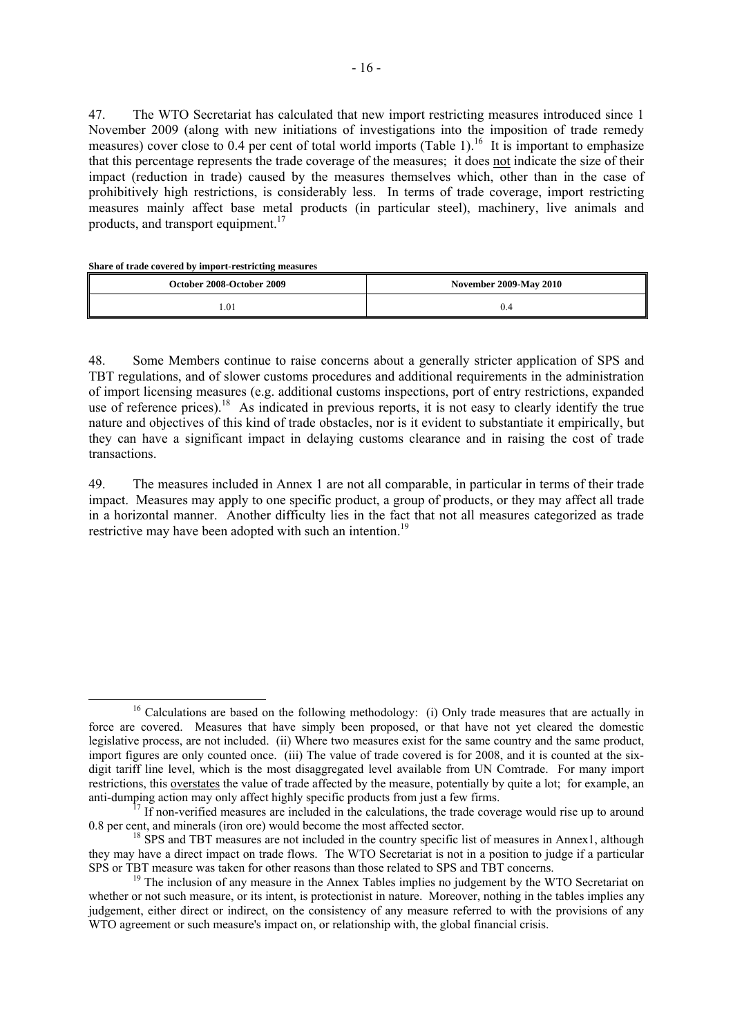47. The WTO Secretariat has calculated that new import restricting measures introduced since 1 November 2009 (along with new initiations of investigations into the imposition of trade remedy measures) cover close to 0.4 per cent of total world imports (Table 1).<sup>16</sup> It is important to emphasize that this percentage represents the trade coverage of the measures; it does not indicate the size of their impact (reduction in trade) caused by the measures themselves which, other than in the case of prohibitively high restrictions, is considerably less. In terms of trade coverage, import restricting measures mainly affect base metal products (in particular steel), machinery, live animals and products, and transport equipment.<sup>17</sup>

**Share of trade covered by import-restricting measures** 

| October 2008-October 2009 | <b>November 2009-May 2010</b> |
|---------------------------|-------------------------------|
| l.O1                      |                               |

48. Some Members continue to raise concerns about a generally stricter application of SPS and TBT regulations, and of slower customs procedures and additional requirements in the administration of import licensing measures (e.g. additional customs inspections, port of entry restrictions, expanded use of reference prices).<sup>18</sup> As indicated in previous reports, it is not easy to clearly identify the true nature and objectives of this kind of trade obstacles, nor is it evident to substantiate it empirically, but they can have a significant impact in delaying customs clearance and in raising the cost of trade transactions.

49. The measures included in Annex 1 are not all comparable, in particular in terms of their trade impact. Measures may apply to one specific product, a group of products, or they may affect all trade in a horizontal manner. Another difficulty lies in the fact that not all measures categorized as trade restrictive may have been adopted with such an intention.<sup>19</sup>

<sup>&</sup>lt;sup>16</sup> Calculations are based on the following methodology: (i) Only trade measures that are actually in force are covered. Measures that have simply been proposed, or that have not yet cleared the domestic legislative process, are not included. (ii) Where two measures exist for the same country and the same product, import figures are only counted once. (iii) The value of trade covered is for 2008, and it is counted at the sixdigit tariff line level, which is the most disaggregated level available from UN Comtrade. For many import restrictions, this overstates the value of trade affected by the measure, potentially by quite a lot; for example, an

anti-dumping action may only affect highly specific products from just a few firms.<br><sup>17</sup> If non-verified measures are included in the calculations, the trade coverage would rise up to around 0.8 per cent, and minerals (ir

<sup>&</sup>lt;sup>18</sup> SPS and TBT measures are not included in the country specific list of measures in Annex1, although they may have a direct impact on trade flows. The WTO Secretariat is not in a position to judge if a particular SPS or TBT measure was taken for other reasons than those related to SPS and TBT concerns.<br><sup>19</sup> The inclusion of any measure in the Annex Tables implies no judgement by the WTO Secretariat on

whether or not such measure, or its intent, is protectionist in nature. Moreover, nothing in the tables implies any judgement, either direct or indirect, on the consistency of any measure referred to with the provisions of any WTO agreement or such measure's impact on, or relationship with, the global financial crisis.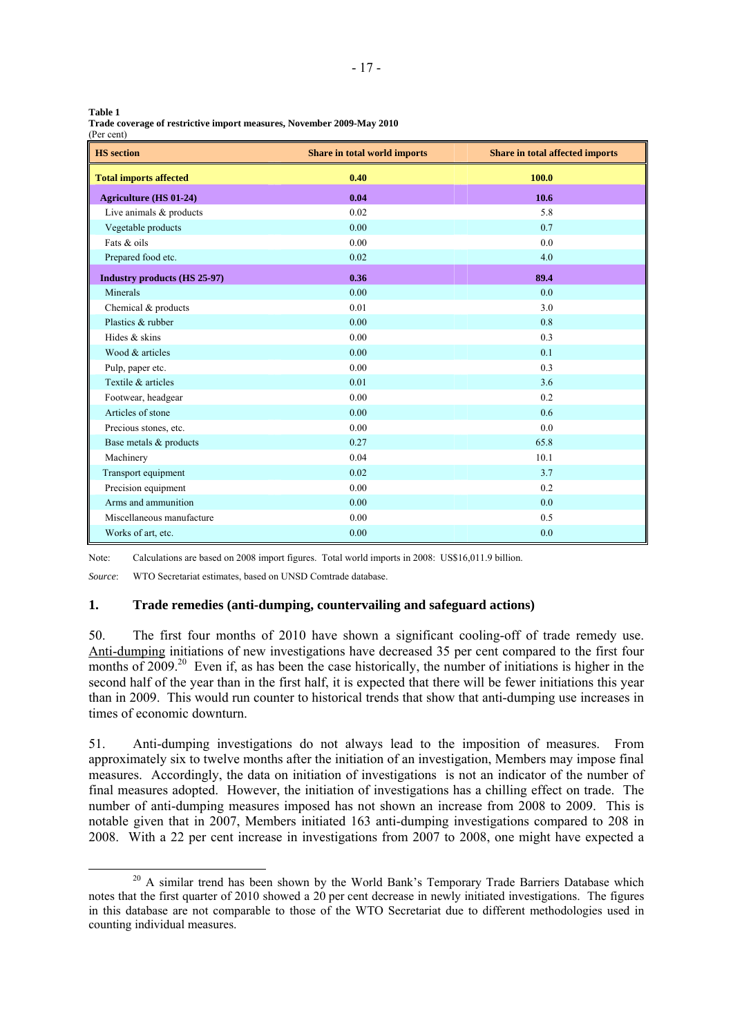| I<br>w<br>۰,<br>×<br>×<br>.,<br>۰. | ۰. |
|------------------------------------|----|

| Trade coverage of restrictive import measures, November 2009-May 2010 |  |
|-----------------------------------------------------------------------|--|
| (Per cent)                                                            |  |

| <b>HS</b> section                   | Share in total world imports | Share in total affected imports |
|-------------------------------------|------------------------------|---------------------------------|
| <b>Total imports affected</b>       | 0.40                         | 100.0                           |
| <b>Agriculture (HS 01-24)</b>       | 0.04                         | 10.6                            |
| Live animals $&$ products           | 0.02                         | 5.8                             |
| Vegetable products                  | 0.00                         | 0.7                             |
| Fats & oils                         | 0.00                         | 0.0                             |
| Prepared food etc.                  | 0.02                         | 4.0                             |
| <b>Industry products (HS 25-97)</b> | 0.36                         | 89.4                            |
| Minerals                            | 0.00                         | 0.0                             |
| Chemical & products                 | 0.01                         | 3.0                             |
| Plastics & rubber                   | 0.00                         | 0.8                             |
| Hides & skins                       | 0.00                         | 0.3                             |
| Wood & articles                     | 0.00                         | 0.1                             |
| Pulp, paper etc.                    | 0.00                         | 0.3                             |
| Textile & articles                  | 0.01                         | 3.6                             |
| Footwear, headgear                  | 0.00                         | 0.2                             |
| Articles of stone                   | 0.00                         | 0.6                             |
| Precious stones, etc.               | 0.00                         | 0.0                             |
| Base metals & products              | 0.27                         | 65.8                            |
| Machinery                           | 0.04                         | 10.1                            |
| Transport equipment                 | 0.02                         | 3.7                             |
| Precision equipment                 | 0.00                         | 0.2                             |
| Arms and ammunition                 | 0.00                         | 0.0                             |
| Miscellaneous manufacture           | 0.00                         | 0.5                             |
| Works of art, etc.                  | 0.00                         | 0.0                             |

Note: Calculations are based on 2008 import figures. Total world imports in 2008: US\$16,011.9 billion.

*Source*: WTO Secretariat estimates, based on UNSD Comtrade database.

## **1. Trade remedies (anti-dumping, countervailing and safeguard actions)**

50. The first four months of 2010 have shown a significant cooling-off of trade remedy use. Anti-dumping initiations of new investigations have decreased 35 per cent compared to the first four months of 2009.<sup>20</sup> Even if, as has been the case historically, the number of initiations is higher in the second half of the year than in the first half, it is expected that there will be fewer initiations this year than in 2009. This would run counter to historical trends that show that anti-dumping use increases in times of economic downturn.

51. Anti-dumping investigations do not always lead to the imposition of measures. From approximately six to twelve months after the initiation of an investigation, Members may impose final measures. Accordingly, the data on initiation of investigations is not an indicator of the number of final measures adopted. However, the initiation of investigations has a chilling effect on trade. The number of anti-dumping measures imposed has not shown an increase from 2008 to 2009. This is notable given that in 2007, Members initiated 163 anti-dumping investigations compared to 208 in 2008. With a 22 per cent increase in investigations from 2007 to 2008, one might have expected a

 $20$  A similar trend has been shown by the World Bank's Temporary Trade Barriers Database which notes that the first quarter of 2010 showed a 20 per cent decrease in newly initiated investigations. The figures in this database are not comparable to those of the WTO Secretariat due to different methodologies used in counting individual measures.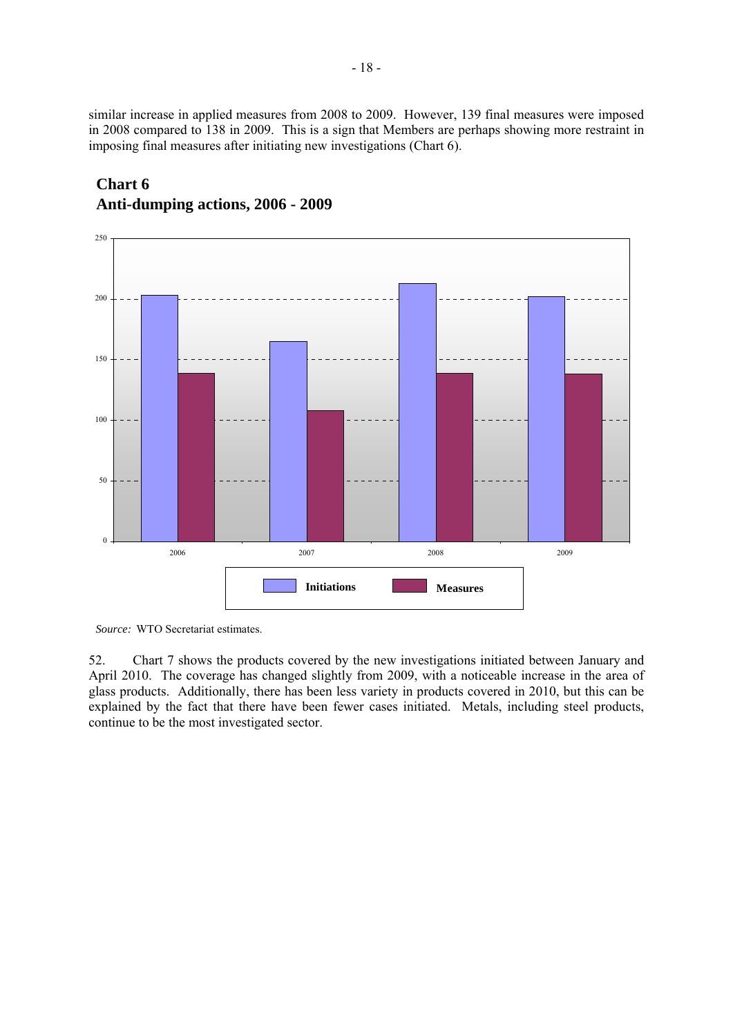similar increase in applied measures from 2008 to 2009. However, 139 final measures were imposed in 2008 compared to 138 in 2009. This is a sign that Members are perhaps showing more restraint in imposing final measures after initiating new investigations (Chart 6).



# **Chart 6 Anti-dumping actions, 2006 - 2009**

*Source:* WTO Secretariat estimates.

52. Chart 7 shows the products covered by the new investigations initiated between January and April 2010. The coverage has changed slightly from 2009, with a noticeable increase in the area of glass products. Additionally, there has been less variety in products covered in 2010, but this can be explained by the fact that there have been fewer cases initiated. Metals, including steel products, continue to be the most investigated sector.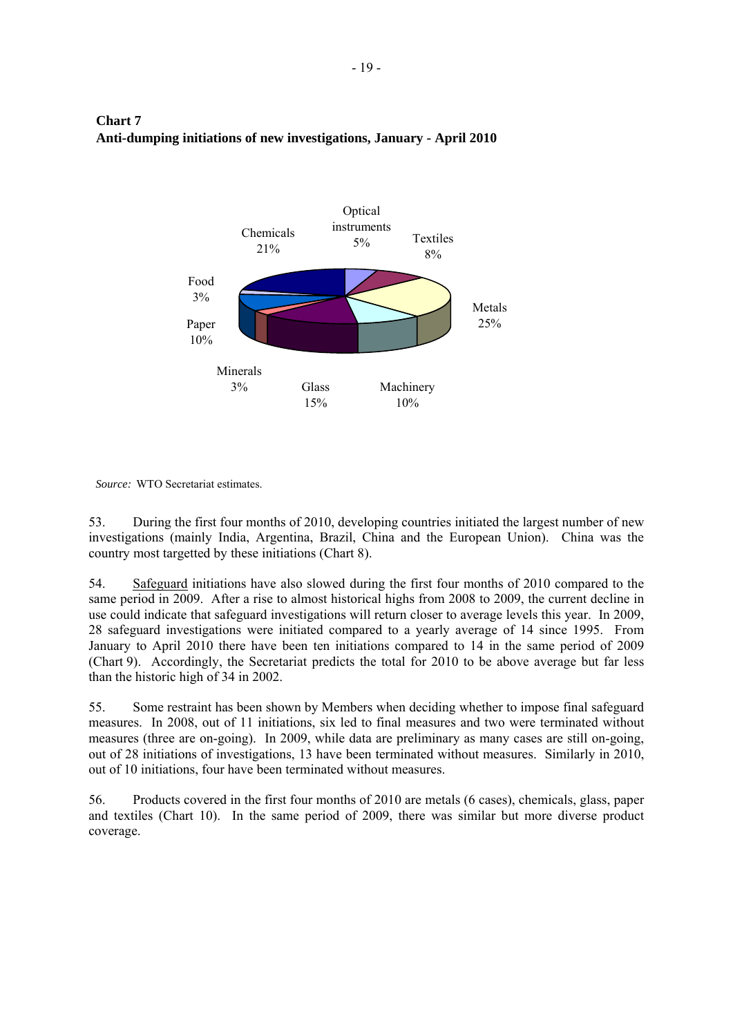

# **Chart 7 Anti-dumping initiations of new investigations, January - April 2010**

*Source:* WTO Secretariat estimates.

53. During the first four months of 2010, developing countries initiated the largest number of new investigations (mainly India, Argentina, Brazil, China and the European Union). China was the country most targetted by these initiations (Chart 8).

54. Safeguard initiations have also slowed during the first four months of 2010 compared to the same period in 2009. After a rise to almost historical highs from 2008 to 2009, the current decline in use could indicate that safeguard investigations will return closer to average levels this year. In 2009, 28 safeguard investigations were initiated compared to a yearly average of 14 since 1995. From January to April 2010 there have been ten initiations compared to 14 in the same period of 2009 (Chart 9). Accordingly, the Secretariat predicts the total for 2010 to be above average but far less than the historic high of 34 in 2002.

55. Some restraint has been shown by Members when deciding whether to impose final safeguard measures. In 2008, out of 11 initiations, six led to final measures and two were terminated without measures (three are on-going). In 2009, while data are preliminary as many cases are still on-going, out of 28 initiations of investigations, 13 have been terminated without measures. Similarly in 2010, out of 10 initiations, four have been terminated without measures.

56. Products covered in the first four months of 2010 are metals (6 cases), chemicals, glass, paper and textiles (Chart 10). In the same period of 2009, there was similar but more diverse product coverage.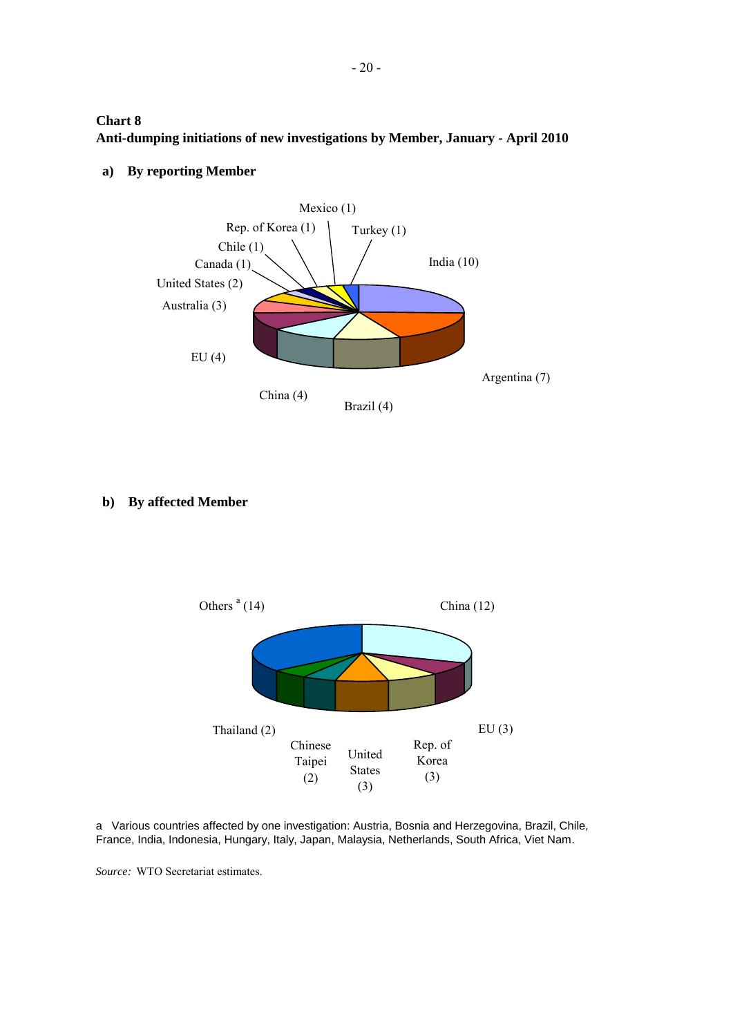**Chart 8 Anti-dumping initiations of new investigations by Member, January - April 2010**



**a) By reporting Member**

**b) By affected Member**



a Various countries affected by one investigation: Austria, Bosnia and Herzegovina, Brazil, Chile, France, India, Indonesia, Hungary, Italy, Japan, Malaysia, Netherlands, South Africa, Viet Nam.

*Source:* WTO Secretariat estimates.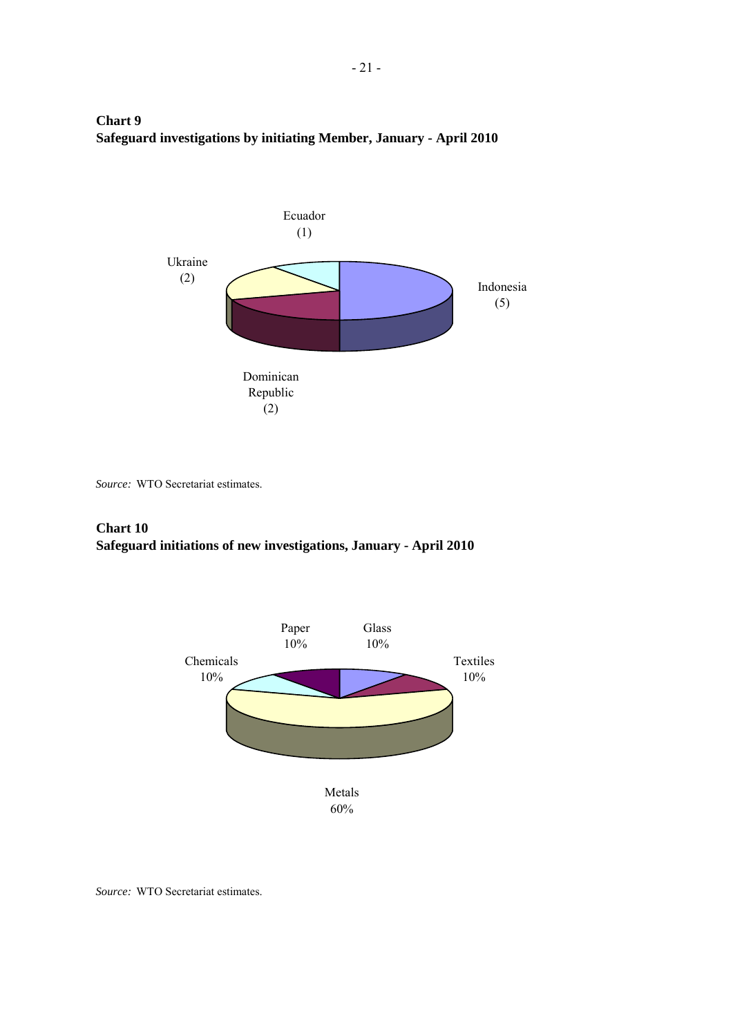# **Chart 9 Safeguard investigations by initiating Member, January - April 2010**



*Source:* WTO Secretariat estimates.

## **Chart 10 Safeguard initiations of new investigations, January - April 2010**



*Source:* WTO Secretariat estimates.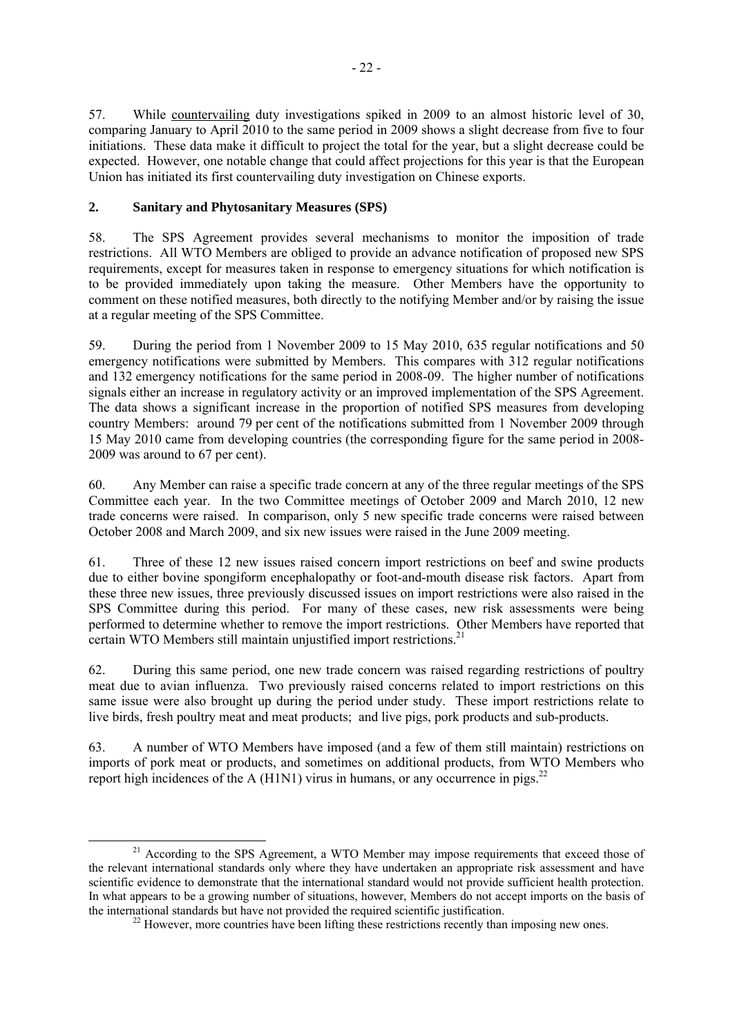57. While countervailing duty investigations spiked in 2009 to an almost historic level of 30, comparing January to April 2010 to the same period in 2009 shows a slight decrease from five to four initiations. These data make it difficult to project the total for the year, but a slight decrease could be expected. However, one notable change that could affect projections for this year is that the European Union has initiated its first countervailing duty investigation on Chinese exports.

## **2. Sanitary and Phytosanitary Measures (SPS)**

58. The SPS Agreement provides several mechanisms to monitor the imposition of trade restrictions. All WTO Members are obliged to provide an advance notification of proposed new SPS requirements, except for measures taken in response to emergency situations for which notification is to be provided immediately upon taking the measure. Other Members have the opportunity to comment on these notified measures, both directly to the notifying Member and/or by raising the issue at a regular meeting of the SPS Committee.

59. During the period from 1 November 2009 to 15 May 2010, 635 regular notifications and 50 emergency notifications were submitted by Members. This compares with 312 regular notifications and 132 emergency notifications for the same period in 2008-09. The higher number of notifications signals either an increase in regulatory activity or an improved implementation of the SPS Agreement. The data shows a significant increase in the proportion of notified SPS measures from developing country Members: around 79 per cent of the notifications submitted from 1 November 2009 through 15 May 2010 came from developing countries (the corresponding figure for the same period in 2008- 2009 was around to 67 per cent).

60. Any Member can raise a specific trade concern at any of the three regular meetings of the SPS Committee each year. In the two Committee meetings of October 2009 and March 2010, 12 new trade concerns were raised. In comparison, only 5 new specific trade concerns were raised between October 2008 and March 2009, and six new issues were raised in the June 2009 meeting.

61. Three of these 12 new issues raised concern import restrictions on beef and swine products due to either bovine spongiform encephalopathy or foot-and-mouth disease risk factors. Apart from these three new issues, three previously discussed issues on import restrictions were also raised in the SPS Committee during this period. For many of these cases, new risk assessments were being performed to determine whether to remove the import restrictions. Other Members have reported that certain WTO Members still maintain unjustified import restrictions.<sup>21</sup>

62. During this same period, one new trade concern was raised regarding restrictions of poultry meat due to avian influenza. Two previously raised concerns related to import restrictions on this same issue were also brought up during the period under study. These import restrictions relate to live birds, fresh poultry meat and meat products; and live pigs, pork products and sub-products.

63. A number of WTO Members have imposed (and a few of them still maintain) restrictions on imports of pork meat or products, and sometimes on additional products, from WTO Members who report high incidences of the A ( $H1N1$ ) virus in humans, or any occurrence in pigs.<sup>22</sup>

<sup>&</sup>lt;sup>21</sup> According to the SPS Agreement, a WTO Member may impose requirements that exceed those of the relevant international standards only where they have undertaken an appropriate risk assessment and have scientific evidence to demonstrate that the international standard would not provide sufficient health protection. In what appears to be a growing number of situations, however, Members do not accept imports on the basis of the international standards but have not provided the required scientific justification.<br><sup>22</sup> However, more countries have been lifting these restrictions recently than imposing new ones.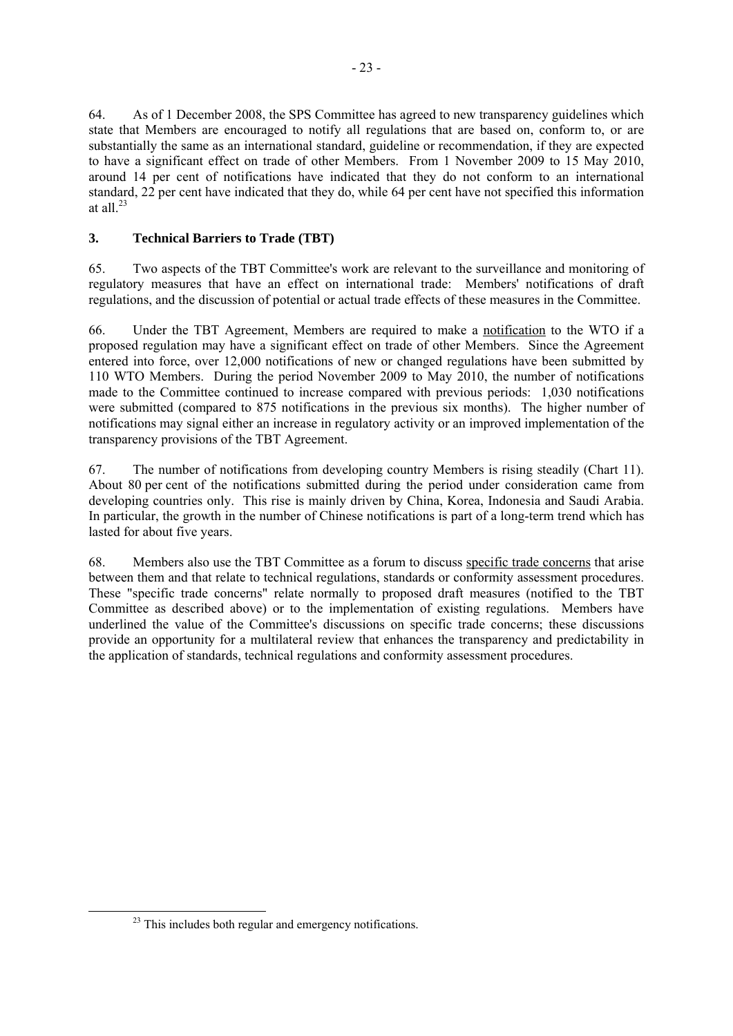64. As of 1 December 2008, the SPS Committee has agreed to new transparency guidelines which state that Members are encouraged to notify all regulations that are based on, conform to, or are substantially the same as an international standard, guideline or recommendation, if they are expected to have a significant effect on trade of other Members. From 1 November 2009 to 15 May 2010, around 14 per cent of notifications have indicated that they do not conform to an international standard, 22 per cent have indicated that they do, while 64 per cent have not specified this information at all. $^{23}$ 

- 23 -

## **3. Technical Barriers to Trade (TBT)**

65. Two aspects of the TBT Committee's work are relevant to the surveillance and monitoring of regulatory measures that have an effect on international trade: Members' notifications of draft regulations, and the discussion of potential or actual trade effects of these measures in the Committee.

66. Under the TBT Agreement, Members are required to make a notification to the WTO if a proposed regulation may have a significant effect on trade of other Members. Since the Agreement entered into force, over 12,000 notifications of new or changed regulations have been submitted by 110 WTO Members. During the period November 2009 to May 2010, the number of notifications made to the Committee continued to increase compared with previous periods: 1,030 notifications were submitted (compared to 875 notifications in the previous six months). The higher number of notifications may signal either an increase in regulatory activity or an improved implementation of the transparency provisions of the TBT Agreement.

67. The number of notifications from developing country Members is rising steadily (Chart 11). About 80 per cent of the notifications submitted during the period under consideration came from developing countries only. This rise is mainly driven by China, Korea, Indonesia and Saudi Arabia. In particular, the growth in the number of Chinese notifications is part of a long-term trend which has lasted for about five years.

68. Members also use the TBT Committee as a forum to discuss specific trade concerns that arise between them and that relate to technical regulations, standards or conformity assessment procedures. These "specific trade concerns" relate normally to proposed draft measures (notified to the TBT Committee as described above) or to the implementation of existing regulations. Members have underlined the value of the Committee's discussions on specific trade concerns; these discussions provide an opportunity for a multilateral review that enhances the transparency and predictability in the application of standards, technical regulations and conformity assessment procedures.

<sup>&</sup>lt;sup>23</sup> This includes both regular and emergency notifications.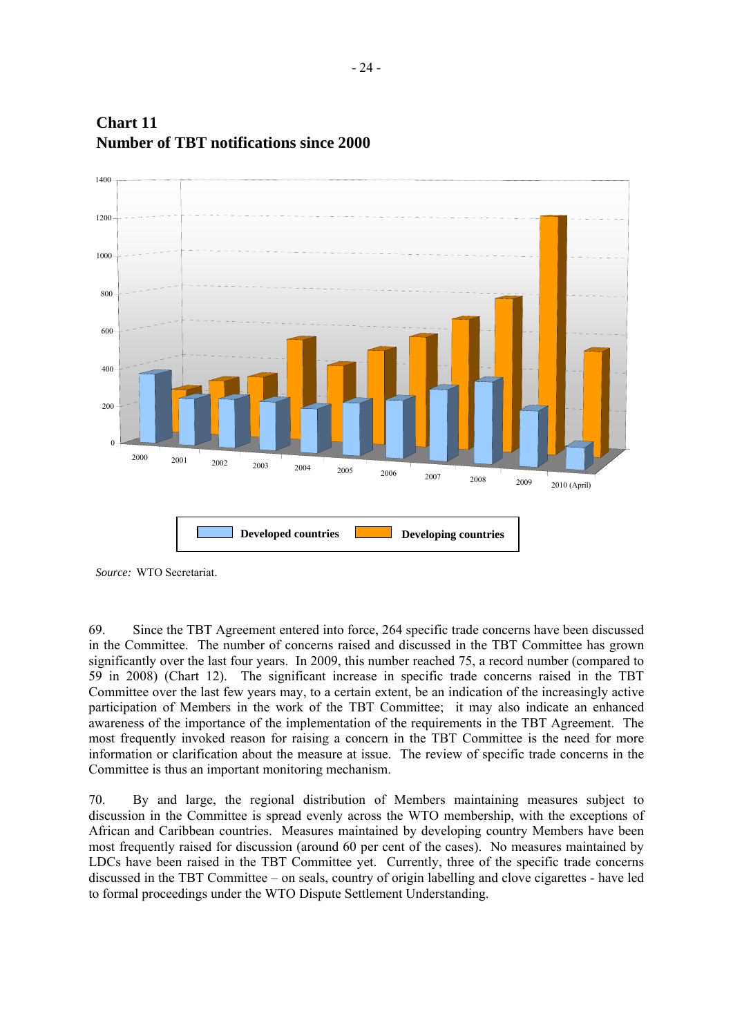

# **Chart 11 Number of TBT notifications since 2000**

*Source:* WTO Secretariat.

69. Since the TBT Agreement entered into force, 264 specific trade concerns have been discussed in the Committee. The number of concerns raised and discussed in the TBT Committee has grown significantly over the last four years. In 2009, this number reached 75, a record number (compared to 59 in 2008) (Chart 12). The significant increase in specific trade concerns raised in the TBT Committee over the last few years may, to a certain extent, be an indication of the increasingly active participation of Members in the work of the TBT Committee; it may also indicate an enhanced awareness of the importance of the implementation of the requirements in the TBT Agreement. The most frequently invoked reason for raising a concern in the TBT Committee is the need for more information or clarification about the measure at issue. The review of specific trade concerns in the Committee is thus an important monitoring mechanism.

70. By and large, the regional distribution of Members maintaining measures subject to discussion in the Committee is spread evenly across the WTO membership, with the exceptions of African and Caribbean countries. Measures maintained by developing country Members have been most frequently raised for discussion (around 60 per cent of the cases). No measures maintained by LDCs have been raised in the TBT Committee yet. Currently, three of the specific trade concerns discussed in the TBT Committee – on seals, country of origin labelling and clove cigarettes - have led to formal proceedings under the WTO Dispute Settlement Understanding.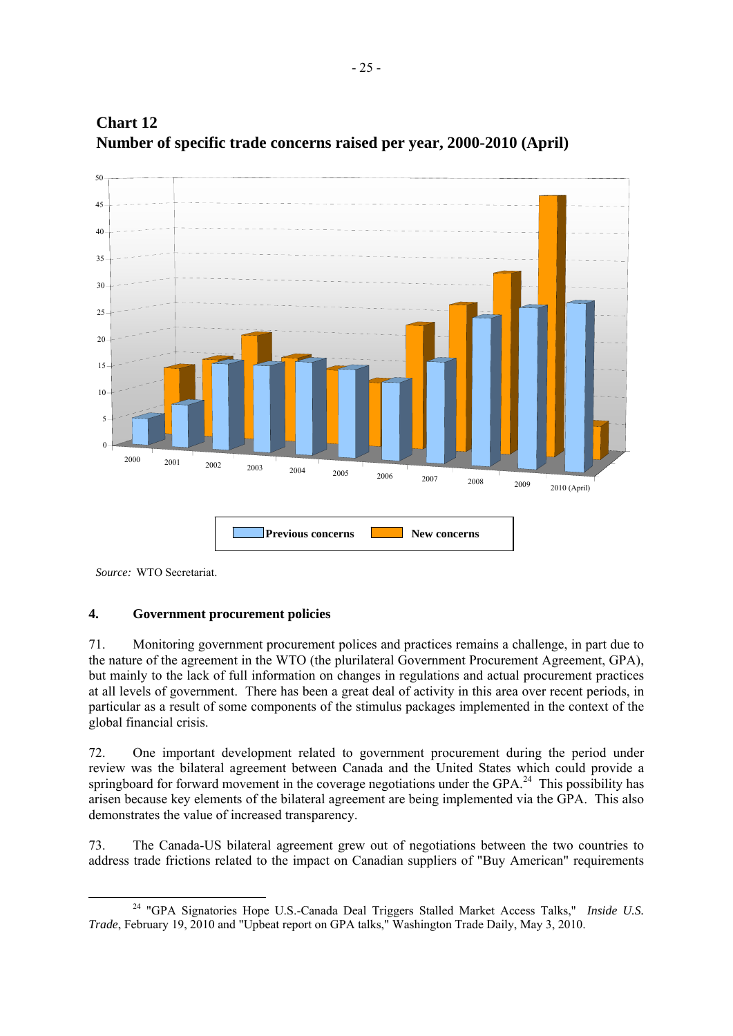



## **4. Government procurement policies**

71. Monitoring government procurement polices and practices remains a challenge, in part due to the nature of the agreement in the WTO (the plurilateral Government Procurement Agreement, GPA), but mainly to the lack of full information on changes in regulations and actual procurement practices at all levels of government. There has been a great deal of activity in this area over recent periods, in particular as a result of some components of the stimulus packages implemented in the context of the global financial crisis.

72. One important development related to government procurement during the period under review was the bilateral agreement between Canada and the United States which could provide a springboard for forward movement in the coverage negotiations under the GPA.<sup>24</sup> This possibility has arisen because key elements of the bilateral agreement are being implemented via the GPA. This also demonstrates the value of increased transparency.

73. The Canada-US bilateral agreement grew out of negotiations between the two countries to address trade frictions related to the impact on Canadian suppliers of "Buy American" requirements

*Source:* WTO Secretariat.

 <sup>24 &</sup>quot;GPA Signatories Hope U.S.-Canada Deal Triggers Stalled Market Access Talks," *Inside U.S. Trade*, February 19, 2010 and "Upbeat report on GPA talks," Washington Trade Daily, May 3, 2010.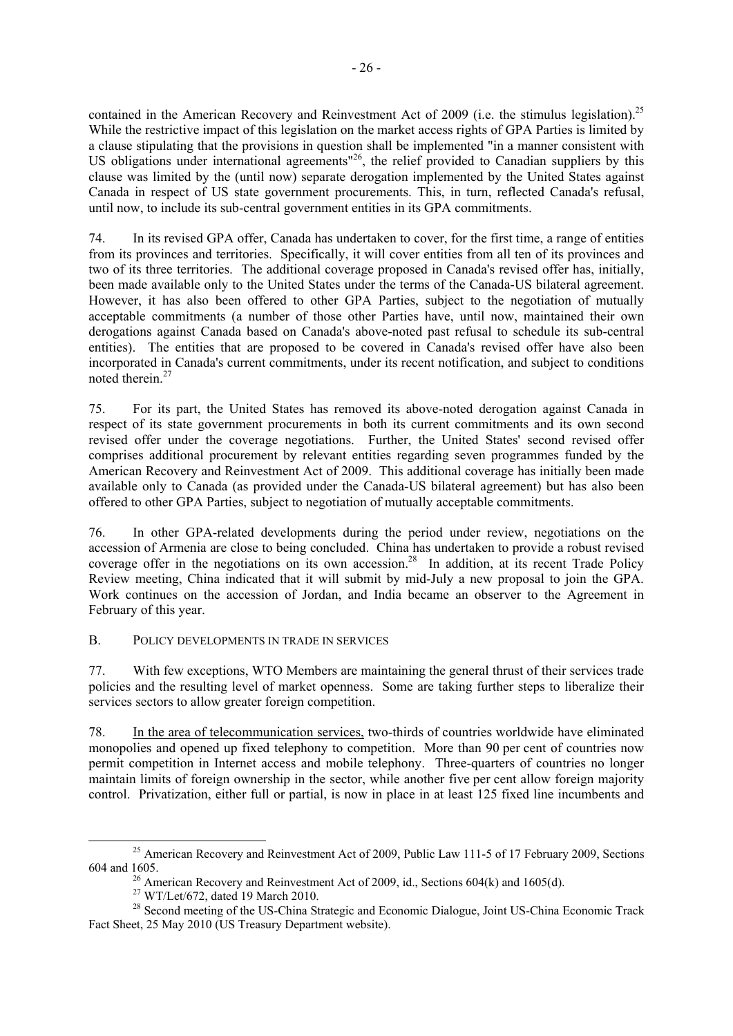contained in the American Recovery and Reinvestment Act of 2009 (i.e. the stimulus legislation).<sup>25</sup> While the restrictive impact of this legislation on the market access rights of GPA Parties is limited by a clause stipulating that the provisions in question shall be implemented "in a manner consistent with US obligations under international agreements<sup>"26</sup>, the relief provided to Canadian suppliers by this clause was limited by the (until now) separate derogation implemented by the United States against Canada in respect of US state government procurements. This, in turn, reflected Canada's refusal, until now, to include its sub-central government entities in its GPA commitments.

74. In its revised GPA offer, Canada has undertaken to cover, for the first time, a range of entities from its provinces and territories. Specifically, it will cover entities from all ten of its provinces and two of its three territories. The additional coverage proposed in Canada's revised offer has, initially, been made available only to the United States under the terms of the Canada-US bilateral agreement. However, it has also been offered to other GPA Parties, subject to the negotiation of mutually acceptable commitments (a number of those other Parties have, until now, maintained their own derogations against Canada based on Canada's above-noted past refusal to schedule its sub-central entities). The entities that are proposed to be covered in Canada's revised offer have also been incorporated in Canada's current commitments, under its recent notification, and subject to conditions noted therein.<sup>27</sup>

75. For its part, the United States has removed its above-noted derogation against Canada in respect of its state government procurements in both its current commitments and its own second revised offer under the coverage negotiations. Further, the United States' second revised offer comprises additional procurement by relevant entities regarding seven programmes funded by the American Recovery and Reinvestment Act of 2009. This additional coverage has initially been made available only to Canada (as provided under the Canada-US bilateral agreement) but has also been offered to other GPA Parties, subject to negotiation of mutually acceptable commitments.

76. In other GPA-related developments during the period under review, negotiations on the accession of Armenia are close to being concluded. China has undertaken to provide a robust revised coverage offer in the negotiations on its own accession.<sup>28</sup> In addition, at its recent Trade Policy Review meeting, China indicated that it will submit by mid-July a new proposal to join the GPA. Work continues on the accession of Jordan, and India became an observer to the Agreement in February of this year.

## B. POLICY DEVELOPMENTS IN TRADE IN SERVICES

77. With few exceptions, WTO Members are maintaining the general thrust of their services trade policies and the resulting level of market openness. Some are taking further steps to liberalize their services sectors to allow greater foreign competition.

78. In the area of telecommunication services, two-thirds of countries worldwide have eliminated monopolies and opened up fixed telephony to competition. More than 90 per cent of countries now permit competition in Internet access and mobile telephony. Three-quarters of countries no longer maintain limits of foreign ownership in the sector, while another five per cent allow foreign majority control. Privatization, either full or partial, is now in place in at least 125 fixed line incumbents and

<sup>&</sup>lt;sup>25</sup> American Recovery and Reinvestment Act of 2009, Public Law 111-5 of 17 February 2009, Sections 604 and 1605. <sup>26</sup> American Recovery and Reinvestment Act of 2009, id., Sections 604(k) and 1605(d).

<sup>27</sup> WT/Let/672, dated 19 March 2010.

<sup>&</sup>lt;sup>28</sup> Second meeting of the US-China Strategic and Economic Dialogue, Joint US-China Economic Track Fact Sheet, 25 May 2010 (US Treasury Department website).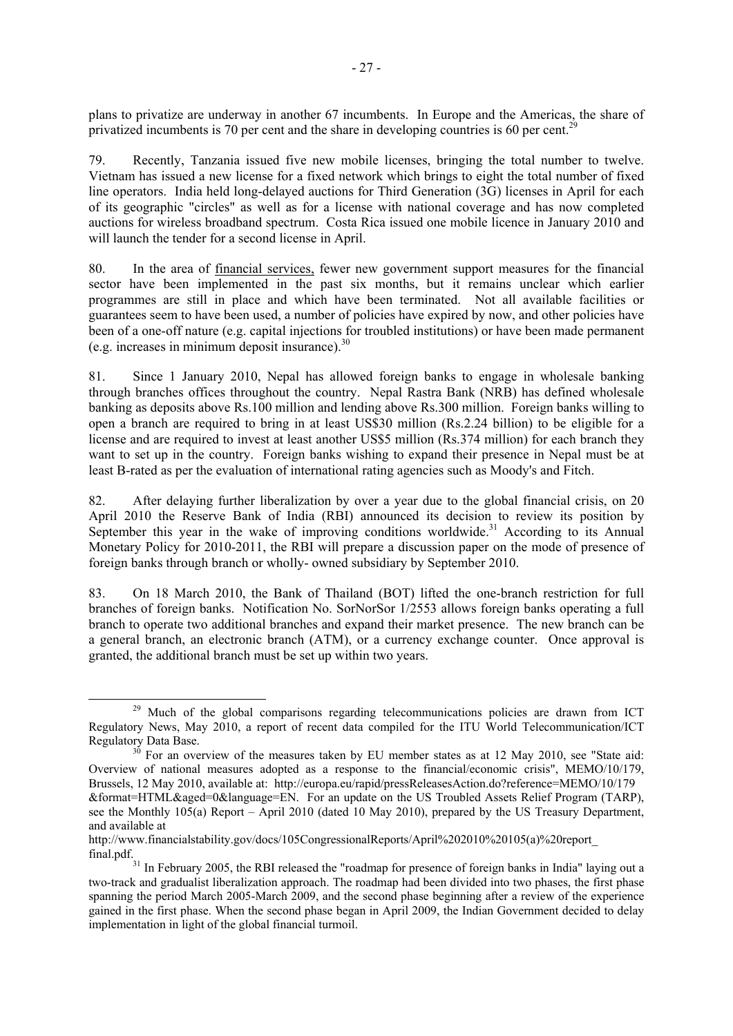plans to privatize are underway in another 67 incumbents. In Europe and the Americas, the share of privatized incumbents is 70 per cent and the share in developing countries is 60 per cent.<sup>21</sup>

79. Recently, Tanzania issued five new mobile licenses, bringing the total number to twelve. Vietnam has issued a new license for a fixed network which brings to eight the total number of fixed line operators. India held long-delayed auctions for Third Generation (3G) licenses in April for each of its geographic "circles" as well as for a license with national coverage and has now completed auctions for wireless broadband spectrum. Costa Rica issued one mobile licence in January 2010 and will launch the tender for a second license in April.

80. In the area of financial services, fewer new government support measures for the financial sector have been implemented in the past six months, but it remains unclear which earlier programmes are still in place and which have been terminated. Not all available facilities or guarantees seem to have been used, a number of policies have expired by now, and other policies have been of a one-off nature (e.g. capital injections for troubled institutions) or have been made permanent (e.g. increases in minimum deposit insurance).30

81. Since 1 January 2010, Nepal has allowed foreign banks to engage in wholesale banking through branches offices throughout the country. Nepal Rastra Bank (NRB) has defined wholesale banking as deposits above Rs.100 million and lending above Rs.300 million. Foreign banks willing to open a branch are required to bring in at least US\$30 million (Rs.2.24 billion) to be eligible for a license and are required to invest at least another US\$5 million (Rs.374 million) for each branch they want to set up in the country. Foreign banks wishing to expand their presence in Nepal must be at least B-rated as per the evaluation of international rating agencies such as Moody's and Fitch.

82. After delaying further liberalization by over a year due to the global financial crisis, on 20 April 2010 the Reserve Bank of India (RBI) announced its decision to review its position by September this year in the wake of improving conditions worldwide.<sup>31</sup> According to its Annual Monetary Policy for 2010-2011, the RBI will prepare a discussion paper on the mode of presence of foreign banks through branch or wholly- owned subsidiary by September 2010.

83. On 18 March 2010, the Bank of Thailand (BOT) lifted the one-branch restriction for full branches of foreign banks. Notification No. SorNorSor 1/2553 allows foreign banks operating a full branch to operate two additional branches and expand their market presence. The new branch can be a general branch, an electronic branch (ATM), or a currency exchange counter. Once approval is granted, the additional branch must be set up within two years.

<sup>&</sup>lt;sup>29</sup> Much of the global comparisons regarding telecommunications policies are drawn from ICT Regulatory News, May 2010, a report of recent data compiled for the ITU World Telecommunication/ICT Regulatory Data Base.<br><sup>30</sup> For an overview of the measures taken by EU member states as at 12 May 2010, see "State aid:

Overview of national measures adopted as a response to the financial/economic crisis", MEMO/10/179, Brussels, 12 May 2010, available at: http://europa.eu/rapid/pressReleasesAction.do?reference=MEMO/10/179 &format=HTML&aged=0&language=EN. For an update on the US Troubled Assets Relief Program (TARP), see the Monthly 105(a) Report – April 2010 (dated 10 May 2010), prepared by the US Treasury Department, and available at

http://www.financialstability.gov/docs/105CongressionalReports/April%202010%20105(a)%20report\_

final.pdf. <sup>31</sup> In February 2005, the RBI released the "roadmap for presence of foreign banks in India" laying out a two-track and gradualist liberalization approach. The roadmap had been divided into two phases, the first phase spanning the period March 2005-March 2009, and the second phase beginning after a review of the experience gained in the first phase. When the second phase began in April 2009, the Indian Government decided to delay implementation in light of the global financial turmoil.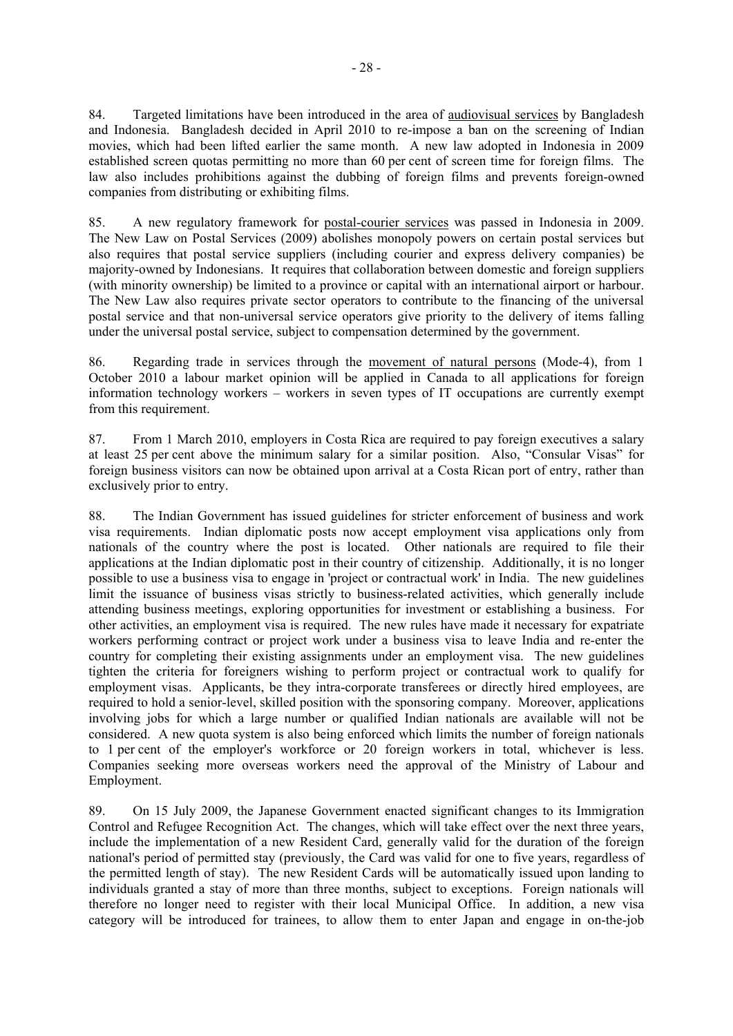84. Targeted limitations have been introduced in the area of audiovisual services by Bangladesh and Indonesia. Bangladesh decided in April 2010 to re-impose a ban on the screening of Indian movies, which had been lifted earlier the same month. A new law adopted in Indonesia in 2009 established screen quotas permitting no more than 60 per cent of screen time for foreign films. The law also includes prohibitions against the dubbing of foreign films and prevents foreign-owned companies from distributing or exhibiting films.

85. A new regulatory framework for postal-courier services was passed in Indonesia in 2009. The New Law on Postal Services (2009) abolishes monopoly powers on certain postal services but also requires that postal service suppliers (including courier and express delivery companies) be majority-owned by Indonesians. It requires that collaboration between domestic and foreign suppliers (with minority ownership) be limited to a province or capital with an international airport or harbour. The New Law also requires private sector operators to contribute to the financing of the universal postal service and that non-universal service operators give priority to the delivery of items falling under the universal postal service, subject to compensation determined by the government.

86. Regarding trade in services through the movement of natural persons (Mode-4), from 1 October 2010 a labour market opinion will be applied in Canada to all applications for foreign information technology workers – workers in seven types of IT occupations are currently exempt from this requirement.

87. From 1 March 2010, employers in Costa Rica are required to pay foreign executives a salary at least 25 per cent above the minimum salary for a similar position. Also, "Consular Visas" for foreign business visitors can now be obtained upon arrival at a Costa Rican port of entry, rather than exclusively prior to entry.

88. The Indian Government has issued guidelines for stricter enforcement of business and work visa requirements. Indian diplomatic posts now accept employment visa applications only from nationals of the country where the post is located. Other nationals are required to file their applications at the Indian diplomatic post in their country of citizenship. Additionally, it is no longer possible to use a business visa to engage in 'project or contractual work' in India. The new guidelines limit the issuance of business visas strictly to business-related activities, which generally include attending business meetings, exploring opportunities for investment or establishing a business. For other activities, an employment visa is required. The new rules have made it necessary for expatriate workers performing contract or project work under a business visa to leave India and re-enter the country for completing their existing assignments under an employment visa. The new guidelines tighten the criteria for foreigners wishing to perform project or contractual work to qualify for employment visas. Applicants, be they intra-corporate transferees or directly hired employees, are required to hold a senior-level, skilled position with the sponsoring company. Moreover, applications involving jobs for which a large number or qualified Indian nationals are available will not be considered. A new quota system is also being enforced which limits the number of foreign nationals to 1 per cent of the employer's workforce or 20 foreign workers in total, whichever is less. Companies seeking more overseas workers need the approval of the Ministry of Labour and Employment.

89. On 15 July 2009, the Japanese Government enacted significant changes to its Immigration Control and Refugee Recognition Act. The changes, which will take effect over the next three years, include the implementation of a new Resident Card, generally valid for the duration of the foreign national's period of permitted stay (previously, the Card was valid for one to five years, regardless of the permitted length of stay). The new Resident Cards will be automatically issued upon landing to individuals granted a stay of more than three months, subject to exceptions. Foreign nationals will therefore no longer need to register with their local Municipal Office. In addition, a new visa category will be introduced for trainees, to allow them to enter Japan and engage in on-the-job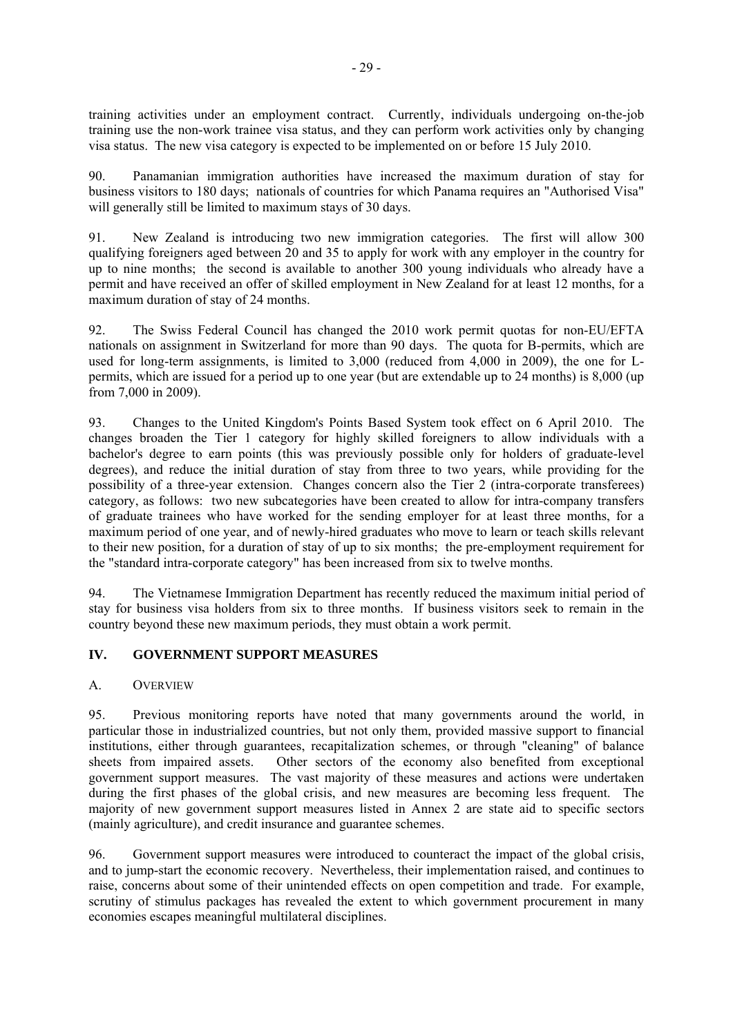training activities under an employment contract. Currently, individuals undergoing on-the-job training use the non-work trainee visa status, and they can perform work activities only by changing visa status. The new visa category is expected to be implemented on or before 15 July 2010.

90. Panamanian immigration authorities have increased the maximum duration of stay for business visitors to 180 days; nationals of countries for which Panama requires an "Authorised Visa" will generally still be limited to maximum stays of 30 days.

91. New Zealand is introducing two new immigration categories. The first will allow 300 qualifying foreigners aged between 20 and 35 to apply for work with any employer in the country for up to nine months; the second is available to another 300 young individuals who already have a permit and have received an offer of skilled employment in New Zealand for at least 12 months, for a maximum duration of stay of 24 months.

92. The Swiss Federal Council has changed the 2010 work permit quotas for non-EU/EFTA nationals on assignment in Switzerland for more than 90 days. The quota for B-permits, which are used for long-term assignments, is limited to 3,000 (reduced from 4,000 in 2009), the one for Lpermits, which are issued for a period up to one year (but are extendable up to 24 months) is 8,000 (up from 7,000 in 2009).

93. Changes to the United Kingdom's Points Based System took effect on 6 April 2010. The changes broaden the Tier 1 category for highly skilled foreigners to allow individuals with a bachelor's degree to earn points (this was previously possible only for holders of graduate-level degrees), and reduce the initial duration of stay from three to two years, while providing for the possibility of a three-year extension. Changes concern also the Tier 2 (intra-corporate transferees) category, as follows: two new subcategories have been created to allow for intra-company transfers of graduate trainees who have worked for the sending employer for at least three months, for a maximum period of one year, and of newly-hired graduates who move to learn or teach skills relevant to their new position, for a duration of stay of up to six months; the pre-employment requirement for the "standard intra-corporate category" has been increased from six to twelve months.

94. The Vietnamese Immigration Department has recently reduced the maximum initial period of stay for business visa holders from six to three months. If business visitors seek to remain in the country beyond these new maximum periods, they must obtain a work permit.

## **IV. GOVERNMENT SUPPORT MEASURES**

#### A. OVERVIEW

95. Previous monitoring reports have noted that many governments around the world, in particular those in industrialized countries, but not only them, provided massive support to financial institutions, either through guarantees, recapitalization schemes, or through "cleaning" of balance sheets from impaired assets. Other sectors of the economy also benefited from exceptional government support measures. The vast majority of these measures and actions were undertaken during the first phases of the global crisis, and new measures are becoming less frequent. The majority of new government support measures listed in Annex 2 are state aid to specific sectors (mainly agriculture), and credit insurance and guarantee schemes.

96. Government support measures were introduced to counteract the impact of the global crisis, and to jump-start the economic recovery. Nevertheless, their implementation raised, and continues to raise, concerns about some of their unintended effects on open competition and trade. For example, scrutiny of stimulus packages has revealed the extent to which government procurement in many economies escapes meaningful multilateral disciplines.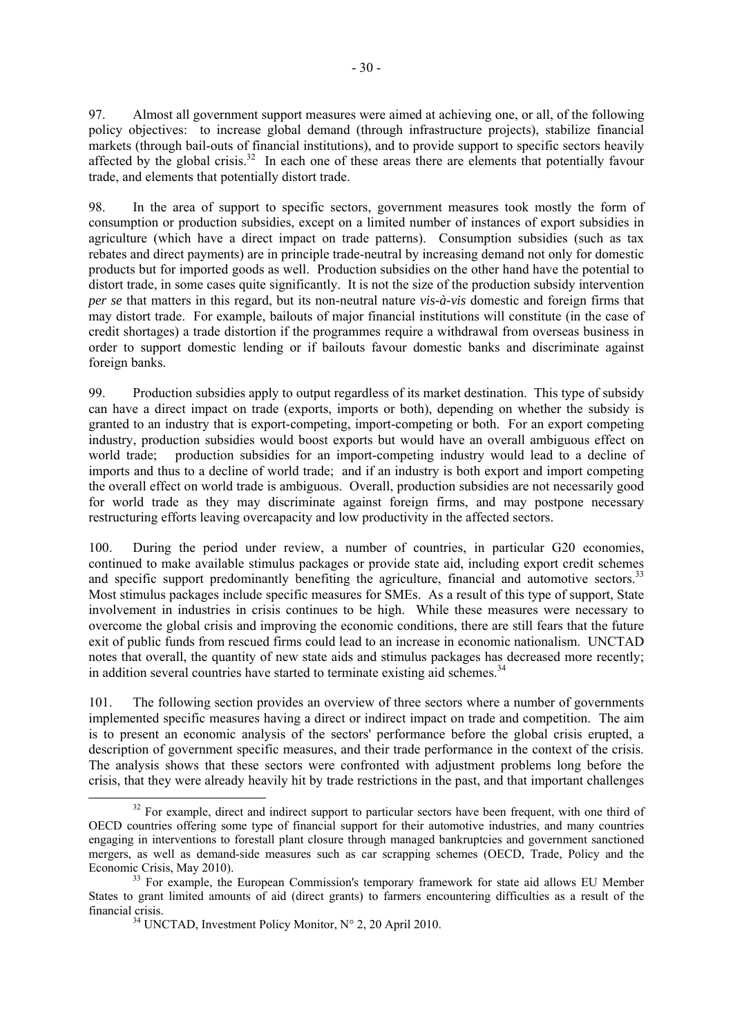97. Almost all government support measures were aimed at achieving one, or all, of the following policy objectives: to increase global demand (through infrastructure projects), stabilize financial markets (through bail-outs of financial institutions), and to provide support to specific sectors heavily affected by the global crisis.<sup>32</sup> In each one of these areas there are elements that potentially favour trade, and elements that potentially distort trade.

98. In the area of support to specific sectors, government measures took mostly the form of consumption or production subsidies, except on a limited number of instances of export subsidies in agriculture (which have a direct impact on trade patterns). Consumption subsidies (such as tax rebates and direct payments) are in principle trade-neutral by increasing demand not only for domestic products but for imported goods as well. Production subsidies on the other hand have the potential to distort trade, in some cases quite significantly. It is not the size of the production subsidy intervention *per se* that matters in this regard, but its non-neutral nature *vis-à-vis* domestic and foreign firms that may distort trade. For example, bailouts of major financial institutions will constitute (in the case of credit shortages) a trade distortion if the programmes require a withdrawal from overseas business in order to support domestic lending or if bailouts favour domestic banks and discriminate against foreign banks.

99. Production subsidies apply to output regardless of its market destination. This type of subsidy can have a direct impact on trade (exports, imports or both), depending on whether the subsidy is granted to an industry that is export-competing, import-competing or both. For an export competing industry, production subsidies would boost exports but would have an overall ambiguous effect on world trade; production subsidies for an import-competing industry would lead to a decline of imports and thus to a decline of world trade; and if an industry is both export and import competing the overall effect on world trade is ambiguous. Overall, production subsidies are not necessarily good for world trade as they may discriminate against foreign firms, and may postpone necessary restructuring efforts leaving overcapacity and low productivity in the affected sectors.

100. During the period under review, a number of countries, in particular G20 economies, continued to make available stimulus packages or provide state aid, including export credit schemes and specific support predominantly benefiting the agriculture, financial and automotive sectors.<sup>33</sup> Most stimulus packages include specific measures for SMEs. As a result of this type of support, State involvement in industries in crisis continues to be high. While these measures were necessary to overcome the global crisis and improving the economic conditions, there are still fears that the future exit of public funds from rescued firms could lead to an increase in economic nationalism. UNCTAD notes that overall, the quantity of new state aids and stimulus packages has decreased more recently; in addition several countries have started to terminate existing aid schemes.<sup>34</sup>

101. The following section provides an overview of three sectors where a number of governments implemented specific measures having a direct or indirect impact on trade and competition. The aim is to present an economic analysis of the sectors' performance before the global crisis erupted, a description of government specific measures, and their trade performance in the context of the crisis. The analysis shows that these sectors were confronted with adjustment problems long before the crisis, that they were already heavily hit by trade restrictions in the past, and that important challenges

<sup>&</sup>lt;sup>32</sup> For example, direct and indirect support to particular sectors have been frequent, with one third of OECD countries offering some type of financial support for their automotive industries, and many countries engaging in interventions to forestall plant closure through managed bankruptcies and government sanctioned mergers, as well as demand-side measures such as car scrapping schemes (OECD, Trade, Policy and the Economic Crisis, May 2010).<br><sup>33</sup> For example, the European Commission's temporary framework for state aid allows EU Member

States to grant limited amounts of aid (direct grants) to farmers encountering difficulties as a result of the financial crisis.<br><sup>34</sup> UNCTAD, Investment Policy Monitor,  $N^{\circ}$  2, 20 April 2010.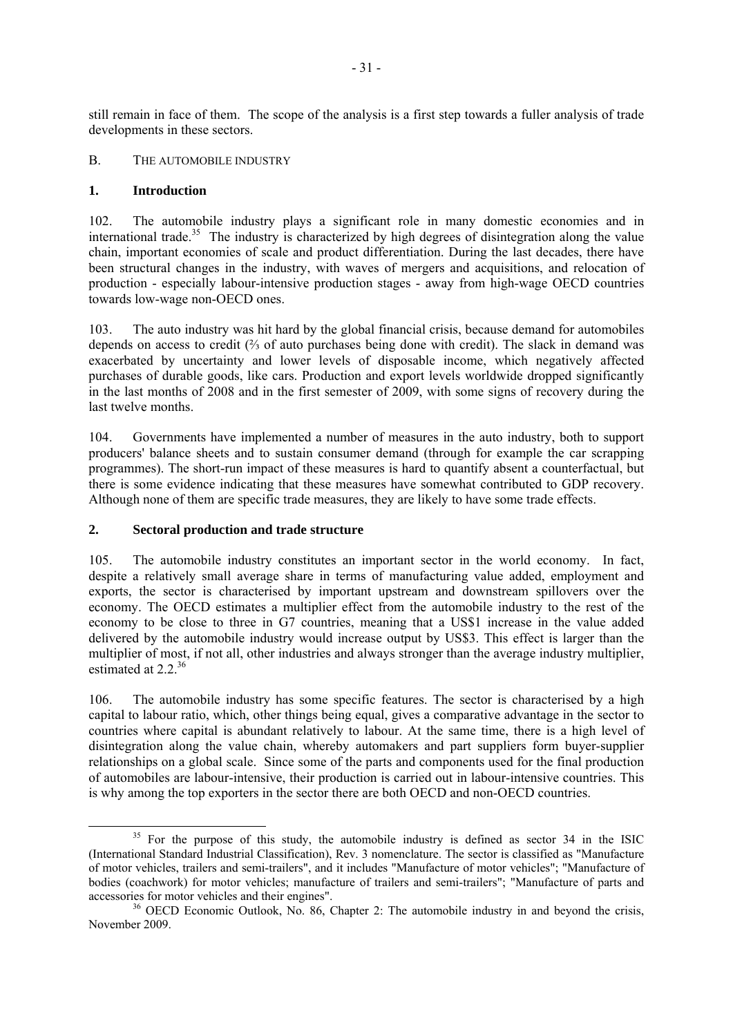still remain in face of them. The scope of the analysis is a first step towards a fuller analysis of trade developments in these sectors.

#### B. THE AUTOMOBILE INDUSTRY

#### **1. Introduction**

102. The automobile industry plays a significant role in many domestic economies and in international trade.<sup>35</sup> The industry is characterized by high degrees of disintegration along the value chain, important economies of scale and product differentiation. During the last decades, there have been structural changes in the industry, with waves of mergers and acquisitions, and relocation of production - especially labour-intensive production stages - away from high-wage OECD countries towards low-wage non-OECD ones.

103. The auto industry was hit hard by the global financial crisis, because demand for automobiles depends on access to credit (⅔ of auto purchases being done with credit). The slack in demand was exacerbated by uncertainty and lower levels of disposable income, which negatively affected purchases of durable goods, like cars. Production and export levels worldwide dropped significantly in the last months of 2008 and in the first semester of 2009, with some signs of recovery during the last twelve months.

104. Governments have implemented a number of measures in the auto industry, both to support producers' balance sheets and to sustain consumer demand (through for example the car scrapping programmes). The short-run impact of these measures is hard to quantify absent a counterfactual, but there is some evidence indicating that these measures have somewhat contributed to GDP recovery. Although none of them are specific trade measures, they are likely to have some trade effects.

#### **2. Sectoral production and trade structure**

105. The automobile industry constitutes an important sector in the world economy. In fact, despite a relatively small average share in terms of manufacturing value added, employment and exports, the sector is characterised by important upstream and downstream spillovers over the economy. The OECD estimates a multiplier effect from the automobile industry to the rest of the economy to be close to three in G7 countries, meaning that a US\$1 increase in the value added delivered by the automobile industry would increase output by US\$3. This effect is larger than the multiplier of most, if not all, other industries and always stronger than the average industry multiplier, estimated at  $2.2^{36}$ 

106. The automobile industry has some specific features. The sector is characterised by a high capital to labour ratio, which, other things being equal, gives a comparative advantage in the sector to countries where capital is abundant relatively to labour. At the same time, there is a high level of disintegration along the value chain, whereby automakers and part suppliers form buyer-supplier relationships on a global scale. Since some of the parts and components used for the final production of automobiles are labour-intensive, their production is carried out in labour-intensive countries. This is why among the top exporters in the sector there are both OECD and non-OECD countries.

<sup>&</sup>lt;sup>35</sup> For the purpose of this study, the automobile industry is defined as sector 34 in the ISIC (International Standard Industrial Classification), Rev. 3 nomenclature. The sector is classified as "Manufacture of motor vehicles, trailers and semi-trailers", and it includes "Manufacture of motor vehicles"; "Manufacture of bodies (coachwork) for motor vehicles; manufacture of trailers and semi-trailers"; "Manufacture of parts and accessories for motor vehicles and their engines".

 $36$  OECD Economic Outlook, No. 86, Chapter 2: The automobile industry in and beyond the crisis, November 2009.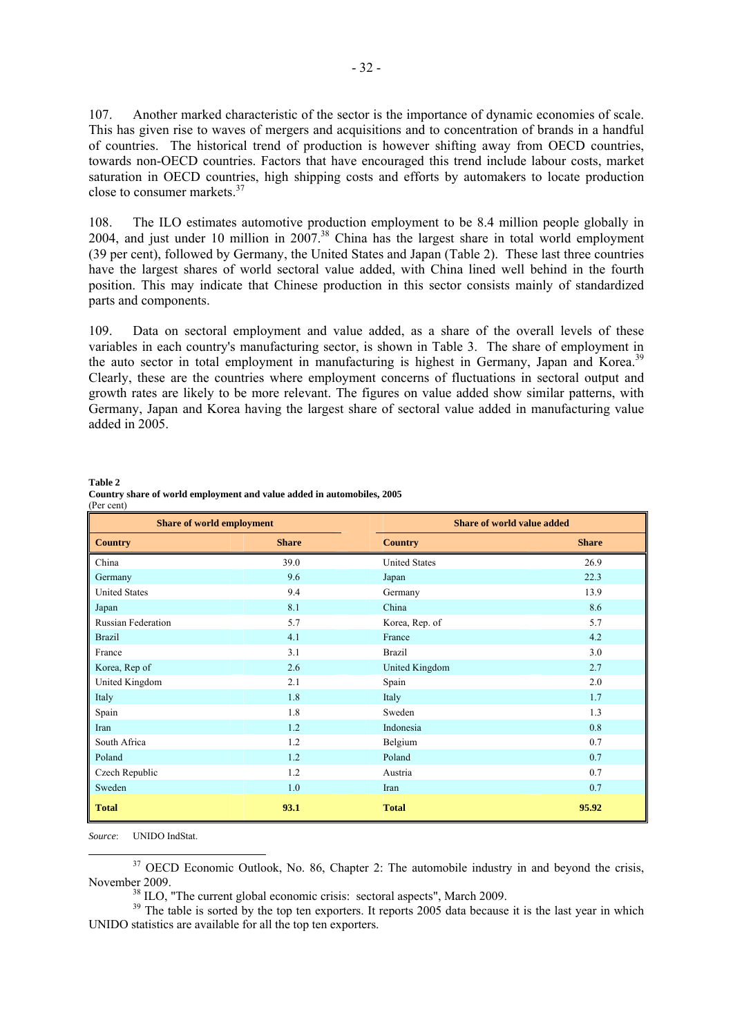107. Another marked characteristic of the sector is the importance of dynamic economies of scale. This has given rise to waves of mergers and acquisitions and to concentration of brands in a handful of countries. The historical trend of production is however shifting away from OECD countries, towards non-OECD countries. Factors that have encouraged this trend include labour costs, market saturation in OECD countries, high shipping costs and efforts by automakers to locate production close to consumer markets.<sup>37</sup>

108. The ILO estimates automotive production employment to be 8.4 million people globally in 2004, and just under 10 million in  $2007<sup>38</sup>$  China has the largest share in total world employment (39 per cent), followed by Germany, the United States and Japan (Table 2). These last three countries have the largest shares of world sectoral value added, with China lined well behind in the fourth position. This may indicate that Chinese production in this sector consists mainly of standardized parts and components.

109. Data on sectoral employment and value added, as a share of the overall levels of these variables in each country's manufacturing sector, is shown in Table 3. The share of employment in the auto sector in total employment in manufacturing is highest in Germany, Japan and Korea.<sup>39</sup> Clearly, these are the countries where employment concerns of fluctuations in sectoral output and growth rates are likely to be more relevant. The figures on value added show similar patterns, with Germany, Japan and Korea having the largest share of sectoral value added in manufacturing value added in 2005.

| <b>Share of world employment</b> |              | Share of world value added |              |  |
|----------------------------------|--------------|----------------------------|--------------|--|
| <b>Country</b>                   | <b>Share</b> | <b>Country</b>             | <b>Share</b> |  |
| China                            | 39.0         | <b>United States</b>       | 26.9         |  |
| Germany                          | 9.6          | Japan                      | 22.3         |  |
| <b>United States</b>             | 9.4          | Germany                    | 13.9         |  |
| Japan                            | 8.1          | China                      | 8.6          |  |
| Russian Federation               | 5.7          | Korea, Rep. of             | 5.7          |  |
| <b>Brazil</b>                    | 4.1          | France                     | 4.2          |  |
| France                           | 3.1          | <b>Brazil</b>              | 3.0          |  |
| Korea, Rep of                    | 2.6          | United Kingdom             | 2.7          |  |
| United Kingdom                   | 2.1          | Spain                      | 2.0          |  |
| Italy                            | 1.8          | Italy                      | 1.7          |  |
| Spain                            | 1.8          | Sweden                     | 1.3          |  |
| Iran                             | 1.2          | Indonesia                  | 0.8          |  |
| South Africa                     | 1.2          | Belgium                    | 0.7          |  |
| Poland                           | 1.2          | Poland                     | 0.7          |  |
| Czech Republic                   | 1.2          | Austria                    | 0.7          |  |
| Sweden                           | 1.0          | Iran                       | 0.7          |  |
| <b>Total</b>                     | 93.1         | <b>Total</b>               | 95.92        |  |

**Table 2 Country share of world employment and value added in automobiles, 2005**  (Per cent)

*Source*: UNIDO IndStat.

<sup>37</sup> OECD Economic Outlook, No. 86, Chapter 2: The automobile industry in and beyond the crisis, November 2009.<br><sup>38</sup> ILO, "The current global economic crisis: sectoral aspects", March 2009.<br><sup>39</sup> The table is sorted by the top ten exporters. It reports 2005 data because it is the last year in which

UNIDO statistics are available for all the top ten exporters.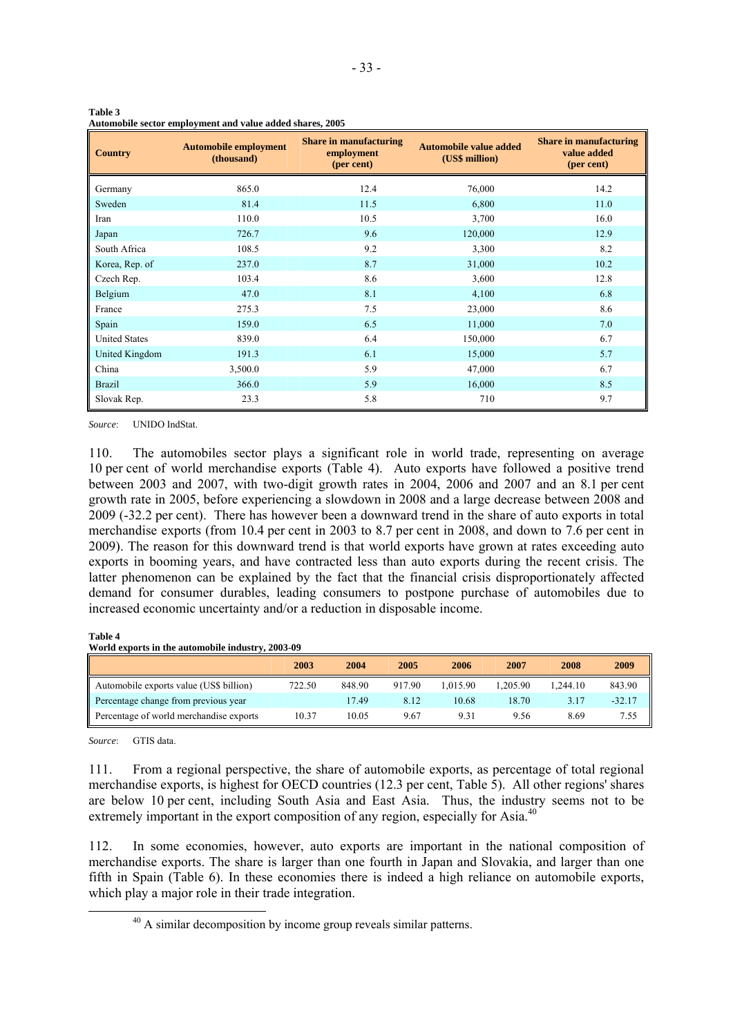| <b>Country</b>       | <b>Automobile employment</b><br>(thousand) | <b>Share in manufacturing</b><br>employment<br>(per cent) | <b>Automobile value added</b><br>(US\$ million) | <b>Share in manufacturing</b><br>value added<br>(per cent) |
|----------------------|--------------------------------------------|-----------------------------------------------------------|-------------------------------------------------|------------------------------------------------------------|
| Germany              | 865.0                                      | 12.4                                                      | 76,000                                          | 14.2                                                       |
| Sweden               | 81.4                                       | 11.5                                                      | 6,800                                           | 11.0                                                       |
| Iran                 | 110.0                                      | 10.5                                                      | 3,700                                           | 16.0                                                       |
| Japan                | 726.7                                      | 9.6                                                       | 120,000                                         | 12.9                                                       |
| South Africa         | 108.5                                      | 9.2                                                       | 3,300                                           | 8.2                                                        |
| Korea, Rep. of       | 237.0                                      | 8.7                                                       | 31,000                                          | 10.2                                                       |
| Czech Rep.           | 103.4                                      | 8.6                                                       | 3,600                                           | 12.8                                                       |
| Belgium              | 47.0                                       | 8.1                                                       | 4,100                                           | 6.8                                                        |
| France               | 275.3                                      | 7.5                                                       | 23,000                                          | 8.6                                                        |
| Spain                | 159.0                                      | 6.5                                                       | 11,000                                          | 7.0                                                        |
| <b>United States</b> | 839.0                                      | 6.4                                                       | 150,000                                         | 6.7                                                        |
| United Kingdom       | 191.3                                      | 6.1                                                       | 15,000                                          | 5.7                                                        |
| China                | 3,500.0                                    | 5.9                                                       | 47,000                                          | 6.7                                                        |
| <b>Brazil</b>        | 366.0                                      | 5.9                                                       | 16,000                                          | 8.5                                                        |
| Slovak Rep.          | 23.3                                       | 5.8                                                       | 710                                             | 9.7                                                        |

**Table 3 Automobile sector employment and value added shares, 2005** 

*Source*: UNIDO IndStat.

110. The automobiles sector plays a significant role in world trade, representing on average 10 per cent of world merchandise exports (Table 4). Auto exports have followed a positive trend between 2003 and 2007, with two-digit growth rates in 2004, 2006 and 2007 and an 8.1 per cent growth rate in 2005, before experiencing a slowdown in 2008 and a large decrease between 2008 and 2009 (-32.2 per cent). There has however been a downward trend in the share of auto exports in total merchandise exports (from 10.4 per cent in 2003 to 8.7 per cent in 2008, and down to 7.6 per cent in 2009). The reason for this downward trend is that world exports have grown at rates exceeding auto exports in booming years, and have contracted less than auto exports during the recent crisis. The latter phenomenon can be explained by the fact that the financial crisis disproportionately affected demand for consumer durables, leading consumers to postpone purchase of automobiles due to increased economic uncertainty and/or a reduction in disposable income.

#### **Table 4**

**World exports in the automobile industry, 2003-09** 

|                                         | 2003   | 2004   | 2005   | 2006     | 2007     | 2008    | 2009     |
|-----------------------------------------|--------|--------|--------|----------|----------|---------|----------|
| Automobile exports value (US\$ billion) | 722.50 | 848.90 | 917.90 | 1.015.90 | 1.205.90 | .244.10 | 843.90   |
| Percentage change from previous year    |        | 17.49  | 8.12   | 10.68    | 18.70    | 3.17    | $-32.17$ |
| Percentage of world merchandise exports | 10.37  | 10.05  | 9.67   | 9.31     | 9.56     | 8.69    | 7.55     |

*Source*: GTIS data.

111. From a regional perspective, the share of automobile exports, as percentage of total regional merchandise exports, is highest for OECD countries (12.3 per cent, Table 5). All other regions' shares are below 10 per cent, including South Asia and East Asia. Thus, the industry seems not to be extremely important in the export composition of any region, especially for Asia.<sup>40</sup>

112. In some economies, however, auto exports are important in the national composition of merchandise exports. The share is larger than one fourth in Japan and Slovakia, and larger than one fifth in Spain (Table 6). In these economies there is indeed a high reliance on automobile exports, which play a major role in their trade integration.

<sup>&</sup>lt;sup>40</sup> A similar decomposition by income group reveals similar patterns.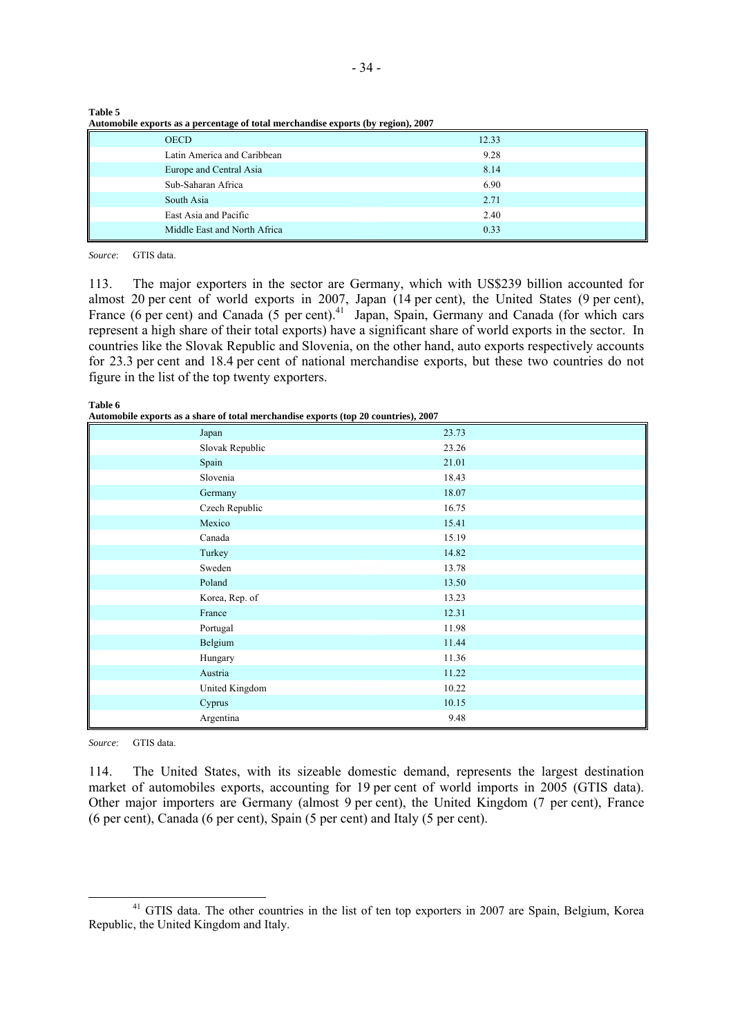| Automobile exports as a percentage of total merchandise exports (by region), 2007 |       |
|-----------------------------------------------------------------------------------|-------|
| <b>OECD</b>                                                                       | 12.33 |
| Latin America and Caribbean                                                       | 9.28  |
| Europe and Central Asia                                                           | 8.14  |
| Sub-Saharan Africa                                                                | 6.90  |
| South Asia                                                                        | 2.71  |
| East Asia and Pacific                                                             | 2.40  |
| Middle East and North Africa                                                      | 0.33  |

| <b>Table 5</b>                                                                    |  |
|-----------------------------------------------------------------------------------|--|
| Automobile exports as a percentage of total merchandise exports (by region), 2007 |  |

*Source*: GTIS data.

113. The major exporters in the sector are Germany, which with US\$239 billion accounted for almost 20 per cent of world exports in 2007, Japan (14 per cent), the United States (9 per cent), France (6 per cent) and Canada (5 per cent).<sup>41</sup> Japan, Spain, Germany and Canada (for which cars represent a high share of their total exports) have a significant share of world exports in the sector. In countries like the Slovak Republic and Slovenia, on the other hand, auto exports respectively accounts for 23.3 per cent and 18.4 per cent of national merchandise exports, but these two countries do not figure in the list of the top twenty exporters.

**Table 6** 

**Automobile exports as a share of total merchandise exports (top 20 countries), 2007** 

| $\frac{1}{2}$   |       |
|-----------------|-------|
| Japan           | 23.73 |
| Slovak Republic | 23.26 |
| Spain           | 21.01 |
| Slovenia        | 18.43 |
| Germany         | 18.07 |
| Czech Republic  | 16.75 |
| Mexico          | 15.41 |
| Canada          | 15.19 |
| Turkey          | 14.82 |
| Sweden          | 13.78 |
| Poland          | 13.50 |
| Korea, Rep. of  | 13.23 |
| France          | 12.31 |
| Portugal        | 11.98 |
| Belgium         | 11.44 |
| Hungary         | 11.36 |
| Austria         | 11.22 |
| United Kingdom  | 10.22 |
| Cyprus          | 10.15 |
| Argentina       | 9.48  |

*Source*: GTIS data.

114. The United States, with its sizeable domestic demand, represents the largest destination market of automobiles exports, accounting for 19 per cent of world imports in 2005 (GTIS data). Other major importers are Germany (almost 9 per cent), the United Kingdom (7 per cent), France (6 per cent), Canada (6 per cent), Spain (5 per cent) and Italy (5 per cent).

<sup>&</sup>lt;sup>41</sup> GTIS data. The other countries in the list of ten top exporters in 2007 are Spain, Belgium, Korea Republic, the United Kingdom and Italy.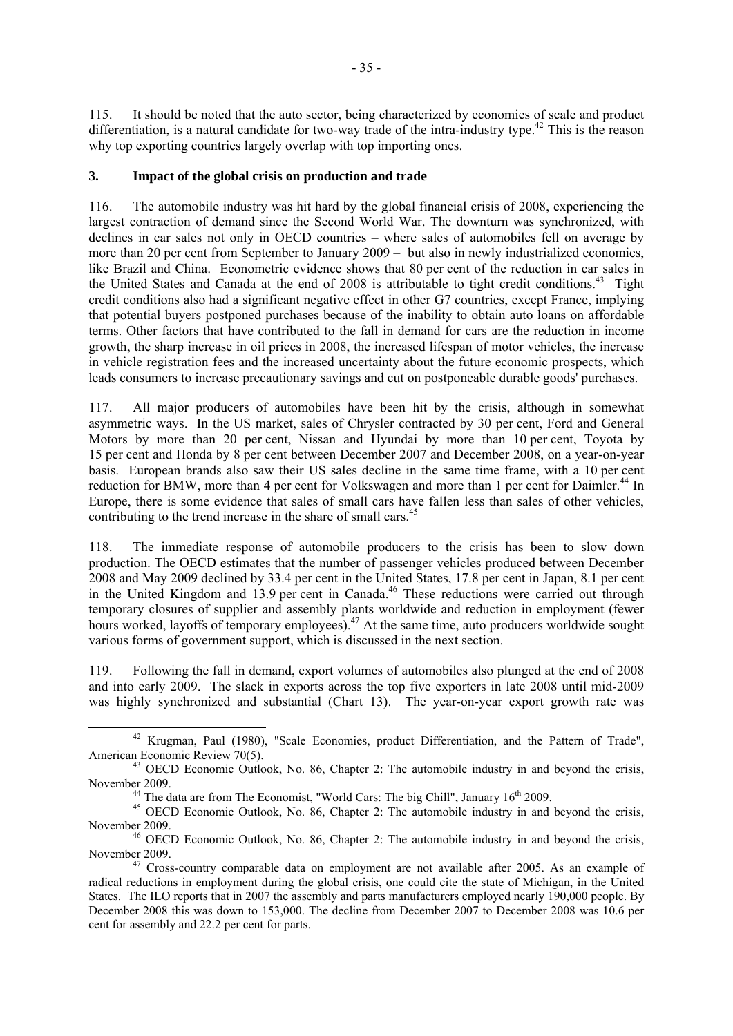115. It should be noted that the auto sector, being characterized by economies of scale and product differentiation, is a natural candidate for two-way trade of the intra-industry type.<sup>42</sup> This is the reason why top exporting countries largely overlap with top importing ones.

#### **3. Impact of the global crisis on production and trade**

116. The automobile industry was hit hard by the global financial crisis of 2008, experiencing the largest contraction of demand since the Second World War. The downturn was synchronized, with declines in car sales not only in OECD countries – where sales of automobiles fell on average by more than 20 per cent from September to January 2009 – but also in newly industrialized economies, like Brazil and China. Econometric evidence shows that 80 per cent of the reduction in car sales in the United States and Canada at the end of 2008 is attributable to tight credit conditions.<sup>43</sup> Tight credit conditions also had a significant negative effect in other G7 countries, except France, implying that potential buyers postponed purchases because of the inability to obtain auto loans on affordable terms. Other factors that have contributed to the fall in demand for cars are the reduction in income growth, the sharp increase in oil prices in 2008, the increased lifespan of motor vehicles, the increase in vehicle registration fees and the increased uncertainty about the future economic prospects, which leads consumers to increase precautionary savings and cut on postponeable durable goods' purchases.

117. All major producers of automobiles have been hit by the crisis, although in somewhat asymmetric ways. In the US market, sales of Chrysler contracted by 30 per cent, Ford and General Motors by more than 20 per cent, Nissan and Hyundai by more than 10 per cent, Toyota by 15 per cent and Honda by 8 per cent between December 2007 and December 2008, on a year-on-year basis. European brands also saw their US sales decline in the same time frame, with a 10 per cent reduction for BMW, more than 4 per cent for Volkswagen and more than 1 per cent for Daimler.<sup>44</sup> In Europe, there is some evidence that sales of small cars have fallen less than sales of other vehicles, contributing to the trend increase in the share of small cars.<sup>45</sup>

118. The immediate response of automobile producers to the crisis has been to slow down production. The OECD estimates that the number of passenger vehicles produced between December 2008 and May 2009 declined by 33.4 per cent in the United States, 17.8 per cent in Japan, 8.1 per cent in the United Kingdom and 13.9 per cent in Canada.<sup>46</sup> These reductions were carried out through temporary closures of supplier and assembly plants worldwide and reduction in employment (fewer hours worked, layoffs of temporary employees).<sup>47</sup> At the same time, auto producers worldwide sought various forms of government support, which is discussed in the next section.

119. Following the fall in demand, export volumes of automobiles also plunged at the end of 2008 and into early 2009. The slack in exports across the top five exporters in late 2008 until mid-2009 was highly synchronized and substantial (Chart 13). The year-on-year export growth rate was

<sup>&</sup>lt;sup>42</sup> Krugman, Paul (1980), "Scale Economies, product Differentiation, and the Pattern of Trade", American Economic Review 70(5).

 $43$  OECD Economic Outlook, No. 86, Chapter 2: The automobile industry in and beyond the crisis,

November 2009.<br><sup>44</sup> The data are from The Economist, "World Cars: The big Chill", January 16<sup>th</sup> 2009.<br><sup>45</sup> OECD Economic Outlook, No. 86, Chapter 2: The automobile industry in and beyond the crisis, November 2009. 46 OECD Economic Outlook, No. 86, Chapter 2: The automobile industry in and beyond the crisis,

November 2009. 47 Cross-country comparable data on employment are not available after 2005. As an example of

radical reductions in employment during the global crisis, one could cite the state of Michigan, in the United States. The ILO reports that in 2007 the assembly and parts manufacturers employed nearly 190,000 people. By December 2008 this was down to 153,000. The decline from December 2007 to December 2008 was 10.6 per cent for assembly and 22.2 per cent for parts.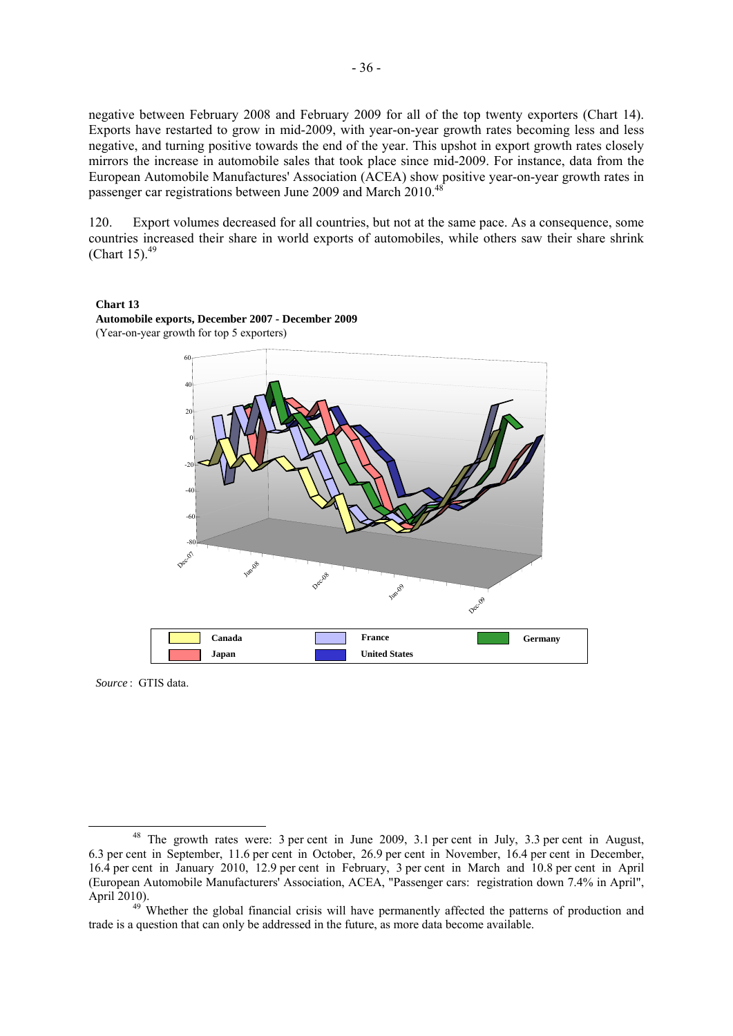negative between February 2008 and February 2009 for all of the top twenty exporters (Chart 14). Exports have restarted to grow in mid-2009, with year-on-year growth rates becoming less and less negative, and turning positive towards the end of the year. This upshot in export growth rates closely mirrors the increase in automobile sales that took place since mid-2009. For instance, data from the European Automobile Manufactures' Association (ACEA) show positive year-on-year growth rates in passenger car registrations between June 2009 and March 2010.48

120. Export volumes decreased for all countries, but not at the same pace. As a consequence, some countries increased their share in world exports of automobiles, while others saw their share shrink (Chart 15). $49$ 





**Automobile exports, December 2007 - December 2009** (Year-on-year growth for top 5 exporters)

*Source* :GTIS data.

<sup>&</sup>lt;sup>48</sup> The growth rates were: 3 per cent in June 2009, 3.1 per cent in July, 3.3 per cent in August, 6.3 per cent in September, 11.6 per cent in October, 26.9 per cent in November, 16.4 per cent in December, 16.4 per cent in January 2010, 12.9 per cent in February, 3 per cent in March and 10.8 per cent in April (European Automobile Manufacturers' Association, ACEA, "Passenger cars: registration down 7.4% in April",

<sup>&</sup>lt;sup>49</sup> Whether the global financial crisis will have permanently affected the patterns of production and trade is a question that can only be addressed in the future, as more data become available.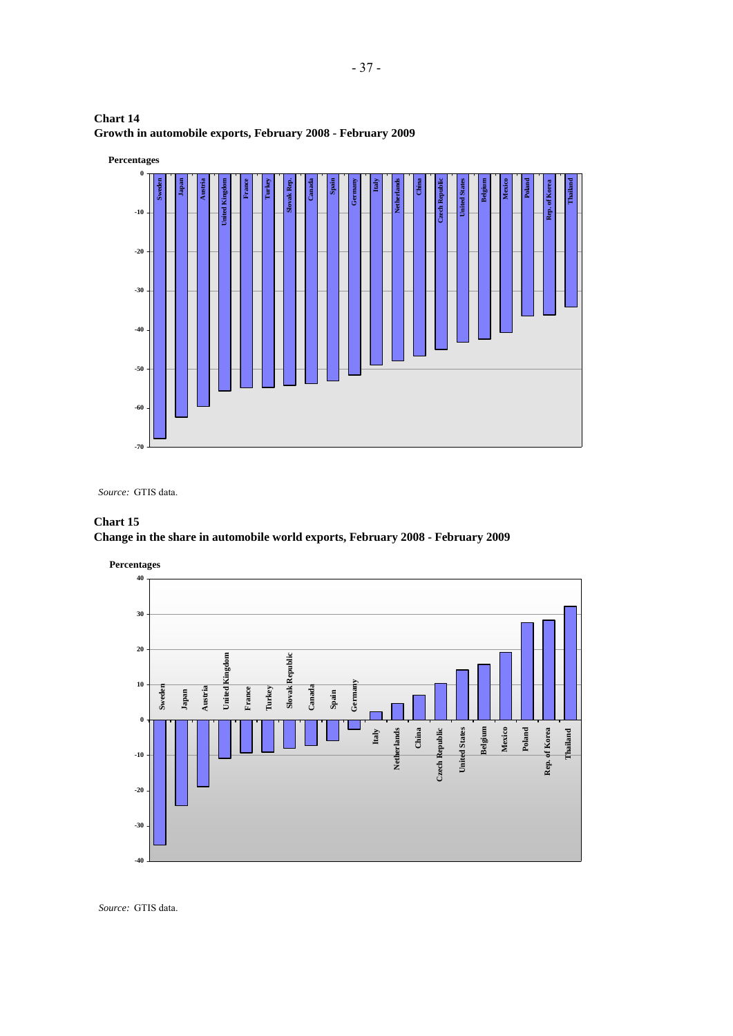



*Source:* GTIS data.

# **Chart 15 Change in the share in automobile world exports, February 2008 - February 2009**



*Source:* GTIS data.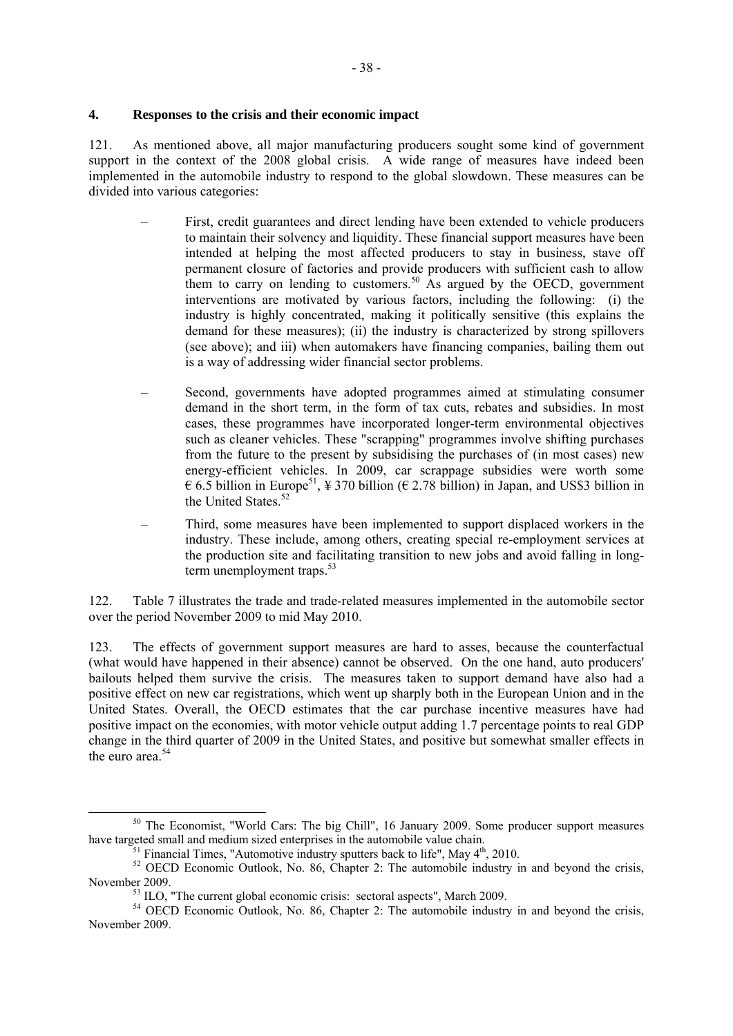## **4. Responses to the crisis and their economic impact**

121. As mentioned above, all major manufacturing producers sought some kind of government support in the context of the 2008 global crisis. A wide range of measures have indeed been implemented in the automobile industry to respond to the global slowdown. These measures can be divided into various categories:

- First, credit guarantees and direct lending have been extended to vehicle producers to maintain their solvency and liquidity. These financial support measures have been intended at helping the most affected producers to stay in business, stave off permanent closure of factories and provide producers with sufficient cash to allow them to carry on lending to customers.<sup>50</sup> As argued by the OECD, government interventions are motivated by various factors, including the following: (i) the industry is highly concentrated, making it politically sensitive (this explains the demand for these measures); (ii) the industry is characterized by strong spillovers (see above); and iii) when automakers have financing companies, bailing them out is a way of addressing wider financial sector problems.
- Second, governments have adopted programmes aimed at stimulating consumer demand in the short term, in the form of tax cuts, rebates and subsidies. In most cases, these programmes have incorporated longer-term environmental objectives such as cleaner vehicles. These "scrapping" programmes involve shifting purchases from the future to the present by subsidising the purchases of (in most cases) new energy-efficient vehicles. In 2009, car scrappage subsidies were worth some  $\epsilon$  6.5 billion in Europe<sup>51</sup>, \text{4} 370 billion ( $\epsilon$  2.78 billion) in Japan, and US\$3 billion in the United States.<sup>52</sup>
- Third, some measures have been implemented to support displaced workers in the industry. These include, among others, creating special re-employment services at the production site and facilitating transition to new jobs and avoid falling in longterm unemployment traps. $53$

122. Table 7 illustrates the trade and trade-related measures implemented in the automobile sector over the period November 2009 to mid May 2010.

123. The effects of government support measures are hard to asses, because the counterfactual (what would have happened in their absence) cannot be observed. On the one hand, auto producers' bailouts helped them survive the crisis. The measures taken to support demand have also had a positive effect on new car registrations, which went up sharply both in the European Union and in the United States. Overall, the OECD estimates that the car purchase incentive measures have had positive impact on the economies, with motor vehicle output adding 1.7 percentage points to real GDP change in the third quarter of 2009 in the United States, and positive but somewhat smaller effects in the euro area  $54$ 

 $50$  The Economist, "World Cars: The big Chill", 16 January 2009. Some producer support measures have targeted small and medium sized enterprises in the automobile value chain.

<sup>&</sup>lt;sup>51</sup> Financial Times, "Automotive industry sputters back to life", May  $4<sup>th</sup>$ , 2010.<br><sup>52</sup> OECD Economic Outlook, No. 86, Chapter 2: The automobile industry in and beyond the crisis, November 2009.<br><sup>53</sup> ILO, "The current global economic crisis: sectoral aspects", March 2009.<br><sup>54</sup> OECD Economic Outlook, No. 86, Chapter 2: The automobile industry in and beyond the crisis,

November 2009.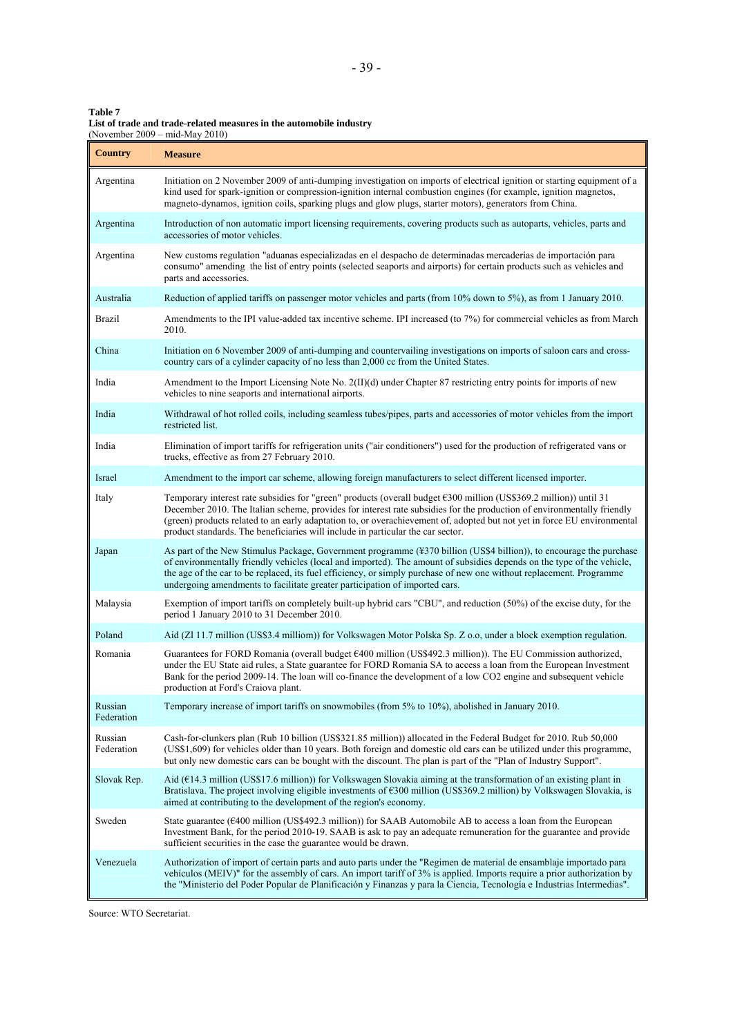| Table 7                                                             |
|---------------------------------------------------------------------|
| List of trade and trade-related measures in the automobile industry |
| (November $2009 - mid$ -May $2010$ )                                |
|                                                                     |

| Country               | (November 2009 – mid-May 2010)<br><b>Measure</b>                                                                                                                                                                                                                                                                                                                                                                                                           |
|-----------------------|------------------------------------------------------------------------------------------------------------------------------------------------------------------------------------------------------------------------------------------------------------------------------------------------------------------------------------------------------------------------------------------------------------------------------------------------------------|
| Argentina             | Initiation on 2 November 2009 of anti-dumping investigation on imports of electrical ignition or starting equipment of a<br>kind used for spark-ignition or compression-ignition internal combustion engines (for example, ignition magnetos,<br>magneto-dynamos, ignition coils, sparking plugs and glow plugs, starter motors), generators from China.                                                                                                   |
| Argentina             | Introduction of non automatic import licensing requirements, covering products such as autoparts, vehicles, parts and<br>accessories of motor vehicles.                                                                                                                                                                                                                                                                                                    |
| Argentina             | New customs regulation "aduanas especializadas en el despacho de determinadas mercaderías de importación para<br>consumo" amending the list of entry points (selected seaports and airports) for certain products such as vehicles and<br>parts and accessories.                                                                                                                                                                                           |
| Australia             | Reduction of applied tariffs on passenger motor vehicles and parts (from 10% down to 5%), as from 1 January 2010.                                                                                                                                                                                                                                                                                                                                          |
| <b>Brazil</b>         | Amendments to the IPI value-added tax incentive scheme. IPI increased (to 7%) for commercial vehicles as from March<br>2010.                                                                                                                                                                                                                                                                                                                               |
| China                 | Initiation on 6 November 2009 of anti-dumping and countervailing investigations on imports of saloon cars and cross-<br>country cars of a cylinder capacity of no less than 2,000 cc from the United States.                                                                                                                                                                                                                                               |
| India                 | Amendment to the Import Licensing Note No. 2(II)(d) under Chapter 87 restricting entry points for imports of new<br>vehicles to nine seaports and international airports.                                                                                                                                                                                                                                                                                  |
| India                 | Withdrawal of hot rolled coils, including seamless tubes/pipes, parts and accessories of motor vehicles from the import<br>restricted list.                                                                                                                                                                                                                                                                                                                |
| India                 | Elimination of import tariffs for refrigeration units ("air conditioners") used for the production of refrigerated vans or<br>trucks, effective as from 27 February 2010.                                                                                                                                                                                                                                                                                  |
| Israel                | Amendment to the import car scheme, allowing foreign manufacturers to select different licensed importer.                                                                                                                                                                                                                                                                                                                                                  |
| Italy                 | Temporary interest rate subsidies for "green" products (overall budget €300 million (US\$369.2 million)) until 31<br>December 2010. The Italian scheme, provides for interest rate subsidies for the production of environmentally friendly<br>(green) products related to an early adaptation to, or overachievement of, adopted but not yet in force EU environmental<br>product standards. The beneficiaries will include in particular the car sector. |
| Japan                 | As part of the New Stimulus Package, Government programme (¥370 billion (US\$4 billion)), to encourage the purchase<br>of environmentally friendly vehicles (local and imported). The amount of subsidies depends on the type of the vehicle,<br>the age of the car to be replaced, its fuel efficiency, or simply purchase of new one without replacement. Programme<br>undergoing amendments to facilitate greater participation of imported cars.       |
| Malaysia              | Exemption of import tariffs on completely built-up hybrid cars "CBU", and reduction (50%) of the excise duty, for the<br>period 1 January 2010 to 31 December 2010.                                                                                                                                                                                                                                                                                        |
| Poland                | Aid (Zl 11.7 million (US\$3.4 milliom)) for Volkswagen Motor Polska Sp. Z o.o, under a block exemption regulation.                                                                                                                                                                                                                                                                                                                                         |
| Romania               | Guarantees for FORD Romania (overall budget $\epsilon$ 400 million (US\$492.3 million)). The EU Commission authorized,<br>under the EU State aid rules, a State guarantee for FORD Romania SA to access a loan from the European Investment<br>Bank for the period 2009-14. The loan will co-finance the development of a low CO2 engine and subsequent vehicle<br>production at Ford's Craiova plant.                                                     |
| Russian<br>Federation | Temporary increase of import tariffs on snowmobiles (from 5% to 10%), abolished in January 2010.                                                                                                                                                                                                                                                                                                                                                           |
| Russian<br>Federation | Cash-for-clunkers plan (Rub 10 billion (US\$321.85 million)) allocated in the Federal Budget for 2010. Rub 50,000<br>(US\$1,609) for vehicles older than 10 years. Both foreign and domestic old cars can be utilized under this programme,<br>but only new domestic cars can be bought with the discount. The plan is part of the "Plan of Industry Support".                                                                                             |
| Slovak Rep.           | Aid ( $E14.3$ million (US\$17.6 million)) for Volkswagen Slovakia aiming at the transformation of an existing plant in<br>Bratislava. The project involving eligible investments of $\epsilon$ 300 million (US\$369.2 million) by Volkswagen Slovakia, is<br>aimed at contributing to the development of the region's economy.                                                                                                                             |
| Sweden                | State guarantee ( $\epsilon$ 400 million (US\$492.3 million)) for SAAB Automobile AB to access a loan from the European<br>Investment Bank, for the period 2010-19. SAAB is ask to pay an adequate remuneration for the guarantee and provide<br>sufficient securities in the case the guarantee would be drawn.                                                                                                                                           |
| Venezuela             | Authorization of import of certain parts and auto parts under the "Regimen de material de ensamblaje importado para<br>vehículos (MEIV)" for the assembly of cars. An import tariff of 3% is applied. Imports require a prior authorization by<br>the "Ministerio del Poder Popular de Planificación y Finanzas y para la Ciencia, Tecnología e Industrias Intermedias".                                                                                   |

Source: WTO Secretariat.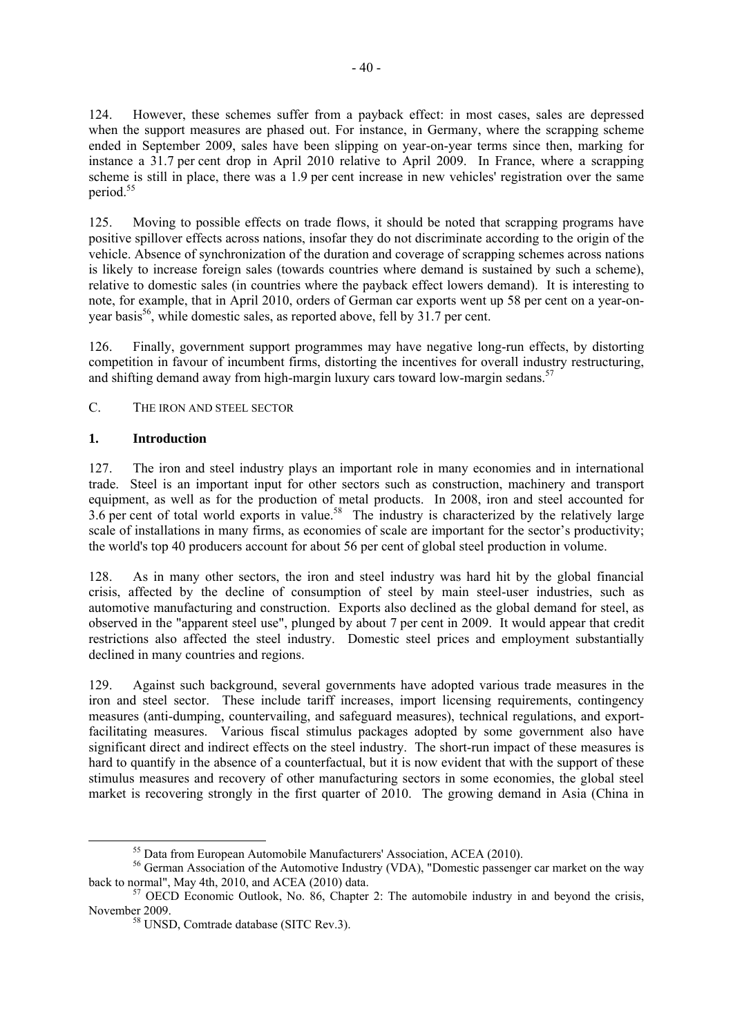124. However, these schemes suffer from a payback effect: in most cases, sales are depressed when the support measures are phased out. For instance, in Germany, where the scrapping scheme ended in September 2009, sales have been slipping on year-on-year terms since then, marking for instance a 31.7 per cent drop in April 2010 relative to April 2009. In France, where a scrapping scheme is still in place, there was a 1.9 per cent increase in new vehicles' registration over the same period.<sup>55</sup>

125. Moving to possible effects on trade flows, it should be noted that scrapping programs have positive spillover effects across nations, insofar they do not discriminate according to the origin of the vehicle. Absence of synchronization of the duration and coverage of scrapping schemes across nations is likely to increase foreign sales (towards countries where demand is sustained by such a scheme), relative to domestic sales (in countries where the payback effect lowers demand). It is interesting to note, for example, that in April 2010, orders of German car exports went up 58 per cent on a year-onyear basis<sup>56</sup>, while domestic sales, as reported above, fell by  $31.7$  per cent.

126. Finally, government support programmes may have negative long-run effects, by distorting competition in favour of incumbent firms, distorting the incentives for overall industry restructuring, and shifting demand away from high-margin luxury cars toward low-margin sedans.<sup>57</sup>

# C. THE IRON AND STEEL SECTOR

# **1. Introduction**

127. The iron and steel industry plays an important role in many economies and in international trade. Steel is an important input for other sectors such as construction, machinery and transport equipment, as well as for the production of metal products. In 2008, iron and steel accounted for 3.6 per cent of total world exports in value.<sup>58</sup> The industry is characterized by the relatively large scale of installations in many firms, as economies of scale are important for the sector's productivity; the world's top 40 producers account for about 56 per cent of global steel production in volume.

128. As in many other sectors, the iron and steel industry was hard hit by the global financial crisis, affected by the decline of consumption of steel by main steel-user industries, such as automotive manufacturing and construction. Exports also declined as the global demand for steel, as observed in the "apparent steel use", plunged by about 7 per cent in 2009. It would appear that credit restrictions also affected the steel industry. Domestic steel prices and employment substantially declined in many countries and regions.

129. Against such background, several governments have adopted various trade measures in the iron and steel sector. These include tariff increases, import licensing requirements, contingency measures (anti-dumping, countervailing, and safeguard measures), technical regulations, and exportfacilitating measures. Various fiscal stimulus packages adopted by some government also have significant direct and indirect effects on the steel industry. The short-run impact of these measures is hard to quantify in the absence of a counterfactual, but it is now evident that with the support of these stimulus measures and recovery of other manufacturing sectors in some economies, the global steel market is recovering strongly in the first quarter of 2010. The growing demand in Asia (China in

<sup>&</sup>lt;sup>55</sup> Data from European Automobile Manufacturers' Association, ACEA (2010).

<sup>&</sup>lt;sup>56</sup> German Association of the Automotive Industry (VDA), "Domestic passenger car market on the way back to normal". May 4th, 2010, and ACEA (2010) data.

 $57$  OECD Economic Outlook, No. 86, Chapter 2: The automobile industry in and beyond the crisis, November 2009. 58 UNSD, Comtrade database (SITC Rev.3).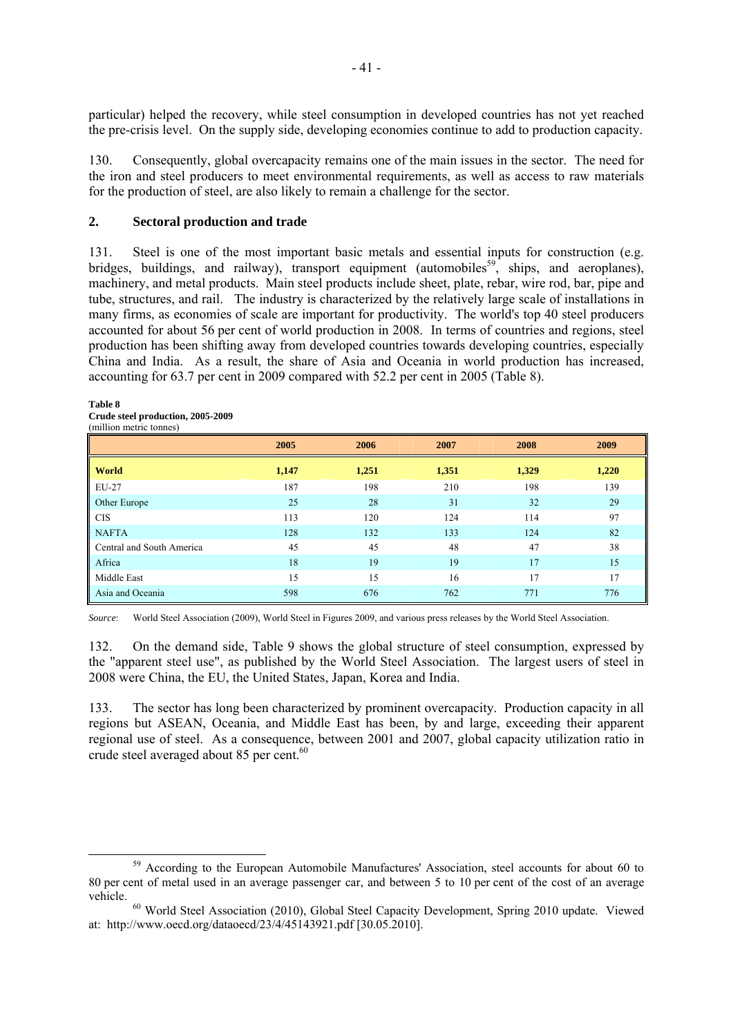particular) helped the recovery, while steel consumption in developed countries has not yet reached the pre-crisis level. On the supply side, developing economies continue to add to production capacity.

130. Consequently, global overcapacity remains one of the main issues in the sector. The need for the iron and steel producers to meet environmental requirements, as well as access to raw materials for the production of steel, are also likely to remain a challenge for the sector.

## **2. Sectoral production and trade**

131. Steel is one of the most important basic metals and essential inputs for construction (e.g. bridges, buildings, and railway), transport equipment (automobiles<sup>59</sup>, ships, and aeroplanes), machinery, and metal products. Main steel products include sheet, plate, rebar, wire rod, bar, pipe and tube, structures, and rail. The industry is characterized by the relatively large scale of installations in many firms, as economies of scale are important for productivity. The world's top 40 steel producers accounted for about 56 per cent of world production in 2008. In terms of countries and regions, steel production has been shifting away from developed countries towards developing countries, especially China and India. As a result, the share of Asia and Oceania in world production has increased, accounting for 63.7 per cent in 2009 compared with 52.2 per cent in 2005 (Table 8).

### **Table 8**

**Crude steel production, 2005-2009** 

|                           | 2005  | 2006  | 2007  | 2008  | 2009  |
|---------------------------|-------|-------|-------|-------|-------|
| <b>World</b>              | 1,147 | 1,251 | 1,351 | 1,329 | 1,220 |
| EU-27                     | 187   | 198   | 210   | 198   | 139   |
| Other Europe              | 25    | 28    | 31    | 32    | 29    |
| <b>CIS</b>                | 113   | 120   | 124   | 114   | 97    |
| <b>NAFTA</b>              | 128   | 132   | 133   | 124   | 82    |
| Central and South America | 45    | 45    | 48    | 47    | 38    |
| Africa                    | 18    | 19    | 19    | 17    | 15    |
| Middle East               | 15    | 15    | 16    | 17    | 17    |
| Asia and Oceania          | 598   | 676   | 762   | 771   | 776   |

*Source*: World Steel Association (2009), World Steel in Figures 2009, and various press releases by the World Steel Association.

132. On the demand side, Table 9 shows the global structure of steel consumption, expressed by the "apparent steel use", as published by the World Steel Association. The largest users of steel in 2008 were China, the EU, the United States, Japan, Korea and India.

133. The sector has long been characterized by prominent overcapacity. Production capacity in all regions but ASEAN, Oceania, and Middle East has been, by and large, exceeding their apparent regional use of steel. As a consequence, between 2001 and 2007, global capacity utilization ratio in crude steel averaged about 85 per cent.<sup>60</sup>

<sup>&</sup>lt;sup>59</sup> According to the European Automobile Manufactures' Association, steel accounts for about 60 to 80 per cent of metal used in an average passenger car, and between 5 to 10 per cent of the cost of an average

vehicle. 60 World Steel Association (2010), Global Steel Capacity Development, Spring 2010 update. Viewed at: http://www.oecd.org/dataoecd/23/4/45143921.pdf [30.05.2010].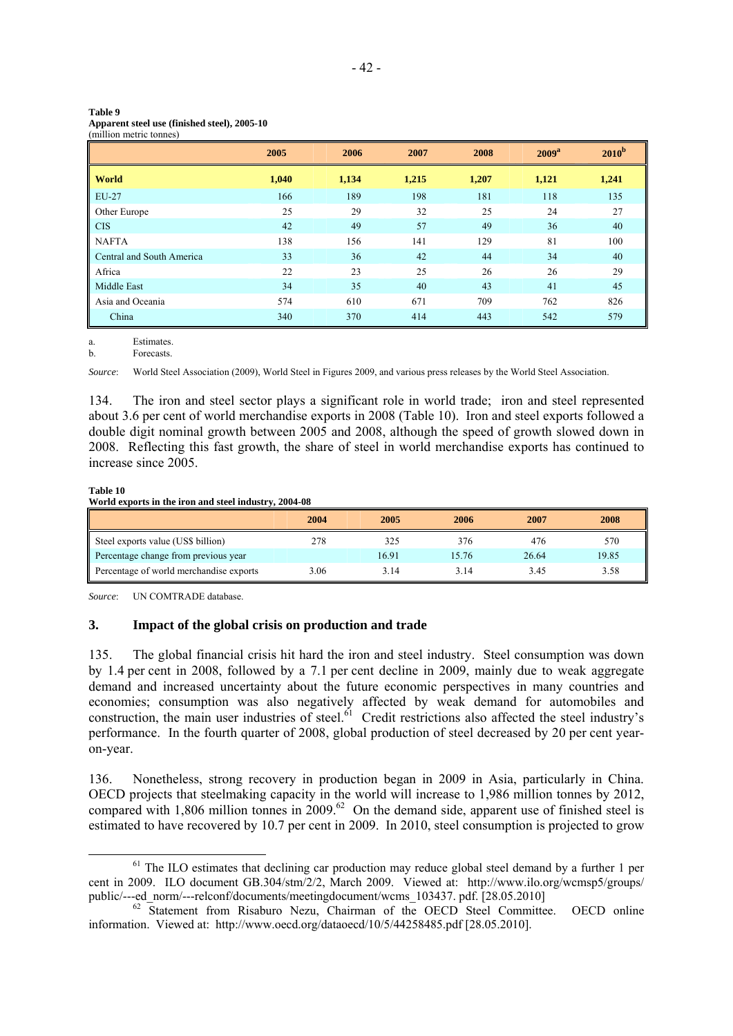#### **Table 9**

|  | Apparent steel use (finished steel), 2005-10 |  |
|--|----------------------------------------------|--|
|  |                                              |  |

(million metric tonnes)

|                           | 2005  | 2006  | 2007  | 2008  | 2009 <sup>a</sup> | $2010^{\rm b}$ |
|---------------------------|-------|-------|-------|-------|-------------------|----------------|
| World                     | 1,040 | 1,134 | 1,215 | 1,207 | 1,121             | 1,241          |
| EU-27                     | 166   | 189   | 198   | 181   | 118               | 135            |
| Other Europe              | 25    | 29    | 32    | 25    | 24                | 27             |
| <b>CIS</b>                | 42    | 49    | 57    | 49    | 36                | 40             |
| <b>NAFTA</b>              | 138   | 156   | 141   | 129   | 81                | 100            |
| Central and South America | 33    | 36    | 42    | 44    | 34                | 40             |
| Africa                    | 22    | 23    | 25    | 26    | 26                | 29             |
| Middle East               | 34    | 35    | 40    | 43    | 41                | 45             |
| Asia and Oceania          | 574   | 610   | 671   | 709   | 762               | 826            |
| China                     | 340   | 370   | 414   | 443   | 542               | 579            |

a. Estimates.<br>b Eorecasts **Forecasts** 

*Source*: World Steel Association (2009), World Steel in Figures 2009, and various press releases by the World Steel Association.

134. The iron and steel sector plays a significant role in world trade; iron and steel represented about 3.6 per cent of world merchandise exports in 2008 (Table 10). Iron and steel exports followed a double digit nominal growth between 2005 and 2008, although the speed of growth slowed down in 2008. Reflecting this fast growth, the share of steel in world merchandise exports has continued to increase since 2005.

### **Table 10**

### **World exports in the iron and steel industry, 2004-08**

|                                         | 2004 | 2005  | 2006  | 2007  | 2008  |
|-----------------------------------------|------|-------|-------|-------|-------|
| Steel exports value (US\$ billion)      | 278  | 325   | 376   | 476   | 570   |
| Percentage change from previous year    |      | 16.91 | 15.76 | 26.64 | 19.85 |
| Percentage of world merchandise exports | 3.06 | 3.14  | 3.14  | 3.45  | 3.58  |

*Source*: UN COMTRADE database.

### **3. Impact of the global crisis on production and trade**

135. The global financial crisis hit hard the iron and steel industry. Steel consumption was down by 1.4 per cent in 2008, followed by a 7.1 per cent decline in 2009, mainly due to weak aggregate demand and increased uncertainty about the future economic perspectives in many countries and economies; consumption was also negatively affected by weak demand for automobiles and construction, the main user industries of steel.<sup>61</sup> Credit restrictions also affected the steel industry's performance. In the fourth quarter of 2008, global production of steel decreased by 20 per cent yearon-year.

136. Nonetheless, strong recovery in production began in 2009 in Asia, particularly in China. OECD projects that steelmaking capacity in the world will increase to 1,986 million tonnes by 2012, compared with 1,806 million tonnes in  $2009.62$  On the demand side, apparent use of finished steel is estimated to have recovered by 10.7 per cent in 2009. In 2010, steel consumption is projected to grow

 $<sup>61</sup>$  The ILO estimates that declining car production may reduce global steel demand by a further 1 per</sup> cent in 2009. ILO document GB.304/stm/2/2, March 2009. Viewed at: http://www.ilo.org/wcmsp5/groups/<br>public/---ed norm/---relconf/documents/meetingdocument/wcms 103437. pdf. [28.05.2010]

 $62$  Statement from Risaburo Nezu, Chairman of the OECD Steel Committee. OECD online information. Viewed at: http://www.oecd.org/dataoecd/10/5/44258485.pdf [28.05.2010].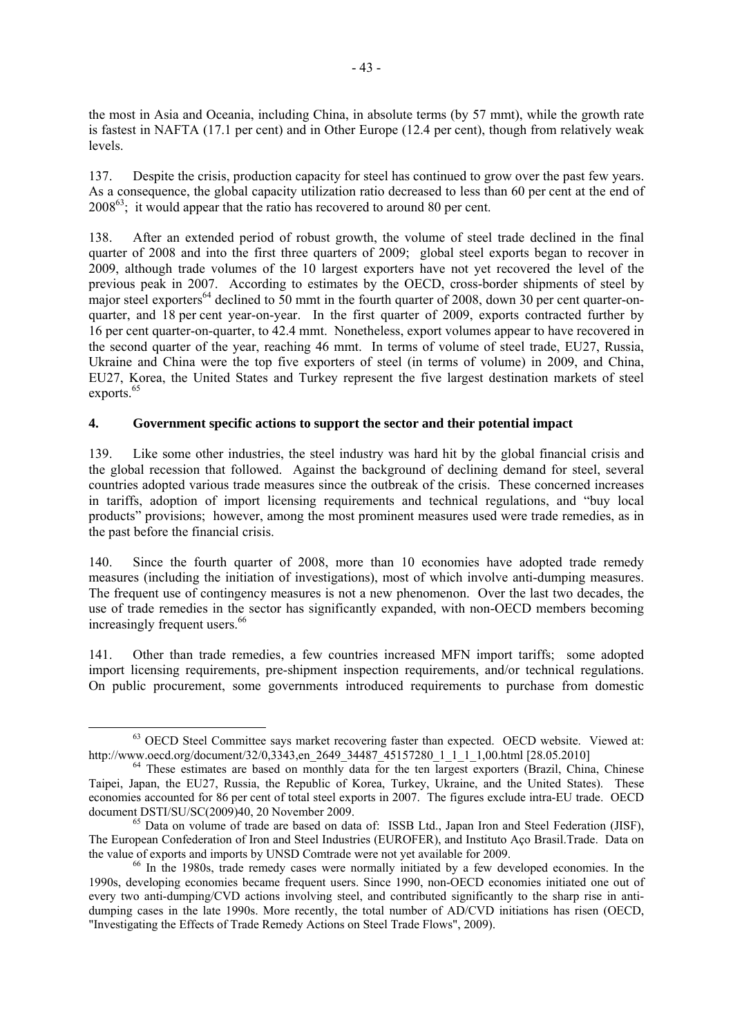the most in Asia and Oceania, including China, in absolute terms (by 57 mmt), while the growth rate is fastest in NAFTA (17.1 per cent) and in Other Europe (12.4 per cent), though from relatively weak levels.

137. Despite the crisis, production capacity for steel has continued to grow over the past few years. As a consequence, the global capacity utilization ratio decreased to less than 60 per cent at the end of  $2008^{63}$ ; it would appear that the ratio has recovered to around 80 per cent.

138. After an extended period of robust growth, the volume of steel trade declined in the final quarter of 2008 and into the first three quarters of 2009; global steel exports began to recover in 2009, although trade volumes of the 10 largest exporters have not yet recovered the level of the previous peak in 2007. According to estimates by the OECD, cross-border shipments of steel by major steel exporters<sup>64</sup> declined to 50 mmt in the fourth quarter of 2008, down 30 per cent quarter-onquarter, and 18 per cent year-on-year. In the first quarter of 2009, exports contracted further by 16 per cent quarter-on-quarter, to 42.4 mmt. Nonetheless, export volumes appear to have recovered in the second quarter of the year, reaching 46 mmt. In terms of volume of steel trade, EU27, Russia, Ukraine and China were the top five exporters of steel (in terms of volume) in 2009, and China, EU27, Korea, the United States and Turkey represent the five largest destination markets of steel exports.<sup>65</sup>

# **4. Government specific actions to support the sector and their potential impact**

139. Like some other industries, the steel industry was hard hit by the global financial crisis and the global recession that followed. Against the background of declining demand for steel, several countries adopted various trade measures since the outbreak of the crisis. These concerned increases in tariffs, adoption of import licensing requirements and technical regulations, and "buy local products" provisions; however, among the most prominent measures used were trade remedies, as in the past before the financial crisis.

140. Since the fourth quarter of 2008, more than 10 economies have adopted trade remedy measures (including the initiation of investigations), most of which involve anti-dumping measures. The frequent use of contingency measures is not a new phenomenon. Over the last two decades, the use of trade remedies in the sector has significantly expanded, with non-OECD members becoming increasingly frequent users.<sup>66</sup>

141. Other than trade remedies, a few countries increased MFN import tariffs; some adopted import licensing requirements, pre-shipment inspection requirements, and/or technical regulations. On public procurement, some governments introduced requirements to purchase from domestic

 $^{63}$  OECD Steel Committee says market recovering faster than expected. OECD website. Viewed at:<br>http://www.oecd.org/document/32/0,3343.en 2649 34487 45157280 1 1 1 1,00.html [28.05.2010]

<sup>&</sup>lt;sup>64</sup> These estimates are based on monthly data for the ten largest exporters (Brazil, China, Chinese Taipei, Japan, the EU27, Russia, the Republic of Korea, Turkey, Ukraine, and the United States). These economies accounted for 86 per cent of total steel exports in 2007. The figures exclude intra-EU trade. OECD document DSTI/SU/SC(2009)40, 20 November 2009.<br><sup>65</sup> Data on volume of trade are based on data of: ISSB Ltd., Japan Iron and Steel Federation (JISF),

The European Confederation of Iron and Steel Industries (EUROFER), and Instituto Aço Brasil.Trade. Data on the value of exports and imports by UNSD Comtrade were not yet available for 2009.

 $66$  In the 1980s, trade remedy cases were normally initiated by a few developed economies. In the 1990s, developing economies became frequent users. Since 1990, non-OECD economies initiated one out of every two anti-dumping/CVD actions involving steel, and contributed significantly to the sharp rise in antidumping cases in the late 1990s. More recently, the total number of AD/CVD initiations has risen (OECD, "Investigating the Effects of Trade Remedy Actions on Steel Trade Flows", 2009).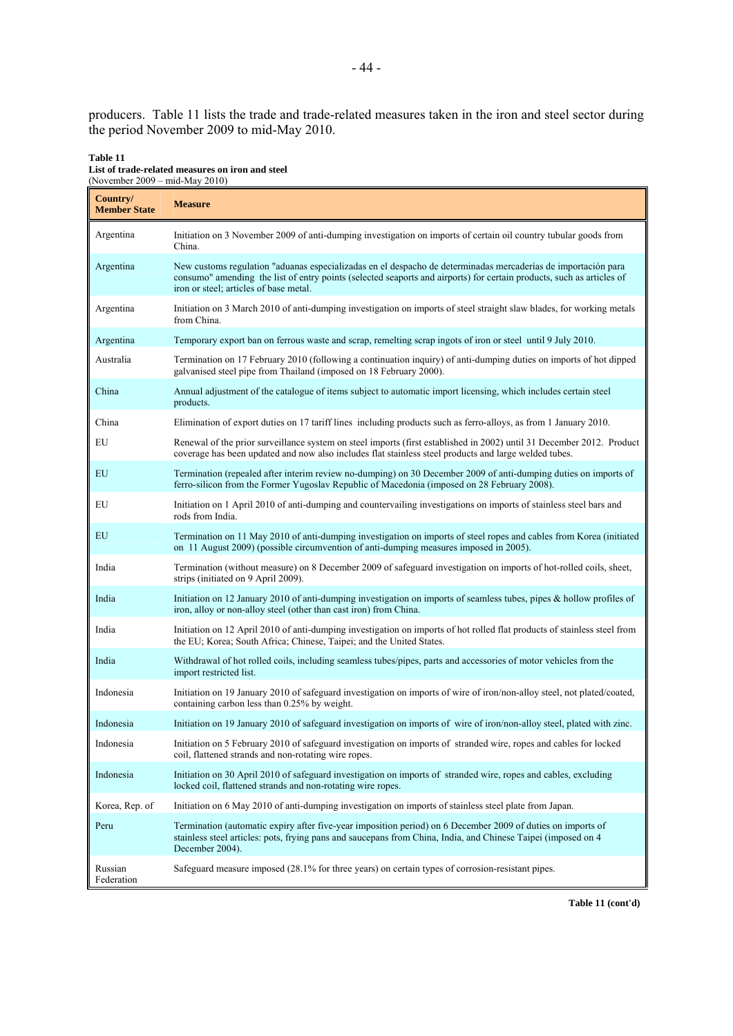producers. Table 11 lists the trade and trade-related measures taken in the iron and steel sector during the period November 2009 to mid-May 2010.

#### **Table 11 List of trade-related measures on iron and steel**  (November 2009 – mid-May 2010)

| Country/<br><b>Member State</b> | <b>Measure</b>                                                                                                                                                                                                                                                                   |
|---------------------------------|----------------------------------------------------------------------------------------------------------------------------------------------------------------------------------------------------------------------------------------------------------------------------------|
| Argentina                       | Initiation on 3 November 2009 of anti-dumping investigation on imports of certain oil country tubular goods from<br>China.                                                                                                                                                       |
| Argentina                       | New customs regulation "aduanas especializadas en el despacho de determinadas mercaderías de importación para<br>consumo" amending the list of entry points (selected seaports and airports) for certain products, such as articles of<br>iron or steel; articles of base metal. |
| Argentina                       | Initiation on 3 March 2010 of anti-dumping investigation on imports of steel straight slaw blades, for working metals<br>from China.                                                                                                                                             |
| Argentina                       | Temporary export ban on ferrous waste and scrap, remelting scrap ingots of iron or steel until 9 July 2010.                                                                                                                                                                      |
| Australia                       | Termination on 17 February 2010 (following a continuation inquiry) of anti-dumping duties on imports of hot dipped<br>galvanised steel pipe from Thailand (imposed on 18 February 2000).                                                                                         |
| China                           | Annual adjustment of the catalogue of items subject to automatic import licensing, which includes certain steel<br>products.                                                                                                                                                     |
| China                           | Elimination of export duties on 17 tariff lines including products such as ferro-alloys, as from 1 January 2010.                                                                                                                                                                 |
| EU                              | Renewal of the prior surveillance system on steel imports (first established in 2002) until 31 December 2012. Product<br>coverage has been updated and now also includes flat stainless steel products and large welded tubes.                                                   |
| EU                              | Termination (repealed after interim review no-dumping) on 30 December 2009 of anti-dumping duties on imports of<br>ferro-silicon from the Former Yugoslav Republic of Macedonia (imposed on 28 February 2008).                                                                   |
| EU                              | Initiation on 1 April 2010 of anti-dumping and countervailing investigations on imports of stainless steel bars and<br>rods from India.                                                                                                                                          |
| EU                              | Termination on 11 May 2010 of anti-dumping investigation on imports of steel ropes and cables from Korea (initiated<br>on 11 August 2009) (possible circumvention of anti-dumping measures imposed in 2005).                                                                     |
| India                           | Termination (without measure) on 8 December 2009 of safeguard investigation on imports of hot-rolled coils, sheet,<br>strips (initiated on 9 April 2009).                                                                                                                        |
| India                           | Initiation on 12 January 2010 of anti-dumping investigation on imports of seamless tubes, pipes & hollow profiles of<br>iron, alloy or non-alloy steel (other than cast iron) from China.                                                                                        |
| India                           | Initiation on 12 April 2010 of anti-dumping investigation on imports of hot rolled flat products of stainless steel from<br>the EU; Korea; South Africa; Chinese, Taipei; and the United States.                                                                                 |
| India                           | Withdrawal of hot rolled coils, including seamless tubes/pipes, parts and accessories of motor vehicles from the<br>import restricted list.                                                                                                                                      |
| Indonesia                       | Initiation on 19 January 2010 of safeguard investigation on imports of wire of iron/non-alloy steel, not plated/coated,<br>containing carbon less than 0.25% by weight.                                                                                                          |
| Indonesia                       | Initiation on 19 January 2010 of safeguard investigation on imports of wire of iron/non-alloy steel, plated with zinc.                                                                                                                                                           |
| Indonesia                       | Initiation on 5 February 2010 of safeguard investigation on imports of stranded wire, ropes and cables for locked<br>coil, flattened strands and non-rotating wire ropes.                                                                                                        |
| Indonesia                       | Initiation on 30 April 2010 of safeguard investigation on imports of stranded wire, ropes and cables, excluding<br>locked coil, flattened strands and non-rotating wire ropes.                                                                                                   |
| Korea, Rep. of                  | Initiation on 6 May 2010 of anti-dumping investigation on imports of stainless steel plate from Japan.                                                                                                                                                                           |
| Peru                            | Termination (automatic expiry after five-year imposition period) on 6 December 2009 of duties on imports of<br>stainless steel articles: pots, frying pans and saucepans from China, India, and Chinese Taipei (imposed on 4<br>December 2004).                                  |
| Russian<br>Federation           | Safeguard measure imposed (28.1% for three years) on certain types of corrosion-resistant pipes.                                                                                                                                                                                 |

**Table 11 (cont'd)**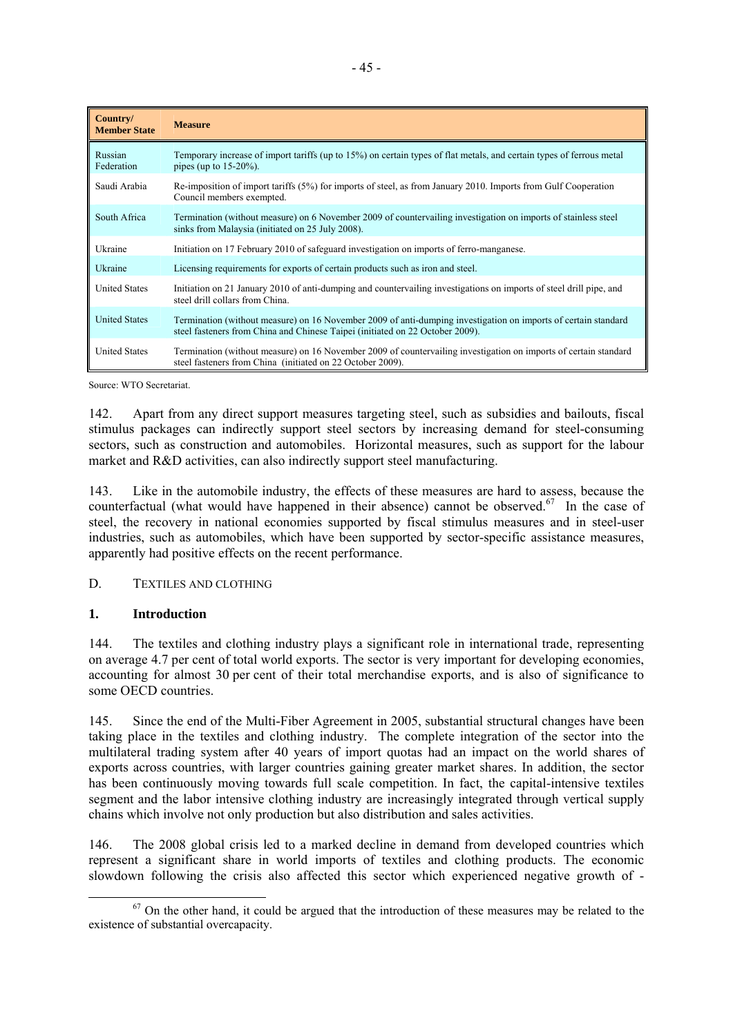| Country/<br><b>Member State</b> | <b>Measure</b>                                                                                                                                                                                  |
|---------------------------------|-------------------------------------------------------------------------------------------------------------------------------------------------------------------------------------------------|
| Russian<br>Federation           | Temporary increase of import tariffs (up to 15%) on certain types of flat metals, and certain types of ferrous metal<br>pipes (up to $15-20%$ ).                                                |
| Saudi Arabia                    | Re-imposition of import tariffs (5%) for imports of steel, as from January 2010. Imports from Gulf Cooperation<br>Council members exempted.                                                     |
| South Africa                    | Termination (without measure) on 6 November 2009 of countervailing investigation on imports of stainless steel<br>sinks from Malaysia (initiated on 25 July 2008).                              |
| Ukraine                         | Initiation on 17 February 2010 of safeguard investigation on imports of ferro-manganese.                                                                                                        |
| Ukraine                         | Licensing requirements for exports of certain products such as iron and steel.                                                                                                                  |
| <b>United States</b>            | Initiation on 21 January 2010 of anti-dumping and countervailing investigations on imports of steel drill pipe, and<br>steel drill collars from China.                                          |
| <b>United States</b>            | Termination (without measure) on 16 November 2009 of anti-dumping investigation on imports of certain standard<br>steel fasteners from China and Chinese Taipei (initiated on 22 October 2009). |
| <b>United States</b>            | Termination (without measure) on 16 November 2009 of countervailing investigation on imports of certain standard<br>steel fasteners from China (initiated on 22 October 2009).                  |

Source: WTO Secretariat.

142. Apart from any direct support measures targeting steel, such as subsidies and bailouts, fiscal stimulus packages can indirectly support steel sectors by increasing demand for steel-consuming sectors, such as construction and automobiles. Horizontal measures, such as support for the labour market and R&D activities, can also indirectly support steel manufacturing.

143. Like in the automobile industry, the effects of these measures are hard to assess, because the counterfactual (what would have happened in their absence) cannot be observed.<sup>67</sup> In the case of steel, the recovery in national economies supported by fiscal stimulus measures and in steel-user industries, such as automobiles, which have been supported by sector-specific assistance measures, apparently had positive effects on the recent performance.

# D. TEXTILES AND CLOTHING

# **1. Introduction**

144. The textiles and clothing industry plays a significant role in international trade, representing on average 4.7 per cent of total world exports. The sector is very important for developing economies, accounting for almost 30 per cent of their total merchandise exports, and is also of significance to some OECD countries.

145. Since the end of the Multi-Fiber Agreement in 2005, substantial structural changes have been taking place in the textiles and clothing industry. The complete integration of the sector into the multilateral trading system after 40 years of import quotas had an impact on the world shares of exports across countries, with larger countries gaining greater market shares. In addition, the sector has been continuously moving towards full scale competition. In fact, the capital-intensive textiles segment and the labor intensive clothing industry are increasingly integrated through vertical supply chains which involve not only production but also distribution and sales activities.

146. The 2008 global crisis led to a marked decline in demand from developed countries which represent a significant share in world imports of textiles and clothing products. The economic slowdown following the crisis also affected this sector which experienced negative growth of -

 $67$  On the other hand, it could be argued that the introduction of these measures may be related to the existence of substantial overcapacity.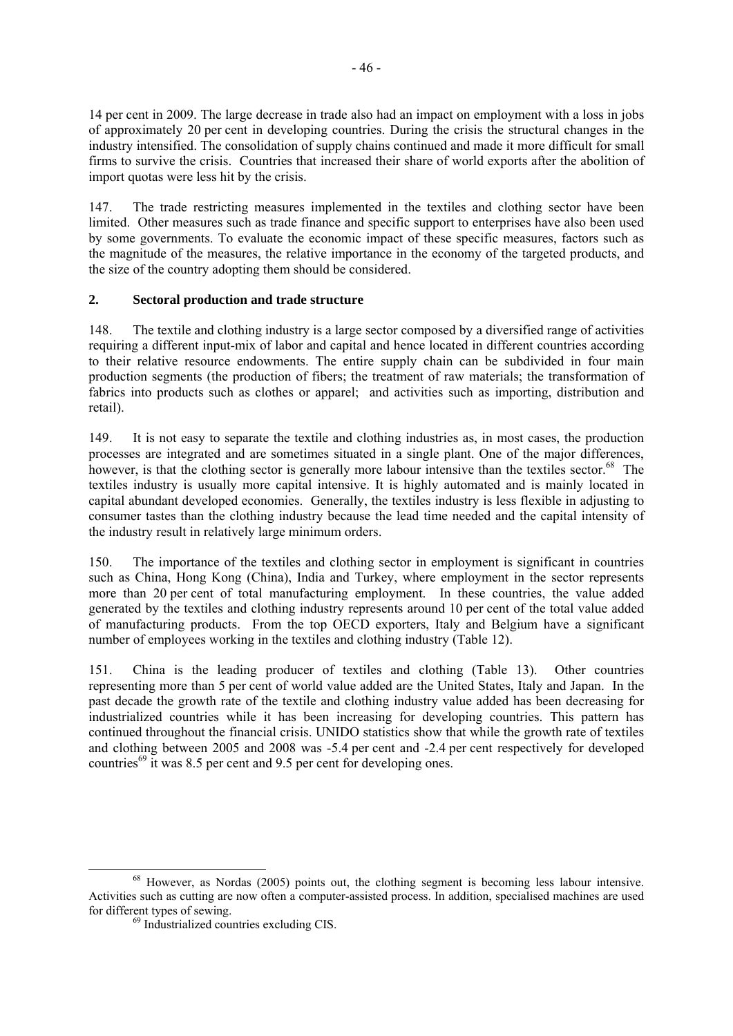14 per cent in 2009. The large decrease in trade also had an impact on employment with a loss in jobs of approximately 20 per cent in developing countries. During the crisis the structural changes in the industry intensified. The consolidation of supply chains continued and made it more difficult for small firms to survive the crisis. Countries that increased their share of world exports after the abolition of import quotas were less hit by the crisis.

147. The trade restricting measures implemented in the textiles and clothing sector have been limited. Other measures such as trade finance and specific support to enterprises have also been used by some governments. To evaluate the economic impact of these specific measures, factors such as the magnitude of the measures, the relative importance in the economy of the targeted products, and the size of the country adopting them should be considered.

# **2. Sectoral production and trade structure**

148. The textile and clothing industry is a large sector composed by a diversified range of activities requiring a different input-mix of labor and capital and hence located in different countries according to their relative resource endowments. The entire supply chain can be subdivided in four main production segments (the production of fibers; the treatment of raw materials; the transformation of fabrics into products such as clothes or apparel; and activities such as importing, distribution and retail).

149. It is not easy to separate the textile and clothing industries as, in most cases, the production processes are integrated and are sometimes situated in a single plant. One of the major differences, however, is that the clothing sector is generally more labour intensive than the textiles sector.<sup>68</sup> The textiles industry is usually more capital intensive. It is highly automated and is mainly located in capital abundant developed economies. Generally, the textiles industry is less flexible in adjusting to consumer tastes than the clothing industry because the lead time needed and the capital intensity of the industry result in relatively large minimum orders.

150. The importance of the textiles and clothing sector in employment is significant in countries such as China, Hong Kong (China), India and Turkey, where employment in the sector represents more than 20 per cent of total manufacturing employment. In these countries, the value added generated by the textiles and clothing industry represents around 10 per cent of the total value added of manufacturing products. From the top OECD exporters, Italy and Belgium have a significant number of employees working in the textiles and clothing industry (Table 12).

151. China is the leading producer of textiles and clothing (Table 13). Other countries representing more than 5 per cent of world value added are the United States, Italy and Japan. In the past decade the growth rate of the textile and clothing industry value added has been decreasing for industrialized countries while it has been increasing for developing countries. This pattern has continued throughout the financial crisis. UNIDO statistics show that while the growth rate of textiles and clothing between 2005 and 2008 was -5.4 per cent and -2.4 per cent respectively for developed countries<sup>69</sup> it was 8.5 per cent and 9.5 per cent for developing ones.

<sup>&</sup>lt;sup>68</sup> However, as Nordas (2005) points out, the clothing segment is becoming less labour intensive. Activities such as cutting are now often a computer-assisted process. In addition, specialised machines are used for different types of sewing.<br><sup>69</sup> Industrialized countries excluding CIS.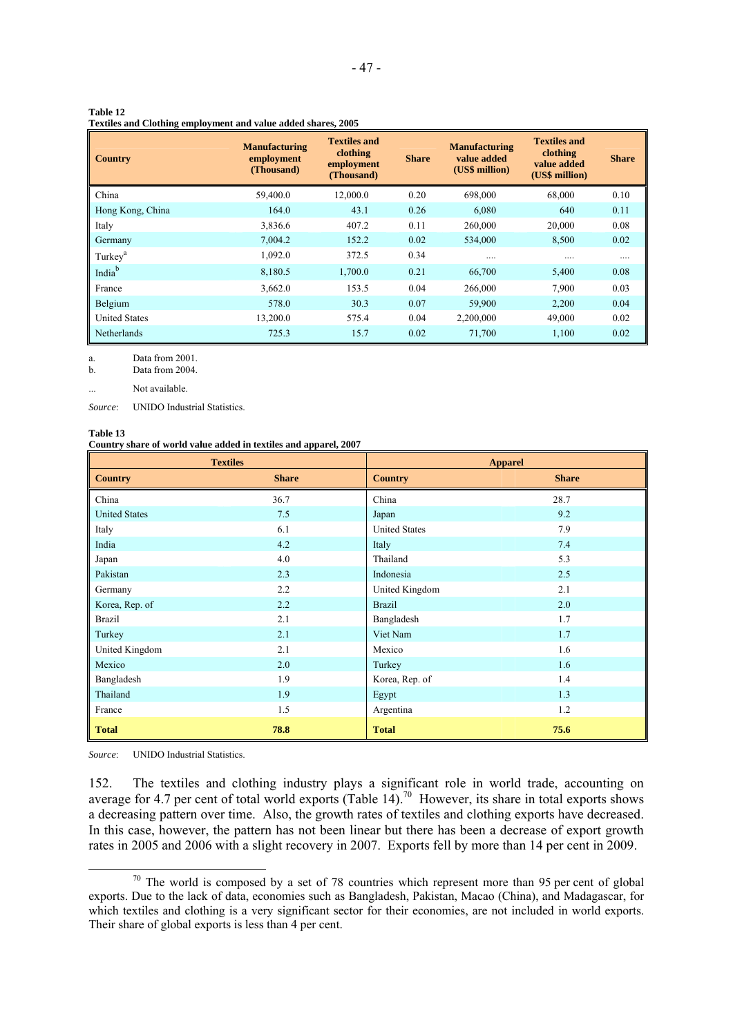|  | Textiles and Clothing employment and value added shares, 2005 |  |  |  |
|--|---------------------------------------------------------------|--|--|--|
|--|---------------------------------------------------------------|--|--|--|

| <b>Country</b>       | <b>Manufacturing</b><br>employment<br>(Thousand) | <b>Textiles and</b><br>clothing<br>employment<br>(Thousand) | <b>Share</b> | <b>Manufacturing</b><br>value added<br>(US\$ million) | <b>Textiles and</b><br>clothing<br>value added<br>(US\$ million) | <b>Share</b> |
|----------------------|--------------------------------------------------|-------------------------------------------------------------|--------------|-------------------------------------------------------|------------------------------------------------------------------|--------------|
| China                | 59,400.0                                         | 12,000.0                                                    | 0.20         | 698,000                                               | 68,000                                                           | 0.10         |
| Hong Kong, China     | 164.0                                            | 43.1                                                        | 0.26         | 6,080                                                 | 640                                                              | 0.11         |
| Italy                | 3,836.6                                          | 407.2                                                       | 0.11         | 260,000                                               | 20,000                                                           | 0.08         |
| Germany              | 7.004.2                                          | 152.2                                                       | 0.02         | 534,000                                               | 8,500                                                            | 0.02         |
| Turkey <sup>a</sup>  | 1,092.0                                          | 372.5                                                       | 0.34         |                                                       | .                                                                |              |
| India <sup>b</sup>   | 8,180.5                                          | 1,700.0                                                     | 0.21         | 66,700                                                | 5,400                                                            | 0.08         |
| France               | 3,662.0                                          | 153.5                                                       | 0.04         | 266,000                                               | 7,900                                                            | 0.03         |
| Belgium              | 578.0                                            | 30.3                                                        | 0.07         | 59,900                                                | 2,200                                                            | 0.04         |
| <b>United States</b> | 13,200.0                                         | 575.4                                                       | 0.04         | 2,200,000                                             | 49,000                                                           | 0.02         |
| <b>Netherlands</b>   | 725.3                                            | 15.7                                                        | 0.02         | 71,700                                                | 1,100                                                            | 0.02         |

a. Data from 2001.<br>b. Data from 2004.

Data from 2004.

... Not available.

*Source*: UNIDO Industrial Statistics.

#### **Table 13**

#### **Country share of world value added in textiles and apparel, 2007**

|                      | <b>Textiles</b> | <b>Apparel</b>       |              |  |
|----------------------|-----------------|----------------------|--------------|--|
| <b>Country</b>       | <b>Share</b>    | <b>Country</b>       | <b>Share</b> |  |
| China                | 36.7            | China                | 28.7         |  |
| <b>United States</b> | 7.5             | Japan                | 9.2          |  |
| Italy                | 6.1             | <b>United States</b> | 7.9          |  |
| India                | 4.2             | Italy                | 7.4          |  |
| Japan                | 4.0             | Thailand             | 5.3          |  |
| Pakistan             | 2.3             | Indonesia            | 2.5          |  |
| Germany              | 2.2             | United Kingdom       | 2.1          |  |
| Korea, Rep. of       | 2.2             | <b>Brazil</b>        | 2.0          |  |
| <b>Brazil</b>        | 2.1             | Bangladesh           | 1.7          |  |
| Turkey               | 2.1             | Viet Nam             | 1.7          |  |
| United Kingdom       | 2.1             | Mexico               | 1.6          |  |
| Mexico               | 2.0             | Turkey               | 1.6          |  |
| Bangladesh           | 1.9             | Korea, Rep. of       | 1.4          |  |
| Thailand             | 1.9             | Egypt                | 1.3          |  |
| France               | 1.5             | Argentina            | 1.2          |  |
| <b>Total</b>         | 78.8            | <b>Total</b>         | 75.6         |  |

*Source*: UNIDO Industrial Statistics.

152. The textiles and clothing industry plays a significant role in world trade, accounting on average for 4.7 per cent of total world exports (Table 14).<sup>70</sup> However, its share in total exports shows a decreasing pattern over time. Also, the growth rates of textiles and clothing exports have decreased. In this case, however, the pattern has not been linear but there has been a decrease of export growth rates in 2005 and 2006 with a slight recovery in 2007. Exports fell by more than 14 per cent in 2009.

 $70$  The world is composed by a set of 78 countries which represent more than 95 per cent of global exports. Due to the lack of data, economies such as Bangladesh, Pakistan, Macao (China), and Madagascar, for which textiles and clothing is a very significant sector for their economies, are not included in world exports. Their share of global exports is less than 4 per cent.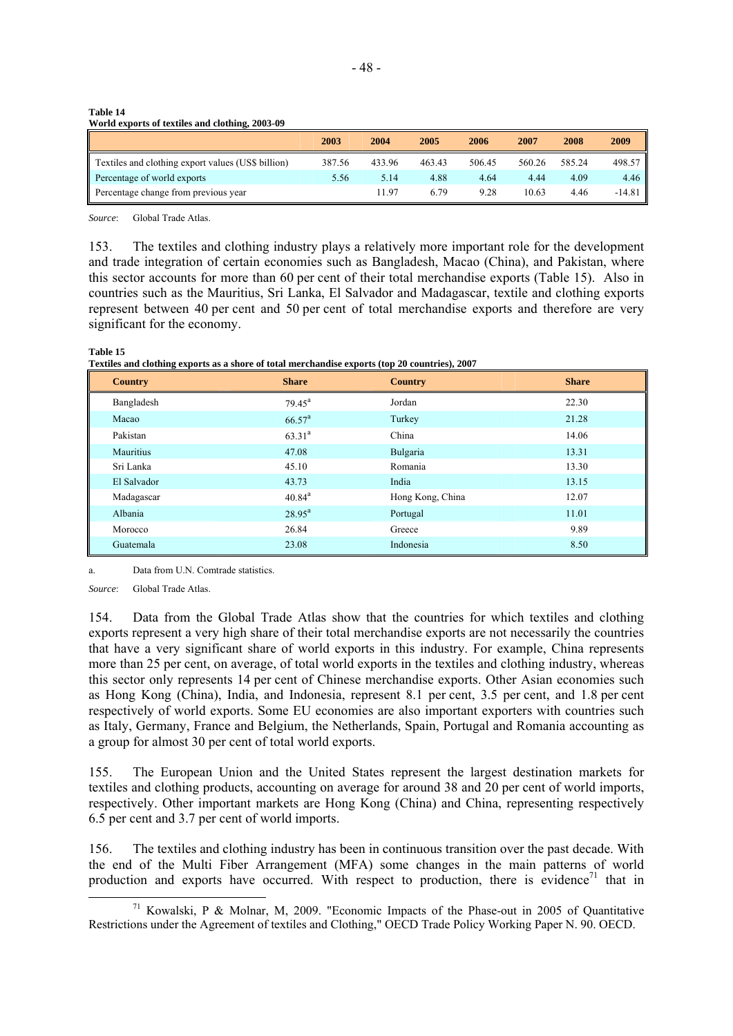**Table 14 World exports of textiles and clothing, 2003-09** 

|                                                           | 2003   | 2004   | 2005   | 2006   | 2007   | 2008   | 2009     |
|-----------------------------------------------------------|--------|--------|--------|--------|--------|--------|----------|
| <b>Textiles and clothing export values (US\$ billion)</b> | 387.56 | 433.96 | 463.43 | 506.45 | 560.26 | 585.24 | 498.57   |
| Percentage of world exports                               | 5.56   | 5.14   | 4.88   | 4.64   | 4.44   | 4.09   | 4.46     |
| Percentage change from previous year                      |        | 11.97  | 6.79   | 9.28   | 10.63  | 4.46   | $-14.81$ |

*Source*: Global Trade Atlas.

**Table 15** 

153. The textiles and clothing industry plays a relatively more important role for the development and trade integration of certain economies such as Bangladesh, Macao (China), and Pakistan, where this sector accounts for more than 60 per cent of their total merchandise exports (Table 15). Also in countries such as the Mauritius, Sri Lanka, El Salvador and Madagascar, textile and clothing exports represent between 40 per cent and 50 per cent of total merchandise exports and therefore are very significant for the economy.

| 1 UNIV 10<br>Textiles and clothing exports as a shore of total merchandise exports (top 20 countries), 2007 |                    |                  |              |  |
|-------------------------------------------------------------------------------------------------------------|--------------------|------------------|--------------|--|
| <b>Country</b>                                                                                              | <b>Share</b>       | <b>Country</b>   | <b>Share</b> |  |
| Bangladesh                                                                                                  | $79.45^{\text{a}}$ | Jordan           | 22.30        |  |
| Macao                                                                                                       | $66.57^{\text{a}}$ | Turkey           | 21.28        |  |
| Pakistan                                                                                                    | $63.31^{a}$        | China            | 14.06        |  |
| <b>Mauritius</b>                                                                                            | 47.08              | Bulgaria         | 13.31        |  |
| Sri Lanka                                                                                                   | 45.10              | Romania          | 13.30        |  |
| El Salvador                                                                                                 | 43.73              | India            | 13.15        |  |
| Madagascar                                                                                                  | $40.84^{a}$        | Hong Kong, China | 12.07        |  |
| Albania                                                                                                     | $28.95^{\text{a}}$ | Portugal         | 11.01        |  |
| Morocco                                                                                                     | 26.84              | Greece           | 9.89         |  |
| Guatemala                                                                                                   | 23.08              | Indonesia        | 8.50         |  |

a. Data from U.N. Comtrade statistics.

*Source*: Global Trade Atlas.

154. Data from the Global Trade Atlas show that the countries for which textiles and clothing exports represent a very high share of their total merchandise exports are not necessarily the countries that have a very significant share of world exports in this industry. For example, China represents more than 25 per cent, on average, of total world exports in the textiles and clothing industry, whereas this sector only represents 14 per cent of Chinese merchandise exports. Other Asian economies such as Hong Kong (China), India, and Indonesia, represent 8.1 per cent, 3.5 per cent, and 1.8 per cent respectively of world exports. Some EU economies are also important exporters with countries such as Italy, Germany, France and Belgium, the Netherlands, Spain, Portugal and Romania accounting as a group for almost 30 per cent of total world exports.

155. The European Union and the United States represent the largest destination markets for textiles and clothing products, accounting on average for around 38 and 20 per cent of world imports, respectively. Other important markets are Hong Kong (China) and China, representing respectively 6.5 per cent and 3.7 per cent of world imports.

156. The textiles and clothing industry has been in continuous transition over the past decade. With the end of the Multi Fiber Arrangement (MFA) some changes in the main patterns of world production and exports have occurred. With respect to production, there is evidence<sup>71</sup> that in

<sup>&</sup>lt;sup>71</sup> Kowalski, P & Molnar, M, 2009. "Economic Impacts of the Phase-out in 2005 of Quantitative Restrictions under the Agreement of textiles and Clothing," OECD Trade Policy Working Paper N. 90. OECD.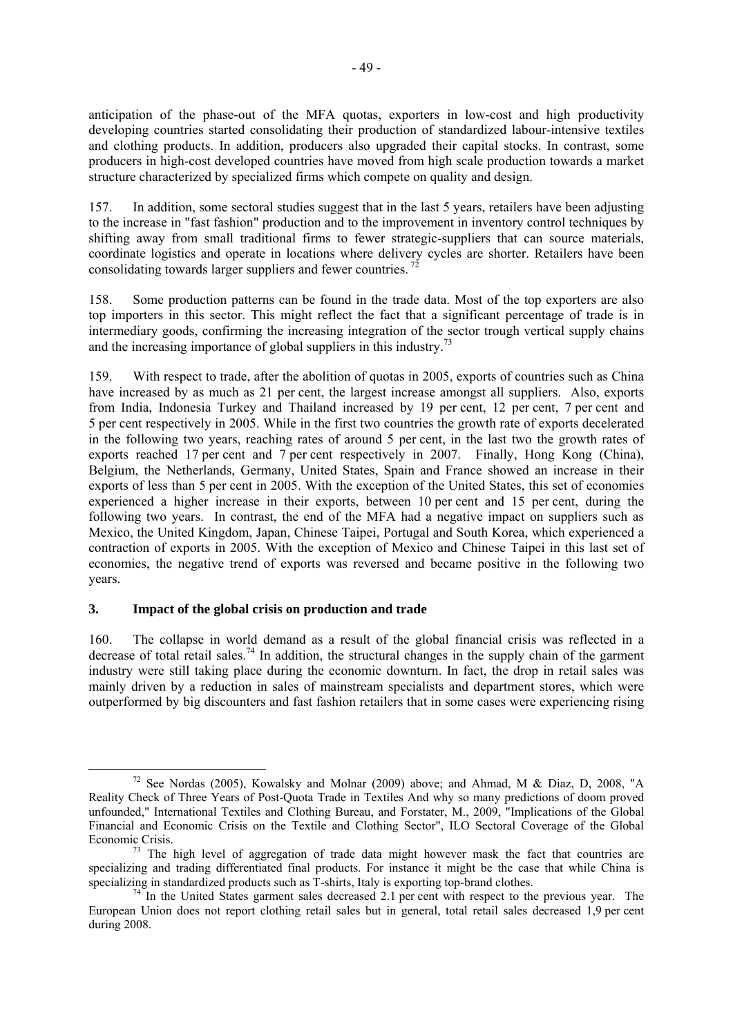anticipation of the phase-out of the MFA quotas, exporters in low-cost and high productivity developing countries started consolidating their production of standardized labour-intensive textiles and clothing products. In addition, producers also upgraded their capital stocks. In contrast, some producers in high-cost developed countries have moved from high scale production towards a market structure characterized by specialized firms which compete on quality and design.

157. In addition, some sectoral studies suggest that in the last 5 years, retailers have been adjusting to the increase in "fast fashion" production and to the improvement in inventory control techniques by shifting away from small traditional firms to fewer strategic-suppliers that can source materials, coordinate logistics and operate in locations where delivery cycles are shorter. Retailers have been consolidating towards larger suppliers and fewer countries.<sup>72</sup>

158. Some production patterns can be found in the trade data. Most of the top exporters are also top importers in this sector. This might reflect the fact that a significant percentage of trade is in intermediary goods, confirming the increasing integration of the sector trough vertical supply chains and the increasing importance of global suppliers in this industry.<sup>73</sup>

159. With respect to trade, after the abolition of quotas in 2005, exports of countries such as China have increased by as much as 21 per cent, the largest increase amongst all suppliers. Also, exports from India, Indonesia Turkey and Thailand increased by 19 per cent, 12 per cent, 7 per cent and 5 per cent respectively in 2005. While in the first two countries the growth rate of exports decelerated in the following two years, reaching rates of around 5 per cent, in the last two the growth rates of exports reached 17 per cent and 7 per cent respectively in 2007. Finally, Hong Kong (China), Belgium, the Netherlands, Germany, United States, Spain and France showed an increase in their exports of less than 5 per cent in 2005. With the exception of the United States, this set of economies experienced a higher increase in their exports, between 10 per cent and 15 per cent, during the following two years. In contrast, the end of the MFA had a negative impact on suppliers such as Mexico, the United Kingdom, Japan, Chinese Taipei, Portugal and South Korea, which experienced a contraction of exports in 2005. With the exception of Mexico and Chinese Taipei in this last set of economies, the negative trend of exports was reversed and became positive in the following two years.

# **3. Impact of the global crisis on production and trade**

160. The collapse in world demand as a result of the global financial crisis was reflected in a decrease of total retail sales.<sup>74</sup> In addition, the structural changes in the supply chain of the garment industry were still taking place during the economic downturn. In fact, the drop in retail sales was mainly driven by a reduction in sales of mainstream specialists and department stores, which were outperformed by big discounters and fast fashion retailers that in some cases were experiencing rising

<sup>&</sup>lt;sup>72</sup> See Nordas (2005), Kowalsky and Molnar (2009) above; and Ahmad, M & Diaz, D, 2008, "A Reality Check of Three Years of Post-Quota Trade in Textiles And why so many predictions of doom proved unfounded," International Textiles and Clothing Bureau, and Forstater, M., 2009, "Implications of the Global Financial and Economic Crisis on the Textile and Clothing Sector", ILO Sectoral Coverage of the Global Economic Crisis.<br><sup>73</sup> The high level of aggregation of trade data might however mask the fact that countries are

specializing and trading differentiated final products. For instance it might be the case that while China is specializing in standardized products such as T-shirts. Italy is exporting top-brand clothes.

 $\frac{74}{1}$ In the United States garment sales decreased 2.1 per cent with respect to the previous year. The European Union does not report clothing retail sales but in general, total retail sales decreased 1,9 per cent during 2008.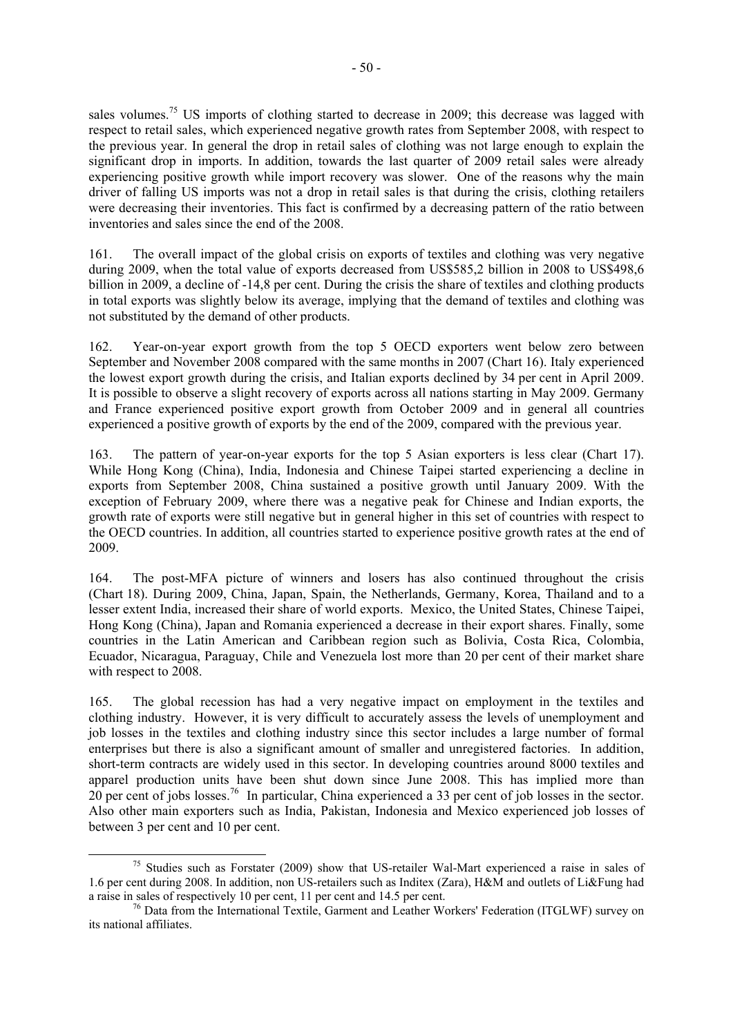sales volumes.<sup>75</sup> US imports of clothing started to decrease in 2009; this decrease was lagged with respect to retail sales, which experienced negative growth rates from September 2008, with respect to the previous year. In general the drop in retail sales of clothing was not large enough to explain the significant drop in imports. In addition, towards the last quarter of 2009 retail sales were already experiencing positive growth while import recovery was slower. One of the reasons why the main driver of falling US imports was not a drop in retail sales is that during the crisis, clothing retailers were decreasing their inventories. This fact is confirmed by a decreasing pattern of the ratio between inventories and sales since the end of the 2008.

161. The overall impact of the global crisis on exports of textiles and clothing was very negative during 2009, when the total value of exports decreased from US\$585,2 billion in 2008 to US\$498,6 billion in 2009, a decline of -14,8 per cent. During the crisis the share of textiles and clothing products in total exports was slightly below its average, implying that the demand of textiles and clothing was not substituted by the demand of other products.

162. Year-on-year export growth from the top 5 OECD exporters went below zero between September and November 2008 compared with the same months in 2007 (Chart 16). Italy experienced the lowest export growth during the crisis, and Italian exports declined by 34 per cent in April 2009. It is possible to observe a slight recovery of exports across all nations starting in May 2009. Germany and France experienced positive export growth from October 2009 and in general all countries experienced a positive growth of exports by the end of the 2009, compared with the previous year.

163. The pattern of year-on-year exports for the top 5 Asian exporters is less clear (Chart 17). While Hong Kong (China), India, Indonesia and Chinese Taipei started experiencing a decline in exports from September 2008, China sustained a positive growth until January 2009. With the exception of February 2009, where there was a negative peak for Chinese and Indian exports, the growth rate of exports were still negative but in general higher in this set of countries with respect to the OECD countries. In addition, all countries started to experience positive growth rates at the end of 2009.

164. The post-MFA picture of winners and losers has also continued throughout the crisis (Chart 18). During 2009, China, Japan, Spain, the Netherlands, Germany, Korea, Thailand and to a lesser extent India, increased their share of world exports. Mexico, the United States, Chinese Taipei, Hong Kong (China), Japan and Romania experienced a decrease in their export shares. Finally, some countries in the Latin American and Caribbean region such as Bolivia, Costa Rica, Colombia, Ecuador, Nicaragua, Paraguay, Chile and Venezuela lost more than 20 per cent of their market share with respect to 2008.

165. The global recession has had a very negative impact on employment in the textiles and clothing industry. However, it is very difficult to accurately assess the levels of unemployment and job losses in the textiles and clothing industry since this sector includes a large number of formal enterprises but there is also a significant amount of smaller and unregistered factories. In addition, short-term contracts are widely used in this sector. In developing countries around 8000 textiles and apparel production units have been shut down since June 2008. This has implied more than  $20$  per cent of jobs losses.<sup>76</sup> In particular, China experienced a 33 per cent of job losses in the sector. Also other main exporters such as India, Pakistan, Indonesia and Mexico experienced job losses of between 3 per cent and 10 per cent.

<sup>&</sup>lt;sup>75</sup> Studies such as Forstater (2009) show that US-retailer Wal-Mart experienced a raise in sales of 1.6 per cent during 2008. In addition, non US-retailers such as Inditex (Zara), H&M and outlets of Li&Fung had a raise in sales of respectively 10 per cent. 11 per cent and 14.5 per cent.

 $^{76}$  Data from the International Textile, Garment and Leather Workers' Federation (ITGLWF) survey on its national affiliates.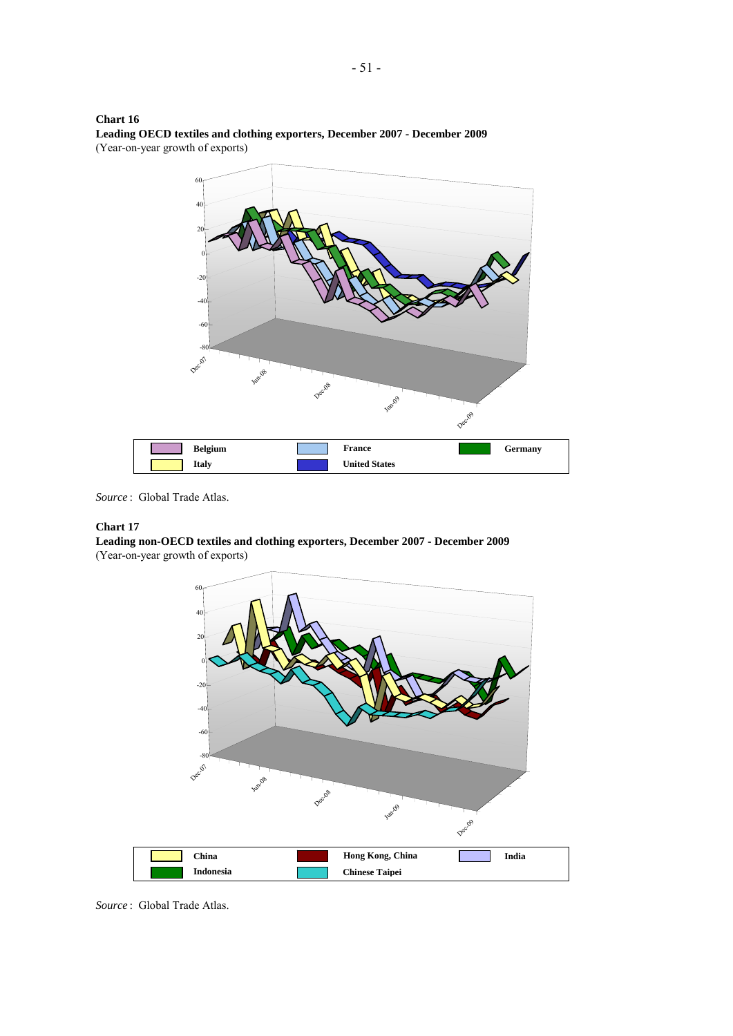



*Source* :Global Trade Atlas.

## **Chart 17**

**Leading non-OECD textiles and clothing exporters, December 2007 - December 2009** (Year-on-year growth of exports)



*Source* :Global Trade Atlas.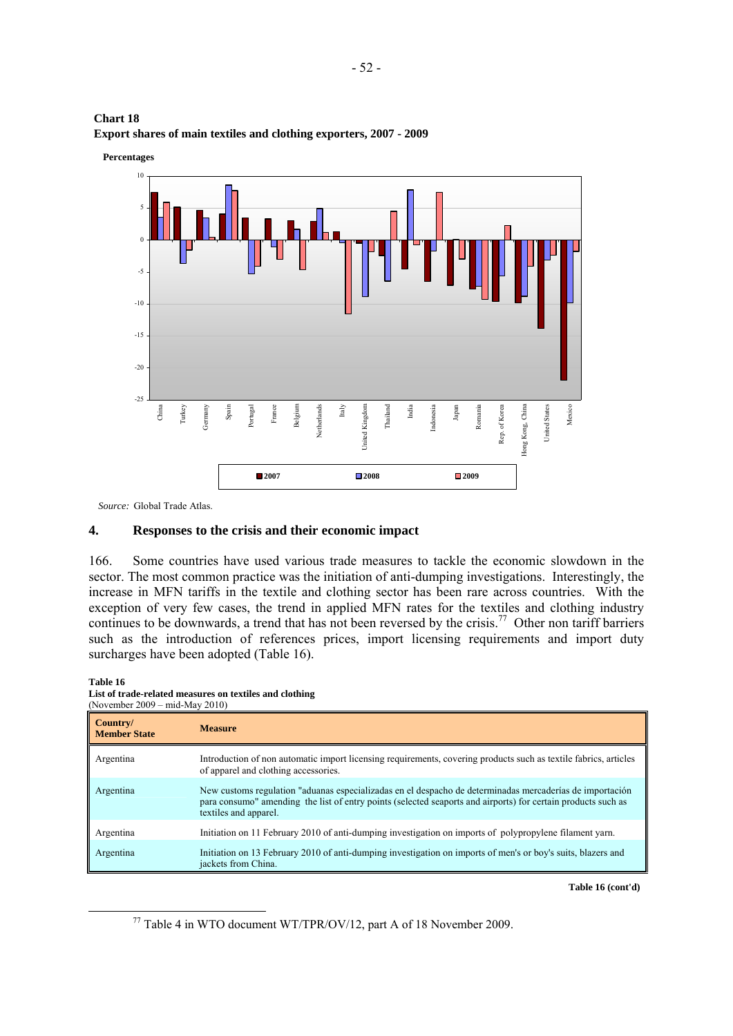



*Source:* Global Trade Atlas.

## **4. Responses to the crisis and their economic impact**

166. Some countries have used various trade measures to tackle the economic slowdown in the sector. The most common practice was the initiation of anti-dumping investigations. Interestingly, the increase in MFN tariffs in the textile and clothing sector has been rare across countries. With the exception of very few cases, the trend in applied MFN rates for the textiles and clothing industry continues to be downwards, a trend that has not been reversed by the crisis.<sup>77</sup> Other non tariff barriers such as the introduction of references prices, import licensing requirements and import duty surcharges have been adopted (Table 16).

## **Table 16**

**List of trade-related measures on textiles and clothing**  (November 2009 – mid-May 2010)

| Country/<br><b>Member State</b> | <b>Measure</b>                                                                                                                                                                                                                                     |
|---------------------------------|----------------------------------------------------------------------------------------------------------------------------------------------------------------------------------------------------------------------------------------------------|
| Argentina                       | Introduction of non automatic import licensing requirements, covering products such as textile fabrics, articles<br>of apparel and clothing accessories.                                                                                           |
| Argentina                       | New customs regulation "aduanas especializadas en el despacho de determinadas mercaderías de importación<br>para consumo" amending the list of entry points (selected seaports and airports) for certain products such as<br>textiles and apparel. |
| Argentina                       | Initiation on 11 February 2010 of anti-dumping investigation on imports of polypropylene filament yarn.                                                                                                                                            |
| Argentina                       | Initiation on 13 February 2010 of anti-dumping investigation on imports of men's or boy's suits, blazers and<br>jackets from China.                                                                                                                |

**Table 16 (cont'd)** 

 <sup>77</sup> Table 4 in WTO document WT/TPR/OV/12, part A of 18 November 2009.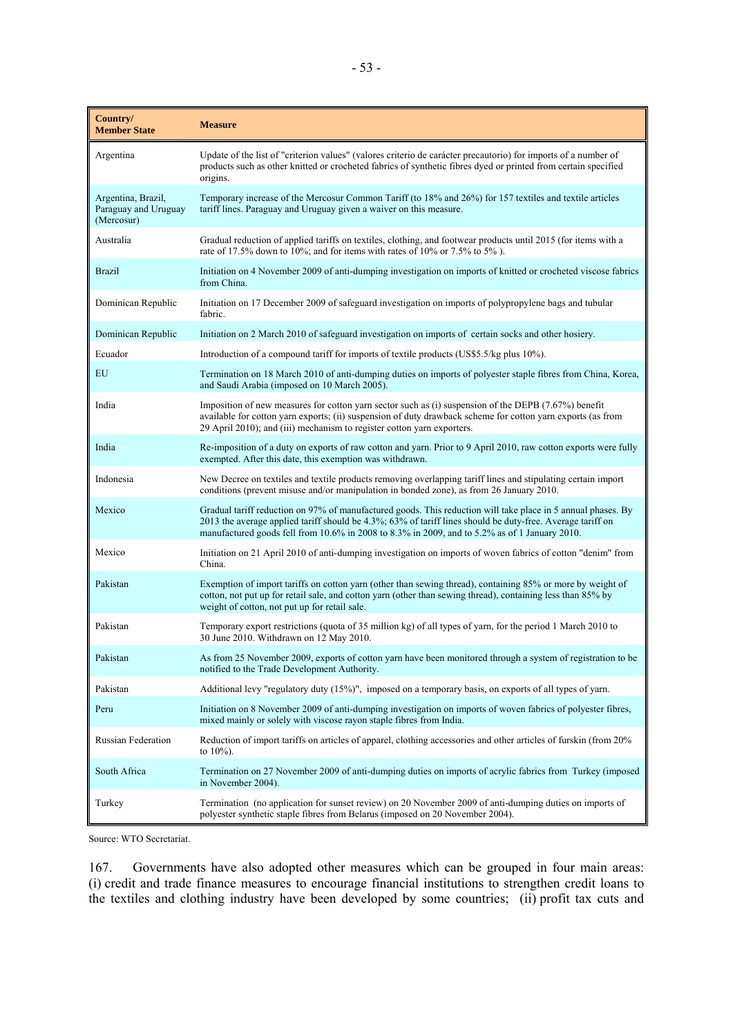| Country/<br><b>Member State</b>                          | <b>Measure</b>                                                                                                                                                                                                                                                                                                              |
|----------------------------------------------------------|-----------------------------------------------------------------------------------------------------------------------------------------------------------------------------------------------------------------------------------------------------------------------------------------------------------------------------|
| Argentina                                                | Update of the list of "criterion values" (valores criterio de carácter precautorio) for imports of a number of<br>products such as other knitted or crocheted fabrics of synthetic fibres dyed or printed from certain specified<br>origins.                                                                                |
| Argentina, Brazil,<br>Paraguay and Uruguay<br>(Mercosur) | Temporary increase of the Mercosur Common Tariff (to 18% and 26%) for 157 textiles and textile articles<br>tariff lines. Paraguay and Uruguay given a waiver on this measure.                                                                                                                                               |
| Australia                                                | Gradual reduction of applied tariffs on textiles, clothing, and footwear products until 2015 (for items with a<br>rate of 17.5% down to 10%; and for items with rates of 10% or 7.5% to 5%).                                                                                                                                |
| <b>Brazil</b>                                            | Initiation on 4 November 2009 of anti-dumping investigation on imports of knitted or crocheted viscose fabrics<br>from China.                                                                                                                                                                                               |
| Dominican Republic                                       | Initiation on 17 December 2009 of safeguard investigation on imports of polypropylene bags and tubular<br>fabric.                                                                                                                                                                                                           |
| Dominican Republic                                       | Initiation on 2 March 2010 of safeguard investigation on imports of certain socks and other hosiery.                                                                                                                                                                                                                        |
| Ecuador                                                  | Introduction of a compound tariff for imports of textile products (US\$5.5/kg plus 10%).                                                                                                                                                                                                                                    |
| EU                                                       | Termination on 18 March 2010 of anti-dumping duties on imports of polyester staple fibres from China, Korea,<br>and Saudi Arabia (imposed on 10 March 2005).                                                                                                                                                                |
| India                                                    | Imposition of new measures for cotton yarn sector such as (i) suspension of the DEPB (7.67%) benefit<br>available for cotton yarn exports; (ii) suspension of duty drawback scheme for cotton yarn exports (as from<br>29 April 2010); and (iii) mechanism to register cotton yarn exporters.                               |
| India                                                    | Re-imposition of a duty on exports of raw cotton and yarn. Prior to 9 April 2010, raw cotton exports were fully<br>exempted. After this date, this exemption was withdrawn.                                                                                                                                                 |
| Indonesia                                                | New Decree on textiles and textile products removing overlapping tariff lines and stipulating certain import<br>conditions (prevent misuse and/or manipulation in bonded zone), as from 26 January 2010.                                                                                                                    |
| Mexico                                                   | Gradual tariff reduction on 97% of manufactured goods. This reduction will take place in 5 annual phases. By<br>2013 the average applied tariff should be 4.3%; 63% of tariff lines should be duty-free. Average tariff on<br>manufactured goods fell from 10.6% in 2008 to 8.3% in 2009, and to 5.2% as of 1 January 2010. |
| Mexico                                                   | Initiation on 21 April 2010 of anti-dumping investigation on imports of woven fabrics of cotton "denim" from<br>China.                                                                                                                                                                                                      |
| Pakistan                                                 | Exemption of import tariffs on cotton yarn (other than sewing thread), containing 85% or more by weight of<br>cotton, not put up for retail sale, and cotton yarn (other than sewing thread), containing less than 85% by<br>weight of cotton, not put up for retail sale.                                                  |
| Pakistan                                                 | Temporary export restrictions (quota of 35 million kg) of all types of yarn, for the period 1 March 2010 to<br>30 June 2010. Withdrawn on 12 May 2010.                                                                                                                                                                      |
| Pakistan                                                 | As from 25 November 2009, exports of cotton yarn have been monitored through a system of registration to be<br>notified to the Trade Development Authority.                                                                                                                                                                 |
| Pakistan                                                 | Additional levy "regulatory duty (15%)", imposed on a temporary basis, on exports of all types of yarn.                                                                                                                                                                                                                     |
| Peru                                                     | Initiation on 8 November 2009 of anti-dumping investigation on imports of woven fabrics of polyester fibres,<br>mixed mainly or solely with viscose rayon staple fibres from India.                                                                                                                                         |
| Russian Federation                                       | Reduction of import tariffs on articles of apparel, clothing accessories and other articles of furskin (from 20%<br>to $10\%$ ).                                                                                                                                                                                            |
| South Africa                                             | Termination on 27 November 2009 of anti-dumping duties on imports of acrylic fabrics from Turkey (imposed<br>in November 2004).                                                                                                                                                                                             |
| Turkey                                                   | Termination (no application for sunset review) on 20 November 2009 of anti-dumping duties on imports of<br>polyester synthetic staple fibres from Belarus (imposed on 20 November 2004).                                                                                                                                    |

Source: WTO Secretariat.

167. Governments have also adopted other measures which can be grouped in four main areas: (i) credit and trade finance measures to encourage financial institutions to strengthen credit loans to the textiles and clothing industry have been developed by some countries; (ii) profit tax cuts and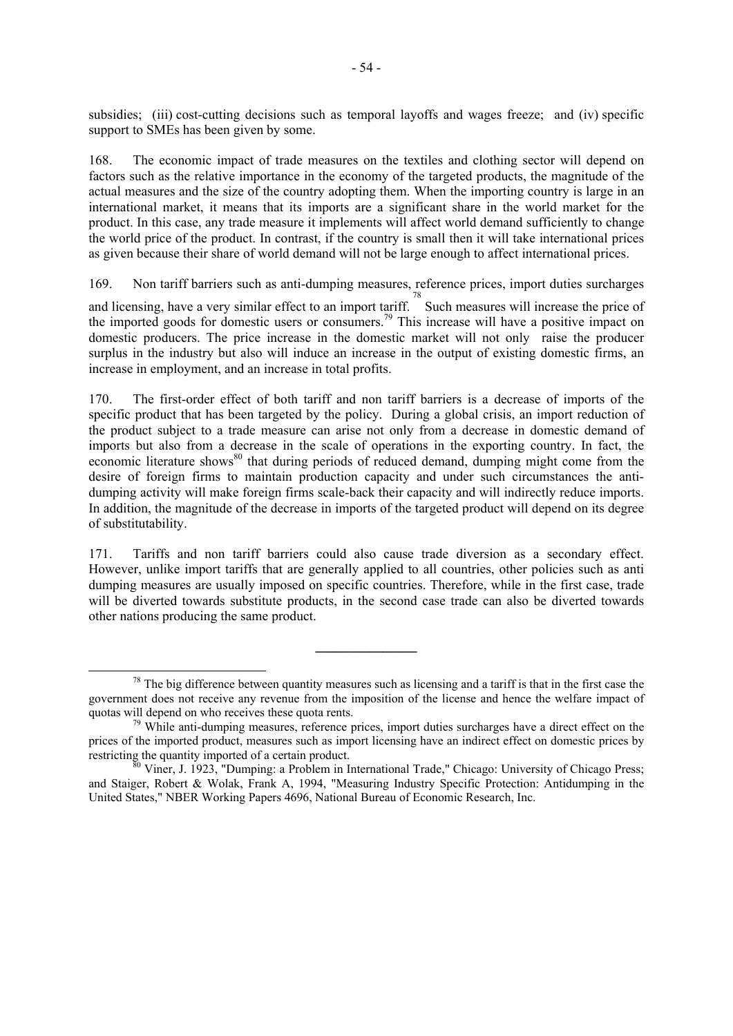subsidies; (iii) cost-cutting decisions such as temporal layoffs and wages freeze; and (iv) specific support to SMEs has been given by some.

168. The economic impact of trade measures on the textiles and clothing sector will depend on factors such as the relative importance in the economy of the targeted products, the magnitude of the actual measures and the size of the country adopting them. When the importing country is large in an international market, it means that its imports are a significant share in the world market for the product. In this case, any trade measure it implements will affect world demand sufficiently to change the world price of the product. In contrast, if the country is small then it will take international prices as given because their share of world demand will not be large enough to affect international prices.

169. Non tariff barriers such as anti-dumping measures, reference prices, import duties surcharges

and licensing, have a very similar effect to an import tariff.<sup>78</sup> Such measures will increase the price of the imported goods for domestic users or consumers.<sup>79</sup> This increase will have a positive impact on domestic producers. The price increase in the domestic market will not only raise the producer surplus in the industry but also will induce an increase in the output of existing domestic firms, an increase in employment, and an increase in total profits.

170. The first-order effect of both tariff and non tariff barriers is a decrease of imports of the specific product that has been targeted by the policy. During a global crisis, an import reduction of the product subject to a trade measure can arise not only from a decrease in domestic demand of imports but also from a decrease in the scale of operations in the exporting country. In fact, the economic literature shows<sup>80</sup> that during periods of reduced demand, dumping might come from the desire of foreign firms to maintain production capacity and under such circumstances the antidumping activity will make foreign firms scale-back their capacity and will indirectly reduce imports. In addition, the magnitude of the decrease in imports of the targeted product will depend on its degree of substitutability.

171. Tariffs and non tariff barriers could also cause trade diversion as a secondary effect. However, unlike import tariffs that are generally applied to all countries, other policies such as anti dumping measures are usually imposed on specific countries. Therefore, while in the first case, trade will be diverted towards substitute products, in the second case trade can also be diverted towards other nations producing the same product.

**\_\_\_\_\_\_\_\_\_\_\_\_\_\_\_** 

 $78$  The big difference between quantity measures such as licensing and a tariff is that in the first case the government does not receive any revenue from the imposition of the license and hence the welfare impact of quotas will depend on who receives these quota rents.<br><sup>79</sup> While anti-dumping measures, reference prices, import duties surcharges have a direct effect on the

prices of the imported product, measures such as import licensing have an indirect effect on domestic prices by restricting the quantity imported of a certain product.<br><sup>80</sup> Viner, J. 1923, "Dumping: a Problem in International Trade," Chicago: University of Chicago Press;

and Staiger, Robert & Wolak, Frank A, 1994, "Measuring Industry Specific Protection: Antidumping in the United States," NBER Working Papers 4696, National Bureau of Economic Research, Inc.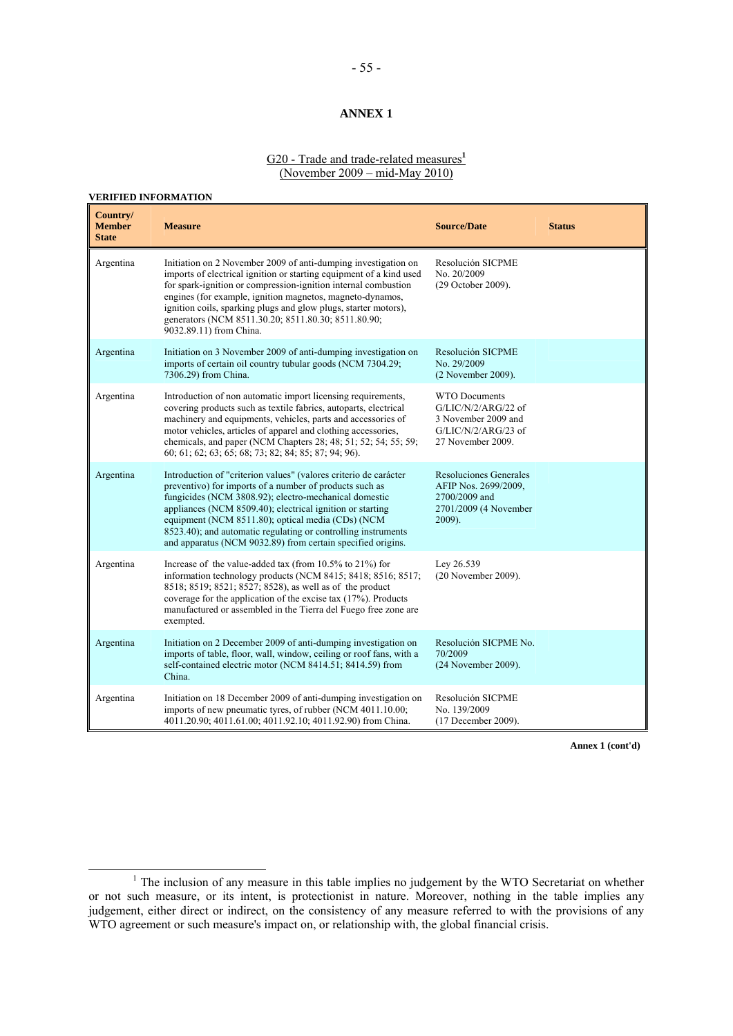## **ANNEX 1**

### G20 - Trade and trade-related measures**<sup>1</sup>** (November 2009 – mid-May 2010)

### **VERIFIED INFORMATION**

| Country/<br><b>Member</b><br><b>State</b> | <b>Measure</b>                                                                                                                                                                                                                                                                                                                                                                                                                         | <b>Source/Date</b>                                                                                                 | <b>Status</b> |
|-------------------------------------------|----------------------------------------------------------------------------------------------------------------------------------------------------------------------------------------------------------------------------------------------------------------------------------------------------------------------------------------------------------------------------------------------------------------------------------------|--------------------------------------------------------------------------------------------------------------------|---------------|
| Argentina                                 | Initiation on 2 November 2009 of anti-dumping investigation on<br>imports of electrical ignition or starting equipment of a kind used<br>for spark-ignition or compression-ignition internal combustion<br>engines (for example, ignition magnetos, magneto-dynamos,<br>ignition coils, sparking plugs and glow plugs, starter motors),<br>generators (NCM 8511.30.20; 8511.80.30; 8511.80.90;<br>9032.89.11) from China.              | Resolución SICPME<br>No. 20/2009<br>(29 October 2009).                                                             |               |
| Argentina                                 | Initiation on 3 November 2009 of anti-dumping investigation on<br>imports of certain oil country tubular goods (NCM 7304.29;<br>7306.29) from China.                                                                                                                                                                                                                                                                                   | Resolución SICPME<br>No. 29/2009<br>(2 November 2009).                                                             |               |
| Argentina                                 | Introduction of non automatic import licensing requirements,<br>covering products such as textile fabrics, autoparts, electrical<br>machinery and equipments, vehicles, parts and accessories of<br>motor vehicles, articles of apparel and clothing accessories,<br>chemicals, and paper (NCM Chapters 28; 48; 51; 52; 54; 55; 59;<br>60; 61; 62; 63; 65; 68; 73; 82; 84; 85; 87; 94; 96).                                            | <b>WTO Documents</b><br>$G/LIC/N/2/ARG/22$ of<br>3 November 2009 and<br>$G/LIC/N/2/ARG/23$ of<br>27 November 2009. |               |
| Argentina                                 | Introduction of "criterion values" (valores criterio de carácter<br>preventivo) for imports of a number of products such as<br>fungicides (NCM 3808.92); electro-mechanical domestic<br>appliances (NCM 8509.40); electrical ignition or starting<br>equipment (NCM 8511.80); optical media (CDs) (NCM<br>8523.40); and automatic regulating or controlling instruments<br>and apparatus (NCM 9032.89) from certain specified origins. | <b>Resoluciones Generales</b><br>AFIP Nos. 2699/2009.<br>2700/2009 and<br>2701/2009 (4 November<br>2009).          |               |
| Argentina                                 | Increase of the value-added tax (from $10.5\%$ to $21\%$ ) for<br>information technology products (NCM 8415; 8418; 8516; 8517;<br>8518; 8519; 8521; 8527; 8528), as well as of the product<br>coverage for the application of the excise tax (17%). Products<br>manufactured or assembled in the Tierra del Fuego free zone are<br>exempted.                                                                                           | Lev 26.539<br>(20 November 2009).                                                                                  |               |
| Argentina                                 | Initiation on 2 December 2009 of anti-dumping investigation on<br>imports of table, floor, wall, window, ceiling or roof fans, with a<br>self-contained electric motor (NCM 8414.51; 8414.59) from<br>China.                                                                                                                                                                                                                           | Resolución SICPME No.<br>70/2009<br>(24 November 2009).                                                            |               |
| Argentina                                 | Initiation on 18 December 2009 of anti-dumping investigation on<br>imports of new pneumatic tyres, of rubber (NCM 4011.10.00;<br>4011.20.90; 4011.61.00; 4011.92.10; 4011.92.90) from China.                                                                                                                                                                                                                                           | Resolución SICPME<br>No. 139/2009<br>(17 December 2009).                                                           |               |

 $\begin{array}{c|c}\n\hline\n\end{array}$ <sup>1</sup> The inclusion of any measure in this table implies no judgement by the WTO Secretariat on whether or not such measure, or its intent, is protectionist in nature. Moreover, nothing in the table implies any judgement, either direct or indirect, on the consistency of any measure referred to with the provisions of any WTO agreement or such measure's impact on, or relationship with, the global financial crisis.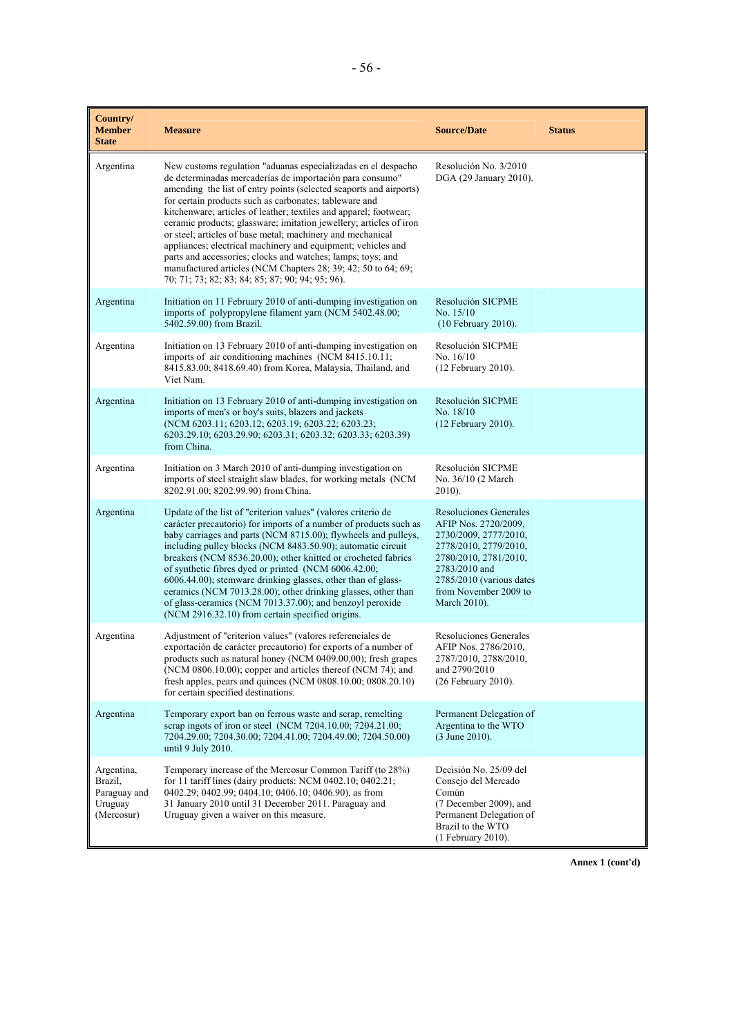| Country/<br><b>Member</b><br><b>State</b>                      | <b>Measure</b>                                                                                                                                                                                                                                                                                                                                                                                                                                                                                                                                                                                                                                                                                                         | <b>Source/Date</b>                                                                                                                                                                                              | <b>Status</b> |
|----------------------------------------------------------------|------------------------------------------------------------------------------------------------------------------------------------------------------------------------------------------------------------------------------------------------------------------------------------------------------------------------------------------------------------------------------------------------------------------------------------------------------------------------------------------------------------------------------------------------------------------------------------------------------------------------------------------------------------------------------------------------------------------------|-----------------------------------------------------------------------------------------------------------------------------------------------------------------------------------------------------------------|---------------|
| Argentina                                                      | New customs regulation "aduanas especializadas en el despacho<br>de determinadas mercaderías de importación para consumo"<br>amending the list of entry points (selected seaports and airports)<br>for certain products such as carbonates; tableware and<br>kitchenware; articles of leather; textiles and apparel; footwear;<br>ceramic products; glassware; imitation jewellery; articles of iron<br>or steel; articles of base metal; machinery and mechanical<br>appliances; electrical machinery and equipment; vehicles and<br>parts and accessories; clocks and watches; lamps; toys; and<br>manufactured articles (NCM Chapters 28; 39; 42; 50 to 64; 69;<br>70; 71; 73; 82; 83; 84; 85; 87; 90; 94; 95; 96). | Resolución No. 3/2010<br>DGA (29 January 2010).                                                                                                                                                                 |               |
| Argentina                                                      | Initiation on 11 February 2010 of anti-dumping investigation on<br>imports of polypropylene filament yarn (NCM 5402.48.00;<br>5402.59.00) from Brazil.                                                                                                                                                                                                                                                                                                                                                                                                                                                                                                                                                                 | Resolución SICPME<br>No. 15/10<br>(10 February 2010).                                                                                                                                                           |               |
| Argentina                                                      | Initiation on 13 February 2010 of anti-dumping investigation on<br>imports of air conditioning machines (NCM 8415.10.11;<br>8415.83.00; 8418.69.40) from Korea, Malaysia, Thailand, and<br>Viet Nam.                                                                                                                                                                                                                                                                                                                                                                                                                                                                                                                   | Resolución SICPME<br>No. $16/10$<br>$(12$ February 2010).                                                                                                                                                       |               |
| Argentina                                                      | Initiation on 13 February 2010 of anti-dumping investigation on<br>imports of men's or boy's suits, blazers and jackets<br>(NCM 6203.11; 6203.12; 6203.19; 6203.22; 6203.23;<br>6203.29.10; 6203.29.90; 6203.31; 6203.32; 6203.33; 6203.39)<br>from China.                                                                                                                                                                                                                                                                                                                                                                                                                                                             | Resolución SICPME<br>No. 18/10<br>$(12$ February 2010).                                                                                                                                                         |               |
| Argentina                                                      | Initiation on 3 March 2010 of anti-dumping investigation on<br>imports of steel straight slaw blades, for working metals (NCM<br>8202.91.00; 8202.99.90) from China.                                                                                                                                                                                                                                                                                                                                                                                                                                                                                                                                                   | Resolución SICPME<br>No. 36/10 (2 March<br>$2010$ ).                                                                                                                                                            |               |
| Argentina                                                      | Update of the list of "criterion values" (valores criterio de<br>carácter precautorio) for imports of a number of products such as<br>baby carriages and parts (NCM 8715.00); flywheels and pulleys,<br>including pulley blocks (NCM 8483.50.90); automatic circuit<br>breakers (NCM 8536.20.00); other knitted or crocheted fabrics<br>of synthetic fibres dyed or printed (NCM 6006.42.00;<br>6006.44.00); stemware drinking glasses, other than of glass-<br>ceramics (NCM 7013.28.00); other drinking glasses, other than<br>of glass-ceramics (NCM 7013.37.00); and benzoyl peroxide<br>(NCM 2916.32.10) from certain specified origins.                                                                          | Resoluciones Generales<br>AFIP Nos. 2720/2009,<br>2730/2009, 2777/2010,<br>2778/2010, 2779/2010,<br>2780/2010, 2781/2010,<br>2783/2010 and<br>2785/2010 (various dates<br>from November 2009 to<br>March 2010). |               |
| Argentina                                                      | Adjustment of "criterion values" (valores referenciales de<br>exportación de carácter precautorio) for exports of a number of<br>products such as natural honey (NCM 0409.00.00); fresh grapes<br>(NCM 0806.10.00); copper and articles thereof (NCM 74); and<br>fresh apples, pears and quinces (NCM 0808.10.00; 0808.20.10)<br>for certain specified destinations.                                                                                                                                                                                                                                                                                                                                                   | Resoluciones Generales<br>AFIP Nos. 2786/2010,<br>2787/2010, 2788/2010,<br>and 2790/2010<br>(26 February 2010).                                                                                                 |               |
| Argentina                                                      | Temporary export ban on ferrous waste and scrap, remelting<br>scrap ingots of iron or steel (NCM 7204.10.00, 7204.21.00;<br>7204.29.00; 7204.30.00; 7204.41.00; 7204.49.00; 7204.50.00)<br>until 9 July 2010.                                                                                                                                                                                                                                                                                                                                                                                                                                                                                                          | Permanent Delegation of<br>Argentina to the WTO<br>$(3 \text{ June } 2010).$                                                                                                                                    |               |
| Argentina,<br>Brazil,<br>Paraguay and<br>Uruguay<br>(Mercosur) | Temporary increase of the Mercosur Common Tariff (to 28%)<br>for 11 tariff lines (dairy products: NCM 0402.10; 0402.21;<br>0402.29; 0402.99; 0404.10; 0406.10; 0406.90), as from<br>31 January 2010 until 31 December 2011. Paraguay and<br>Uruguay given a waiver on this measure.                                                                                                                                                                                                                                                                                                                                                                                                                                    | Decisión No. 25/09 del<br>Consejo del Mercado<br>Común<br>(7 December 2009), and<br>Permanent Delegation of<br>Brazil to the WTO<br>(1 February 2010).                                                          |               |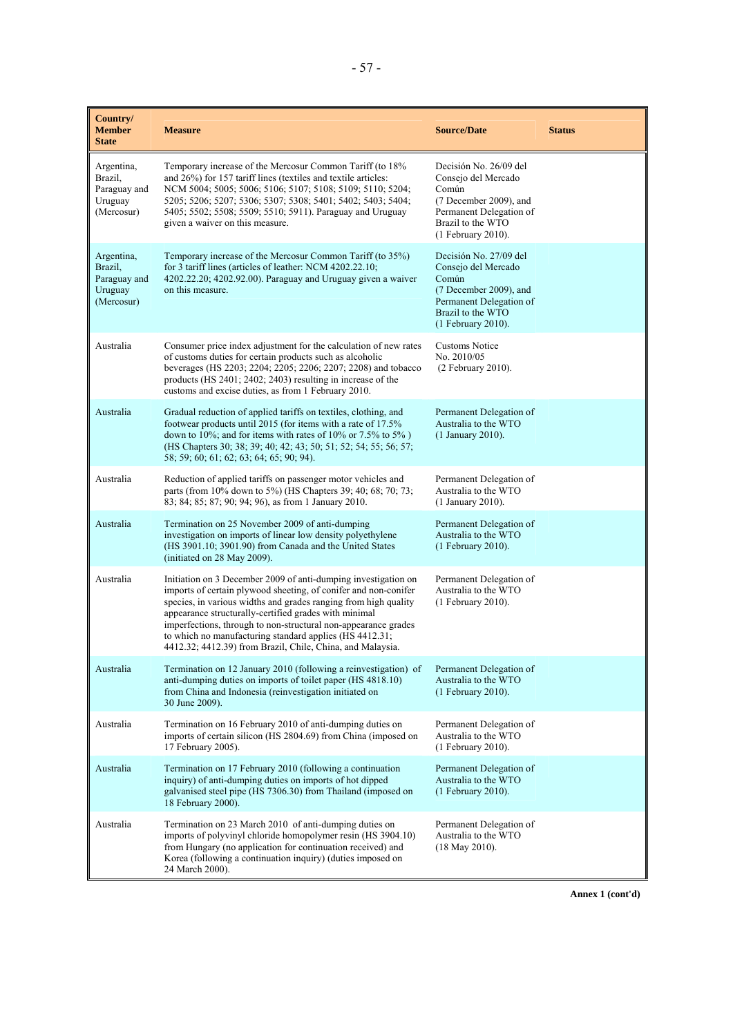| Country/<br><b>Member</b><br><b>State</b>                      | <b>Measure</b>                                                                                                                                                                                                                                                                                                                                                                                                                                           | <b>Source/Date</b>                                                                                                                                     | <b>Status</b> |
|----------------------------------------------------------------|----------------------------------------------------------------------------------------------------------------------------------------------------------------------------------------------------------------------------------------------------------------------------------------------------------------------------------------------------------------------------------------------------------------------------------------------------------|--------------------------------------------------------------------------------------------------------------------------------------------------------|---------------|
| Argentina,<br>Brazil,<br>Paraguay and<br>Uruguay<br>(Mercosur) | Temporary increase of the Mercosur Common Tariff (to 18%<br>and 26%) for 157 tariff lines (textiles and textile articles:<br>NCM 5004; 5005; 5006; 5106; 5107; 5108; 5109; 5110; 5204;<br>5205; 5206; 5207; 5306; 5307; 5308; 5401; 5402; 5403; 5404;<br>5405; 5502; 5508; 5509; 5510; 5911). Paraguay and Uruguay<br>given a waiver on this measure.                                                                                                    | Decisión No. 26/09 del<br>Consejo del Mercado<br>Común<br>(7 December 2009), and<br>Permanent Delegation of<br>Brazil to the WTO<br>(1 February 2010). |               |
| Argentina,<br>Brazil,<br>Paraguay and<br>Uruguay<br>(Mercosur) | Temporary increase of the Mercosur Common Tariff (to 35%)<br>for 3 tariff lines (articles of leather: NCM 4202.22.10;<br>4202.22.20; 4202.92.00). Paraguay and Uruguay given a waiver<br>on this measure.                                                                                                                                                                                                                                                | Decisión No. 27/09 del<br>Consejo del Mercado<br>Común<br>(7 December 2009), and<br>Permanent Delegation of<br>Brazil to the WTO<br>(1 February 2010). |               |
| Australia                                                      | Consumer price index adjustment for the calculation of new rates<br>of customs duties for certain products such as alcoholic<br>beverages (HS 2203; 2204; 2205; 2206; 2207; 2208) and tobacco<br>products (HS 2401; 2402; 2403) resulting in increase of the<br>customs and excise duties, as from 1 February 2010.                                                                                                                                      | Customs Notice<br>No. 2010/05<br>(2 February 2010).                                                                                                    |               |
| Australia                                                      | Gradual reduction of applied tariffs on textiles, clothing, and<br>footwear products until 2015 (for items with a rate of 17.5%<br>down to 10%; and for items with rates of 10% or 7.5% to 5%)<br>(HS Chapters 30, 38, 39, 40, 42, 43, 50, 51, 52, 54, 55, 56, 57,<br>58; 59; 60; 61; 62; 63; 64; 65; 90; 94).                                                                                                                                           | Permanent Delegation of<br>Australia to the WTO<br>(1 January 2010).                                                                                   |               |
| Australia                                                      | Reduction of applied tariffs on passenger motor vehicles and<br>parts (from 10% down to 5%) (HS Chapters 39; 40; 68; 70; 73;<br>83; 84; 85; 87; 90; 94; 96), as from 1 January 2010.                                                                                                                                                                                                                                                                     | Permanent Delegation of<br>Australia to the WTO<br>(1 January 2010).                                                                                   |               |
| Australia                                                      | Termination on 25 November 2009 of anti-dumping<br>investigation on imports of linear low density polyethylene<br>(HS 3901.10; 3901.90) from Canada and the United States<br>(initiated on 28 May 2009).                                                                                                                                                                                                                                                 | Permanent Delegation of<br>Australia to the WTO<br>(1 February 2010).                                                                                  |               |
| Australia                                                      | Initiation on 3 December 2009 of anti-dumping investigation on<br>imports of certain plywood sheeting, of conifer and non-conifer<br>species, in various widths and grades ranging from high quality<br>appearance structurally-certified grades with minimal<br>imperfections, through to non-structural non-appearance grades<br>to which no manufacturing standard applies (HS 4412.31;<br>4412.32; 4412.39) from Brazil, Chile, China, and Malaysia. | Permanent Delegation of<br>Australia to the WTO<br>$(1$ February 2010).                                                                                |               |
| Australia                                                      | Termination on 12 January 2010 (following a reinvestigation) of<br>anti-dumping duties on imports of toilet paper (HS 4818.10)<br>from China and Indonesia (reinvestigation initiated on<br>30 June 2009).                                                                                                                                                                                                                                               | Permanent Delegation of<br>Australia to the WTO<br>(1 February 2010).                                                                                  |               |
| Australia                                                      | Termination on 16 February 2010 of anti-dumping duties on<br>imports of certain silicon (HS 2804.69) from China (imposed on<br>17 February 2005).                                                                                                                                                                                                                                                                                                        | Permanent Delegation of<br>Australia to the WTO<br>(1 February 2010).                                                                                  |               |
| Australia                                                      | Termination on 17 February 2010 (following a continuation<br>inquiry) of anti-dumping duties on imports of hot dipped<br>galvanised steel pipe (HS 7306.30) from Thailand (imposed on<br>18 February 2000).                                                                                                                                                                                                                                              | Permanent Delegation of<br>Australia to the WTO<br>(1 February 2010).                                                                                  |               |
| Australia                                                      | Termination on 23 March 2010 of anti-dumping duties on<br>imports of polyvinyl chloride homopolymer resin (HS 3904.10)<br>from Hungary (no application for continuation received) and<br>Korea (following a continuation inquiry) (duties imposed on<br>24 March 2000).                                                                                                                                                                                  | Permanent Delegation of<br>Australia to the WTO<br>$(18$ May 2010).                                                                                    |               |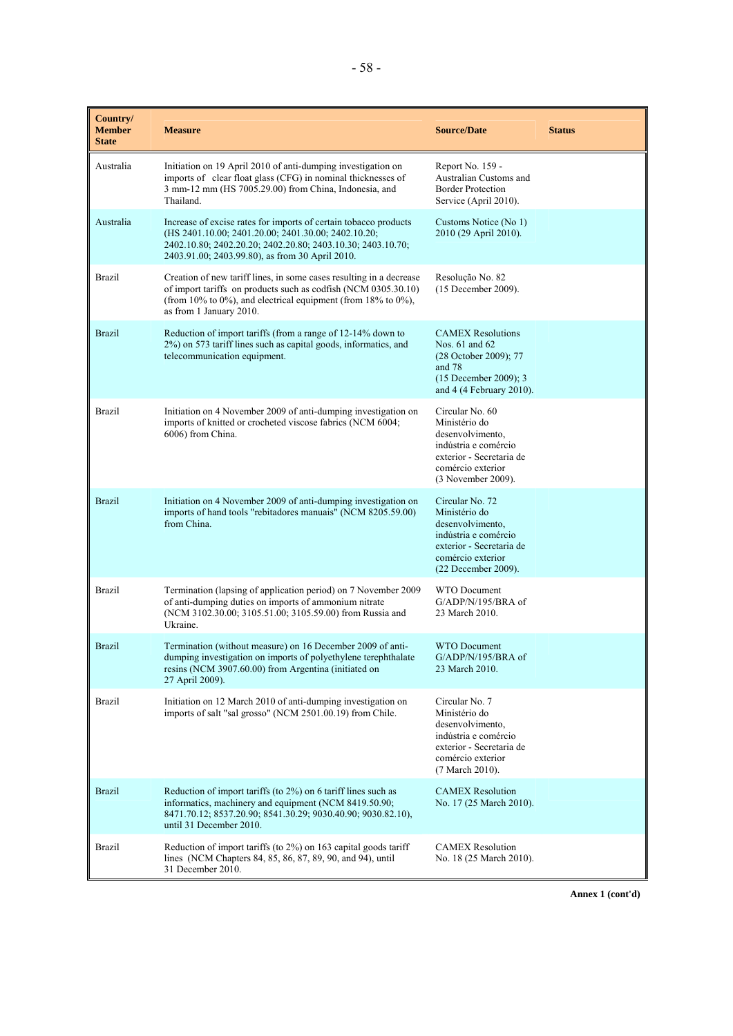| Country/<br><b>Member</b><br><b>State</b> | <b>Measure</b>                                                                                                                                                                                                                            | <b>Source/Date</b>                                                                                                                                   | <b>Status</b> |
|-------------------------------------------|-------------------------------------------------------------------------------------------------------------------------------------------------------------------------------------------------------------------------------------------|------------------------------------------------------------------------------------------------------------------------------------------------------|---------------|
| Australia                                 | Initiation on 19 April 2010 of anti-dumping investigation on<br>imports of clear float glass (CFG) in nominal thicknesses of<br>3 mm-12 mm (HS 7005.29.00) from China, Indonesia, and<br>Thailand.                                        | Report No. 159 -<br>Australian Customs and<br><b>Border Protection</b><br>Service (April 2010).                                                      |               |
| Australia                                 | Increase of excise rates for imports of certain tobacco products<br>(HS 2401.10.00; 2401.20.00; 2401.30.00; 2402.10.20;<br>2402.10.80; 2402.20.20; 2402.20.80; 2403.10.30; 2403.10.70;<br>2403.91.00; 2403.99.80), as from 30 April 2010. | Customs Notice (No 1)<br>2010 (29 April 2010).                                                                                                       |               |
| <b>Brazil</b>                             | Creation of new tariff lines, in some cases resulting in a decrease<br>of import tariffs on products such as codfish (NCM 0305.30.10)<br>(from 10% to 0%), and electrical equipment (from 18% to 0%),<br>as from 1 January 2010.          | Resolução No. 82<br>(15 December 2009).                                                                                                              |               |
| <b>Brazil</b>                             | Reduction of import tariffs (from a range of 12-14% down to<br>2%) on 573 tariff lines such as capital goods, informatics, and<br>telecommunication equipment.                                                                            | <b>CAMEX Resolutions</b><br>Nos. 61 and 62<br>(28 October 2009); 77<br>and 78<br>(15 December 2009); 3<br>and 4 (4 February 2010).                   |               |
| <b>Brazil</b>                             | Initiation on 4 November 2009 of anti-dumping investigation on<br>imports of knitted or crocheted viscose fabrics (NCM 6004;<br>6006) from China.                                                                                         | Circular No. 60<br>Ministério do<br>desenvolvimento,<br>indústria e comércio<br>exterior - Secretaria de<br>comércio exterior<br>(3 November 2009).  |               |
| <b>Brazil</b>                             | Initiation on 4 November 2009 of anti-dumping investigation on<br>imports of hand tools "rebitadores manuais" (NCM 8205.59.00)<br>from China.                                                                                             | Circular No. 72<br>Ministério do<br>desenvolvimento,<br>indústria e comércio<br>exterior - Secretaria de<br>comércio exterior<br>(22 December 2009). |               |
| <b>Brazil</b>                             | Termination (lapsing of application period) on 7 November 2009<br>of anti-dumping duties on imports of ammonium nitrate<br>(NCM 3102.30.00; 3105.51.00; 3105.59.00) from Russia and<br>Ukraine.                                           | <b>WTO</b> Document<br>$G/ADP/N/195/BRA$ of<br>23 March 2010.                                                                                        |               |
| <b>Brazil</b>                             | Termination (without measure) on 16 December 2009 of anti-<br>dumping investigation on imports of polyethylene terephthalate<br>resins (NCM 3907.60.00) from Argentina (initiated on<br>27 April 2009).                                   | <b>WTO</b> Document<br>G/ADP/N/195/BRA of<br>23 March 2010.                                                                                          |               |
| <b>Brazil</b>                             | Initiation on 12 March 2010 of anti-dumping investigation on<br>imports of salt "sal grosso" (NCM 2501.00.19) from Chile.                                                                                                                 | Circular No. 7<br>Ministério do<br>desenvolvimento,<br>indústria e comércio<br>exterior - Secretaria de<br>comércio exterior<br>(7 March 2010).      |               |
| <b>Brazil</b>                             | Reduction of import tariffs (to 2%) on 6 tariff lines such as<br>informatics, machinery and equipment (NCM 8419.50.90;<br>8471.70.12; 8537.20.90; 8541.30.29; 9030.40.90; 9030.82.10),<br>until 31 December 2010.                         | <b>CAMEX Resolution</b><br>No. 17 (25 March 2010).                                                                                                   |               |
| <b>Brazil</b>                             | Reduction of import tariffs (to 2%) on 163 capital goods tariff<br>lines (NCM Chapters 84, 85, 86, 87, 89, 90, and 94), until<br>31 December 2010.                                                                                        | <b>CAMEX Resolution</b><br>No. 18 (25 March 2010).                                                                                                   |               |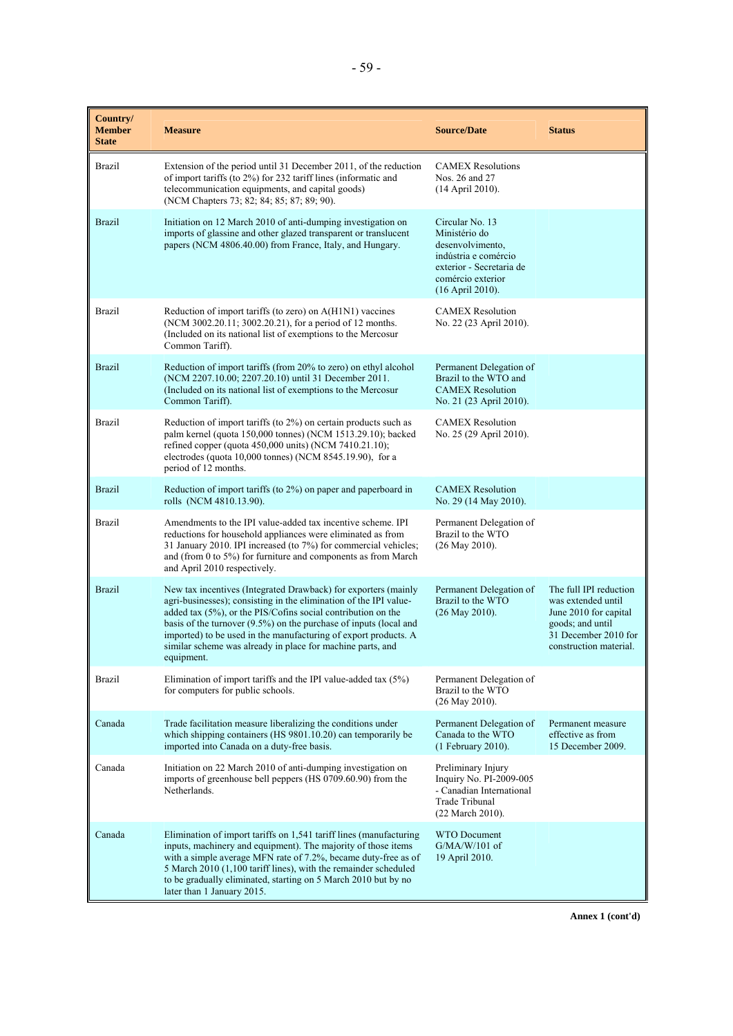| Country/<br><b>Member</b><br><b>State</b> | <b>Measure</b>                                                                                                                                                                                                                                                                                                                                                                                                             | <b>Source/Date</b>                                                                                                                                | <b>Status</b>                                                                                                                               |
|-------------------------------------------|----------------------------------------------------------------------------------------------------------------------------------------------------------------------------------------------------------------------------------------------------------------------------------------------------------------------------------------------------------------------------------------------------------------------------|---------------------------------------------------------------------------------------------------------------------------------------------------|---------------------------------------------------------------------------------------------------------------------------------------------|
| <b>Brazil</b>                             | Extension of the period until 31 December 2011, of the reduction<br>of import tariffs (to 2%) for 232 tariff lines (informatic and<br>telecommunication equipments, and capital goods)<br>(NCM Chapters 73; 82; 84; 85; 87; 89; 90).                                                                                                                                                                                       | <b>CAMEX Resolutions</b><br>Nos. 26 and 27<br>(14 April 2010).                                                                                    |                                                                                                                                             |
| <b>Brazil</b>                             | Initiation on 12 March 2010 of anti-dumping investigation on<br>imports of glassine and other glazed transparent or translucent<br>papers (NCM 4806.40.00) from France, Italy, and Hungary.                                                                                                                                                                                                                                | Circular No. 13<br>Ministério do<br>desenvolvimento.<br>indústria e comércio<br>exterior - Secretaria de<br>comércio exterior<br>(16 April 2010). |                                                                                                                                             |
| <b>Brazil</b>                             | Reduction of import tariffs (to zero) on A(H1N1) vaccines<br>(NCM 3002.20.11; 3002.20.21), for a period of 12 months.<br>(Included on its national list of exemptions to the Mercosur<br>Common Tariff).                                                                                                                                                                                                                   | <b>CAMEX Resolution</b><br>No. 22 (23 April 2010).                                                                                                |                                                                                                                                             |
| <b>Brazil</b>                             | Reduction of import tariffs (from 20% to zero) on ethyl alcohol<br>(NCM 2207.10.00; 2207.20.10) until 31 December 2011.<br>(Included on its national list of exemptions to the Mercosur<br>Common Tariff).                                                                                                                                                                                                                 | Permanent Delegation of<br>Brazil to the WTO and<br><b>CAMEX Resolution</b><br>No. 21 (23 April 2010).                                            |                                                                                                                                             |
| <b>Brazil</b>                             | Reduction of import tariffs (to 2%) on certain products such as<br>palm kernel (quota 150,000 tonnes) (NCM 1513.29.10); backed<br>refined copper (quota 450,000 units) (NCM 7410.21.10);<br>electrodes (quota 10,000 tonnes) (NCM 8545.19.90), for a<br>period of 12 months.                                                                                                                                               | <b>CAMEX Resolution</b><br>No. 25 (29 April 2010).                                                                                                |                                                                                                                                             |
| <b>Brazil</b>                             | Reduction of import tariffs (to 2%) on paper and paperboard in<br>rolls (NCM 4810.13.90).                                                                                                                                                                                                                                                                                                                                  | <b>CAMEX Resolution</b><br>No. 29 (14 May 2010).                                                                                                  |                                                                                                                                             |
| <b>Brazil</b>                             | Amendments to the IPI value-added tax incentive scheme. IPI<br>reductions for household appliances were eliminated as from<br>31 January 2010. IPI increased (to 7%) for commercial vehicles;<br>and (from 0 to $5\%$ ) for furniture and components as from March<br>and April 2010 respectively.                                                                                                                         | Permanent Delegation of<br>Brazil to the WTO<br>$(26$ May 2010).                                                                                  |                                                                                                                                             |
| <b>Brazil</b>                             | New tax incentives (Integrated Drawback) for exporters (mainly<br>agri-businesses); consisting in the elimination of the IPI value-<br>added tax (5%), or the PIS/Cofins social contribution on the<br>basis of the turnover $(9.5\%)$ on the purchase of inputs (local and<br>imported) to be used in the manufacturing of export products. A<br>similar scheme was already in place for machine parts, and<br>equipment. | Permanent Delegation of<br>Brazil to the WTO<br>$(26$ May 2010).                                                                                  | The full IPI reduction<br>was extended until<br>June 2010 for capital<br>goods; and until<br>31 December 2010 for<br>construction material. |
| <b>Brazil</b>                             | Elimination of import tariffs and the IPI value-added tax $(5\%)$<br>for computers for public schools.                                                                                                                                                                                                                                                                                                                     | Permanent Delegation of<br>Brazil to the WTO<br>(26 May 2010).                                                                                    |                                                                                                                                             |
| Canada                                    | Trade facilitation measure liberalizing the conditions under<br>which shipping containers (HS 9801.10.20) can temporarily be<br>imported into Canada on a duty-free basis.                                                                                                                                                                                                                                                 | Permanent Delegation of<br>Canada to the WTO<br>(1 February 2010).                                                                                | Permanent measure<br>effective as from<br>15 December 2009.                                                                                 |
| Canada                                    | Initiation on 22 March 2010 of anti-dumping investigation on<br>imports of greenhouse bell peppers (HS 0709.60.90) from the<br>Netherlands.                                                                                                                                                                                                                                                                                | Preliminary Injury<br>Inquiry No. PI-2009-005<br>- Canadian International<br>Trade Tribunal<br>(22 March 2010).                                   |                                                                                                                                             |
| Canada                                    | Elimination of import tariffs on 1,541 tariff lines (manufacturing<br>inputs, machinery and equipment). The majority of those items<br>with a simple average MFN rate of 7.2%, became duty-free as of<br>5 March 2010 (1,100 tariff lines), with the remainder scheduled<br>to be gradually eliminated, starting on 5 March 2010 but by no<br>later than 1 January 2015.                                                   | <b>WTO Document</b><br>$G/MA/W/101$ of<br>19 April 2010.                                                                                          |                                                                                                                                             |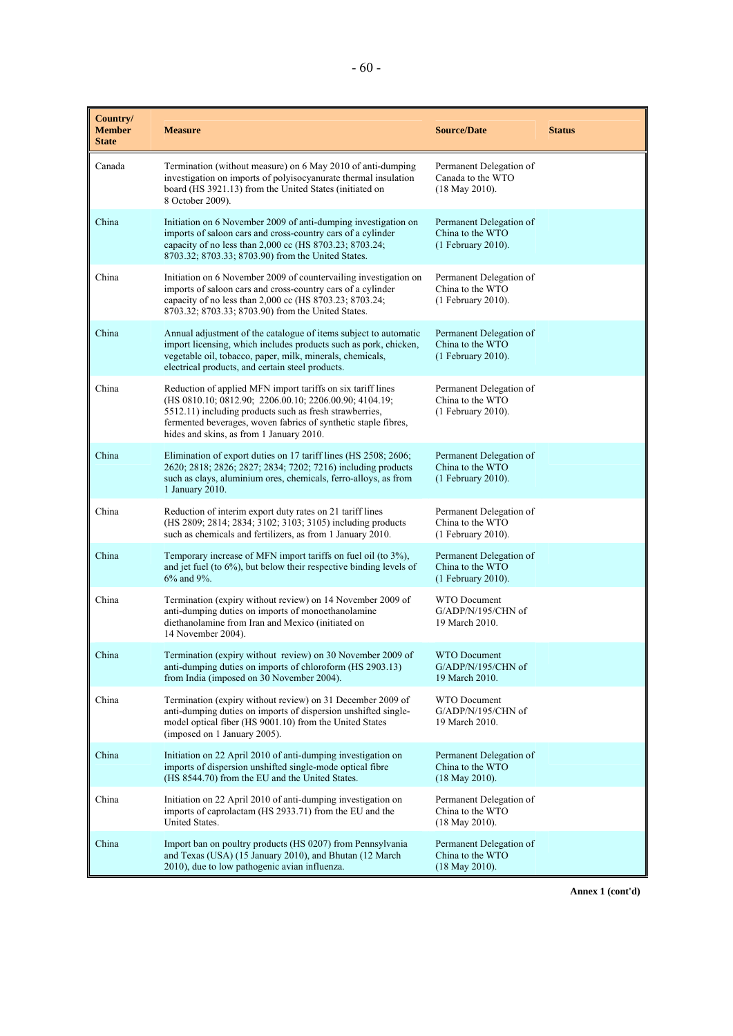| Country/<br><b>Member</b><br><b>State</b> | <b>Measure</b>                                                                                                                                                                                                                                                                                 | <b>Source/Date</b>                                                | <b>Status</b> |
|-------------------------------------------|------------------------------------------------------------------------------------------------------------------------------------------------------------------------------------------------------------------------------------------------------------------------------------------------|-------------------------------------------------------------------|---------------|
| Canada                                    | Termination (without measure) on 6 May 2010 of anti-dumping<br>investigation on imports of polyisocyanurate thermal insulation<br>board (HS 3921.13) from the United States (initiated on<br>8 October 2009).                                                                                  | Permanent Delegation of<br>Canada to the WTO<br>$(18$ May 2010).  |               |
| China                                     | Initiation on 6 November 2009 of anti-dumping investigation on<br>imports of saloon cars and cross-country cars of a cylinder<br>capacity of no less than 2,000 cc (HS 8703.23; 8703.24;<br>8703.32; 8703.33; 8703.90) from the United States.                                                 | Permanent Delegation of<br>China to the WTO<br>(1 February 2010). |               |
| China                                     | Initiation on 6 November 2009 of countervailing investigation on<br>imports of saloon cars and cross-country cars of a cylinder<br>capacity of no less than 2,000 cc (HS 8703.23; 8703.24;<br>8703.32; 8703.33; 8703.90) from the United States.                                               | Permanent Delegation of<br>China to the WTO<br>(1 February 2010). |               |
| China                                     | Annual adjustment of the catalogue of items subject to automatic<br>import licensing, which includes products such as pork, chicken,<br>vegetable oil, tobacco, paper, milk, minerals, chemicals,<br>electrical products, and certain steel products.                                          | Permanent Delegation of<br>China to the WTO<br>(1 February 2010). |               |
| China                                     | Reduction of applied MFN import tariffs on six tariff lines<br>(HS 0810.10; 0812.90; 2206.00.10; 2206.00.90; 4104.19;<br>5512.11) including products such as fresh strawberries,<br>fermented beverages, woven fabrics of synthetic staple fibres,<br>hides and skins, as from 1 January 2010. | Permanent Delegation of<br>China to the WTO<br>(1 February 2010). |               |
| China                                     | Elimination of export duties on 17 tariff lines (HS 2508; 2606;<br>2620; 2818; 2826; 2827; 2834; 7202; 7216) including products<br>such as clays, aluminium ores, chemicals, ferro-alloys, as from<br>1 January 2010.                                                                          | Permanent Delegation of<br>China to the WTO<br>(1 February 2010). |               |
| China                                     | Reduction of interim export duty rates on 21 tariff lines<br>(HS 2809; 2814; 2834; 3102; 3103; 3105) including products<br>such as chemicals and fertilizers, as from 1 January 2010.                                                                                                          | Permanent Delegation of<br>China to the WTO<br>(1 February 2010). |               |
| China                                     | Temporary increase of MFN import tariffs on fuel oil (to 3%),<br>and jet fuel (to $6\%$ ), but below their respective binding levels of<br>6% and 9%.                                                                                                                                          | Permanent Delegation of<br>China to the WTO<br>(1 February 2010). |               |
| China                                     | Termination (expiry without review) on 14 November 2009 of<br>anti-dumping duties on imports of monoethanolamine<br>diethanolamine from Iran and Mexico (initiated on<br>14 November 2004).                                                                                                    | <b>WTO Document</b><br>G/ADP/N/195/CHN of<br>19 March 2010.       |               |
| China                                     | Termination (expiry without review) on 30 November 2009 of<br>anti-dumping duties on imports of chloroform (HS 2903.13)<br>from India (imposed on 30 November 2004).                                                                                                                           | WTO Document<br>G/ADP/N/195/CHN of<br>19 March 2010.              |               |
| China                                     | Termination (expiry without review) on 31 December 2009 of<br>anti-dumping duties on imports of dispersion unshifted single-<br>model optical fiber (HS 9001.10) from the United States<br>(imposed on 1 January 2005).                                                                        | <b>WTO Document</b><br>G/ADP/N/195/CHN of<br>19 March 2010.       |               |
| China                                     | Initiation on 22 April 2010 of anti-dumping investigation on<br>imports of dispersion unshifted single-mode optical fibre<br>(HS 8544.70) from the EU and the United States.                                                                                                                   | Permanent Delegation of<br>China to the WTO<br>$(18$ May 2010).   |               |
| China                                     | Initiation on 22 April 2010 of anti-dumping investigation on<br>imports of caprolactam (HS 2933.71) from the EU and the<br>United States.                                                                                                                                                      | Permanent Delegation of<br>China to the WTO<br>$(18$ May 2010).   |               |
| China                                     | Import ban on poultry products (HS 0207) from Pennsylvania<br>and Texas (USA) (15 January 2010), and Bhutan (12 March<br>2010), due to low pathogenic avian influenza.                                                                                                                         | Permanent Delegation of<br>China to the WTO<br>$(18$ May 2010).   |               |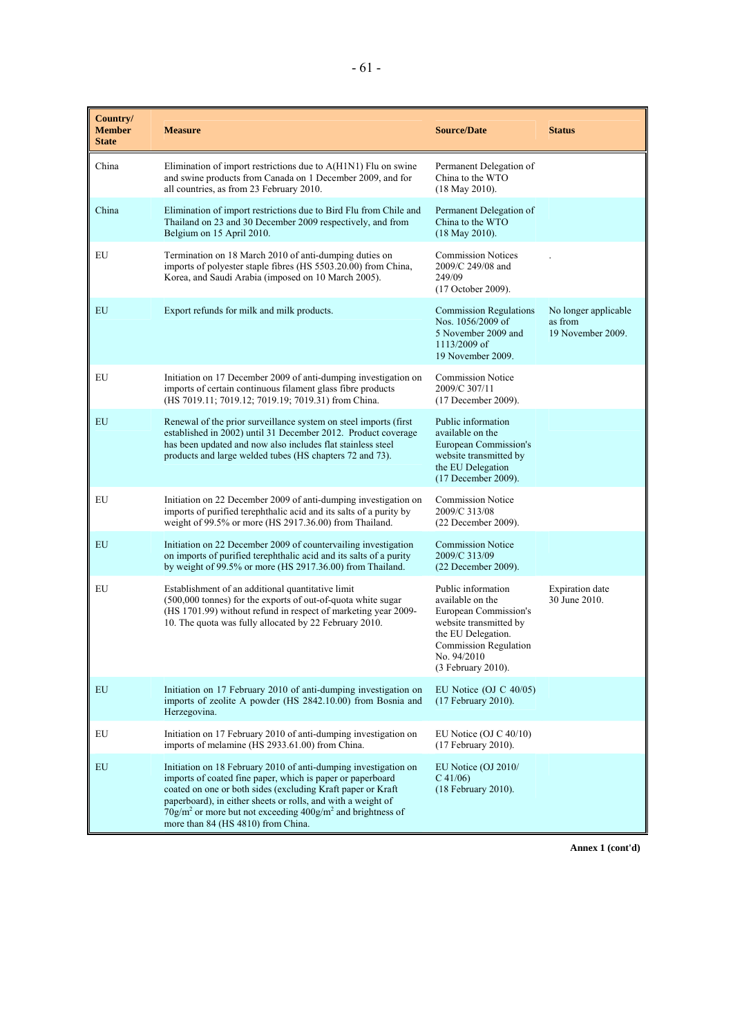| Country/<br><b>Member</b><br><b>State</b> | <b>Measure</b>                                                                                                                                                                                                                                                                                                                                                                                 | <b>Source/Date</b>                                                                                                                                                            | <b>Status</b>                                        |
|-------------------------------------------|------------------------------------------------------------------------------------------------------------------------------------------------------------------------------------------------------------------------------------------------------------------------------------------------------------------------------------------------------------------------------------------------|-------------------------------------------------------------------------------------------------------------------------------------------------------------------------------|------------------------------------------------------|
| China                                     | Elimination of import restrictions due to A(H1N1) Flu on swine<br>and swine products from Canada on 1 December 2009, and for<br>all countries, as from 23 February 2010.                                                                                                                                                                                                                       | Permanent Delegation of<br>China to the WTO<br>$(18$ May 2010).                                                                                                               |                                                      |
| China                                     | Elimination of import restrictions due to Bird Flu from Chile and<br>Thailand on 23 and 30 December 2009 respectively, and from<br>Belgium on 15 April 2010.                                                                                                                                                                                                                                   | Permanent Delegation of<br>China to the WTO<br>$(18$ May 2010).                                                                                                               |                                                      |
| EU                                        | Termination on 18 March 2010 of anti-dumping duties on<br>imports of polyester staple fibres (HS 5503.20.00) from China,<br>Korea, and Saudi Arabia (imposed on 10 March 2005).                                                                                                                                                                                                                | <b>Commission Notices</b><br>2009/C 249/08 and<br>249/09<br>(17 October 2009).                                                                                                |                                                      |
| EU                                        | Export refunds for milk and milk products.                                                                                                                                                                                                                                                                                                                                                     | <b>Commission Regulations</b><br>Nos. 1056/2009 of<br>5 November 2009 and<br>1113/2009 of<br>19 November 2009.                                                                | No longer applicable<br>as from<br>19 November 2009. |
| EU                                        | Initiation on 17 December 2009 of anti-dumping investigation on<br>imports of certain continuous filament glass fibre products<br>(HS 7019.11; 7019.12; 7019.19; 7019.31) from China.                                                                                                                                                                                                          | <b>Commission Notice</b><br>2009/C 307/11<br>(17 December 2009).                                                                                                              |                                                      |
| EU                                        | Renewal of the prior surveillance system on steel imports (first)<br>established in 2002) until 31 December 2012. Product coverage<br>has been updated and now also includes flat stainless steel<br>products and large welded tubes (HS chapters 72 and 73).                                                                                                                                  | Public information<br>available on the<br>European Commission's<br>website transmitted by<br>the EU Delegation<br>(17 December 2009).                                         |                                                      |
| EU                                        | Initiation on 22 December 2009 of anti-dumping investigation on<br>imports of purified terephthalic acid and its salts of a purity by<br>weight of 99.5% or more (HS 2917.36.00) from Thailand.                                                                                                                                                                                                | <b>Commission Notice</b><br>2009/C 313/08<br>(22 December 2009).                                                                                                              |                                                      |
| EU                                        | Initiation on 22 December 2009 of countervailing investigation<br>on imports of purified terephthalic acid and its salts of a purity<br>by weight of 99.5% or more (HS 2917.36.00) from Thailand.                                                                                                                                                                                              | <b>Commission Notice</b><br>2009/C 313/09<br>(22 December 2009).                                                                                                              |                                                      |
| EU                                        | Establishment of an additional quantitative limit<br>(500,000 tonnes) for the exports of out-of-quota white sugar<br>(HS 1701.99) without refund in respect of marketing year 2009-<br>10. The quota was fully allocated by 22 February 2010.                                                                                                                                                  | Public information<br>available on the<br>European Commission's<br>website transmitted by<br>the EU Delegation.<br>Commission Regulation<br>No. 94/2010<br>(3 February 2010). | <b>Expiration</b> date<br>30 June 2010.              |
| EU                                        | Initiation on 17 February 2010 of anti-dumping investigation on<br>imports of zeolite A powder (HS 2842.10.00) from Bosnia and<br>Herzegovina.                                                                                                                                                                                                                                                 | EU Notice (OJ C $40/05$ )<br>(17 February 2010).                                                                                                                              |                                                      |
| ${\rm EU}$                                | Initiation on 17 February 2010 of anti-dumping investigation on<br>imports of melamine (HS 2933.61.00) from China.                                                                                                                                                                                                                                                                             | EU Notice (OJ C $40/10$ )<br>(17 February 2010).                                                                                                                              |                                                      |
| EU                                        | Initiation on 18 February 2010 of anti-dumping investigation on<br>imports of coated fine paper, which is paper or paperboard<br>coated on one or both sides (excluding Kraft paper or Kraft<br>paperboard), in either sheets or rolls, and with a weight of<br>$70$ g/m <sup>2</sup> or more but not exceeding $400$ g/m <sup>2</sup> and brightness of<br>more than 84 (HS 4810) from China. | EU Notice (OJ 2010/<br>$C$ 41/06)<br>(18 February 2010).                                                                                                                      |                                                      |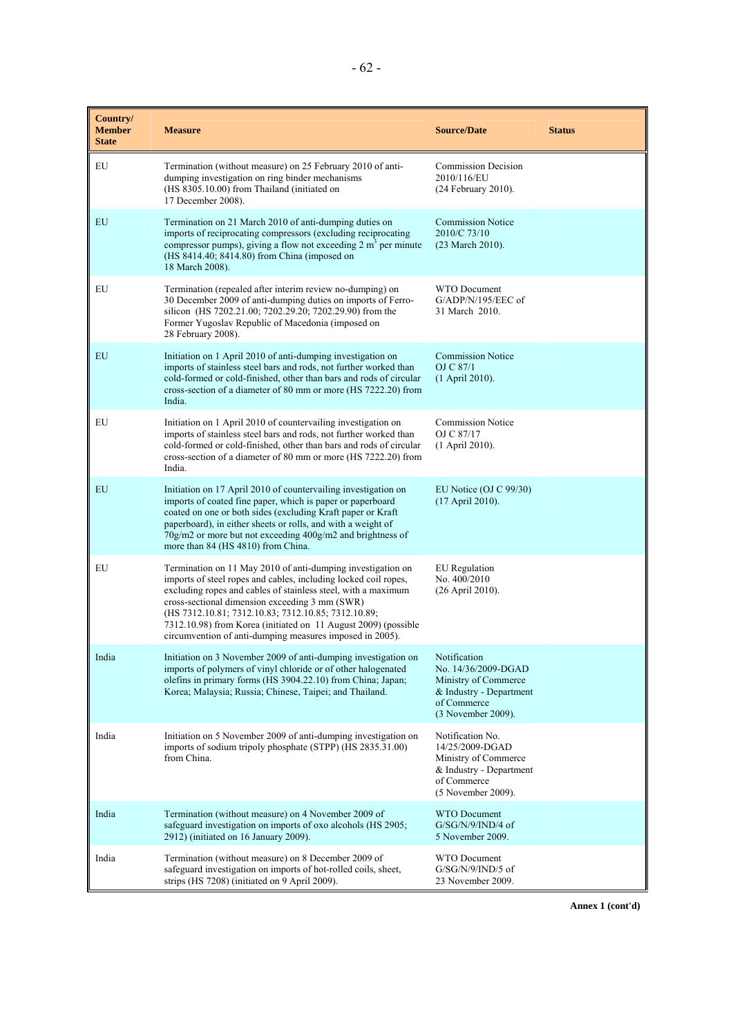| Country/<br><b>Member</b><br><b>State</b> | <b>Measure</b>                                                                                                                                                                                                                                                                                                                                                                                                                         | <b>Source/Date</b>                                                                                                            | <b>Status</b> |
|-------------------------------------------|----------------------------------------------------------------------------------------------------------------------------------------------------------------------------------------------------------------------------------------------------------------------------------------------------------------------------------------------------------------------------------------------------------------------------------------|-------------------------------------------------------------------------------------------------------------------------------|---------------|
| EU                                        | Termination (without measure) on 25 February 2010 of anti-<br>dumping investigation on ring binder mechanisms<br>(HS 8305.10.00) from Thailand (initiated on<br>17 December 2008).                                                                                                                                                                                                                                                     | <b>Commission Decision</b><br>2010/116/EU<br>$(24$ February 2010).                                                            |               |
| EU                                        | Termination on 21 March 2010 of anti-dumping duties on<br>imports of reciprocating compressors (excluding reciprocating<br>compressor pumps), giving a flow not exceeding $2 \text{ m}^3$ per minute<br>(HS 8414.40; 8414.80) from China (imposed on<br>18 March 2008).                                                                                                                                                                | <b>Commission Notice</b><br>2010/C 73/10<br>(23 March 2010).                                                                  |               |
| EU                                        | Termination (repealed after interim review no-dumping) on<br>30 December 2009 of anti-dumping duties on imports of Ferro-<br>silicon (HS 7202.21.00; 7202.29.20; 7202.29.90) from the<br>Former Yugoslav Republic of Macedonia (imposed on<br>28 February 2008).                                                                                                                                                                       | WTO Document<br>$G/ADP/N/195/EEC$ of<br>31 March 2010.                                                                        |               |
| EU                                        | Initiation on 1 April 2010 of anti-dumping investigation on<br>imports of stainless steel bars and rods, not further worked than<br>cold-formed or cold-finished, other than bars and rods of circular<br>cross-section of a diameter of 80 mm or more (HS 7222.20) from<br>India.                                                                                                                                                     | <b>Commission Notice</b><br>OJ C 87/1<br>(1 April 2010).                                                                      |               |
| EU                                        | Initiation on 1 April 2010 of countervailing investigation on<br>imports of stainless steel bars and rods, not further worked than<br>cold-formed or cold-finished, other than bars and rods of circular<br>cross-section of a diameter of 80 mm or more (HS 7222.20) from<br>India.                                                                                                                                                   | <b>Commission Notice</b><br>OJ C 87/17<br>$(1$ April 2010).                                                                   |               |
| EU                                        | Initiation on 17 April 2010 of countervailing investigation on<br>imports of coated fine paper, which is paper or paperboard<br>coated on one or both sides (excluding Kraft paper or Kraft<br>paperboard), in either sheets or rolls, and with a weight of<br>$70g/m2$ or more but not exceeding $400g/m2$ and brightness of<br>more than 84 (HS 4810) from China.                                                                    | EU Notice (OJ C $99/30$ )<br>(17 April 2010).                                                                                 |               |
| EU                                        | Termination on 11 May 2010 of anti-dumping investigation on<br>imports of steel ropes and cables, including locked coil ropes,<br>excluding ropes and cables of stainless steel, with a maximum<br>cross-sectional dimension exceeding 3 mm (SWR)<br>(HS 7312.10.81; 7312.10.83; 7312.10.85; 7312.10.89;<br>7312.10.98) from Korea (initiated on 11 August 2009) (possible<br>circumvention of anti-dumping measures imposed in 2005). | <b>EU</b> Regulation<br>No. 400/2010<br>(26 April 2010).                                                                      |               |
| India                                     | Initiation on 3 November 2009 of anti-dumping investigation on<br>imports of polymers of vinyl chloride or of other halogenated<br>olefins in primary forms (HS 3904.22.10) from China; Japan;<br>Korea; Malaysia; Russia; Chinese, Taipei; and Thailand.                                                                                                                                                                              | Notification<br>No. 14/36/2009-DGAD<br>Ministry of Commerce<br>$&$ Industry - Department<br>of Commerce<br>(3 November 2009). |               |
| India                                     | Initiation on 5 November 2009 of anti-dumping investigation on<br>imports of sodium tripoly phosphate (STPP) (HS 2835.31.00)<br>from China.                                                                                                                                                                                                                                                                                            | Notification No.<br>14/25/2009-DGAD<br>Ministry of Commerce<br>& Industry - Department<br>of Commerce<br>(5 November 2009).   |               |
| India                                     | Termination (without measure) on 4 November 2009 of<br>safeguard investigation on imports of oxo alcohols (HS 2905;<br>2912) (initiated on 16 January 2009).                                                                                                                                                                                                                                                                           | <b>WTO</b> Document<br>$G/SG/N/9/IND/4$ of<br>5 November 2009.                                                                |               |
| India                                     | Termination (without measure) on 8 December 2009 of<br>safeguard investigation on imports of hot-rolled coils, sheet,<br>strips (HS 7208) (initiated on 9 April 2009).                                                                                                                                                                                                                                                                 | WTO Document<br>G/SG/N/9/IND/5 of<br>23 November 2009.                                                                        |               |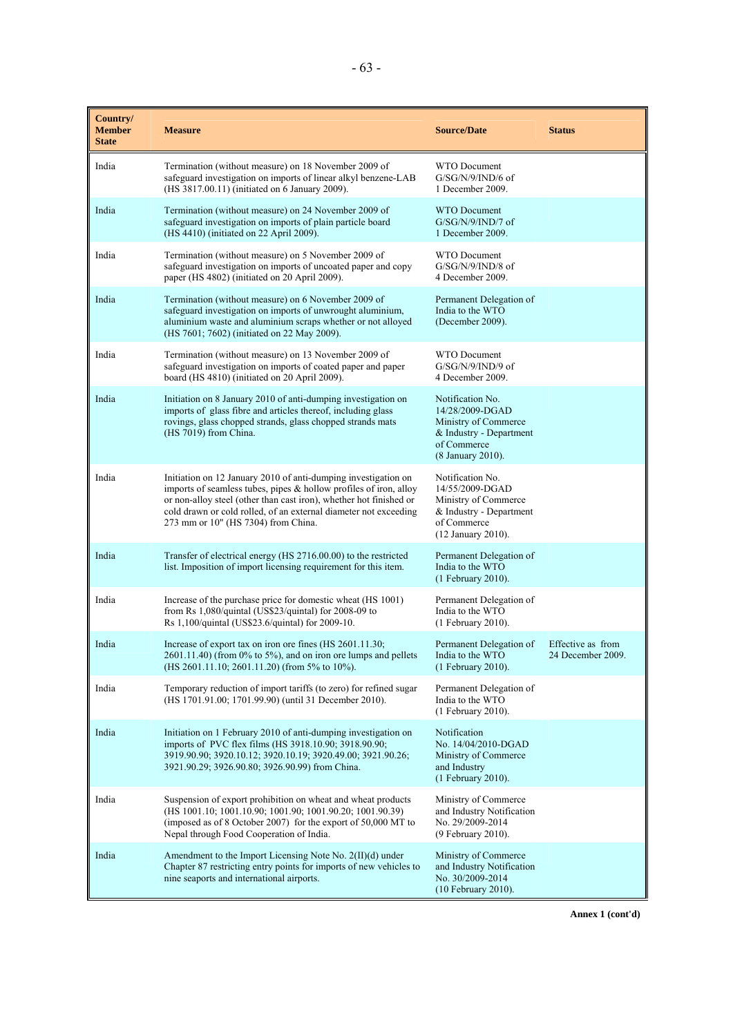| Country/<br><b>Member</b><br><b>State</b> | <b>Measure</b>                                                                                                                                                                                                                                                                                                          | <b>Source/Date</b>                                                                                                          | <b>Status</b>                          |
|-------------------------------------------|-------------------------------------------------------------------------------------------------------------------------------------------------------------------------------------------------------------------------------------------------------------------------------------------------------------------------|-----------------------------------------------------------------------------------------------------------------------------|----------------------------------------|
| India                                     | Termination (without measure) on 18 November 2009 of<br>safeguard investigation on imports of linear alkyl benzene-LAB<br>(HS 3817.00.11) (initiated on 6 January 2009).                                                                                                                                                | WTO Document<br>G/SG/N/9/IND/6 of<br>1 December 2009.                                                                       |                                        |
| India                                     | Termination (without measure) on 24 November 2009 of<br>safeguard investigation on imports of plain particle board<br>(HS 4410) (initiated on 22 April 2009).                                                                                                                                                           | WTO Document<br>$G/SG/N/9/IND/7$ of<br>1 December 2009.                                                                     |                                        |
| India                                     | Termination (without measure) on 5 November 2009 of<br>safeguard investigation on imports of uncoated paper and copy<br>paper (HS 4802) (initiated on 20 April 2009).                                                                                                                                                   | <b>WTO</b> Document<br>$G/SG/N/9/IND/8$ of<br>4 December 2009.                                                              |                                        |
| India                                     | Termination (without measure) on 6 November 2009 of<br>safeguard investigation on imports of unwrought aluminium,<br>aluminium waste and aluminium scraps whether or not alloyed<br>(HS 7601; 7602) (initiated on 22 May 2009).                                                                                         | Permanent Delegation of<br>India to the WTO<br>(December 2009).                                                             |                                        |
| India                                     | Termination (without measure) on 13 November 2009 of<br>safeguard investigation on imports of coated paper and paper<br>board (HS 4810) (initiated on 20 April 2009).                                                                                                                                                   | WTO Document<br>$G/SG/N/9/IND/9$ of<br>4 December 2009.                                                                     |                                        |
| India                                     | Initiation on 8 January 2010 of anti-dumping investigation on<br>imports of glass fibre and articles thereof, including glass<br>rovings, glass chopped strands, glass chopped strands mats<br>(HS 7019) from China.                                                                                                    | Notification No.<br>14/28/2009-DGAD<br>Ministry of Commerce<br>& Industry - Department<br>of Commerce<br>(8 January 2010).  |                                        |
| India                                     | Initiation on 12 January 2010 of anti-dumping investigation on<br>imports of seamless tubes, pipes $\&$ hollow profiles of iron, alloy<br>or non-alloy steel (other than cast iron), whether hot finished or<br>cold drawn or cold rolled, of an external diameter not exceeding<br>273 mm or 10" (HS 7304) from China. | Notification No.<br>14/55/2009-DGAD<br>Ministry of Commerce<br>& Industry - Department<br>of Commerce<br>(12 January 2010). |                                        |
| India                                     | Transfer of electrical energy (HS 2716.00.00) to the restricted<br>list. Imposition of import licensing requirement for this item.                                                                                                                                                                                      | Permanent Delegation of<br>India to the WTO<br>(1 February 2010).                                                           |                                        |
| India                                     | Increase of the purchase price for domestic wheat (HS 1001)<br>from Rs $1,080$ /quintal (US\$23/quintal) for 2008-09 to<br>Rs 1,100/quintal (US\$23.6/quintal) for 2009-10.                                                                                                                                             | Permanent Delegation of<br>India to the WTO<br>(1 February 2010).                                                           |                                        |
| India                                     | Increase of export tax on iron ore fines (HS 2601.11.30;<br>$2601.11.40$ ) (from 0% to 5%), and on iron ore lumps and pellets<br>$(HS 2601.11.10; 2601.11.20)$ (from 5% to 10%).                                                                                                                                        | Permanent Delegation of<br>India to the WTO<br>(1 February 2010).                                                           | Effective as from<br>24 December 2009. |
| India                                     | Temporary reduction of import tariffs (to zero) for refined sugar<br>(HS 1701.91.00; 1701.99.90) (until 31 December 2010).                                                                                                                                                                                              | Permanent Delegation of<br>India to the WTO<br>(1 February 2010).                                                           |                                        |
| India                                     | Initiation on 1 February 2010 of anti-dumping investigation on<br>imports of PVC flex films (HS 3918.10.90; 3918.90.90;<br>3919.90.90; 3920.10.12; 3920.10.19; 3920.49.00; 3921.90.26;<br>3921.90.29; 3926.90.80; 3926.90.99) from China.                                                                               | Notification<br>No. 14/04/2010-DGAD<br>Ministry of Commerce<br>and Industry<br>(1 February 2010).                           |                                        |
| India                                     | Suspension of export prohibition on wheat and wheat products<br>(HS 1001.10; 1001.10.90; 1001.90; 1001.90.20; 1001.90.39)<br>(imposed as of 8 October 2007) for the export of 50,000 MT to<br>Nepal through Food Cooperation of India.                                                                                  | Ministry of Commerce<br>and Industry Notification<br>No. 29/2009-2014<br>(9 February 2010).                                 |                                        |
| India                                     | Amendment to the Import Licensing Note No. 2(II)(d) under<br>Chapter 87 restricting entry points for imports of new vehicles to<br>nine seaports and international airports.                                                                                                                                            | Ministry of Commerce<br>and Industry Notification<br>No. 30/2009-2014<br>(10 February 2010).                                |                                        |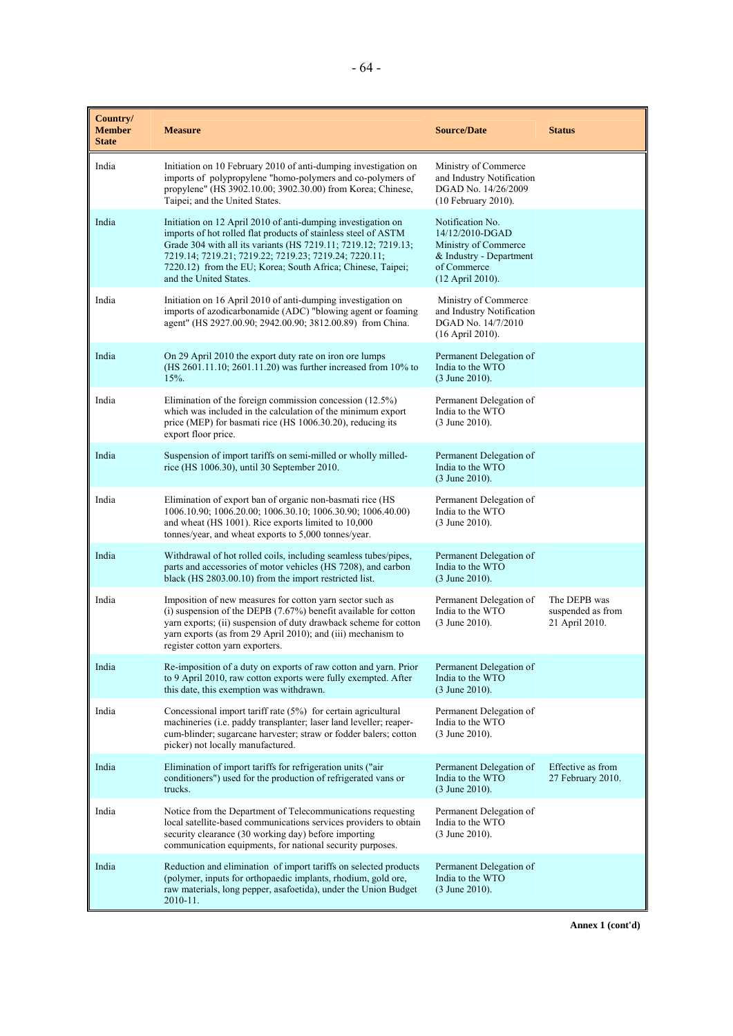| Country/<br><b>Member</b><br><b>State</b> | <b>Measure</b>                                                                                                                                                                                                                                                                                                                                     | <b>Source/Date</b>                                                                                                        | <b>Status</b>                                       |
|-------------------------------------------|----------------------------------------------------------------------------------------------------------------------------------------------------------------------------------------------------------------------------------------------------------------------------------------------------------------------------------------------------|---------------------------------------------------------------------------------------------------------------------------|-----------------------------------------------------|
| India                                     | Initiation on 10 February 2010 of anti-dumping investigation on<br>imports of polypropylene "homo-polymers and co-polymers of<br>propylene" (HS 3902.10.00; 3902.30.00) from Korea; Chinese,<br>Taipei; and the United States.                                                                                                                     | Ministry of Commerce<br>and Industry Notification<br>DGAD No. 14/26/2009<br>$(10$ February 2010).                         |                                                     |
| India                                     | Initiation on 12 April 2010 of anti-dumping investigation on<br>imports of hot rolled flat products of stainless steel of ASTM<br>Grade 304 with all its variants (HS 7219.11; 7219.12; 7219.13;<br>7219.14; 7219.21; 7219.22; 7219.23; 7219.24; 7220.11;<br>7220.12) from the EU; Korea; South Africa; Chinese, Taipei;<br>and the United States. | Notification No.<br>14/12/2010-DGAD<br>Ministry of Commerce<br>& Industry - Department<br>of Commerce<br>(12 April 2010). |                                                     |
| India                                     | Initiation on 16 April 2010 of anti-dumping investigation on<br>imports of azodicarbonamide (ADC) "blowing agent or foaming<br>agent" (HS 2927.00.90; 2942.00.90; 3812.00.89) from China.                                                                                                                                                          | Ministry of Commerce<br>and Industry Notification<br>DGAD No. 14/7/2010<br>(16 April 2010).                               |                                                     |
| India                                     | On 29 April 2010 the export duty rate on iron ore lumps<br>(HS 2601.11.10; 2601.11.20) was further increased from 10% to<br>$15%$ .                                                                                                                                                                                                                | Permanent Delegation of<br>India to the WTO<br>(3 June 2010).                                                             |                                                     |
| India                                     | Elimination of the foreign commission concession $(12.5\%)$<br>which was included in the calculation of the minimum export<br>price (MEP) for basmati rice (HS 1006.30.20), reducing its<br>export floor price.                                                                                                                                    | Permanent Delegation of<br>India to the WTO<br>$(3$ June 2010).                                                           |                                                     |
| India                                     | Suspension of import tariffs on semi-milled or wholly milled-<br>rice (HS 1006.30), until 30 September 2010.                                                                                                                                                                                                                                       | Permanent Delegation of<br>India to the WTO<br>$(3 \text{ June } 2010).$                                                  |                                                     |
| India                                     | Elimination of export ban of organic non-basmati rice (HS<br>1006.10.90; 1006.20.00; 1006.30.10; 1006.30.90; 1006.40.00)<br>and wheat (HS 1001). Rice exports limited to 10,000<br>tonnes/year, and wheat exports to 5,000 tonnes/year.                                                                                                            | Permanent Delegation of<br>India to the WTO<br>(3 June 2010).                                                             |                                                     |
| India                                     | Withdrawal of hot rolled coils, including seamless tubes/pipes,<br>parts and accessories of motor vehicles (HS 7208), and carbon<br>black (HS 2803.00.10) from the import restricted list.                                                                                                                                                         | Permanent Delegation of<br>India to the WTO<br>(3 June 2010).                                                             |                                                     |
| India                                     | Imposition of new measures for cotton yarn sector such as<br>(i) suspension of the DEPB $(7.67%)$ benefit available for cotton<br>yarn exports; (ii) suspension of duty drawback scheme for cotton<br>yarn exports (as from 29 April 2010); and (iii) mechanism to<br>register cotton yarn exporters.                                              | Permanent Delegation of<br>India to the WTO<br>$(3$ June 2010).                                                           | The DEPB was<br>suspended as from<br>21 April 2010. |
| India                                     | Re-imposition of a duty on exports of raw cotton and yarn. Prior<br>to 9 April 2010, raw cotton exports were fully exempted. After<br>this date, this exemption was withdrawn.                                                                                                                                                                     | Permanent Delegation of<br>India to the WTO<br>$(3$ June 2010).                                                           |                                                     |
| India                                     | Concessional import tariff rate (5%) for certain agricultural<br>machineries (i.e. paddy transplanter; laser land leveller; reaper-<br>cum-blinder; sugarcane harvester; straw or fodder balers; cotton<br>picker) not locally manufactured.                                                                                                       | Permanent Delegation of<br>India to the WTO<br>$(3$ June 2010).                                                           |                                                     |
| India                                     | Elimination of import tariffs for refrigeration units ("air<br>conditioners") used for the production of refrigerated vans or<br>trucks.                                                                                                                                                                                                           | Permanent Delegation of<br>India to the WTO<br>(3 June 2010).                                                             | Effective as from<br>27 February 2010.              |
| India                                     | Notice from the Department of Telecommunications requesting<br>local satellite-based communications services providers to obtain<br>security clearance (30 working day) before importing<br>communication equipments, for national security purposes.                                                                                              | Permanent Delegation of<br>India to the WTO<br>(3 June 2010).                                                             |                                                     |
| India                                     | Reduction and elimination of import tariffs on selected products<br>(polymer, inputs for orthopaedic implants, rhodium, gold ore,<br>raw materials, long pepper, asafoetida), under the Union Budget<br>2010-11.                                                                                                                                   | Permanent Delegation of<br>India to the WTO<br>$(3 \text{ June } 2010).$                                                  |                                                     |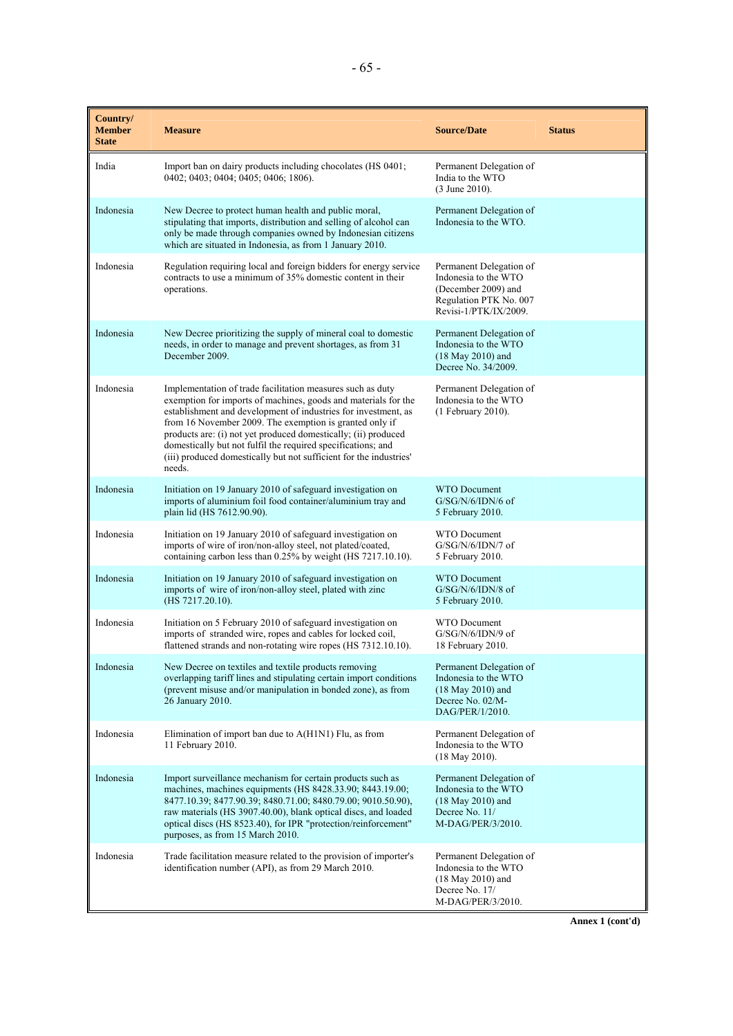| Country/<br><b>Member</b><br><b>State</b> | <b>Measure</b>                                                                                                                                                                                                                                                                                                                                                                                                                                                              | <b>Source/Date</b>                                                                                                           | <b>Status</b> |
|-------------------------------------------|-----------------------------------------------------------------------------------------------------------------------------------------------------------------------------------------------------------------------------------------------------------------------------------------------------------------------------------------------------------------------------------------------------------------------------------------------------------------------------|------------------------------------------------------------------------------------------------------------------------------|---------------|
| India                                     | Import ban on dairy products including chocolates (HS 0401;<br>0402; 0403; 0404; 0405; 0406; 1806).                                                                                                                                                                                                                                                                                                                                                                         | Permanent Delegation of<br>India to the WTO<br>$(3$ June 2010).                                                              |               |
| Indonesia                                 | New Decree to protect human health and public moral,<br>stipulating that imports, distribution and selling of alcohol can<br>only be made through companies owned by Indonesian citizens<br>which are situated in Indonesia, as from 1 January 2010.                                                                                                                                                                                                                        | Permanent Delegation of<br>Indonesia to the WTO.                                                                             |               |
| Indonesia                                 | Regulation requiring local and foreign bidders for energy service<br>contracts to use a minimum of 35% domestic content in their<br>operations.                                                                                                                                                                                                                                                                                                                             | Permanent Delegation of<br>Indonesia to the WTO<br>(December 2009) and<br>Regulation PTK No. 007<br>$Revisi-1/PTK/IX/2009$ . |               |
| Indonesia                                 | New Decree prioritizing the supply of mineral coal to domestic<br>needs, in order to manage and prevent shortages, as from 31<br>December 2009.                                                                                                                                                                                                                                                                                                                             | Permanent Delegation of<br>Indonesia to the WTO<br>$(18$ May 2010) and<br>Decree No. 34/2009.                                |               |
| Indonesia                                 | Implementation of trade facilitation measures such as duty<br>exemption for imports of machines, goods and materials for the<br>establishment and development of industries for investment, as<br>from 16 November 2009. The exemption is granted only if<br>products are: (i) not yet produced domestically; (ii) produced<br>domestically but not fulfil the required specifications; and<br>(iii) produced domestically but not sufficient for the industries'<br>needs. | Permanent Delegation of<br>Indonesia to the WTO<br>$(1$ February 2010).                                                      |               |
| Indonesia                                 | Initiation on 19 January 2010 of safeguard investigation on<br>imports of aluminium foil food container/aluminium tray and<br>plain lid (HS 7612.90.90).                                                                                                                                                                                                                                                                                                                    | <b>WTO Document</b><br>$G/SG/N/6/IDN/6$ of<br>5 February 2010.                                                               |               |
| Indonesia                                 | Initiation on 19 January 2010 of safeguard investigation on<br>imports of wire of iron/non-alloy steel, not plated/coated,<br>containing carbon less than 0.25% by weight (HS 7217.10.10).                                                                                                                                                                                                                                                                                  | <b>WTO Document</b><br>$G/SG/N/6/IDN/7$ of<br>5 February 2010.                                                               |               |
| Indonesia                                 | Initiation on 19 January 2010 of safeguard investigation on<br>imports of wire of iron/non-alloy steel, plated with zinc<br>(HS 7217.20.10).                                                                                                                                                                                                                                                                                                                                | <b>WTO</b> Document<br>G/SG/N/6/IDN/8 of<br>5 February 2010.                                                                 |               |
| Indonesia                                 | Initiation on 5 February 2010 of safeguard investigation on<br>imports of stranded wire, ropes and cables for locked coil,<br>flattened strands and non-rotating wire ropes (HS 7312.10.10).                                                                                                                                                                                                                                                                                | <b>WTO</b> Document<br>G/SG/N/6/IDN/9 of<br>18 February 2010.                                                                |               |
| Indonesia                                 | New Decree on textiles and textile products removing<br>overlapping tariff lines and stipulating certain import conditions<br>(prevent misuse and/or manipulation in bonded zone), as from<br>26 January 2010.                                                                                                                                                                                                                                                              | Permanent Delegation of<br>Indonesia to the WTO<br>$(18$ May 2010) and<br>Decree No. 02/M-<br>DAG/PER/1/2010.                |               |
| Indonesia                                 | Elimination of import ban due to A(H1N1) Flu, as from<br>11 February 2010.                                                                                                                                                                                                                                                                                                                                                                                                  | Permanent Delegation of<br>Indonesia to the WTO<br>$(18$ May 2010).                                                          |               |
| Indonesia                                 | Import surveillance mechanism for certain products such as<br>machines, machines equipments (HS 8428.33.90; 8443.19.00;<br>8477.10.39; 8477.90.39; 8480.71.00; 8480.79.00; 9010.50.90),<br>raw materials (HS 3907.40.00), blank optical discs, and loaded<br>optical discs (HS 8523.40), for IPR "protection/reinforcement"<br>purposes, as from 15 March 2010.                                                                                                             | Permanent Delegation of<br>Indonesia to the WTO<br>$(18$ May 2010) and<br>Decree No. 11/<br>M-DAG/PER/3/2010.                |               |
| Indonesia                                 | Trade facilitation measure related to the provision of importer's<br>identification number (API), as from 29 March 2010.                                                                                                                                                                                                                                                                                                                                                    | Permanent Delegation of<br>Indonesia to the WTO<br>$(18$ May 2010) and<br>Decree No. 17/<br>M-DAG/PER/3/2010.                |               |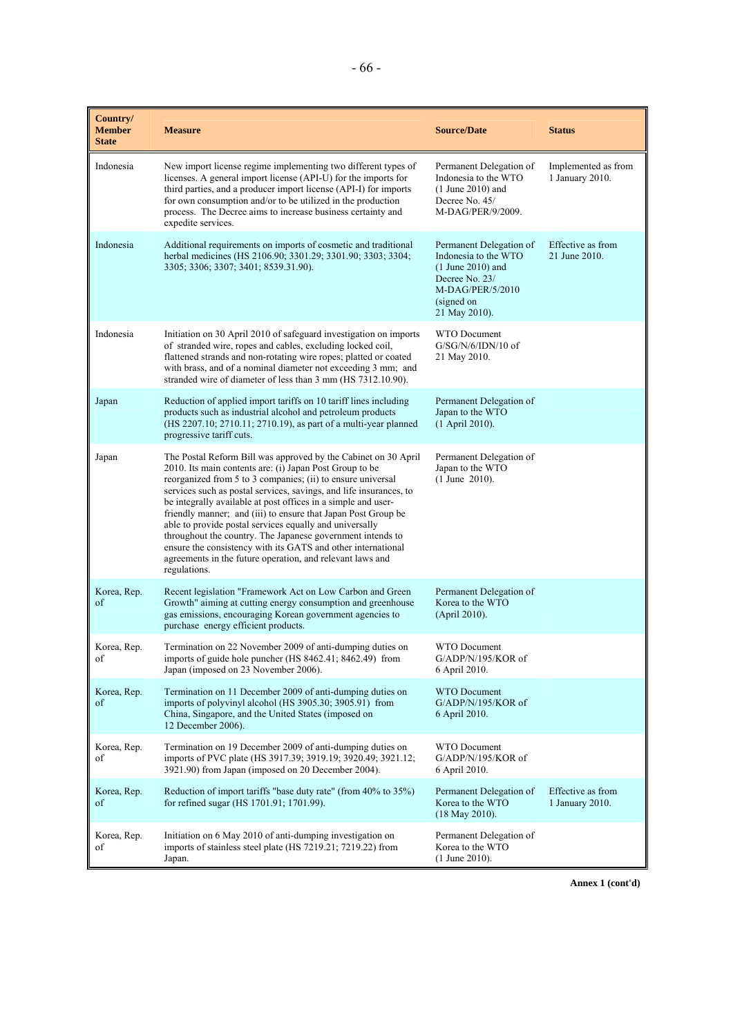| Country/<br><b>Member</b><br><b>State</b> | <b>Measure</b>                                                                                                                                                                                                                                                                                                                                                                                                                                                                                                                                                                                                                                                         | <b>Source/Date</b>                                                                                                                          | <b>Status</b>                          |
|-------------------------------------------|------------------------------------------------------------------------------------------------------------------------------------------------------------------------------------------------------------------------------------------------------------------------------------------------------------------------------------------------------------------------------------------------------------------------------------------------------------------------------------------------------------------------------------------------------------------------------------------------------------------------------------------------------------------------|---------------------------------------------------------------------------------------------------------------------------------------------|----------------------------------------|
| Indonesia                                 | New import license regime implementing two different types of<br>licenses. A general import license (API-U) for the imports for<br>third parties, and a producer import license (API-I) for imports<br>for own consumption and/or to be utilized in the production<br>process. The Decree aims to increase business certainty and<br>expedite services.                                                                                                                                                                                                                                                                                                                | Permanent Delegation of<br>Indonesia to the WTO<br>$(1$ June 2010) and<br>Decree No. 45/<br>M-DAG/PER/9/2009.                               | Implemented as from<br>1 January 2010. |
| Indonesia                                 | Additional requirements on imports of cosmetic and traditional<br>herbal medicines (HS 2106.90; 3301.29; 3301.90; 3303; 3304;<br>3305; 3306; 3307; 3401; 8539.31.90).                                                                                                                                                                                                                                                                                                                                                                                                                                                                                                  | Permanent Delegation of<br>Indonesia to the WTO<br>$(1$ June 2010) and<br>Decree No. 23/<br>M-DAG/PER/5/2010<br>(signed on<br>21 May 2010). | Effective as from<br>21 June 2010.     |
| Indonesia                                 | Initiation on 30 April 2010 of safeguard investigation on imports<br>of stranded wire, ropes and cables, excluding locked coil,<br>flattened strands and non-rotating wire ropes; platted or coated<br>with brass, and of a nominal diameter not exceeding 3 mm; and<br>stranded wire of diameter of less than 3 mm (HS 7312.10.90).                                                                                                                                                                                                                                                                                                                                   | <b>WTO Document</b><br>$G/SG/N/6/IDN/10$ of<br>21 May 2010.                                                                                 |                                        |
| Japan                                     | Reduction of applied import tariffs on 10 tariff lines including<br>products such as industrial alcohol and petroleum products<br>(HS 2207.10; 2710.11; 2710.19), as part of a multi-year planned<br>progressive tariff cuts.                                                                                                                                                                                                                                                                                                                                                                                                                                          | Permanent Delegation of<br>Japan to the WTO<br>(1 April 2010).                                                                              |                                        |
| Japan                                     | The Postal Reform Bill was approved by the Cabinet on 30 April<br>2010. Its main contents are: (i) Japan Post Group to be<br>reorganized from 5 to 3 companies; (ii) to ensure universal<br>services such as postal services, savings, and life insurances, to<br>be integrally available at post offices in a simple and user-<br>friendly manner; and (iii) to ensure that Japan Post Group be<br>able to provide postal services equally and universally<br>throughout the country. The Japanese government intends to<br>ensure the consistency with its GATS and other international<br>agreements in the future operation, and relevant laws and<br>regulations. | Permanent Delegation of<br>Japan to the WTO<br>$(1$ June 2010).                                                                             |                                        |
| Korea, Rep.<br>of                         | Recent legislation "Framework Act on Low Carbon and Green<br>Growth" aiming at cutting energy consumption and greenhouse<br>gas emissions, encouraging Korean government agencies to<br>purchase energy efficient products.                                                                                                                                                                                                                                                                                                                                                                                                                                            | Permanent Delegation of<br>Korea to the WTO<br>(April 2010).                                                                                |                                        |
| Korea, Rep.<br>οf                         | Termination on 22 November 2009 of anti-dumping duties on<br>imports of guide hole puncher (HS 8462.41; 8462.49) from<br>Japan (imposed on 23 November 2006).                                                                                                                                                                                                                                                                                                                                                                                                                                                                                                          | <b>WTO</b> Document<br>G/ADP/N/195/KOR of<br>6 April 2010.                                                                                  |                                        |
| Korea, Rep.<br>of                         | Termination on 11 December 2009 of anti-dumping duties on<br>imports of polyvinyl alcohol (HS 3905.30; 3905.91) from<br>China, Singapore, and the United States (imposed on<br>12 December 2006).                                                                                                                                                                                                                                                                                                                                                                                                                                                                      | <b>WTO Document</b><br>G/ADP/N/195/KOR of<br>6 April 2010.                                                                                  |                                        |
| Korea, Rep.<br>of                         | Termination on 19 December 2009 of anti-dumping duties on<br>imports of PVC plate (HS 3917.39; 3919.19; 3920.49; 3921.12;<br>3921.90) from Japan (imposed on 20 December 2004).                                                                                                                                                                                                                                                                                                                                                                                                                                                                                        | <b>WTO Document</b><br>G/ADP/N/195/KOR of<br>6 April 2010.                                                                                  |                                        |
| Korea, Rep.<br>of                         | Reduction of import tariffs "base duty rate" (from 40% to 35%)<br>for refined sugar (HS 1701.91; 1701.99).                                                                                                                                                                                                                                                                                                                                                                                                                                                                                                                                                             | Permanent Delegation of<br>Korea to the WTO<br>$(18$ May 2010).                                                                             | Effective as from<br>1 January 2010.   |
| Korea, Rep.<br>of                         | Initiation on 6 May 2010 of anti-dumping investigation on<br>imports of stainless steel plate (HS 7219.21; 7219.22) from<br>Japan.                                                                                                                                                                                                                                                                                                                                                                                                                                                                                                                                     | Permanent Delegation of<br>Korea to the WTO<br>$(1$ June 2010).                                                                             |                                        |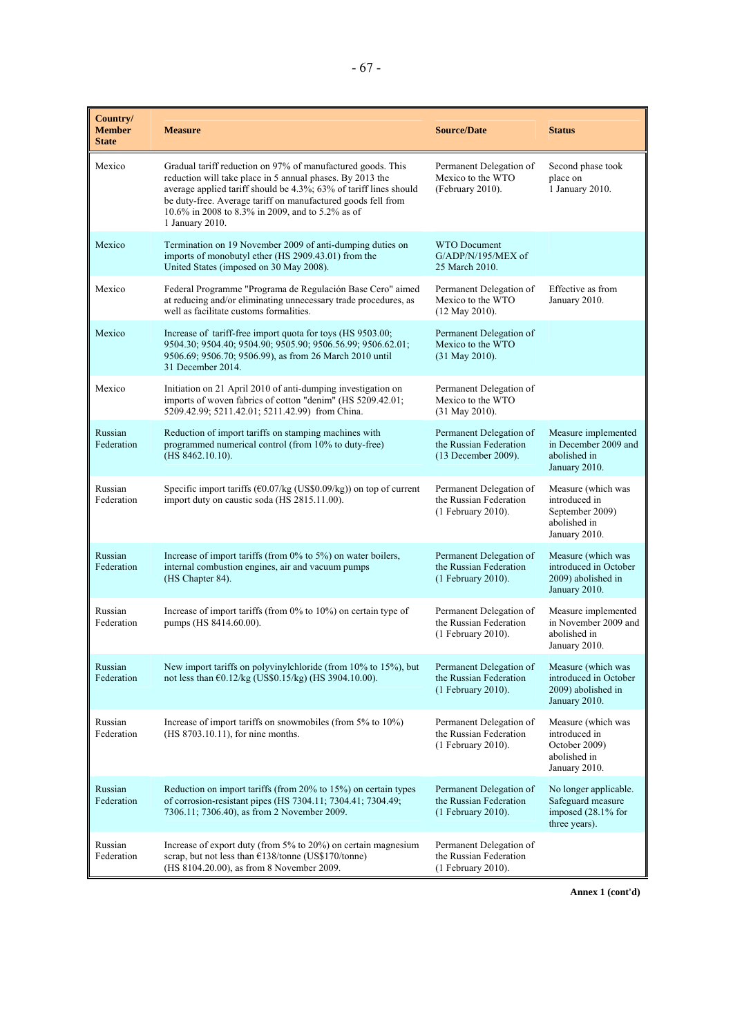| Country/<br><b>Member</b><br><b>State</b> | <b>Measure</b>                                                                                                                                                                                                                                                                                                                       | <b>Source/Date</b>                                                       | <b>Status</b>                                                                           |
|-------------------------------------------|--------------------------------------------------------------------------------------------------------------------------------------------------------------------------------------------------------------------------------------------------------------------------------------------------------------------------------------|--------------------------------------------------------------------------|-----------------------------------------------------------------------------------------|
| Mexico                                    | Gradual tariff reduction on 97% of manufactured goods. This<br>reduction will take place in 5 annual phases. By 2013 the<br>average applied tariff should be 4.3%; 63% of tariff lines should<br>be duty-free. Average tariff on manufactured goods fell from<br>10.6% in 2008 to 8.3% in 2009, and to 5.2% as of<br>1 January 2010. | Permanent Delegation of<br>Mexico to the WTO<br>(February 2010).         | Second phase took<br>place on<br>1 January 2010.                                        |
| Mexico                                    | Termination on 19 November 2009 of anti-dumping duties on<br>imports of monobutyl ether (HS 2909.43.01) from the<br>United States (imposed on 30 May 2008).                                                                                                                                                                          | <b>WTO Document</b><br>G/ADP/N/195/MEX of<br>25 March 2010.              |                                                                                         |
| Mexico                                    | Federal Programme "Programa de Regulación Base Cero" aimed<br>at reducing and/or eliminating unnecessary trade procedures, as<br>well as facilitate customs formalities.                                                                                                                                                             | Permanent Delegation of<br>Mexico to the WTO<br>(12 May 2010).           | Effective as from<br>January 2010.                                                      |
| Mexico                                    | Increase of tariff-free import quota for toys (HS 9503.00;<br>9504.30; 9504.40; 9504.90; 9505.90; 9506.56.99; 9506.62.01;<br>9506.69; 9506.70; 9506.99), as from 26 March 2010 until<br>31 December 2014.                                                                                                                            | Permanent Delegation of<br>Mexico to the WTO<br>(31 May 2010).           |                                                                                         |
| Mexico                                    | Initiation on 21 April 2010 of anti-dumping investigation on<br>imports of woven fabrics of cotton "denim" (HS 5209.42.01;<br>5209.42.99; 5211.42.01; 5211.42.99) from China.                                                                                                                                                        | Permanent Delegation of<br>Mexico to the WTO<br>(31 May 2010).           |                                                                                         |
| Russian<br>Federation                     | Reduction of import tariffs on stamping machines with<br>programmed numerical control (from 10% to duty-free)<br>(HS 8462.10.10).                                                                                                                                                                                                    | Permanent Delegation of<br>the Russian Federation<br>(13 December 2009). | Measure implemented<br>in December 2009 and<br>abolished in<br>January 2010.            |
| Russian<br>Federation                     | Specific import tariffs ( $\epsilon$ 0.07/kg (US\$0.09/kg)) on top of current<br>import duty on caustic soda (HS 2815.11.00).                                                                                                                                                                                                        | Permanent Delegation of<br>the Russian Federation<br>(1 February 2010).  | Measure (which was<br>introduced in<br>September 2009)<br>abolished in<br>January 2010. |
| Russian<br>Federation                     | Increase of import tariffs (from 0% to 5%) on water boilers,<br>internal combustion engines, air and vacuum pumps<br>(HS Chapter 84).                                                                                                                                                                                                | Permanent Delegation of<br>the Russian Federation<br>(1 February 2010).  | Measure (which was<br>introduced in October<br>2009) abolished in<br>January 2010.      |
| Russian<br>Federation                     | Increase of import tariffs (from $0\%$ to $10\%$ ) on certain type of<br>pumps (HS 8414.60.00).                                                                                                                                                                                                                                      | Permanent Delegation of<br>the Russian Federation<br>(1 February 2010).  | Measure implemented<br>in November 2009 and<br>abolished in<br>January 2010.            |
| Russian<br>Federation                     | New import tariffs on polyvinylchloride (from 10% to 15%), but<br>not less than $\epsilon$ 0.12/kg (US\$0.15/kg) (HS 3904.10.00).                                                                                                                                                                                                    | Permanent Delegation of<br>the Russian Federation<br>(1 February 2010).  | Measure (which was<br>introduced in October<br>2009) abolished in<br>January 2010.      |
| Russian<br>Federation                     | Increase of import tariffs on snowmobiles (from 5% to 10%)<br>(HS 8703.10.11), for nine months.                                                                                                                                                                                                                                      | Permanent Delegation of<br>the Russian Federation<br>(1 February 2010).  | Measure (which was<br>introduced in<br>October 2009)<br>abolished in<br>January 2010.   |
| Russian<br>Federation                     | Reduction on import tariffs (from 20% to 15%) on certain types<br>of corrosion-resistant pipes (HS 7304.11; 7304.41; 7304.49;<br>7306.11; 7306.40), as from 2 November 2009.                                                                                                                                                         | Permanent Delegation of<br>the Russian Federation<br>(1 February 2010).  | No longer applicable.<br>Safeguard measure<br>imposed (28.1% for<br>three years).       |
| Russian<br>Federation                     | Increase of export duty (from 5% to 20%) on certain magnesium<br>scrap, but not less than €138/tonne (US\$170/tonne)<br>(HS 8104.20.00), as from 8 November 2009.                                                                                                                                                                    | Permanent Delegation of<br>the Russian Federation<br>(1 February 2010).  |                                                                                         |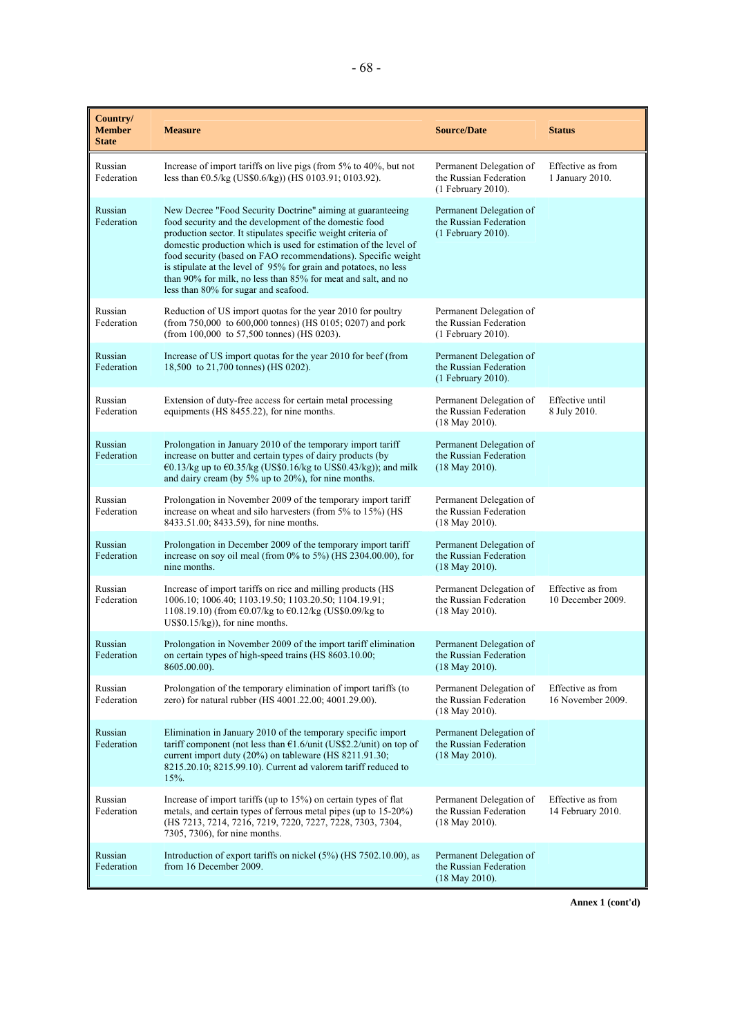| Country/<br><b>Member</b><br><b>State</b> | <b>Measure</b>                                                                                                                                                                                                                                                                                                                                                                                                                                                                                         | <b>Source/Date</b>                                                        | <b>Status</b>                          |
|-------------------------------------------|--------------------------------------------------------------------------------------------------------------------------------------------------------------------------------------------------------------------------------------------------------------------------------------------------------------------------------------------------------------------------------------------------------------------------------------------------------------------------------------------------------|---------------------------------------------------------------------------|----------------------------------------|
| Russian<br>Federation                     | Increase of import tariffs on live pigs (from 5% to 40%, but not<br>less than $\epsilon$ 0.5/kg (US\$0.6/kg)) (HS 0103.91; 0103.92).                                                                                                                                                                                                                                                                                                                                                                   | Permanent Delegation of<br>the Russian Federation<br>(1 February 2010).   | Effective as from<br>1 January 2010.   |
| Russian<br>Federation                     | New Decree "Food Security Doctrine" aiming at guaranteeing<br>food security and the development of the domestic food<br>production sector. It stipulates specific weight criteria of<br>domestic production which is used for estimation of the level of<br>food security (based on FAO recommendations). Specific weight<br>is stipulate at the level of 95% for grain and potatoes, no less<br>than 90% for milk, no less than 85% for meat and salt, and no<br>less than 80% for sugar and seafood. | Permanent Delegation of<br>the Russian Federation<br>$(1$ February 2010). |                                        |
| Russian<br>Federation                     | Reduction of US import quotas for the year 2010 for poultry<br>(from 750,000 to 600,000 tonnes) (HS 0105; 0207) and pork<br>(from 100,000 to 57,500 tonnes) (HS 0203).                                                                                                                                                                                                                                                                                                                                 | Permanent Delegation of<br>the Russian Federation<br>(1 February 2010).   |                                        |
| Russian<br>Federation                     | Increase of US import quotas for the year 2010 for beef (from<br>18,500 to 21,700 tonnes) (HS 0202).                                                                                                                                                                                                                                                                                                                                                                                                   | Permanent Delegation of<br>the Russian Federation<br>(1 February 2010).   |                                        |
| Russian<br>Federation                     | Extension of duty-free access for certain metal processing<br>equipments (HS 8455.22), for nine months.                                                                                                                                                                                                                                                                                                                                                                                                | Permanent Delegation of<br>the Russian Federation<br>$(18$ May 2010).     | Effective until<br>8 July 2010.        |
| Russian<br>Federation                     | Prolongation in January 2010 of the temporary import tariff<br>increase on butter and certain types of dairy products (by<br>€0.13/kg up to $€0.35/kg$ (US\$0.16/kg to US\$0.43/kg)); and milk<br>and dairy cream (by 5% up to 20%), for nine months.                                                                                                                                                                                                                                                  | Permanent Delegation of<br>the Russian Federation<br>$(18$ May 2010).     |                                        |
| Russian<br>Federation                     | Prolongation in November 2009 of the temporary import tariff<br>increase on wheat and silo harvesters (from 5% to 15%) (HS<br>8433.51.00; 8433.59), for nine months.                                                                                                                                                                                                                                                                                                                                   | Permanent Delegation of<br>the Russian Federation<br>$(18$ May 2010).     |                                        |
| Russian<br>Federation                     | Prolongation in December 2009 of the temporary import tariff<br>increase on soy oil meal (from $0\%$ to $5\%$ ) (HS 2304.00.00), for<br>nine months.                                                                                                                                                                                                                                                                                                                                                   | Permanent Delegation of<br>the Russian Federation<br>$(18$ May 2010).     |                                        |
| Russian<br>Federation                     | Increase of import tariffs on rice and milling products (HS<br>1006.10; 1006.40; 1103.19.50; 1103.20.50; 1104.19.91;<br>1108.19.10) (from €0.07/kg to €0.12/kg (US\$0.09/kg to<br>$US$0.15/kg$ ), for nine months.                                                                                                                                                                                                                                                                                     | Permanent Delegation of<br>the Russian Federation<br>$(18$ May 2010).     | Effective as from<br>10 December 2009. |
| Russian<br>Federation                     | Prolongation in November 2009 of the import tariff elimination<br>on certain types of high-speed trains (HS 8603.10.00;<br>8605.00.00).                                                                                                                                                                                                                                                                                                                                                                | Permanent Delegation of<br>the Russian Federation<br>(18 May 2010).       |                                        |
| Russian<br>Federation                     | Prolongation of the temporary elimination of import tariffs (to<br>zero) for natural rubber (HS 4001.22.00; 4001.29.00).                                                                                                                                                                                                                                                                                                                                                                               | Permanent Delegation of<br>the Russian Federation<br>$(18$ May 2010).     | Effective as from<br>16 November 2009. |
| Russian<br>Federation                     | Elimination in January 2010 of the temporary specific import<br>tariff component (not less than $\epsilon$ 1.6/unit (US\$2.2/unit) on top of<br>current import duty (20%) on tableware (HS 8211.91.30;<br>8215.20.10; 8215.99.10). Current ad valorem tariff reduced to<br>15%.                                                                                                                                                                                                                        | Permanent Delegation of<br>the Russian Federation<br>$(18$ May 2010).     |                                        |
| Russian<br>Federation                     | Increase of import tariffs (up to 15%) on certain types of flat<br>metals, and certain types of ferrous metal pipes (up to 15-20%)<br>(HS 7213, 7214, 7216, 7219, 7220, 7227, 7228, 7303, 7304,<br>7305, 7306), for nine months.                                                                                                                                                                                                                                                                       | Permanent Delegation of<br>the Russian Federation<br>$(18$ May 2010).     | Effective as from<br>14 February 2010. |
| Russian<br>Federation                     | Introduction of export tariffs on nickel (5%) (HS 7502.10.00), as<br>from 16 December 2009.                                                                                                                                                                                                                                                                                                                                                                                                            | Permanent Delegation of<br>the Russian Federation<br>$(18$ May 2010).     |                                        |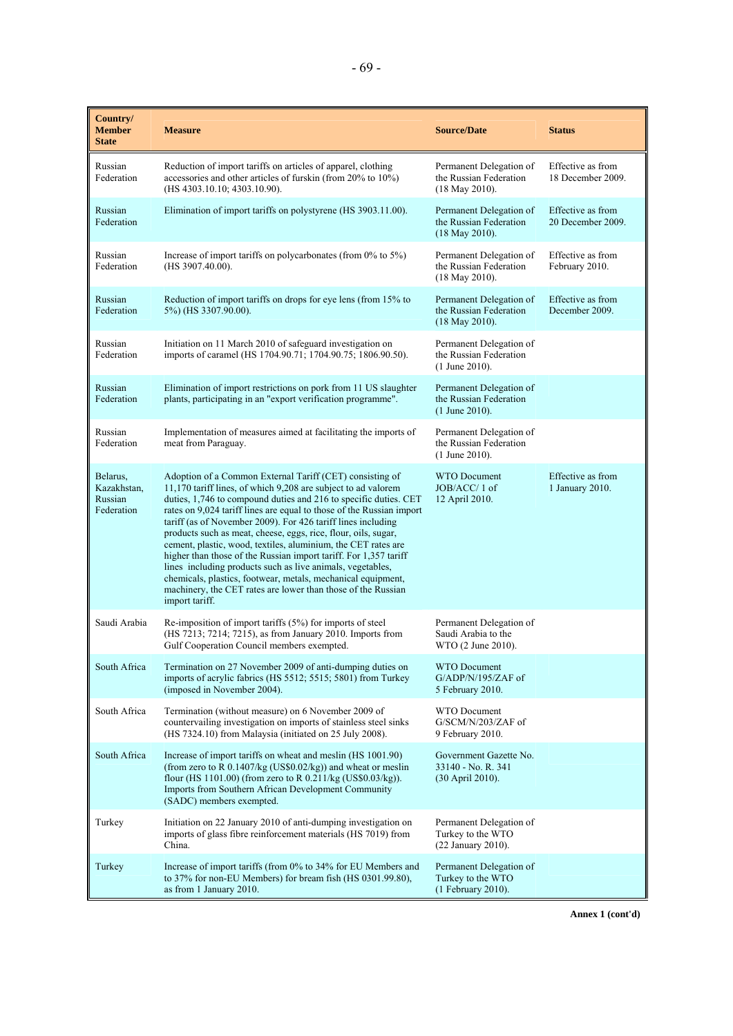| Country/<br><b>Member</b><br><b>State</b>        | <b>Measure</b>                                                                                                                                                                                                                                                                                                                                                                                                                                                                                                                                                                                                                                                                                                                                               | <b>Source/Date</b>                                                    | <b>Status</b>                          |
|--------------------------------------------------|--------------------------------------------------------------------------------------------------------------------------------------------------------------------------------------------------------------------------------------------------------------------------------------------------------------------------------------------------------------------------------------------------------------------------------------------------------------------------------------------------------------------------------------------------------------------------------------------------------------------------------------------------------------------------------------------------------------------------------------------------------------|-----------------------------------------------------------------------|----------------------------------------|
| Russian<br>Federation                            | Reduction of import tariffs on articles of apparel, clothing<br>accessories and other articles of furskin (from 20% to 10%)<br>(HS 4303.10.10; 4303.10.90).                                                                                                                                                                                                                                                                                                                                                                                                                                                                                                                                                                                                  | Permanent Delegation of<br>the Russian Federation<br>(18 May 2010).   | Effective as from<br>18 December 2009. |
| Russian<br>Federation                            | Elimination of import tariffs on polystyrene (HS 3903.11.00).                                                                                                                                                                                                                                                                                                                                                                                                                                                                                                                                                                                                                                                                                                | Permanent Delegation of<br>the Russian Federation<br>(18 May 2010).   | Effective as from<br>20 December 2009. |
| Russian<br>Federation                            | Increase of import tariffs on polycarbonates (from $0\%$ to $5\%$ )<br>(HS 3907.40.00).                                                                                                                                                                                                                                                                                                                                                                                                                                                                                                                                                                                                                                                                      | Permanent Delegation of<br>the Russian Federation<br>(18 May 2010).   | Effective as from<br>February 2010.    |
| Russian<br>Federation                            | Reduction of import tariffs on drops for eye lens (from 15% to<br>5%) (HS 3307.90.00).                                                                                                                                                                                                                                                                                                                                                                                                                                                                                                                                                                                                                                                                       | Permanent Delegation of<br>the Russian Federation<br>(18 May 2010).   | Effective as from<br>December 2009.    |
| Russian<br>Federation                            | Initiation on 11 March 2010 of safeguard investigation on<br>imports of caramel (HS 1704.90.71; 1704.90.75; 1806.90.50).                                                                                                                                                                                                                                                                                                                                                                                                                                                                                                                                                                                                                                     | Permanent Delegation of<br>the Russian Federation<br>$(1$ June 2010). |                                        |
| Russian<br>Federation                            | Elimination of import restrictions on pork from 11 US slaughter<br>plants, participating in an "export verification programme".                                                                                                                                                                                                                                                                                                                                                                                                                                                                                                                                                                                                                              | Permanent Delegation of<br>the Russian Federation<br>$(1$ June 2010). |                                        |
| Russian<br>Federation                            | Implementation of measures aimed at facilitating the imports of<br>meat from Paraguay.                                                                                                                                                                                                                                                                                                                                                                                                                                                                                                                                                                                                                                                                       | Permanent Delegation of<br>the Russian Federation<br>$(1$ June 2010). |                                        |
| Belarus,<br>Kazakhstan,<br>Russian<br>Federation | Adoption of a Common External Tariff (CET) consisting of<br>11,170 tariff lines, of which 9,208 are subject to ad valorem<br>duties, 1,746 to compound duties and 216 to specific duties. CET<br>rates on 9,024 tariff lines are equal to those of the Russian import<br>tariff (as of November 2009). For 426 tariff lines including<br>products such as meat, cheese, eggs, rice, flour, oils, sugar,<br>cement, plastic, wood, textiles, aluminium, the CET rates are<br>higher than those of the Russian import tariff. For 1,357 tariff<br>lines including products such as live animals, vegetables,<br>chemicals, plastics, footwear, metals, mechanical equipment,<br>machinery, the CET rates are lower than those of the Russian<br>import tariff. | <b>WTO Document</b><br>JOB/ACC/1 of<br>12 April 2010.                 | Effective as from<br>1 January 2010.   |
| Saudi Arabia                                     | Re-imposition of import tariffs (5%) for imports of steel<br>(HS 7213; 7214; 7215), as from January 2010. Imports from<br>Gulf Cooperation Council members exempted.                                                                                                                                                                                                                                                                                                                                                                                                                                                                                                                                                                                         | Permanent Delegation of<br>Saudi Arabia to the<br>WTO (2 June 2010).  |                                        |
| South Africa                                     | Termination on 27 November 2009 of anti-dumping duties on<br>imports of acrylic fabrics (HS 5512; 5515; 5801) from Turkey<br>(imposed in November 2004).                                                                                                                                                                                                                                                                                                                                                                                                                                                                                                                                                                                                     | <b>WTO Document</b><br>G/ADP/N/195/ZAF of<br>5 February 2010.         |                                        |
| South Africa                                     | Termination (without measure) on 6 November 2009 of<br>countervailing investigation on imports of stainless steel sinks<br>(HS 7324.10) from Malaysia (initiated on 25 July 2008).                                                                                                                                                                                                                                                                                                                                                                                                                                                                                                                                                                           | <b>WTO Document</b><br>G/SCM/N/203/ZAF of<br>9 February 2010.         |                                        |
| South Africa                                     | Increase of import tariffs on wheat and meslin (HS 1001.90)<br>(from zero to R 0.1407/kg (US\$0.02/kg)) and wheat or meslin<br>flour (HS 1101.00) (from zero to R $0.211/kg$ (US\$0.03/kg)).<br>Imports from Southern African Development Community<br>(SADC) members exempted.                                                                                                                                                                                                                                                                                                                                                                                                                                                                              | Government Gazette No.<br>33140 - No. R. 341<br>(30 April 2010).      |                                        |
| Turkey                                           | Initiation on 22 January 2010 of anti-dumping investigation on<br>imports of glass fibre reinforcement materials (HS 7019) from<br>China.                                                                                                                                                                                                                                                                                                                                                                                                                                                                                                                                                                                                                    | Permanent Delegation of<br>Turkey to the WTO<br>(22 January 2010).    |                                        |
| Turkey                                           | Increase of import tariffs (from 0% to 34% for EU Members and<br>to 37% for non-EU Members) for bream fish (HS 0301.99.80),<br>as from 1 January 2010.                                                                                                                                                                                                                                                                                                                                                                                                                                                                                                                                                                                                       | Permanent Delegation of<br>Turkey to the WTO<br>(1 February 2010).    |                                        |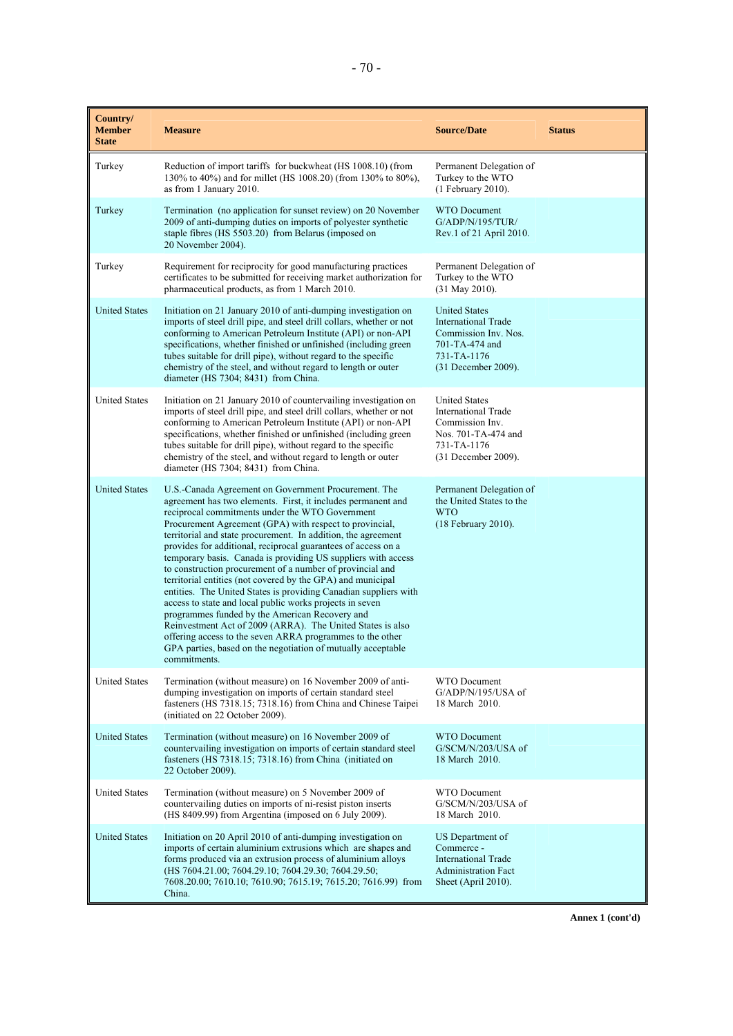| Country/<br><b>Member</b><br><b>State</b> | <b>Measure</b>                                                                                                                                                                                                                                                                                                                                                                                                                                                                                                                                                                                                                                                                                                                                                                                                                                                                                                                                                 | <b>Source/Date</b>                                                                                                                 | <b>Status</b> |
|-------------------------------------------|----------------------------------------------------------------------------------------------------------------------------------------------------------------------------------------------------------------------------------------------------------------------------------------------------------------------------------------------------------------------------------------------------------------------------------------------------------------------------------------------------------------------------------------------------------------------------------------------------------------------------------------------------------------------------------------------------------------------------------------------------------------------------------------------------------------------------------------------------------------------------------------------------------------------------------------------------------------|------------------------------------------------------------------------------------------------------------------------------------|---------------|
| Turkey                                    | Reduction of import tariffs for buckwheat (HS 1008.10) (from<br>130% to 40%) and for millet (HS 1008.20) (from 130% to 80%),<br>as from 1 January 2010.                                                                                                                                                                                                                                                                                                                                                                                                                                                                                                                                                                                                                                                                                                                                                                                                        | Permanent Delegation of<br>Turkey to the WTO<br>(1 February 2010).                                                                 |               |
| Turkey                                    | Termination (no application for sunset review) on 20 November<br>2009 of anti-dumping duties on imports of polyester synthetic<br>staple fibres (HS 5503.20) from Belarus (imposed on<br>20 November 2004).                                                                                                                                                                                                                                                                                                                                                                                                                                                                                                                                                                                                                                                                                                                                                    | <b>WTO Document</b><br>G/ADP/N/195/TUR/<br>Rev.1 of 21 April 2010.                                                                 |               |
| Turkey                                    | Requirement for reciprocity for good manufacturing practices<br>certificates to be submitted for receiving market authorization for<br>pharmaceutical products, as from 1 March 2010.                                                                                                                                                                                                                                                                                                                                                                                                                                                                                                                                                                                                                                                                                                                                                                          | Permanent Delegation of<br>Turkey to the WTO<br>(31 May 2010).                                                                     |               |
| <b>United States</b>                      | Initiation on 21 January 2010 of anti-dumping investigation on<br>imports of steel drill pipe, and steel drill collars, whether or not<br>conforming to American Petroleum Institute (API) or non-API<br>specifications, whether finished or unfinished (including green<br>tubes suitable for drill pipe), without regard to the specific<br>chemistry of the steel, and without regard to length or outer<br>diameter (HS 7304; 8431) from China.                                                                                                                                                                                                                                                                                                                                                                                                                                                                                                            | <b>United States</b><br><b>International Trade</b><br>Commission Inv. Nos.<br>701-TA-474 and<br>731-TA-1176<br>(31 December 2009). |               |
| <b>United States</b>                      | Initiation on 21 January 2010 of countervailing investigation on<br>imports of steel drill pipe, and steel drill collars, whether or not<br>conforming to American Petroleum Institute (API) or non-API<br>specifications, whether finished or unfinished (including green<br>tubes suitable for drill pipe), without regard to the specific<br>chemistry of the steel, and without regard to length or outer<br>diameter (HS 7304; 8431) from China.                                                                                                                                                                                                                                                                                                                                                                                                                                                                                                          | <b>United States</b><br><b>International Trade</b><br>Commission Inv.<br>Nos. 701-TA-474 and<br>731-TA-1176<br>(31 December 2009). |               |
| <b>United States</b>                      | U.S.-Canada Agreement on Government Procurement. The<br>agreement has two elements. First, it includes permanent and<br>reciprocal commitments under the WTO Government<br>Procurement Agreement (GPA) with respect to provincial,<br>territorial and state procurement. In addition, the agreement<br>provides for additional, reciprocal guarantees of access on a<br>temporary basis. Canada is providing US suppliers with access<br>to construction procurement of a number of provincial and<br>territorial entities (not covered by the GPA) and municipal<br>entities. The United States is providing Canadian suppliers with<br>access to state and local public works projects in seven<br>programmes funded by the American Recovery and<br>Reinvestment Act of 2009 (ARRA). The United States is also<br>offering access to the seven ARRA programmes to the other<br>GPA parties, based on the negotiation of mutually acceptable<br>commitments. | Permanent Delegation of<br>the United States to the<br><b>WTO</b><br>(18 February 2010).                                           |               |
| <b>United States</b>                      | Termination (without measure) on 16 November 2009 of anti-<br>dumping investigation on imports of certain standard steel<br>fasteners (HS 7318.15; 7318.16) from China and Chinese Taipei<br>(initiated on 22 October 2009).                                                                                                                                                                                                                                                                                                                                                                                                                                                                                                                                                                                                                                                                                                                                   | <b>WTO Document</b><br>$G/ADP/N/195/USA$ of<br>18 March 2010.                                                                      |               |
| <b>United States</b>                      | Termination (without measure) on 16 November 2009 of<br>countervailing investigation on imports of certain standard steel<br>fasteners (HS 7318.15; 7318.16) from China (initiated on<br>22 October 2009).                                                                                                                                                                                                                                                                                                                                                                                                                                                                                                                                                                                                                                                                                                                                                     | <b>WTO Document</b><br>G/SCM/N/203/USA of<br>18 March 2010.                                                                        |               |
| <b>United States</b>                      | Termination (without measure) on 5 November 2009 of<br>countervailing duties on imports of ni-resist piston inserts<br>(HS 8409.99) from Argentina (imposed on 6 July 2009).                                                                                                                                                                                                                                                                                                                                                                                                                                                                                                                                                                                                                                                                                                                                                                                   | WTO Document<br>G/SCM/N/203/USA of<br>18 March 2010.                                                                               |               |
| <b>United States</b>                      | Initiation on 20 April 2010 of anti-dumping investigation on<br>imports of certain aluminium extrusions which are shapes and<br>forms produced via an extrusion process of aluminium alloys<br>(HS 7604.21.00; 7604.29.10; 7604.29.30; 7604.29.50;<br>7608.20.00; 7610.10; 7610.90; 7615.19; 7615.20; 7616.99) from<br>China.                                                                                                                                                                                                                                                                                                                                                                                                                                                                                                                                                                                                                                  | US Department of<br>Commerce -<br><b>International Trade</b><br><b>Administration Fact</b><br>Sheet (April 2010).                  |               |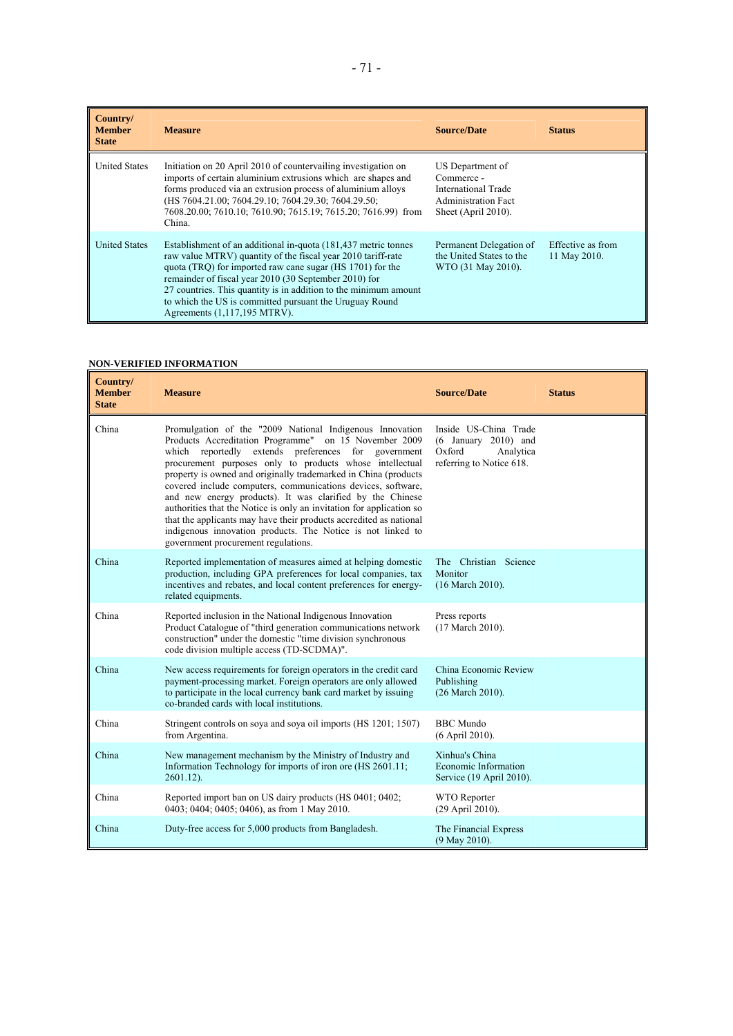| Country/<br><b>Member</b><br><b>State</b> | <b>Measure</b>                                                                                                                                                                                                                                                                                                                                                                                                      | <b>Source/Date</b>                                                                                         | <b>Status</b>                     |
|-------------------------------------------|---------------------------------------------------------------------------------------------------------------------------------------------------------------------------------------------------------------------------------------------------------------------------------------------------------------------------------------------------------------------------------------------------------------------|------------------------------------------------------------------------------------------------------------|-----------------------------------|
| <b>United States</b>                      | Initiation on 20 April 2010 of countervailing investigation on<br>imports of certain aluminium extrusions which are shapes and<br>forms produced via an extrusion process of aluminium alloys<br>(HS 7604.21.00; 7604.29.10; 7604.29.30; 7604.29.50;<br>7608.20.00; 7610.10; 7610.90; 7615.19; 7615.20; 7616.99) from<br>China.                                                                                     | US Department of<br>Commerce -<br>International Trade<br><b>Administration Fact</b><br>Sheet (April 2010). |                                   |
| <b>United States</b>                      | Establishment of an additional in-quota (181,437 metric tonnes<br>raw value MTRV) quantity of the fiscal year 2010 tariff-rate<br>quota (TRO) for imported raw cane sugar (HS 1701) for the<br>remainder of fiscal year 2010 (30 September 2010) for<br>27 countries. This quantity is in addition to the minimum amount<br>to which the US is committed pursuant the Uruguay Round<br>Agreements (1,117,195 MTRV). | Permanent Delegation of<br>the United States to the<br>WTO (31 May 2010).                                  | Effective as from<br>11 May 2010. |

## **NON-VERIFIED INFORMATION**

| Country/<br><b>Member</b><br><b>State</b> | <b>Measure</b>                                                                                                                                                                                                                                                                                                                                                                                                                                                                                                                                                                                                                                                                           | <b>Source/Date</b>                                                                                 | <b>Status</b> |
|-------------------------------------------|------------------------------------------------------------------------------------------------------------------------------------------------------------------------------------------------------------------------------------------------------------------------------------------------------------------------------------------------------------------------------------------------------------------------------------------------------------------------------------------------------------------------------------------------------------------------------------------------------------------------------------------------------------------------------------------|----------------------------------------------------------------------------------------------------|---------------|
| China                                     | Promulgation of the "2009 National Indigenous Innovation<br>Products Accreditation Programme" on 15 November 2009<br>which reportedly extends preferences for government<br>procurement purposes only to products whose intellectual<br>property is owned and originally trademarked in China (products<br>covered include computers, communications devices, software,<br>and new energy products). It was clarified by the Chinese<br>authorities that the Notice is only an invitation for application so<br>that the applicants may have their products accredited as national<br>indigenous innovation products. The Notice is not linked to<br>government procurement regulations. | Inside US-China Trade<br>$(6$ January 2010) and<br>Oxford<br>Analytica<br>referring to Notice 618. |               |
| China                                     | Reported implementation of measures aimed at helping domestic<br>production, including GPA preferences for local companies, tax<br>incentives and rebates, and local content preferences for energy-<br>related equipments.                                                                                                                                                                                                                                                                                                                                                                                                                                                              | The Christian Science<br>Monitor<br>(16 March 2010).                                               |               |
| China                                     | Reported inclusion in the National Indigenous Innovation<br>Product Catalogue of "third generation communications network<br>construction" under the domestic "time division synchronous<br>code division multiple access (TD-SCDMA)".                                                                                                                                                                                                                                                                                                                                                                                                                                                   | Press reports<br>(17 March 2010).                                                                  |               |
| China                                     | New access requirements for foreign operators in the credit card<br>payment-processing market. Foreign operators are only allowed<br>to participate in the local currency bank card market by issuing<br>co-branded cards with local institutions.                                                                                                                                                                                                                                                                                                                                                                                                                                       | China Economic Review<br>Publishing<br>(26 March 2010).                                            |               |
| China                                     | Stringent controls on soya and soya oil imports (HS 1201; 1507)<br>from Argentina.                                                                                                                                                                                                                                                                                                                                                                                                                                                                                                                                                                                                       | <b>BBC</b> Mundo<br>(6 April 2010).                                                                |               |
| China                                     | New management mechanism by the Ministry of Industry and<br>Information Technology for imports of iron ore (HS 2601.11;<br>$2601.12$ ).                                                                                                                                                                                                                                                                                                                                                                                                                                                                                                                                                  | Xinhua's China<br>Economic Information<br>Service (19 April 2010).                                 |               |
| China                                     | Reported import ban on US dairy products (HS 0401; 0402;<br>0403; 0404; 0405; 0406), as from 1 May 2010.                                                                                                                                                                                                                                                                                                                                                                                                                                                                                                                                                                                 | WTO Reporter<br>(29 April 2010).                                                                   |               |
| China                                     | Duty-free access for 5,000 products from Bangladesh.                                                                                                                                                                                                                                                                                                                                                                                                                                                                                                                                                                                                                                     | The Financial Express<br>$(9$ May 2010).                                                           |               |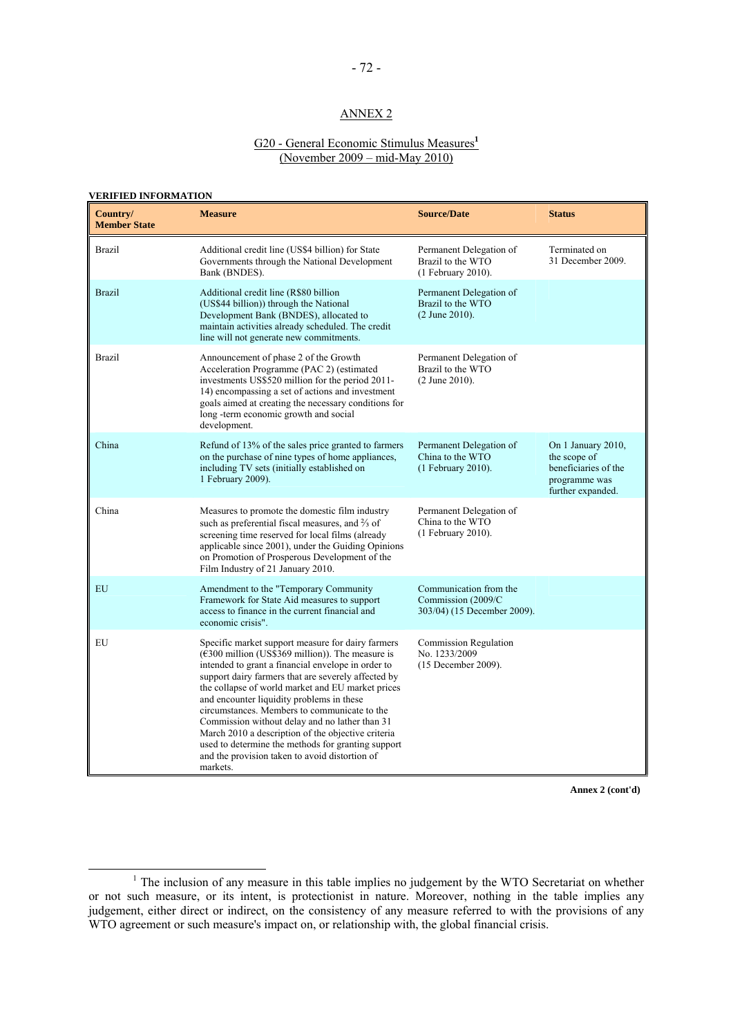## ANNEX 2

### G20 - General Economic Stimulus Measures**<sup>1</sup>** (November 2009 – mid-May 2010)

### **VERIFIED INFORMATION**

| Country/<br><b>Member State</b> | <b>Measure</b>                                                                                                                                                                                                                                                                                                                                                                                                                                                                                                                                                                                                                | <b>Source/Date</b>                                                          | <b>Status</b>                                                                                    |
|---------------------------------|-------------------------------------------------------------------------------------------------------------------------------------------------------------------------------------------------------------------------------------------------------------------------------------------------------------------------------------------------------------------------------------------------------------------------------------------------------------------------------------------------------------------------------------------------------------------------------------------------------------------------------|-----------------------------------------------------------------------------|--------------------------------------------------------------------------------------------------|
| Brazil                          | Additional credit line (US\$4 billion) for State<br>Governments through the National Development<br>Bank (BNDES).                                                                                                                                                                                                                                                                                                                                                                                                                                                                                                             | Permanent Delegation of<br>Brazil to the WTO<br>$(1$ February 2010).        | Terminated on<br>31 December 2009.                                                               |
| <b>Brazil</b>                   | Additional credit line (R\$80 billion<br>(US\$44 billion)) through the National<br>Development Bank (BNDES), allocated to<br>maintain activities already scheduled. The credit<br>line will not generate new commitments.                                                                                                                                                                                                                                                                                                                                                                                                     | Permanent Delegation of<br>Brazil to the WTO<br>$(2$ June 2010).            |                                                                                                  |
| <b>Brazil</b>                   | Announcement of phase 2 of the Growth<br>Acceleration Programme (PAC 2) (estimated<br>investments US\$520 million for the period 2011-<br>14) encompassing a set of actions and investment<br>goals aimed at creating the necessary conditions for<br>long -term economic growth and social<br>development.                                                                                                                                                                                                                                                                                                                   | Permanent Delegation of<br>Brazil to the WTO<br>$(2$ June 2010).            |                                                                                                  |
| China                           | Refund of 13% of the sales price granted to farmers<br>on the purchase of nine types of home appliances,<br>including TV sets (initially established on<br>1 February 2009).                                                                                                                                                                                                                                                                                                                                                                                                                                                  | Permanent Delegation of<br>China to the WTO<br>(1 February 2010).           | On 1 January 2010,<br>the scope of<br>beneficiaries of the<br>programme was<br>further expanded. |
| China                           | Measures to promote the domestic film industry<br>such as preferential fiscal measures, and $\frac{2}{3}$ of<br>screening time reserved for local films (already<br>applicable since 2001), under the Guiding Opinions<br>on Promotion of Prosperous Development of the<br>Film Industry of 21 January 2010.                                                                                                                                                                                                                                                                                                                  | Permanent Delegation of<br>China to the WTO<br>(1 February 2010).           |                                                                                                  |
| EU                              | Amendment to the "Temporary Community<br>Framework for State Aid measures to support<br>access to finance in the current financial and<br>economic crisis".                                                                                                                                                                                                                                                                                                                                                                                                                                                                   | Communication from the<br>Commission (2009/C<br>303/04) (15 December 2009). |                                                                                                  |
| EU                              | Specific market support measure for dairy farmers<br>$(\text{\textsterling}300 \text{ million}$ (US\$369 million)). The measure is<br>intended to grant a financial envelope in order to<br>support dairy farmers that are severely affected by<br>the collapse of world market and EU market prices<br>and encounter liquidity problems in these<br>circumstances. Members to communicate to the<br>Commission without delay and no lather than 31<br>March 2010 a description of the objective criteria<br>used to determine the methods for granting support<br>and the provision taken to avoid distortion of<br>markets. | Commission Regulation<br>No. 1233/2009<br>(15 December 2009).               |                                                                                                  |

 $\begin{array}{c|c}\n\hline\n\end{array}$ <sup>1</sup> The inclusion of any measure in this table implies no judgement by the WTO Secretariat on whether or not such measure, or its intent, is protectionist in nature. Moreover, nothing in the table implies any judgement, either direct or indirect, on the consistency of any measure referred to with the provisions of any WTO agreement or such measure's impact on, or relationship with, the global financial crisis.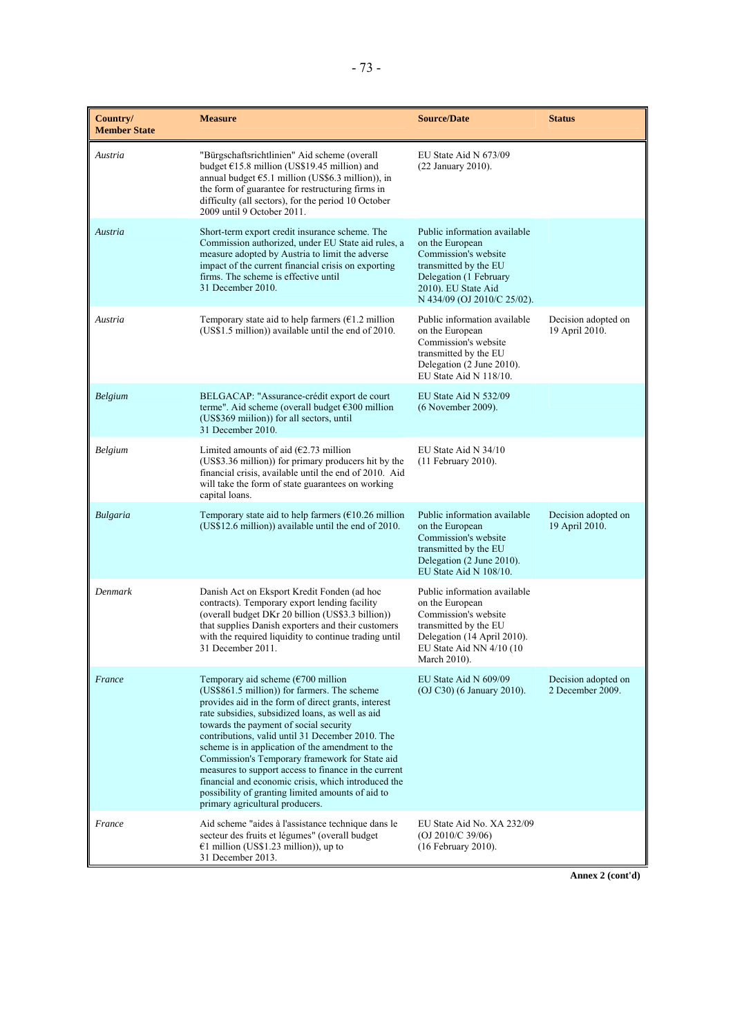| Country/<br><b>Member State</b> | <b>Measure</b>                                                                                                                                                                                                                                                                                                                                                                                                                                                                                                                                                                                                                         | <b>Source/Date</b>                                                                                                                                                               | <b>Status</b>                           |
|---------------------------------|----------------------------------------------------------------------------------------------------------------------------------------------------------------------------------------------------------------------------------------------------------------------------------------------------------------------------------------------------------------------------------------------------------------------------------------------------------------------------------------------------------------------------------------------------------------------------------------------------------------------------------------|----------------------------------------------------------------------------------------------------------------------------------------------------------------------------------|-----------------------------------------|
| Austria                         | "Bürgschaftsrichtlinien" Aid scheme (overall<br>budget $£15.8$ million (US\$19.45 million) and<br>annual budget €5.1 million (US\$6.3 million)), in<br>the form of guarantee for restructuring firms in<br>difficulty (all sectors), for the period 10 October<br>2009 until 9 October 2011.                                                                                                                                                                                                                                                                                                                                           | EU State Aid N 673/09<br>$(22$ January $2010$ ).                                                                                                                                 |                                         |
| Austria                         | Short-term export credit insurance scheme. The<br>Commission authorized, under EU State aid rules, a<br>measure adopted by Austria to limit the adverse<br>impact of the current financial crisis on exporting<br>firms. The scheme is effective until<br>31 December 2010.                                                                                                                                                                                                                                                                                                                                                            | Public information available<br>on the European<br>Commission's website<br>transmitted by the EU<br>Delegation (1 February<br>2010). EU State Aid<br>N 434/09 (OJ 2010/C 25/02). |                                         |
| Austria                         | Temporary state aid to help farmers $(\epsilon 1.2$ million<br>(US\$1.5 million)) available until the end of 2010.                                                                                                                                                                                                                                                                                                                                                                                                                                                                                                                     | Public information available<br>on the European<br>Commission's website<br>transmitted by the EU<br>Delegation (2 June 2010).<br>EU State Aid N $118/10$ .                       | Decision adopted on<br>19 April 2010.   |
| Belgium                         | BELGACAP: "Assurance-crédit export de court<br>terme". Aid scheme (overall budget €300 million<br>(US\$369 million)) for all sectors, until<br>31 December 2010.                                                                                                                                                                                                                                                                                                                                                                                                                                                                       | EU State Aid N 532/09<br>(6 November 2009).                                                                                                                                      |                                         |
| Belgium                         | Limited amounts of aid $(€2.73$ million<br>(US\$3.36 million)) for primary producers hit by the<br>financial crisis, available until the end of 2010. Aid<br>will take the form of state guarantees on working<br>capital loans.                                                                                                                                                                                                                                                                                                                                                                                                       | EU State Aid N 34/10<br>$(11$ February 2010).                                                                                                                                    |                                         |
| Bulgaria                        | Temporary state aid to help farmers ( $€10.26$ million<br>(US\$12.6 million)) available until the end of 2010.                                                                                                                                                                                                                                                                                                                                                                                                                                                                                                                         | Public information available<br>on the European<br>Commission's website<br>transmitted by the EU<br>Delegation (2 June 2010).<br>EU State Aid N 108/10.                          | Decision adopted on<br>19 April 2010.   |
| Denmark                         | Danish Act on Eksport Kredit Fonden (ad hoc<br>contracts). Temporary export lending facility<br>(overall budget DKr 20 billion (US\$3.3 billion))<br>that supplies Danish exporters and their customers<br>with the required liquidity to continue trading until<br>31 December 2011.                                                                                                                                                                                                                                                                                                                                                  | Public information available<br>on the European<br>Commission's website<br>transmitted by the EU<br>Delegation (14 April 2010).<br>EU State Aid NN 4/10 (10<br>March 2010).      |                                         |
| France                          | Temporary aid scheme $(\text{\textsterling}700 \text{ million})$<br>(US\$861.5 million)) for farmers. The scheme<br>provides aid in the form of direct grants, interest<br>rate subsidies, subsidized loans, as well as aid<br>towards the payment of social security<br>contributions, valid until 31 December 2010. The<br>scheme is in application of the amendment to the<br>Commission's Temporary framework for State aid<br>measures to support access to finance in the current<br>financial and economic crisis, which introduced the<br>possibility of granting limited amounts of aid to<br>primary agricultural producers. | EU State Aid N 609/09<br>(OJ C30) (6 January 2010).                                                                                                                              | Decision adopted on<br>2 December 2009. |
| France                          | Aid scheme "aides à l'assistance technique dans le<br>secteur des fruits et légumes" (overall budget<br>€1 million (US\$1.23 million)), up to<br>31 December 2013.                                                                                                                                                                                                                                                                                                                                                                                                                                                                     | EU State Aid No. XA 232/09<br>(OJ 2010/C 39/06)<br>$(16$ February 2010).                                                                                                         |                                         |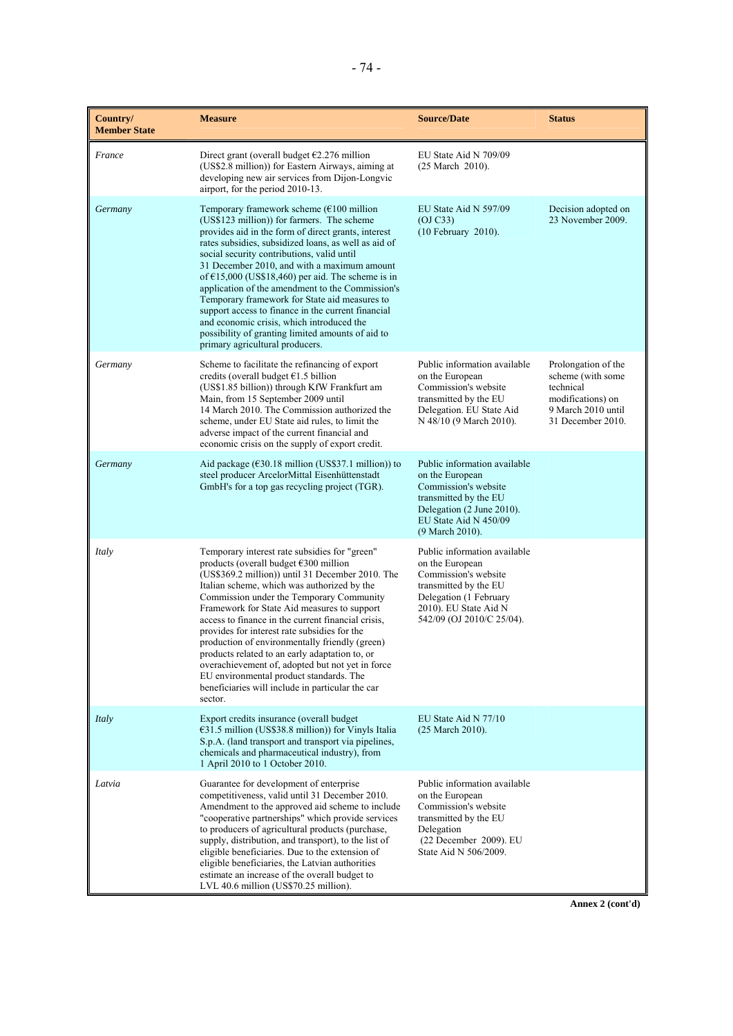| Country/<br><b>Member State</b> | <b>Measure</b>                                                                                                                                                                                                                                                                                                                                                                                                                                                                                                                                                                                                                                                                                  | <b>Source/Date</b>                                                                                                                                                               | <b>Status</b>                                                                                                         |
|---------------------------------|-------------------------------------------------------------------------------------------------------------------------------------------------------------------------------------------------------------------------------------------------------------------------------------------------------------------------------------------------------------------------------------------------------------------------------------------------------------------------------------------------------------------------------------------------------------------------------------------------------------------------------------------------------------------------------------------------|----------------------------------------------------------------------------------------------------------------------------------------------------------------------------------|-----------------------------------------------------------------------------------------------------------------------|
| France                          | Direct grant (overall budget $E2.276$ million<br>(US\$2.8 million)) for Eastern Airways, aiming at<br>developing new air services from Dijon-Longvic<br>airport, for the period 2010-13.                                                                                                                                                                                                                                                                                                                                                                                                                                                                                                        | EU State Aid N 709/09<br>(25 March 2010).                                                                                                                                        |                                                                                                                       |
| Germany                         | Temporary framework scheme $(\text{\textsterling}100 \text{ million})$<br>(US\$123 million)) for farmers. The scheme<br>provides aid in the form of direct grants, interest<br>rates subsidies, subsidized loans, as well as aid of<br>social security contributions, valid until<br>31 December 2010, and with a maximum amount<br>of $\epsilon$ 15,000 (US\$18,460) per aid. The scheme is in<br>application of the amendment to the Commission's<br>Temporary framework for State aid measures to<br>support access to finance in the current financial<br>and economic crisis, which introduced the<br>possibility of granting limited amounts of aid to<br>primary agricultural producers. | EU State Aid N 597/09<br>(OJ C33)<br>(10 February 2010).                                                                                                                         | Decision adopted on<br>23 November 2009.                                                                              |
| Germany                         | Scheme to facilitate the refinancing of export<br>credits (overall budget $E1.5$ billion<br>(US\$1.85 billion)) through KfW Frankfurt am<br>Main, from 15 September 2009 until<br>14 March 2010. The Commission authorized the<br>scheme, under EU State aid rules, to limit the<br>adverse impact of the current financial and<br>economic crisis on the supply of export credit.                                                                                                                                                                                                                                                                                                              | Public information available<br>on the European<br>Commission's website<br>transmitted by the EU<br>Delegation. EU State Aid<br>N 48/10 (9 March 2010).                          | Prolongation of the<br>scheme (with some<br>technical<br>modifications) on<br>9 March 2010 until<br>31 December 2010. |
| Germany                         | Aid package ( $\epsilon$ 30.18 million (US\$37.1 million)) to<br>steel producer ArcelorMittal Eisenhüttenstadt<br>GmbH's for a top gas recycling project (TGR).                                                                                                                                                                                                                                                                                                                                                                                                                                                                                                                                 | Public information available<br>on the European<br>Commission's website<br>transmitted by the EU<br>Delegation (2 June 2010).<br>EU State Aid N 450/09<br>(9 March 2010).        |                                                                                                                       |
| Italy                           | Temporary interest rate subsidies for "green"<br>products (overall budget $\epsilon$ 300 million<br>(US\$369.2 million)) until 31 December 2010. The<br>Italian scheme, which was authorized by the<br>Commission under the Temporary Community<br>Framework for State Aid measures to support<br>access to finance in the current financial crisis,<br>provides for interest rate subsidies for the<br>production of environmentally friendly (green)<br>products related to an early adaptation to, or<br>overachievement of, adopted but not yet in force<br>EU environmental product standards. The<br>beneficiaries will include in particular the car<br>sector.                          | Public information available<br>on the European<br>Commission's website<br>transmitted by the EU<br>Delegation (1 February<br>2010). EU State Aid N<br>542/09 (OJ 2010/C 25/04). |                                                                                                                       |
| Italy                           | Export credits insurance (overall budget<br>€31.5 million (US\$38.8 million)) for Vinyls Italia<br>S.p.A. (land transport and transport via pipelines,<br>chemicals and pharmaceutical industry), from<br>1 April 2010 to 1 October 2010.                                                                                                                                                                                                                                                                                                                                                                                                                                                       | EU State Aid N 77/10<br>$(25 \text{ March } 2010).$                                                                                                                              |                                                                                                                       |
| Latvia                          | Guarantee for development of enterprise<br>competitiveness, valid until 31 December 2010.<br>Amendment to the approved aid scheme to include<br>"cooperative partnerships" which provide services<br>to producers of agricultural products (purchase,<br>supply, distribution, and transport), to the list of<br>eligible beneficiaries. Due to the extension of<br>eligible beneficiaries, the Latvian authorities<br>estimate an increase of the overall budget to<br>LVL 40.6 million (US\$70.25 million).                                                                                                                                                                                   | Public information available<br>on the European<br>Commission's website<br>transmitted by the EU<br>Delegation<br>(22 December 2009). EU<br>State Aid N 506/2009.                |                                                                                                                       |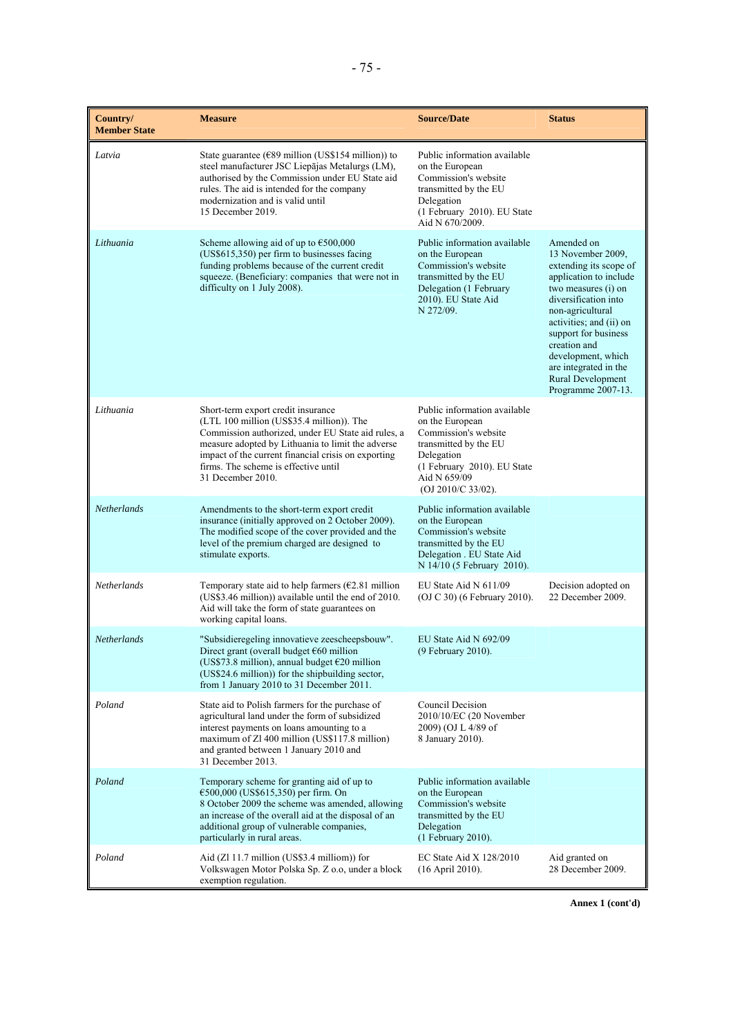| Country/<br><b>Member State</b> | <b>Measure</b>                                                                                                                                                                                                                                                                                                 | <b>Source/Date</b>                                                                                                                                                                     | <b>Status</b>                                                                                                                                                                                                                                                                                                       |
|---------------------------------|----------------------------------------------------------------------------------------------------------------------------------------------------------------------------------------------------------------------------------------------------------------------------------------------------------------|----------------------------------------------------------------------------------------------------------------------------------------------------------------------------------------|---------------------------------------------------------------------------------------------------------------------------------------------------------------------------------------------------------------------------------------------------------------------------------------------------------------------|
| Latvia                          | State guarantee ( $\epsilon$ 89 million (US\$154 million)) to<br>steel manufacturer JSC Liepājas Metalurgs (LM),<br>authorised by the Commission under EU State aid<br>rules. The aid is intended for the company<br>modernization and is valid until<br>15 December 2019.                                     | Public information available<br>on the European<br>Commission's website<br>transmitted by the EU<br>Delegation<br>(1 February 2010). EU State<br>Aid N 670/2009.                       |                                                                                                                                                                                                                                                                                                                     |
| Lithuania                       | Scheme allowing aid of up to $\epsilon$ 500,000<br>(US\$615,350) per firm to businesses facing<br>funding problems because of the current credit<br>squeeze. (Beneficiary: companies that were not in<br>difficulty on 1 July 2008).                                                                           | Public information available<br>on the European<br>Commission's website<br>transmitted by the EU<br>Delegation (1 February<br>2010). EU State Aid<br>N 272/09.                         | Amended on<br>13 November 2009,<br>extending its scope of<br>application to include<br>two measures (i) on<br>diversification into<br>non-agricultural<br>activities; and (ii) on<br>support for business<br>creation and<br>development, which<br>are integrated in the<br>Rural Development<br>Programme 2007-13. |
| Lithuania                       | Short-term export credit insurance<br>(LTL 100 million (US\$35.4 million)). The<br>Commission authorized, under EU State aid rules, a<br>measure adopted by Lithuania to limit the adverse<br>impact of the current financial crisis on exporting<br>firms. The scheme is effective until<br>31 December 2010. | Public information available<br>on the European<br>Commission's website<br>transmitted by the EU<br>Delegation<br>(1 February 2010). EU State<br>Aid N 659/09<br>$(OJ 2010/C 33/02)$ . |                                                                                                                                                                                                                                                                                                                     |
| Netherlands                     | Amendments to the short-term export credit<br>insurance (initially approved on 2 October 2009).<br>The modified scope of the cover provided and the<br>level of the premium charged are designed to<br>stimulate exports.                                                                                      | Public information available<br>on the European<br>Commission's website<br>transmitted by the EU<br>Delegation . EU State Aid<br>N 14/10 (5 February 2010).                            |                                                                                                                                                                                                                                                                                                                     |
| Netherlands                     | Temporary state aid to help farmers ( $\epsilon$ 2.81 million<br>(US\$3.46 million)) available until the end of 2010.<br>Aid will take the form of state guarantees on<br>working capital loans.                                                                                                               | EU State Aid N $611/09$<br>(OJ C 30) (6 February 2010).                                                                                                                                | Decision adopted on<br>22 December 2009.                                                                                                                                                                                                                                                                            |
| Netherlands                     | "Subsidieregeling innovatieve zeescheepsbouw".<br>Direct grant (overall budget $\epsilon$ 60 million<br>(US\$73.8 million), annual budget €20 million<br>(US\$24.6 million)) for the shipbuilding sector,<br>from 1 January 2010 to 31 December 2011.                                                          | EU State Aid N 692/09<br>(9 February 2010).                                                                                                                                            |                                                                                                                                                                                                                                                                                                                     |
| Poland                          | State aid to Polish farmers for the purchase of<br>agricultural land under the form of subsidized<br>interest payments on loans amounting to a<br>maximum of Zl 400 million (US\$117.8 million)<br>and granted between 1 January 2010 and<br>31 December 2013.                                                 | Council Decision<br>2010/10/EC (20 November<br>2009) (OJ L 4/89 of<br>8 January 2010).                                                                                                 |                                                                                                                                                                                                                                                                                                                     |
| Poland                          | Temporary scheme for granting aid of up to<br>€500,000 (US\$615,350) per firm. On<br>8 October 2009 the scheme was amended, allowing<br>an increase of the overall aid at the disposal of an<br>additional group of vulnerable companies,<br>particularly in rural areas.                                      | Public information available<br>on the European<br>Commission's website<br>transmitted by the EU<br>Delegation<br>(1 February 2010).                                                   |                                                                                                                                                                                                                                                                                                                     |
| Poland                          | Aid (Zl 11.7 million (US\$3.4 milliom)) for<br>Volkswagen Motor Polska Sp. Z o.o, under a block<br>exemption regulation.                                                                                                                                                                                       | EC State Aid $X$ 128/2010<br>$(16$ April 2010).                                                                                                                                        | Aid granted on<br>28 December 2009.                                                                                                                                                                                                                                                                                 |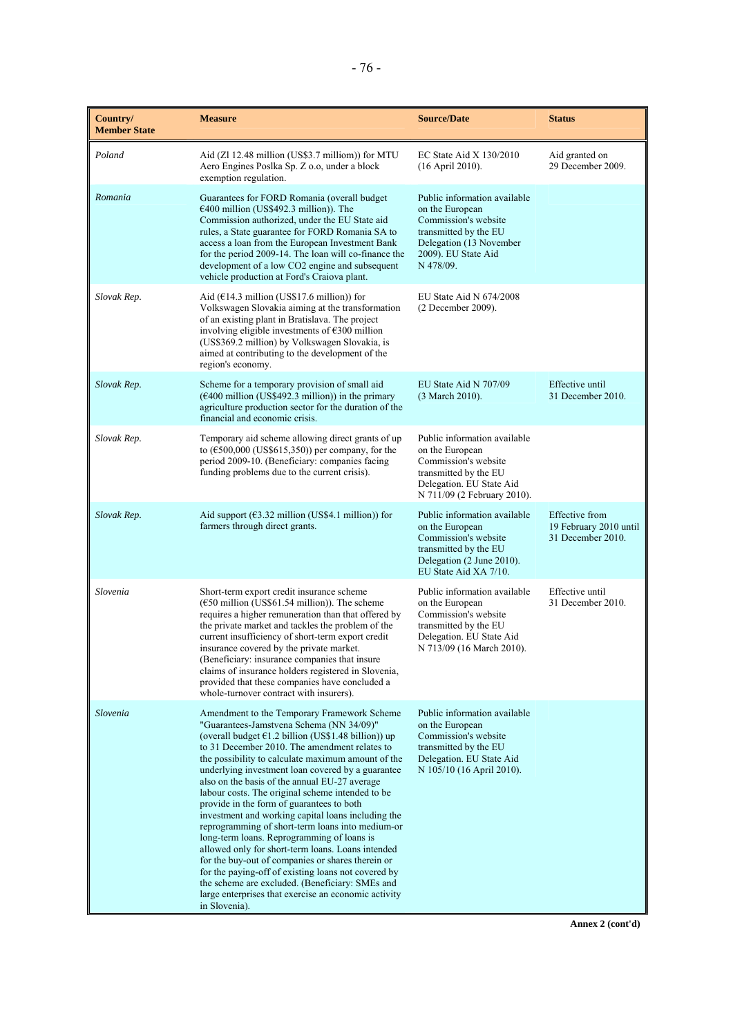| Country/<br><b>Member State</b> | <b>Measure</b>                                                                                                                                                                                                                                                                                                                                                                                                                                                                                                                                                                                                                                                                                                                                                                                                                                                                                                     | <b>Source/Date</b>                                                                                                                                              | <b>Status</b>                                                        |
|---------------------------------|--------------------------------------------------------------------------------------------------------------------------------------------------------------------------------------------------------------------------------------------------------------------------------------------------------------------------------------------------------------------------------------------------------------------------------------------------------------------------------------------------------------------------------------------------------------------------------------------------------------------------------------------------------------------------------------------------------------------------------------------------------------------------------------------------------------------------------------------------------------------------------------------------------------------|-----------------------------------------------------------------------------------------------------------------------------------------------------------------|----------------------------------------------------------------------|
| Poland                          | Aid (Zl 12.48 million (US\$3.7 milliom)) for MTU<br>Aero Engines Poslka Sp. Z o.o, under a block<br>exemption regulation.                                                                                                                                                                                                                                                                                                                                                                                                                                                                                                                                                                                                                                                                                                                                                                                          | EC State Aid $X$ 130/2010<br>(16 April 2010).                                                                                                                   | Aid granted on<br>29 December 2009.                                  |
| Romania                         | Guarantees for FORD Romania (overall budget<br>$€400$ million (US\$492.3 million)). The<br>Commission authorized, under the EU State aid<br>rules, a State guarantee for FORD Romania SA to<br>access a loan from the European Investment Bank<br>for the period 2009-14. The loan will co-finance the<br>development of a low CO2 engine and subsequent<br>vehicle production at Ford's Craiova plant.                                                                                                                                                                                                                                                                                                                                                                                                                                                                                                            | Public information available<br>on the European<br>Commission's website<br>transmitted by the EU<br>Delegation (13 November<br>2009). EU State Aid<br>N 478/09. |                                                                      |
| Slovak Rep.                     | Aid $(E14.3$ million (US\$17.6 million)) for<br>Volkswagen Slovakia aiming at the transformation<br>of an existing plant in Bratislava. The project<br>involving eligible investments of $\epsilon$ 300 million<br>(US\$369.2 million) by Volkswagen Slovakia, is<br>aimed at contributing to the development of the<br>region's economy.                                                                                                                                                                                                                                                                                                                                                                                                                                                                                                                                                                          | EU State Aid N $674/2008$<br>(2 December 2009).                                                                                                                 |                                                                      |
| Slovak Rep.                     | Scheme for a temporary provision of small aid<br>$(\text{\textsterling}400 \text{ million}$ (US\$492.3 million)) in the primary<br>agriculture production sector for the duration of the<br>financial and economic crisis.                                                                                                                                                                                                                                                                                                                                                                                                                                                                                                                                                                                                                                                                                         | EU State Aid N 707/09<br>(3 March 2010).                                                                                                                        | Effective until<br>31 December 2010.                                 |
| Slovak Rep.                     | Temporary aid scheme allowing direct grants of up<br>to $(\text{\textsterling}500,000 \text{ (US$615,350)})$ per company, for the<br>period 2009-10. (Beneficiary: companies facing<br>funding problems due to the current crisis).                                                                                                                                                                                                                                                                                                                                                                                                                                                                                                                                                                                                                                                                                | Public information available<br>on the European<br>Commission's website<br>transmitted by the EU<br>Delegation. EU State Aid<br>N 711/09 (2 February 2010).     |                                                                      |
| Slovak Rep.                     | Aid support ( $63.32$ million (US\$4.1 million)) for<br>farmers through direct grants.                                                                                                                                                                                                                                                                                                                                                                                                                                                                                                                                                                                                                                                                                                                                                                                                                             | Public information available<br>on the European<br>Commission's website<br>transmitted by the EU<br>Delegation (2 June 2010).<br>EU State Aid XA 7/10.          | <b>Effective</b> from<br>19 February 2010 until<br>31 December 2010. |
| Slovenia                        | Short-term export credit insurance scheme<br>$(\text{\textsterling}50 \text{ million}$ (US\$61.54 million)). The scheme<br>requires a higher remuneration than that offered by<br>the private market and tackles the problem of the<br>current insufficiency of short-term export credit<br>insurance covered by the private market.<br>(Beneficiary: insurance companies that insure<br>claims of insurance holders registered in Slovenia,<br>provided that these companies have concluded a<br>whole-turnover contract with insurers).                                                                                                                                                                                                                                                                                                                                                                          | Public information available<br>on the European<br>Commission's website<br>transmitted by the EU<br>Delegation. EU State Aid<br>N 713/09 (16 March 2010).       | Effective until<br>31 December 2010.                                 |
| Slovenia                        | Amendment to the Temporary Framework Scheme<br>"Guarantees-Jamstvena Schema (NN 34/09)"<br>(overall budget €1.2 billion (US\$1.48 billion)) up<br>to 31 December 2010. The amendment relates to<br>the possibility to calculate maximum amount of the<br>underlying investment loan covered by a guarantee<br>also on the basis of the annual EU-27 average<br>labour costs. The original scheme intended to be.<br>provide in the form of guarantees to both<br>investment and working capital loans including the<br>reprogramming of short-term loans into medium-or<br>long-term loans. Reprogramming of loans is<br>allowed only for short-term loans. Loans intended<br>for the buy-out of companies or shares therein or<br>for the paying-off of existing loans not covered by<br>the scheme are excluded. (Beneficiary: SMEs and<br>large enterprises that exercise an economic activity<br>in Slovenia). | Public information available<br>on the European<br>Commission's website<br>transmitted by the EU<br>Delegation. EU State Aid<br>N 105/10 (16 April 2010).       |                                                                      |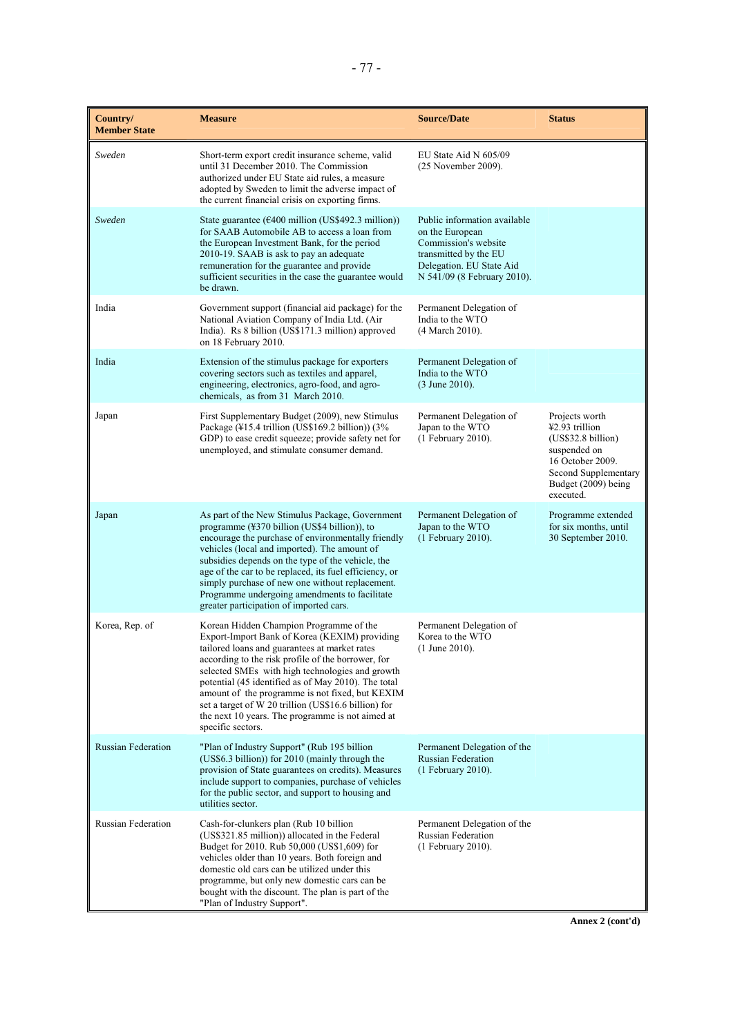| Country/<br><b>Member State</b> | <b>Measure</b>                                                                                                                                                                                                                                                                                                                                                                                                                                                                                | <b>Source/Date</b>                                                                                                                                          | <b>Status</b>                                                                                                                                          |
|---------------------------------|-----------------------------------------------------------------------------------------------------------------------------------------------------------------------------------------------------------------------------------------------------------------------------------------------------------------------------------------------------------------------------------------------------------------------------------------------------------------------------------------------|-------------------------------------------------------------------------------------------------------------------------------------------------------------|--------------------------------------------------------------------------------------------------------------------------------------------------------|
| Sweden                          | Short-term export credit insurance scheme, valid<br>until 31 December 2010. The Commission<br>authorized under EU State aid rules, a measure<br>adopted by Sweden to limit the adverse impact of<br>the current financial crisis on exporting firms.                                                                                                                                                                                                                                          | EU State Aid N 605/09<br>(25 November 2009).                                                                                                                |                                                                                                                                                        |
| Sweden                          | State guarantee ( $\epsilon$ 400 million (US\$492.3 million))<br>for SAAB Automobile AB to access a loan from<br>the European Investment Bank, for the period<br>2010-19. SAAB is ask to pay an adequate<br>remuneration for the guarantee and provide<br>sufficient securities in the case the guarantee would<br>be drawn.                                                                                                                                                                  | Public information available<br>on the European<br>Commission's website<br>transmitted by the EU<br>Delegation. EU State Aid<br>N 541/09 (8 February 2010). |                                                                                                                                                        |
| India                           | Government support (financial aid package) for the<br>National Aviation Company of India Ltd. (Air<br>India). Rs 8 billion (US\$171.3 million) approved<br>on 18 February 2010.                                                                                                                                                                                                                                                                                                               | Permanent Delegation of<br>India to the WTO<br>(4 March 2010).                                                                                              |                                                                                                                                                        |
| India                           | Extension of the stimulus package for exporters<br>covering sectors such as textiles and apparel,<br>engineering, electronics, agro-food, and agro-<br>chemicals, as from 31 March 2010.                                                                                                                                                                                                                                                                                                      | Permanent Delegation of<br>India to the WTO<br>(3 June 2010).                                                                                               |                                                                                                                                                        |
| Japan                           | First Supplementary Budget (2009), new Stimulus<br>Package (¥15.4 trillion (US\$169.2 billion)) (3%<br>GDP) to ease credit squeeze; provide safety net for<br>unemployed, and stimulate consumer demand.                                                                                                                                                                                                                                                                                      | Permanent Delegation of<br>Japan to the WTO<br>(1 February 2010).                                                                                           | Projects worth<br>¥2.93 trillion<br>(US\$32.8 billion)<br>suspended on<br>16 October 2009.<br>Second Supplementary<br>Budget (2009) being<br>executed. |
| Japan                           | As part of the New Stimulus Package, Government<br>programme $(\frac{2370 \text{ billion}}{100 \text{ m/s}})$ , to<br>encourage the purchase of environmentally friendly<br>vehicles (local and imported). The amount of<br>subsidies depends on the type of the vehicle, the<br>age of the car to be replaced, its fuel efficiency, or<br>simply purchase of new one without replacement.<br>Programme undergoing amendments to facilitate<br>greater participation of imported cars.        | Permanent Delegation of<br>Japan to the WTO<br>(1 February 2010).                                                                                           | Programme extended<br>for six months, until<br>30 September 2010.                                                                                      |
| Korea, Rep. of                  | Korean Hidden Champion Programme of the<br>Export-Import Bank of Korea (KEXIM) providing<br>tailored loans and guarantees at market rates<br>according to the risk profile of the borrower, for<br>selected SMEs with high technologies and growth<br>potential (45 identified as of May 2010). The total<br>amount of the programme is not fixed, but KEXIM<br>set a target of W 20 trillion (US\$16.6 billion) for<br>the next 10 years. The programme is not aimed at<br>specific sectors. | Permanent Delegation of<br>Korea to the WTO<br>$(1$ June 2010).                                                                                             |                                                                                                                                                        |
| <b>Russian Federation</b>       | "Plan of Industry Support" (Rub 195 billion<br>(US\$6.3 billion)) for 2010 (mainly through the<br>provision of State guarantees on credits). Measures<br>include support to companies, purchase of vehicles<br>for the public sector, and support to housing and<br>utilities sector.                                                                                                                                                                                                         | Permanent Delegation of the<br><b>Russian Federation</b><br>(1 February 2010).                                                                              |                                                                                                                                                        |
| Russian Federation              | Cash-for-clunkers plan (Rub 10 billion<br>(US\$321.85 million)) allocated in the Federal<br>Budget for 2010. Rub 50,000 (US\$1,609) for<br>vehicles older than 10 years. Both foreign and<br>domestic old cars can be utilized under this<br>programme, but only new domestic cars can be<br>bought with the discount. The plan is part of the<br>"Plan of Industry Support".                                                                                                                 | Permanent Delegation of the<br><b>Russian Federation</b><br>(1 February 2010).                                                                              |                                                                                                                                                        |